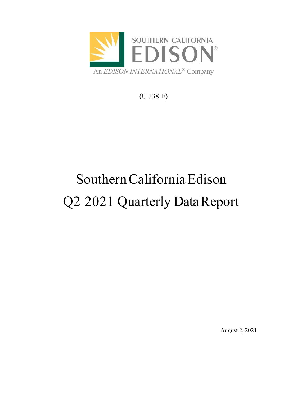

(U 338-E)

# Southern California Edison Q2 2021 Quarterly Data Report

August 2, 2021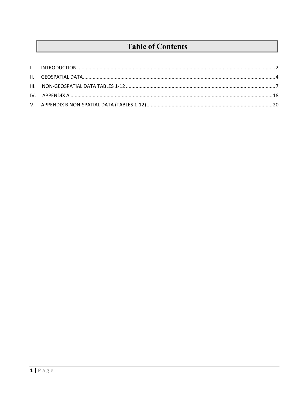### **Table of Contents**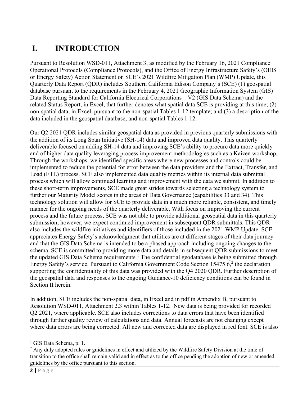## <span id="page-2-0"></span>**I. INTRODUCTION**

Pursuant to Resolution WSD-011, Attachment 3, as modified by the February 16, 2021 Compliance Operational Protocols (Compliance Protocols), and the Office of Energy Infrastructure Safety's (OEIS or Energy Safety) Action Statement on SCE's 2021 Wildfire Mitigation Plan (WMP) Update, this Quarterly Data Report (QDR) includes Southern California Edison Company's (SCE) (1) geospatial database pursuant to the requirements in the February 4, 2021 Geographic Information System (GIS) Data Reporting Standard for California Electrical Corporations – V2 (GIS Data Schema) and the related Status Report, in Excel, that further denotes what spatial data SCE is providing at this time; (2) non-spatial data, in Excel, pursuant to the non-spatial Tables 1-12 template; and (3) a description of the data included in the geospatial database, and non-spatial Tables 1-12.

Our Q2 2021 QDR includes similar geospatial data as provided in previous quarterly submissions with the addition of its Long Span Initiative (SH-14) data and improved data quality. This quarterly deliverable focused on adding SH-14 data and improving SCE's ability to procure data more quickly and of higher data quality leveraging process improvement methodologies such as a Kaizen workshop. Through the workshops, we identified specific areas where new processes and controls could be implemented to reduce the potential for error between the data providers and the Extract, Transfer, and Load (ETL) process. SCE also implemented data quality metrics within its internal data submittal process which will allow continued learning and improvement with the data we submit. In addition to these short-term improvements, SCE made great strides towards selecting a technology system to further our Maturity Model scores in the areas of Data Governance (capabilities 33 and 34). This technology solution will allow for SCE to provide data in a much more reliable, consistent, and timely manner for the ongoing needs of the quarterly deliverable. With focus on improving the current process and the future process, SCE was not able to provide additional geospatial data in this quarterly submission; however, we expect continued improvement in subsequent QDR submittals. This QDR also includes the wildfire initiatives and identifiers of those included in the 2021 WMP Update. SCE appreciates Energy Safety's acknowledgment that utilities are at different stages of their data journey and that the GIS Data Schema is intended to be a phased approach including ongoing changes to the schema. SCE is committed to providing more data and details in subsequent QDR submissions to meet the updated GIS Data Schema requirements.<sup>1</sup> The confidential geodatabase is being submitted through Energy Safety's service. Pursuant to California Government Code Section 15475.6,<sup>2</sup> the declaration supporting the confidentiality of this data was provided with the Q4 2020 QDR. Further description of the geospatial data and responses to the ongoing Guidance-10 deficiency conditions can be found in Section II herein.

In addition, SCE includes the non-spatial data, in Excel and in pdf in Appendix B, pursuant to Resolution WSD-011, Attachment 2.3 within Tables 1-12. New data is being provided for recorded Q2 2021, where applicable. SCE also includes corrections to data errors that have been identified through further quality review of calculations and data. Annual forecasts are not changing except where data errors are being corrected. All new and corrected data are displayed in red font. SCE is also

<sup>&</sup>lt;sup>1</sup> GIS Data Schema, p. 1.

<sup>&</sup>lt;sup>2</sup> Any duly adopted rules or guidelines in effect and utilized by the Wildfire Safety Division at the time of transition to the office shall remain valid and in effect as to the office pending the adoption of new or amended guidelines by the office pursuant to this section.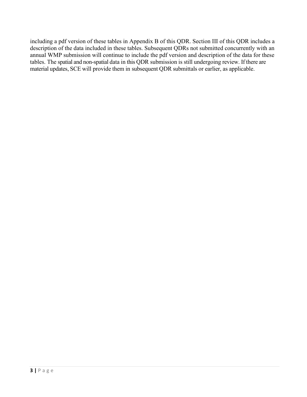including a pdf version of these tables in Appendix B of this QDR. Section III of this QDR includes a description of the data included in these tables. Subsequent QDRs not submitted concurrently with an annual WMP submission will continue to include the pdf version and description of the data for these tables. The spatial and non-spatial data in this QDR submission is still undergoing review. If there are material updates, SCE will provide them in subsequent QDR submittals or earlier, as applicable.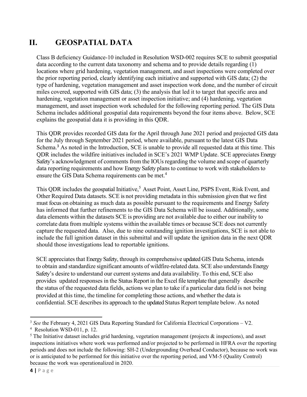### <span id="page-4-0"></span>**II. GEOSPATIAL DATA**

Class B deficiency Guidance-10 included in Resolution WSD-002 requires SCE to submit geospatial data according to the current data taxonomy and schema and to provide details regarding (1) locations where grid hardening, vegetation management, and asset inspections were completed over the prior reporting period, clearly identifying each initiative and supported with GIS data; (2) the type of hardening, vegetation management and asset inspection work done, and the number of circuit miles covered, supported with GIS data; (3) the analysis that led it to target that specific area and hardening, vegetation management or asset inspection initiative; and (4) hardening, vegetation management, and asset inspection work scheduled for the following reporting period. The GIS Data Schema includes additional geospatial data requirements beyond the four items above. Below, SCE explains the geospatial data it is providing in this QDR.

This QDR provides recorded GIS data for the April through June 2021 period and projected GIS data for the July through September 2021 period, where available, pursuant to the latest GIS Data Schema.<sup>3</sup> As noted in the Introduction, SCE is unable to provide all requested data at this time. This QDR includes the wildfire initiatives included in SCE's 2021 WMP Update. SCE appreciates Energy Safety's acknowledgment of comments from the IOUs regarding the volume and scope of quarterly data reporting requirements and how Energy Safety plans to continue to work with stakeholders to ensure the GIS Data Schema requirements can be met.<sup>4</sup>

This QDR includes the geospatial Initiative,<sup>5</sup> Asset Point, Asset Line, PSPS Event, Risk Event, and Other Required Data datasets. SCE is not providing metadata in this submission given that we first must focus on obtaining as much data as possible pursuant to the requirements and Energy Safety has informed that further refinements to the GIS Data Schema will be issued. Additionally, some data elements within the datasets SCE is providing are not available due to either our inability to correlate data from multiple systems within the available times or because SCE does not currently capture the requested data. Also, due to nine outstanding ignition investigations, SCE is not able to include the full ignition dataset in this submittal and will update the ignition data in the next QDR should those investigations lead to reportable ignitions.

SCE appreciates that Energy Safety, through its comprehensive updated GIS Data Schema, intends to obtain and standardize significant amounts of wildfire-related data. SCE also understands Energy Safety's desire to understand our current systems and data availability. To this end, SCE also provides updated responses in the Status Report in the Excel file template that generally describe the status of the requested data fields, actions we plan to take if a particular data field is not being provided at this time, the timeline for completing those actions, and whether the data is confidential. SCE describes its approach to the updated Status Report template below. As noted

<sup>&</sup>lt;sup>3</sup> See the February 4, 2021 GIS Data Reporting Standard for California Electrical Corporations – V2.

<sup>4</sup> Resolution WSD-011, p. 12.

<sup>&</sup>lt;sup>5</sup> The Initiative dataset includes grid hardening, vegetation management (projects & inspections), and asset inspections initiatives where work was performed and/or projected to be performed in HFRA over the reporting periods and does not include the following: SH-2 (Undergrounding Overhead Conductor), because no work was or is anticipated to be performed for this initiative over the reporting period, and VM-5 (Quality Control) because the work was operationalized in 2020.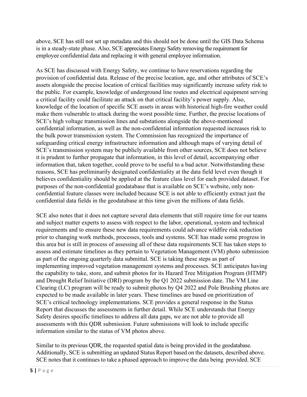above, SCE has still not set up metadata and this should not be done until the GIS Data Schema is in a steady-state phase. Also, SCE appreciates Energy Safety removing the requirement for employee confidential data and replacing it with general employee information.

As SCE has discussed with Energy Safety, we continue to have reservations regarding the provision of confidential data. Release of the precise location, age, and other attributes of SCE's assets alongside the precise location of critical facilities may significantly increase safety risk to the public. For example, knowledge of underground line routes and electrical equipment serving a critical facility could facilitate an attack on that critical facility's power supply. Also, knowledge of the location of specific SCE assets in areas with historical high-fire weather could make them vulnerable to attack during the worst possible time. Further, the precise locations of SCE's high voltage transmission lines and substations alongside the above-mentioned confidential information, as well as the non-confidential information requested increases risk to the bulk power transmission system. The Commission has recognized the importance of safeguarding critical energy infrastructure information and although maps of varying detail of SCE's transmission system may be publicly available from other sources, SCE does not believe it is prudent to further propagate that information, in this level of detail, accompanying other information that, taken together, could prove to be useful to a bad actor. Notwithstanding these reasons, SCE has preliminarily designated confidentiality at the data field level even though it believes confidentiality should be applied at the feature class level for each provided dataset. For purposes of the non-confidential geodatabase that is available on SCE's website, only nonconfidential feature classes were included because SCE is not able to efficiently extract just the confidential data fields in the geodatabase at this time given the millions of data fields.

SCE also notes that it does not capture several data elements that still require time for our teams and subject matter experts to assess with respect to the labor, operational, system and technical requirements and to ensure these new data requirements could advance wildfire risk reduction prior to changing work methods, processes, tools and systems. SCE has made some progress in this area but is still in process of assessing all of these data requirements SCE has taken steps to assess and estimate timelines as they pertain to Vegetation Management (VM) photo submission as part of the ongoing quarterly data submittal. SCE is taking these steps as part of implementing improved vegetation management systems and processes. SCE anticipates having the capability to take, store, and submit photos for its Hazard Tree Mitigation Program (HTMP) and Drought Relief Initiative (DRI) program by the Q1 2022 submission date. The VM Line Clearing (LC) program will be ready to submit photos by Q4 2022 and Pole Brushing photos are expected to be made available in later years. These timelines are based on prioritization of SCE's critical technology implementations. SCE provides a general response in the Status Report that discusses the assessments in further detail. While SCE understands that Energy Safety desires specific timelines to address all data gaps, we are not able to provide all assessments with this QDR submission. Future submissions will look to include specific information similar to the status of VM photos above.

Similar to its previous QDR, the requested spatial data is being provided in the geodatabase. Additionally, SCE is submitting an updated Status Report based on the datasets, described above. SCE notes that it continues to take a phased approach to improve the data being provided. SCE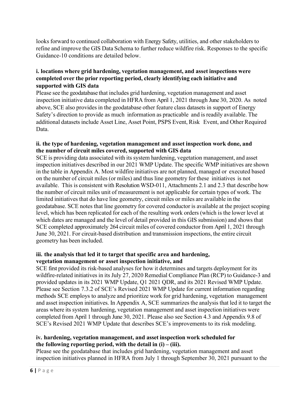looks forward to continued collaboration with Energy Safety, utilities, and other stakeholders to refine and improve the GIS Data Schema to further reduce wildfire risk. Responses to the specific Guidance-10 conditions are detailed below.

#### **i. locations where grid hardening, vegetation management, and asset inspections were completed over the prior reporting period, clearly identifying each initiative and supported with GIS data**

Please see the geodatabase that includes grid hardening, vegetation management and asset inspection initiative data completed in HFRA from April 1, 2021 through June 30, 2020. As noted above, SCE also provides in the geodatabase other feature class datasets in support of Energy Safety's direction to provide as much information as practicable and is readily available. The additional datasets include Asset Line, Asset Point, PSPS Event, Risk Event, and Other Required Data.

#### **ii. the type of hardening, vegetation management and asset inspection work done, and the number of circuit miles covered, supported with GIS data**

SCE is providing data associated with its system hardening, vegetation management, and asset inspection initiatives described in our 2021 WMP Update. The specific WMP initiatives are shown in the table in Appendix A. Most wildfire initiatives are not planned, managed or executed based on the number of circuit miles (or miles) and thus line geometry for these initiatives is not available. This is consistent with Resolution WSD-011, Attachments 2.1 and 2.3 that describe how the number of circuit miles unit of measurement is not applicable for certain types of work. The limited initiatives that do have line geometry, circuit miles or miles are available in the geodatabase. SCE notes that line geometry for covered conductor is available at the project scoping level, which has been replicated for each of the resulting work orders (which is the lower level at which dates are managed and the level of detail provided in this GIS submission) and shows that SCE completed approximately 264 circuit miles of covered conductor from April 1, 2021 through June 30, 2021. For circuit-based distribution and transmission inspections, the entire circuit geometry has been included.

#### **iii. the analysis that led it to target that specific area and hardening, vegetation management or asset inspection initiative, and**

SCE first provided its risk-based analyses for how it determines and targets deployment for its wildfire-related initiatives in its July 27, 2020 Remedial Compliance Plan (RCP) to Guidance-3 and provided updates in its 2021 WMP Update, Q1 2021 QDR, and its 2021 Revised WMP Update. Please see Section 7.3.2 of SCE's Revised 2021 WMP Update for current information regarding methods SCE employs to analyze and prioritize work for grid hardening, vegetation management and asset inspection initiatives. In Appendix A, SCE summarizes the analysis that led it to target the areas where its system hardening, vegetation management and asset inspection initiatives were completed from April 1 through June 30, 2021. Please also see Section 4.3 and Appendix 9.8 of SCE's Revised 2021 WMP Update that describes SCE's improvements to its risk modeling.

#### **iv. hardening, vegetation management, and asset inspection work scheduled for the following reporting period, with the detail in**  $(i) - (iii)$ **.**

Please see the geodatabase that includes grid hardening, vegetation management and asset inspection initiatives planned in HFRA from July 1 through September 30, 2021 pursuant to the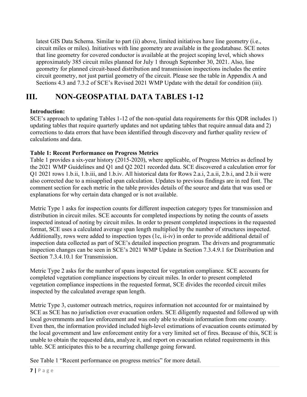latest GIS Data Schema. Similar to part (ii) above, limited initiatives have line geometry (i.e., circuit miles or miles). Initiatives with line geometry are available in the geodatabase. SCE notes that line geometry for covered conductor is available at the project scoping level, which shows approximately 385 circuit miles planned for July 1 through September 30, 2021. Also, line geometry for planned circuit-based distribution and transmission inspections includes the entire circuit geometry, not just partial geometry of the circuit. Please see the table in Appendix A and Sections 4.3 and 7.3.2 of SCE's Revised 2021 WMP Update with the detail for condition (iii).

### <span id="page-7-0"></span>**III. NON-GEOSPATIAL DATA TABLES 1-12**

### **Introduction:**

SCE's approach to updating Tables 1-12 of the non-spatial data requirements for this QDR includes 1) updating tables that require quarterly updates and not updating tables that require annual data and 2) corrections to data errors that have been identified through discovery and further quality review of calculations and data.

### **Table 1: Recent Performance on Progress Metrics**

Table 1 provides a six-year history (2015-2020), where applicable, of Progress Metrics as defined by the 2021 WMP Guidelines and Q1 and Q2 2021 recorded data. SCE discovered a calculation error for Q1 2021 rows 1.b.ii, 1.b.iii, and 1.b.iv. All historical data for Rows 2.a.i, 2.a.ii, 2.b.i, and 2.b.ii were also corrected due to a misapplied span calculation. Updates to previous findings are in red font. The comment section for each metric in the table provides details of the source and data that was used or explanations for why certain data changed or is not available.

Metric Type 1 asks for inspection counts for different inspection category types for transmission and distribution in circuit miles. SCE accounts for completed inspections by noting the counts of assets inspected instead of noting by circuit miles. In order to present completed inspections in the requested format, SCE uses a calculated average span length multiplied by the number of structures inspected. Additionally, rows were added to inspection types (1c, ii-iv) in order to provide additional detail of inspection data collected as part of SCE's detailed inspection program. The drivers and programmatic inspection changes can be seen in SCE's 2021 WMP Update in Section 7.3.4.9.1 for Distribution and Section 7.3.4.10.1 for Transmission.

Metric Type 2 asks for the number of spans inspected for vegetation compliance. SCE accounts for completed vegetation compliance inspections by circuit miles. In order to present completed vegetation compliance inspections in the requested format, SCE divides the recorded circuit miles inspected by the calculated average span length.

Metric Type 3, customer outreach metrics, requires information not accounted for or maintained by SCE as SCE has no jurisdiction over evacuation orders. SCE diligently requested and followed up with local governments and law enforcement and was only able to obtain information from one county. Even then, the information provided included high-level estimations of evacuation counts estimated by the local government and law enforcement entity for a very limited set of fires. Because of this, SCE is unable to obtain the requested data, analyze it, and report on evacuation related requirements in this table. SCE anticipates this to be a recurring challenge going forward.

See Table 1 "Recent performance on progress metrics" for more detail.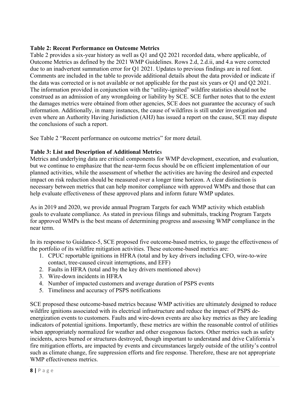### **Table 2: Recent Performance on Outcome Metrics**

Table 2 provides a six-year history as well as Q1 and Q2 2021 recorded data, where applicable, of Outcome Metrics as defined by the 2021 WMP Guidelines. Rows 2.d, 2.d.ii, and 4.a were corrected due to an inadvertent summation error for Q1 2021. Updates to previous findings are in red font. Comments are included in the table to provide additional details about the data provided or indicate if the data was corrected or is not available or not applicable for the past six years or Q1 and Q2 2021. The information provided in conjunction with the "utility-ignited" wildfire statistics should not be construed as an admission of any wrongdoing or liability by SCE. SCE further notes that to the extent the damages metrics were obtained from other agencies, SCE does not guarantee the accuracy of such information. Additionally, in many instances, the cause of wildfires is still under investigation and even where an Authority Having Jurisdiction (AHJ) has issued a report on the cause, SCE may dispute the conclusions of such a report.

See Table 2 "Recent performance on outcome metrics" for more detail.

### **Table 3: List and Description of Additional Metric**s

Metrics and underlying data are critical components for WMP development, execution, and evaluation, but we continue to emphasize that the near-term focus should be on efficient implementation of our planned activities, while the assessment of whether the activities are having the desired and expected impact on risk reduction should be measured over a longer time horizon. A clear distinction is necessary between metrics that can help monitor compliance with approved WMPs and those that can help evaluate effectiveness of these approved plans and inform future WMP updates.

As in 2019 and 2020, we provide annual Program Targets for each WMP activity which establish goals to evaluate compliance. As stated in previous filings and submittals, tracking Program Targets for approved WMPs is the best means of determining progress and assessing WMP compliance in the near term.

In its response to Guidance-5, SCE proposed five outcome-based metrics, to gauge the effectiveness of the portfolio of its wildfire mitigation activities. These outcome-based metrics are:

- 1. CPUC reportable ignitions in HFRA (total and by key drivers including CFO, wire-to-wire contact, tree-caused circuit interruptions, and EFF)
- 2. Faults in HFRA (total and by the key drivers mentioned above)
- 3. Wire-down incidents in HFRA
- 4. Number of impacted customers and average duration of PSPS events
- 5. Timeliness and accuracy of PSPS notifications

SCE proposed these outcome-based metrics because WMP activities are ultimately designed to reduce wildfire ignitions associated with its electrical infrastructure and reduce the impact of PSPS deenergization events to customers. Faults and wire-down events are also key metrics as they are leading indicators of potential ignitions. Importantly, these metrics are within the reasonable control of utilities when appropriately normalized for weather and other exogenous factors. Other metrics such as safety incidents, acres burned or structures destroyed, though important to understand and drive California's fire mitigation efforts, are impacted by events and circumstances largely outside of the utility's control such as climate change, fire suppression efforts and fire response. Therefore, these are not appropriate WMP effectiveness metrics.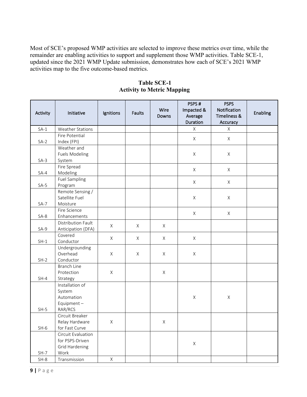Most of SCE's proposed WMP activities are selected to improve these metrics over time, while the remainder are enabling activities to support and supplement those WMP activities. Table SCE-1, updated since the 2021 WMP Update submission, demonstrates how each of SCE's 2021 WMP activities map to the five outcome-based metrics.

| Activity | Initiative                               | Ignitions | <b>Faults</b> | Wire<br>Downs | PSPS#<br>Impacted &<br>Average | <b>PSPS</b><br>Notification<br>Timeliness & | Enabling |
|----------|------------------------------------------|-----------|---------------|---------------|--------------------------------|---------------------------------------------|----------|
|          |                                          |           |               |               | Duration                       | Accuracy                                    |          |
| $SA-1$   | Weather Stations                         |           |               |               | $\mathsf X$                    | $\mathsf X$                                 |          |
|          | Fire Potential                           |           |               |               | $\mathsf X$                    | $\mathsf X$                                 |          |
| $SA-2$   | Index (FPI)                              |           |               |               |                                |                                             |          |
|          | Weather and<br><b>Fuels Modeling</b>     |           |               |               | $\mathsf X$                    | $\mathsf X$                                 |          |
| $SA-3$   | System                                   |           |               |               |                                |                                             |          |
|          | Fire Spread                              |           |               |               |                                |                                             |          |
| $SA-4$   | Modeling                                 |           |               |               | $\mathsf{X}$                   | $\mathsf X$                                 |          |
|          | <b>Fuel Sampling</b>                     |           |               |               |                                |                                             |          |
| $SA-5$   | Program                                  |           |               |               | $\mathsf X$                    | $\mathsf X$                                 |          |
|          | Remote Sensing /                         |           |               |               |                                |                                             |          |
|          | Satellite Fuel                           |           |               |               | $\mathsf{X}$                   | $\mathsf X$                                 |          |
| $SA-7$   | Moisture                                 |           |               |               |                                |                                             |          |
|          | Fire Science                             |           |               |               | $\times$                       | X                                           |          |
| $SA-8$   | Enhancements                             |           |               |               |                                |                                             |          |
| $SA-9$   | Distribution Fault<br>Anticipation (DFA) | X         | X             | X             |                                |                                             |          |
|          | Covered                                  | X         | X             | X             | X                              |                                             |          |
| $SH-1$   | Conductor                                |           |               |               |                                |                                             |          |
|          | Undergrounding<br>Overhead               |           | $\mathsf X$   | $\mathsf X$   | $\mathsf{X}$                   |                                             |          |
| $SH-2$   | Conductor                                | X         |               |               |                                |                                             |          |
|          | Branch Line                              |           |               |               |                                |                                             |          |
|          | Protection                               | X         |               | $\mathsf X$   |                                |                                             |          |
| $SH-4$   | Strategy                                 |           |               |               |                                |                                             |          |
|          | Installation of                          |           |               |               |                                |                                             |          |
|          | System                                   |           |               |               |                                |                                             |          |
|          | Automation                               |           |               |               | $\mathsf X$                    | X                                           |          |
|          | Equipment $-$                            |           |               |               |                                |                                             |          |
| $SH-5$   | RAR/RCS                                  |           |               |               |                                |                                             |          |
|          | Circuit Breaker                          |           |               |               |                                |                                             |          |
|          | Relay Hardware                           | X         |               | $\times$      |                                |                                             |          |
| $SH-6$   | for Fast Curve                           |           |               |               |                                |                                             |          |
|          | Circuit Evaluation                       |           |               |               |                                |                                             |          |
|          | for PSPS-Driven                          |           |               |               | $\mathsf X$                    |                                             |          |
|          | Grid Hardening                           |           |               |               |                                |                                             |          |
| $SH-7$   | Work                                     |           |               |               |                                |                                             |          |
| $SH-8$   | Transmission                             | Χ         |               |               |                                |                                             |          |

**Table SCE-1 Activity to Metric Mapping**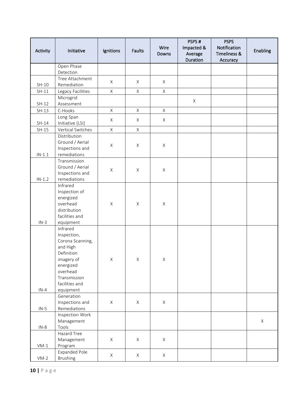| Activity | Initiative                                                                                                                                                  | Ignitions    | <b>Faults</b> | Wire<br>Downs | PSPS#<br>Impacted &<br>Average<br>Duration | <b>PSPS</b><br>Notification<br>Timeliness &<br>Accuracy | Enabling     |
|----------|-------------------------------------------------------------------------------------------------------------------------------------------------------------|--------------|---------------|---------------|--------------------------------------------|---------------------------------------------------------|--------------|
|          | Open Phase<br>Detection                                                                                                                                     |              |               |               |                                            |                                                         |              |
| $SH-10$  | Tree Attachment<br>Remediation                                                                                                                              | $\mathsf{X}$ | $\times$      | $\times$      |                                            |                                                         |              |
| $SH-11$  | Legacy Facilities                                                                                                                                           | $\mathsf{X}$ | $\mathsf{X}$  | $\mathsf{X}$  |                                            |                                                         |              |
| $SH-12$  | Microgrid<br>Assessment                                                                                                                                     |              |               |               | $\mathsf{X}$                               |                                                         |              |
| $SH-13$  | C-Hooks                                                                                                                                                     | $\mathsf X$  | X             | X             |                                            |                                                         |              |
| $SH-14$  | Long Span<br>Initiative (LSI)                                                                                                                               | Χ            | X             | $\mathsf X$   |                                            |                                                         |              |
| $SH-15$  | Vertical Switches                                                                                                                                           | X            | $\times$      |               |                                            |                                                         |              |
| $IN-1.1$ | Distribution<br>Ground / Aerial<br>Inspections and<br>remediations                                                                                          | $\mathsf X$  | $\mathsf X$   | $\mathsf X$   |                                            |                                                         |              |
| $IN-1.2$ | Transmission<br>Ground / Aerial<br>Inspections and<br>remediations                                                                                          | $\mathsf X$  | $\mathsf X$   | $\mathsf X$   |                                            |                                                         |              |
| $IN-3$   | Infrared<br>Inspection of<br>energized<br>overhead<br>distribution<br>facilities and<br>equipment                                                           | $\mathsf X$  | $\mathsf X$   | $\mathsf X$   |                                            |                                                         |              |
| $IN-4$   | Infrared<br>Inspection,<br>Corona Scanning,<br>and High<br>Definition<br>imagery of<br>energized<br>overhead<br>Transmission<br>facilities and<br>equipment | $\mathsf{X}$ | $\mathsf X$   | $\mathsf X$   |                                            |                                                         |              |
| $IN-5$   | Generation<br>Inspections and<br>Remediations                                                                                                               | X            | X             | $\mathsf X$   |                                            |                                                         |              |
| $IN-8$   | Inspection Work<br>Management<br>Tools                                                                                                                      |              |               |               |                                            |                                                         | $\mathsf{X}$ |
| $VM-1$   | Hazard Tree<br>Management<br>Program                                                                                                                        | X            | X             | X             |                                            |                                                         |              |
| $VM-2$   | Expanded Pole<br>Brushing                                                                                                                                   | X            | X             | X             |                                            |                                                         |              |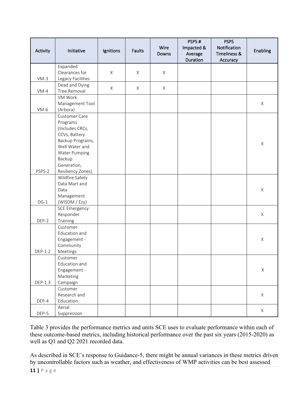| Activity | Initiative                                                                                                                                                                | Ignitions | <b>Faults</b> | Wire<br>Downs | PSPS#<br>Impacted &<br>Average<br>Duration | <b>PSPS</b><br>Notification<br>Timeliness &<br>Accuracy | Enabling    |
|----------|---------------------------------------------------------------------------------------------------------------------------------------------------------------------------|-----------|---------------|---------------|--------------------------------------------|---------------------------------------------------------|-------------|
| $VM-3$   | Expanded<br>Clearances for<br>Legacy Facilities                                                                                                                           | $\times$  | $\mathsf X$   | $\times$      |                                            |                                                         |             |
| $VM-4$   | Dead and Dying<br><b>Tree Removal</b>                                                                                                                                     | $\times$  | X             | $\mathsf X$   |                                            |                                                         |             |
| $VM-6$   | VM Work<br>Management Tool<br>(Arbora)                                                                                                                                    |           |               |               |                                            |                                                         | $\times$    |
| PSPS-2   | Customer Care<br>Programs<br>(Includes CRCs,<br>CCVs, Battery<br>Backup Programs,<br>Well Water and<br><b>Water Pumping</b><br>Backup<br>Generation,<br>Resiliency Zones) |           |               |               |                                            |                                                         | $\mathsf X$ |
| $DG-1$   | Wildfire Safety<br>Data Mart and<br>Data<br>Management<br>(WISDM / Ezy)                                                                                                   |           |               |               |                                            |                                                         | $\mathsf X$ |
| DEP-2    | <b>SCE Emergency</b><br>Responder<br>Training                                                                                                                             |           |               |               |                                            |                                                         | X           |
| DEP-1.2  | Customer<br>Education and<br>Engagement -<br>Community<br>Meetings                                                                                                        |           |               |               |                                            |                                                         | $\mathsf X$ |
| DEP-1.3  | Customer<br>Education and<br>Engagement -<br>Marketing<br>Campaign                                                                                                        |           |               |               |                                            |                                                         | $\mathsf X$ |
| DEP-4    | Customer<br>Research and<br>Education                                                                                                                                     |           |               |               |                                            |                                                         | X           |
| DEP-5    | Aerial<br>Suppression                                                                                                                                                     |           |               |               |                                            |                                                         | $\mathsf X$ |

Table 3 provides the performance metrics and units SCE uses to evaluate performance within each of these outcome-based metrics, including historical performance over the past six years (2015-2020) as well as Q1 and Q2 2021 recorded data.

As described in SCE's response to Guidance-5, there might be annual variances in these metrics driven by uncontrollable factors such as weather, and effectiveness of WMP activities can be best assessed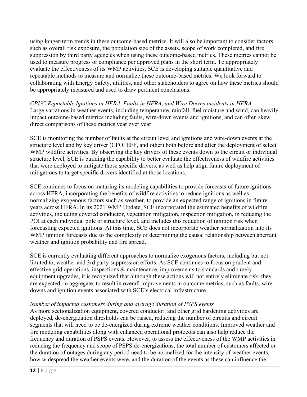using longer-term trends in these outcome-based metrics. It will also be important to consider factors such as overall risk exposure, the population size of the assets, scope of work completed, and fire suppression by third party agencies when using these outcome-based metrics. These metrics cannot be used to measure progress or compliance per approved plans in the short term. To appropriately evaluate the effectiveness of its WMP activities, SCE is developing suitable quantitative and repeatable methods to measure and normalize these outcome-based metrics. We look forward to collaborating with Energy Safety, utilities, and other stakeholders to agree on how these metrics should be appropriately measured and used to draw pertinent conclusions.

*CPUC Reportable Ignitions in HFRA, Faults in HFRA, and Wire Downs incidents in HFRA* Large variations in weather events, including temperature, rainfall, fuel moisture and wind, can heavily impact outcome-based metrics including faults, wire-down events and ignitions, and can often skew direct comparisons of these metrics year over year.

SCE is monitoring the number of faults at the circuit level and ignitions and wire-down events at the structure level and by key driver (CFO, EFF, and other) both before and after the deployment of select WMP wildfire activities. By observing the key drivers of these events down to the circuit or individual structure level, SCE is building the capability to better evaluate the effectiveness of wildfire activities that were deployed to mitigate those specific drivers, as well as help align future deployment of mitigations to target specific drivers identified at those locations.

SCE continues to focus on maturing its modeling capabilities to provide forecasts of future ignitions across HFRA, incorporating the benefits of wildfire activities to reduce ignitions as well as normalizing exogenous factors such as weather, to provide an expected range of ignitions in future years across HFRA. In its 2021 WMP Update, SCE incorporated the estimated benefits of wildfire activities, including covered conductor, vegetation mitigation, inspection mitigation, in reducing the POI at each individual pole or structure level, and includes this reduction of ignition risk when forecasting expected ignitions. At this time, SCE does not incorporate weather normalization into its WMP ignition forecasts due to the complexity of determining the causal relationship between aberrant weather and ignition probability and fire spread.

SCE is currently evaluating different approaches to normalize exogenous factors, including but not limited to, weather and 3rd party suppression efforts. As SCE continues to focus on prudent and effective grid operations, inspections & maintenance, improvements to standards and timely equipment upgrades, it is recognized that although these actions will not entirely eliminate risk, they are expected, in aggregate, to result in overall improvements in outcome metrics, such as faults, wiredowns and ignition events associated with SCE's electrical infrastructure.

#### *Number of impacted customers during and average duration of PSPS events*

As more sectionalization equipment, covered conductor, and other grid hardening activities are deployed, de-energization thresholds can be raised, reducing the number of circuits and circuit segments that will need to be de-energized during extreme weather conditions. Improved weather and fire modeling capabilities along with enhanced operational protocols can also help reduce the frequency and duration of PSPS events. However, to assess the effectiveness of the WMP activities in reducing the frequency and scope of PSPS de-energizations, the total number of customers affected or the duration of outages during any period need to be normalized for the intensity of weather events, how widespread the weather events were, and the duration of the events as these can influence the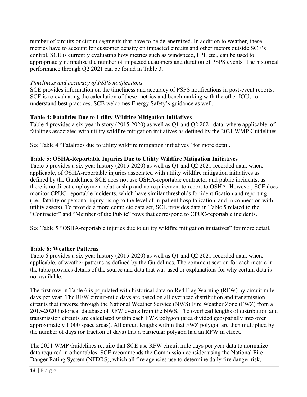number of circuits or circuit segments that have to be de-energized. In addition to weather, these metrics have to account for customer density on impacted circuits and other factors outside SCE's control. SCE is currently evaluating how metrics such as windspeed, FPI, etc., can be used to appropriately normalize the number of impacted customers and duration of PSPS events. The historical performance through Q2 2021 can be found in Table 3.

#### *Timeliness and accuracy of PSPS notifications*

SCE provides information on the timeliness and accuracy of PSPS notifications in post-event reports. SCE is re-evaluating the calculation of these metrics and benchmarking with the other IOUs to understand best practices. SCE welcomes Energy Safety's guidance as well.

### **Table 4: Fatalities Due to Utility Wildfire Mitigation Initiatives**

Table 4 provides a six-year history (2015-2020) as well as Q1 and Q2 2021 data, where applicable, of fatalities associated with utility wildfire mitigation initiatives as defined by the 2021 WMP Guidelines.

See Table 4 "Fatalities due to utility wildfire mitigation initiatives" for more detail.

#### **Table 5: OSHA-Reportable Injuries Due to Utility Wildfire Mitigation Initiatives**

Table 5 provides a six-year history (2015-2020) as well as Q1 and Q2 2021 recorded data, where applicable, of OSHA-reportable injuries associated with utility wildfire mitigation initiatives as defined by the Guidelines. SCE does not use OSHA-reportable contractor and public incidents, as there is no direct employment relationship and no requirement to report to OSHA. However, SCE does monitor CPUC-reportable incidents, which have similar thresholds for identification and reporting (i.e., fatality or personal injury rising to the level of in-patient hospitalization, and in connection with utility assets). To provide a more complete data set, SCE provides data in Table 5 related to the "Contractor" and "Member of the Public" rows that correspond to CPUC-reportable incidents.

See Table 5 "OSHA-reportable injuries due to utility wildfire mitigation initiatives" for more detail.

#### **Table 6: Weather Patterns**

Table 6 provides a six-year history (2015-2020) as well as Q1 and Q2 2021 recorded data, where applicable, of weather patterns as defined by the Guidelines. The comment section for each metric in the table provides details of the source and data that was used or explanations for why certain data is not available.

The first row in Table 6 is populated with historical data on Red Flag Warning (RFW) by circuit mile days per year. The RFW circuit-mile days are based on all overhead distribution and transmission circuits that traverse through the National Weather Service (NWS) Fire Weather Zone (FWZ) from a 2015-2020 historical database of RFW events from the NWS. The overhead lengths of distribution and transmission circuits are calculated within each FWZ polygon (area divided geospatially into over approximately 1,000 space areas). All circuit lengths within that FWZ polygon are then multiplied by the number of days (or fraction of days) that a particular polygon had an RFW in effect.

The 2021 WMP Guidelines require that SCE use RFW circuit mile days per year data to normalize data required in other tables. SCE recommends the Commission consider using the National Fire Danger Rating System (NFDRS), which all fire agencies use to determine daily fire danger risk,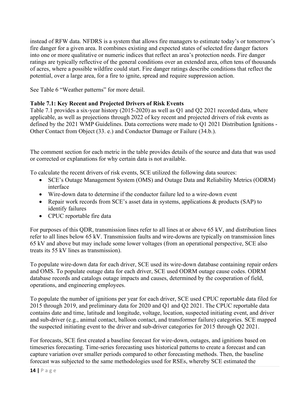instead of RFW data. NFDRS is a system that allows fire managers to estimate today's or tomorrow's fire danger for a given area. It combines existing and expected states of selected fire danger factors into one or more qualitative or numeric indices that reflect an area's protection needs. Fire danger ratings are typically reflective of the general conditions over an extended area, often tens of thousands of acres, where a possible wildfire could start. Fire danger ratings describe conditions that reflect the potential, over a large area, for a fire to ignite, spread and require suppression action.

See Table 6 "Weather patterns" for more detail.

### **Table 7.1: Key Recent and Projected Drivers of Risk Events**

Table 7.1 provides a six-year history (2015-2020) as well as Q1 and Q2 2021 recorded data, where applicable, as well as projections through 2022 of key recent and projected drivers of risk events as defined by the 2021 WMP Guidelines. Data corrections were made to Q1 2021 Distribution Ignitions - Other Contact from Object (33. e.) and Conductor Damage or Failure (34.b.).

The comment section for each metric in the table provides details of the source and data that was used or corrected or explanations for why certain data is not available.

To calculate the recent drivers of risk events, SCE utilized the following data sources:

- SCE's Outage Management System (OMS) and Outage Data and Reliability Metrics (ODRM) interface
- Wire-down data to determine if the conductor failure led to a wire-down event
- Repair work records from SCE's asset data in systems, applications & products (SAP) to identify failures
- CPUC reportable fire data

For purposes of this QDR, transmission lines refer to all lines at or above 65 kV, and distribution lines refer to all lines below 65 kV. Transmission faults and wire-downs are typically on transmission lines 65 kV and above but may include some lower voltages (from an operational perspective, SCE also treats its 55 kV lines as transmission).

To populate wire-down data for each driver, SCE used its wire-down database containing repair orders and OMS. To populate outage data for each driver, SCE used ODRM outage cause codes. ODRM database records and catalogs outage impacts and causes, determined by the cooperation of field, operations, and engineering employees.

To populate the number of ignitions per year for each driver, SCE used CPUC reportable data filed for 2015 through 2019, and preliminary data for 2020 and Q1 and Q2 2021. The CPUC reportable data contains date and time, latitude and longitude, voltage, location, suspected initiating event, and driver and sub-driver (e.g., animal contact, balloon contact, and transformer failure) categories. SCE mapped the suspected initiating event to the driver and sub-driver categories for 2015 through Q2 2021.

For forecasts, SCE first created a baseline forecast for wire-down, outages, and ignitions based on timeseries forecasting. Time-series forecasting uses historical patterns to create a forecast and can capture variation over smaller periods compared to other forecasting methods. Then, the baseline forecast was subjected to the same methodologies used for RSEs, whereby SCE estimated the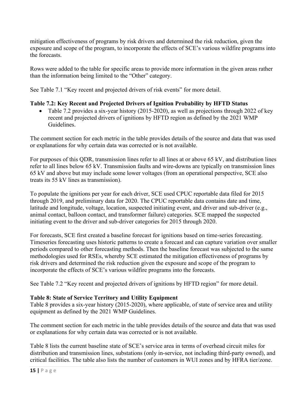mitigation effectiveness of programs by risk drivers and determined the risk reduction, given the exposure and scope of the program, to incorporate the effects of SCE's various wildfire programs into the forecasts.

Rows were added to the table for specific areas to provide more information in the given areas rather than the information being limited to the "Other" category.

See Table 7.1 "Key recent and projected drivers of risk events" for more detail.

### **Table 7.2: Key Recent and Projected Drivers of Ignition Probability by HFTD Status**

• Table 7.2 provides a six-year history (2015-2020), as well as projections through 2022 of key recent and projected drivers of ignitions by HFTD region as defined by the 2021 WMP Guidelines.

The comment section for each metric in the table provides details of the source and data that was used or explanations for why certain data was corrected or is not available.

For purposes of this QDR, transmission lines refer to all lines at or above 65 kV, and distribution lines refer to all lines below 65 kV. Transmission faults and wire-downs are typically on transmission lines 65 kV and above but may include some lower voltages (from an operational perspective, SCE also treats its 55 kV lines as transmission).

To populate the ignitions per year for each driver, SCE used CPUC reportable data filed for 2015 through 2019, and preliminary data for 2020. The CPUC reportable data contains date and time, latitude and longitude, voltage, location, suspected initiating event, and driver and sub-driver (e.g., animal contact, balloon contact, and transformer failure) categories. SCE mapped the suspected initiating event to the driver and sub-driver categories for 2015 through 2020.

For forecasts, SCE first created a baseline forecast for ignitions based on time-series forecasting. Timeseries forecasting uses historic patterns to create a forecast and can capture variation over smaller periods compared to other forecasting methods. Then the baseline forecast was subjected to the same methodologies used for RSEs, whereby SCE estimated the mitigation effectiveness of programs by risk drivers and determined the risk reduction given the exposure and scope of the program to incorporate the effects of SCE's various wildfire programs into the forecasts.

See Table 7.2 "Key recent and projected drivers of ignitions by HFTD region" for more detail.

#### **Table 8: State of Service Territory and Utility Equipment**

Table 8 provides a six-year history (2015-2020), where applicable, of state of service area and utility equipment as defined by the 2021 WMP Guidelines.

The comment section for each metric in the table provides details of the source and data that was used or explanations for why certain data was corrected or is not available.

Table 8 lists the current baseline state of SCE's service area in terms of overhead circuit miles for distribution and transmission lines, substations (only in-service, not including third-party owned), and critical facilities. The table also lists the number of customers in WUI zones and by HFRA tier/zone.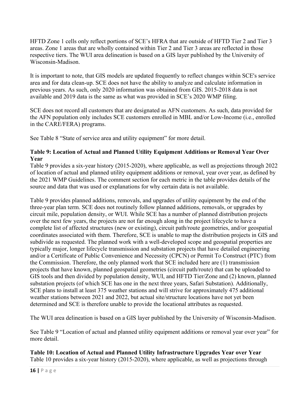HFTD Zone 1 cells only reflect portions of SCE's HFRA that are outside of HFTD Tier 2 and Tier 3 areas. Zone 1 areas that are wholly contained within Tier 2 and Tier 3 areas are reflected in those respective tiers. The WUI area delineation is based on a GIS layer published by the University of Wisconsin-Madison.

It is important to note, that GIS models are updated frequently to reflect changes within SCE's service area and for data clean-up. SCE does not have the ability to analyze and calculate information in previous years. As such, only 2020 information was obtained from GIS. 2015-2018 data is not available and 2019 data is the same as what was provided in SCE's 2020 WMP filing.

SCE does not record all customers that are designated as AFN customers. As such, data provided for the AFN population only includes SCE customers enrolled in MBL and/or Low-Income (i.e., enrolled in the CARE/FERA) programs.

See Table 8 "State of service area and utility equipment" for more detail.

#### **Table 9: Location of Actual and Planned Utility Equipment Additions or Removal Year Over Year**

Table 9 provides a six-year history (2015-2020), where applicable, as well as projections through 2022 of location of actual and planned utility equipment additions or removal, year over year, as defined by the 2021 WMP Guidelines. The comment section for each metric in the table provides details of the source and data that was used or explanations for why certain data is not available.

Table 9 provides planned additions, removals, and upgrades of utility equipment by the end of the three-year plan term. SCE does not routinely follow planned additions, removals, or upgrades by circuit mile, population density, or WUI. While SCE has a number of planned distribution projects over the next few years, the projects are not far enough along in the project lifecycle to have a complete list of affected structures (new or existing), circuit path/route geometries, and/or geospatial coordinates associated with them. Therefore, SCE is unable to map the distribution projects in GIS and subdivide as requested. The planned work with a well-developed scope and geospatial properties are typically major, longer lifecycle transmission and substation projects that have detailed engineering and/or a Certificate of Public Convenience and Necessity (CPCN) or Permit To Construct (PTC) from the Commission. Therefore, the only planned work that SCE included here are (1) transmission projects that have known, planned geospatial geometries (circuit path/route) that can be uploaded to GIS tools and then divided by population density, WUI, and HFTD Tier/Zone and (2) known, planned substation projects (of which SCE has one in the next three years, Safari Substation). Additionally, SCE plans to install at least 375 weather stations and will strive for approximately 475 additional weather stations between 2021 and 2022, but actual site/structure locations have not yet been determined and SCE is therefore unable to provide the locational attributes as requested.

The WUI area delineation is based on a GIS layer published by the University of Wisconsin-Madison.

See Table 9 "Location of actual and planned utility equipment additions or removal year over year" for more detail.

**Table 10: Location of Actual and Planned Utility Infrastructure Upgrades Year over Year** Table 10 provides a six-year history (2015-2020), where applicable, as well as projections through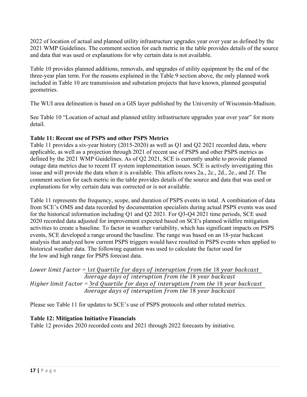2022 of location of actual and planned utility infrastructure upgrades year over year as defined by the 2021 WMP Guidelines. The comment section for each metric in the table provides details of the source and data that was used or explanations for why certain data is not available.

Table 10 provides planned additions, removals, and upgrades of utility equipment by the end of the three-year plan term. For the reasons explained in the Table 9 section above, the only planned work included in Table 10 are transmission and substation projects that have known, planned geospatial geometries.

The WUI area delineation is based on a GIS layer published by the University of Wisconsin-Madison.

See Table 10 "Location of actual and planned utility infrastructure upgrades year over year" for more detail.

#### **Table 11: Recent use of PSPS and other PSPS Metrics**

Table 11 provides a six-year history (2015-2020) as well as Q1 and Q2 2021 recorded data, where applicable, as well as a projection through 2021 of recent use of PSPS and other PSPS metrics as defined by the 2021 WMP Guidelines. As of Q2 2021, SCE is currently unable to provide planned outage data metrics due to recent IT system implementation issues. SCE is actively investigating this issue and will provide the data when it is available. This affects rows 2a., 2c., 2d., 2e., and 2f. The comment section for each metric in the table provides details of the source and data that was used or explanations for why certain data was corrected or is not available.

Table 11 represents the frequency, scope, and duration of PSPS events in total. A combination of data from SCE's OMS and data recorded by documentation specialists during actual PSPS events was used for the historical information including Q1 and Q2 2021. For Q3-Q4 2021 time periods, SCE used 2020 recorded data adjusted for improvement expected based on SCE's planned wildfire mitigation activities to create a baseline. To factor in weather variability, which has significant impacts on PSPS events, SCE developed a range around the baseline. The range was based on an 18-year backcast analysis that analyzed how current PSPS triggers would have resulted in PSPS events when applied to historical weather data. The following equation was used to calculate the factor used for the low and high range for PSPS forecast data.

Lower limit factor = 1st Quartile for days of interuption from the 18 year backcast *Average days of interuption from the 18 year backcast Higher limit factor* = 3rd Quartile for days of interuption from the 18 year backcast Average days of interuption from the 18 year backcast

Please see Table 11 for updates to SCE's use of PSPS protocols and other related metrics.

#### **Table 12: Mitigation Initiative Financials**

Table 12 provides 2020 recorded costs and 2021 through 2022 forecasts by initiative.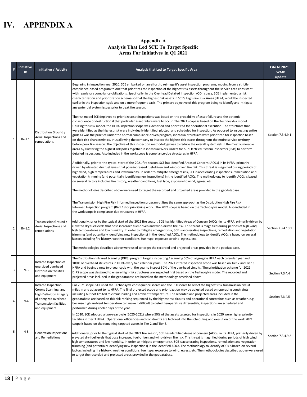## <span id="page-18-0"></span>**IV. APPENDIX A**

#### **Appendix A Analysis That Led SCE To Target Specific Areas For Initiatives in Q1 2021**

| # | <b>Initiative</b><br>ID | Initiative / Activity                                                                                                                               | Analysis that Led to Target Specific Area                                                                                                                                                                                                                                                                                                                                                                                                                                                                                                                                                                                                                                                                                                                                                                                                                                                                                                                                                                                                                                                                                                                                                                                                                                                                                                                                                                                                                                                                                                                                                                                                                                                                                                                                                                                                                                                                                                                                                                                                                                                                                                                                                                                                                                                                                                                                                                                                                                                                                                                                                                                                                                                                                                               | <b>Cite to 2021</b><br><b>WMP</b><br>Update |
|---|-------------------------|-----------------------------------------------------------------------------------------------------------------------------------------------------|---------------------------------------------------------------------------------------------------------------------------------------------------------------------------------------------------------------------------------------------------------------------------------------------------------------------------------------------------------------------------------------------------------------------------------------------------------------------------------------------------------------------------------------------------------------------------------------------------------------------------------------------------------------------------------------------------------------------------------------------------------------------------------------------------------------------------------------------------------------------------------------------------------------------------------------------------------------------------------------------------------------------------------------------------------------------------------------------------------------------------------------------------------------------------------------------------------------------------------------------------------------------------------------------------------------------------------------------------------------------------------------------------------------------------------------------------------------------------------------------------------------------------------------------------------------------------------------------------------------------------------------------------------------------------------------------------------------------------------------------------------------------------------------------------------------------------------------------------------------------------------------------------------------------------------------------------------------------------------------------------------------------------------------------------------------------------------------------------------------------------------------------------------------------------------------------------------------------------------------------------------------------------------------------------------------------------------------------------------------------------------------------------------------------------------------------------------------------------------------------------------------------------------------------------------------------------------------------------------------------------------------------------------------------------------------------------------------------------------------------------------|---------------------------------------------|
| 1 | $IN-1.1$                | Distribution Ground /<br>Aerial Inspections and<br>remediations                                                                                     | Beginning in inspection year 2020, SCE embarked on an effort to reimage it's asset inspection programs, moving from a strictly<br>compliance-based program to one that prioritizes the inspection of the highest risk assets throughout the service area consistent<br>with regulatory compliance obligations. Specifically, in the Overhead Detailed Inspection (ODI) space, SCE implemented a risk<br>characterization and prioritization schema so that the highest risk assets in SCE's High-Fire Risk Areas (HFRA) would be inspected<br>earlier in the inspection cycle and on a more frequent basis. The primary objective of this program being to identify and mitigate<br>any potential system issues prior to peak fire season.<br>The risk model SCE deployed to prioritize asset inspections was based on the probability of asset failure and the potential<br>consequence of destruction if that particular asset failure were to occur. The 2021 scope is based on the Technosylva model<br>Utilizing this risk model, the HFRA inspection scope was identified and prioritized for operational execution. The structures that<br>were identified as the highest risk were individually identified, plotted, and scheduled for inspection. As opposed to inspecting entire<br>grids as was the practice under the normal compliance-driven program, individual structures were prioritized for inspection based<br>on their risk characteristics, thus allowing the company to inspect the highest risk assets throughout the entire service territory<br>before peak fire season. The objective of this inspection methodology was to reduce the overall system risk in the most vulnerable<br>areas by clustering the highest risk poles together in individual Work Orders for our Electrical System Inspectors (ESIs) to perform<br>detailed inspections. Also included in the work scope is compliance-due structures in HFRA.<br>Additionally, prior to the typical start of the 2021 fire season, SCE has identified Areas of Concern (AOCs) in its HFRA, primarily<br>driven by elevated dry fuel levels that pose increased fuel-driven and wind-driven fire risk. This threat is magnified during periods of<br>high wind, high temperatures and low humidity. In order to mitigate emergent risk, SCE is accelerating inspections, remediation and<br>vegetation trimming (and potentially identifying new inspections) in the identified AOCs. The methodology to identify AOCs is based<br>on several factors including fire history, weather conditions, fuel type, exposure to wind, egress, etc.<br>The methodologies described above were used to target the recorded and projected areas provided in the geodatabase. | Section 7.3.4.9.1                           |
| 2 | $IN-1.2$                | Transmission Ground /<br>Aerial Inspections and<br>remediations                                                                                     | The Transmission High Fire Risk Informed Inspection program utilizes the same approach as the Distribution High Fire Risk<br>Informed Inspection program (IN-1.1) for prioritizing work. The 2021 scope is based on the Technosylva model. Also included in<br>the work scope is compliance-due structures in HFRA.<br>Additionally, prior to the typical start of the 2021 fire season, SCE has identified Areas of Concern (AOCs) in its HFRA, primarily driven by<br>elevated dry fuel levels that pose increased fuel-driven and wind-driven fire risk. This threat is magnified during periods of high wind,<br>high temperatures and low humidity. In order to mitigate emergent risk, SCE is accelerating inspections, remediation and vegetation<br>trimming (and potentially identifying new inspections) in the identified AOCs. The methodology to identify AOCs is based on several<br>factors including fire history, weather conditions, fuel type, exposure to wind, egress, etc.<br>The methodologies described above were used to target the recorded and projected areas provided in the geodatabase.                                                                                                                                                                                                                                                                                                                                                                                                                                                                                                                                                                                                                                                                                                                                                                                                                                                                                                                                                                                                                                                                                                                                                                                                                                                                                                                                                                                                                                                                                                                                                                                                                                 | Section 7.3.4.10.1                          |
| 3 | $IN-3$                  | Infrared Inspection of<br>energized overhead<br><b>Distribution facilities</b><br>and equipment                                                     | The Distribution Infrared Scanning (DIRS) program targets inspecting / scanning 50% of aggregate HFRA each calendar year and<br>100% of overhead structures in HFRA every two calendar years. The 2021 infrared inspection scope was based on Tier 2 and Tier 3<br>HFRA and begins a new two-year cycle with the goal to inspect 50% of the overhead circuits. The prioritization scheme for 2021<br>DIRS scope was designed to ensure high-risk structures are inspected first based on the Technosylva model. The recorded and<br>projected areas included in the geodatabase are based on the methodology described above.                                                                                                                                                                                                                                                                                                                                                                                                                                                                                                                                                                                                                                                                                                                                                                                                                                                                                                                                                                                                                                                                                                                                                                                                                                                                                                                                                                                                                                                                                                                                                                                                                                                                                                                                                                                                                                                                                                                                                                                                                                                                                                                           | Section 7.3.4.4                             |
| 4 | $IN-4$                  | Infrared Inspection,<br>Corona Scanning, and<br><b>High Definition imagery</b><br>of energized overhead<br>Transmission facilities<br>and equipment | For 2021 scope, SCE used the Technosylva consequence scores and the POI scores to select the highest risk transmission circuit<br>miles in and adjacent to its HFRA. The final projected scope and prioritization may be adjusted based on operating constraints<br>including but not limited to circuit loading and ambient temperature. The recorded and projected areas included in the<br>geodatabase are based on this risk-ranking sequenced by the highest risk circuits and operational constraints such as weather, e.g.,<br>because high ambient temperature can make it difficult to detect temperature differentials, inspections are scheduled and<br>performed during cooler days of the year.                                                                                                                                                                                                                                                                                                                                                                                                                                                                                                                                                                                                                                                                                                                                                                                                                                                                                                                                                                                                                                                                                                                                                                                                                                                                                                                                                                                                                                                                                                                                                                                                                                                                                                                                                                                                                                                                                                                                                                                                                                            | Section 7.3.4.5                             |
| 5 | $IN-5$                  | Generation Inspections<br>and Remediations                                                                                                          | In 2020, SCE adopted a two-year cycle (2020-2021) where 50% of the assets targeted for inspections in 2020 were higher priority<br>facilities in Tier 3 HFRA. Operational efficiencies and constraints are factored into the scheduling and execution of the work 2021<br>scope is based on the remaining targeted assets in Tier 2 and Tier 3.<br>Additionally, prior to the typical start of the 2021 fire season, SCE has identified Areas of Concern (AOCs) in its HFRA, primarily driven by<br>elevated dry fuel levels that pose increased fuel-driven and wind-driven fire risk. This threat is magnified during periods of high wind,<br>high temperatures and low humidity. In order to mitigate emergent risk, SCE is accelerating inspections, remediation and vegetation<br>trimming (and potentially identifying new inspections) in the identified AOCs. The methodology to identify AOCs is based on several<br>factors including fire history, weather conditions, fuel type, exposure to wind, egress, etc. The methodologies described above were used<br>to target the recorded and projected areas provided in the geodatabase.                                                                                                                                                                                                                                                                                                                                                                                                                                                                                                                                                                                                                                                                                                                                                                                                                                                                                                                                                                                                                                                                                                                                                                                                                                                                                                                                                                                                                                                                                                                                                                                                     | Section 7.3.4.9.2                           |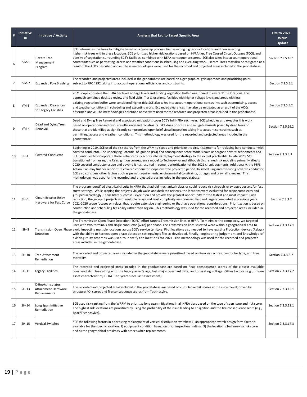| #  | <b>Initiative</b><br>ID | Initiative / Activity                                    | Analysis that Led to Target Specific Area                                                                                                                                                                                                                                                                                                                                                                                                                                                                                                                                                                                                                                                                                                                                                                                                                                                                                                                                                                                                                              | <b>Cite to 2021</b><br><b>WMP</b><br>Update |
|----|-------------------------|----------------------------------------------------------|------------------------------------------------------------------------------------------------------------------------------------------------------------------------------------------------------------------------------------------------------------------------------------------------------------------------------------------------------------------------------------------------------------------------------------------------------------------------------------------------------------------------------------------------------------------------------------------------------------------------------------------------------------------------------------------------------------------------------------------------------------------------------------------------------------------------------------------------------------------------------------------------------------------------------------------------------------------------------------------------------------------------------------------------------------------------|---------------------------------------------|
| 6  | $VM-1$                  | <b>Hazard Tree</b><br>Management<br>Program              | SCE determines the trees to mitigate based on a two-step process, first selecting higher risk locations and then selecting<br>higher risk trees within these locations. SCE prioritized higher risk locations based on HFRA tier, Tree Caused Circuit Outages (TCCI), and<br>density of vegetation surrounding SCE's facilities, combined with REAX consequence scores. SCE also takes into account operational<br>constraints such as permitting, access and weather conditions in scheduling and executing work. Hazard Trees may also be mitigated as a<br>result of the AOCs described above. These methodologies were used for the recorded and projected areas included in the geodatabase.                                                                                                                                                                                                                                                                                                                                                                      | Section 7.3.5.16.1                          |
|    | $VM-2$                  | <b>Expanded Pole Brushing</b>                            | The recorded and projected areas included in the geodatabase are based on a geographical grid approach and prioritizing poles<br>subject to PRC 4292 taking into account operational efficiencies and constraints.                                                                                                                                                                                                                                                                                                                                                                                                                                                                                                                                                                                                                                                                                                                                                                                                                                                     | Section 7.3.5.5.1                           |
| 8  | $VM-3$                  | <b>Expanded Clearances</b><br>for Legacy Facilities      | 2021 scope considers the HFRA tier level, voltage levels and existing vegetation buffer was utilized to risk rank the locations. The<br>approach combined desktop review and field visits. Tier 3 locations, facilities with higher voltage levels and areas with less<br>existing vegetation buffer were considered higher risk. SCE also takes into account operational constraints such as permitting, access<br>and weather conditions in scheduling and executing work. Expanded clearances may also be mitigated as a result of the AOCs<br>described above. The methodologies described above were used for the recorded and projected areas included in the geodatabase.                                                                                                                                                                                                                                                                                                                                                                                       | Section 7.3.5.5.2                           |
| 9  | $VM-4$                  | Dead and Dying Tree<br>Removal                           | Dead and Dying Tree Removal and associated mitigations cover SCE's full HFRA each year. SCE schedules and executes this work<br>based on operational and resource efficiency and constraints. SCE does prioritize and mitigate hazards posed by dead trees or<br>those that are identified as significantly compromised upon brief visual inspection taking into account constraints such as<br>permitting, access and weather conditions. This methodology was used for the recorded and projected areas included in the<br>geodatabase.                                                                                                                                                                                                                                                                                                                                                                                                                                                                                                                              | Section 7.3.5.16.2                          |
| 10 | $SH-1$                  | Covered Conductor                                        | Beginning in 2019, SCE used the risk scores from the WRM to scope and prioritize the circuit segments for replacing bare conductor with<br>covered conductor. The underlying Potential of Ignition (POI) and consequence score models have undergone several refinements and<br>SCE continues to incorporate these enhanced risk scores into its deployment strategy to the extent practicable. In late 2020, SCE<br>transitioned from using the Reax ignition consequence model to Technosylva and although this refined risk modeling primarily affects<br>2020 covered conductor scope and beyond it has resulted in some reprioritization of the 2021 circuit-segments. Additionally, the PSPS<br>Action Plan may further reprioritize covered conductor scope over the projected period. In scheduling and executing covered conductor,<br>SCE also considers other factors such as permit requirements, environmental constraints, outages and crew efficiencies. This<br>methodology was used for the recorded and projected areas included in the geodatabase. | Section 7.3.3.3.1                           |
| 11 | $SH-6$                  | Circuit Breaker Relay<br>Hardware for Fast Curve         | The program identified electrical circuits in HFRA that had old mechanical relays or could reduce risk through relay upgrades and/or fast<br>curve settings. While scoping the projects via job walks and desk top reviews, the locations were evaluated for scope complexity and<br>grouped accordingly. To facilitate successful execution and provide the greatest opportunity for the fastest and most impactful risk<br>reduction, the group of projects with multiple relays and least complexity was released first and largely completed in previous years.<br>2021-2020 scope focuses on relays that require extensive engineering or that have operational considerations. Prioritization is based on<br>construction and scheduling feasibility rather than region. This methodology was used for the recorded and projected areas included in<br>the geodatabase.                                                                                                                                                                                          | Section 7.3.3.2                             |
| 12 | $SH-8$                  | Detection                                                | The Transmission Open Phase Detection (TOPD) effort targets Transmission lines in HFRA. To minimize the complexity, we targeted<br>lines with two terminals and single conductor (wire) per phase. The Transmission lines selected were within a geographical area to<br>Transmission Open Phase avoid impacting multiple locations across SCE's service territory. Pilot locations also needed to have existing Protection devices (Relays)<br>with the ability to harness open phase detection settings/logic files as developed. Finally, engineering judgement and knowledge of<br>existing relay schemes was used to identify the locations for 2021. This methodology was used for the recorded and projected<br>areas included in the geodatabase.                                                                                                                                                                                                                                                                                                              | Section 7.3.3.17.1                          |
| 13 | SH-10                   | Tree Attachment<br>Remediation                           | The recorded and projected areas included in the geodatabase were prioritized based on Reax risk scores, conductor type, and tree<br>mortality.                                                                                                                                                                                                                                                                                                                                                                                                                                                                                                                                                                                                                                                                                                                                                                                                                                                                                                                        | Section 7.3.3.3.2                           |
| 14 | SH-11                   | Legacy Facilities                                        | The recorded and projected areas included in the geodatabase are based on Reax consequence scores of the closest available<br>overhead structure along with the legacy asset's age, last major overhaul date, and operating voltage. Other factors (e.g., unique<br>asset characteristics, HFRA Tier, years since last assessment).                                                                                                                                                                                                                                                                                                                                                                                                                                                                                                                                                                                                                                                                                                                                    | Section 7.3.3.17.2                          |
| 15 | $SH-13$                 | C-Hooks Insulator<br>Attachment Hardware<br>Replacements | The recorded and projected areas included in the geodatabase are based on cumulative risk scores at the circuit level, driven by<br>structure POI scores and fire consequence scores from Technosylva.                                                                                                                                                                                                                                                                                                                                                                                                                                                                                                                                                                                                                                                                                                                                                                                                                                                                 | Section 7.3.3.15.1                          |
| 16 | SH-14                   | Long Span Initiative<br>Remediation                      | SCE used risk-ranking from the WRRM to prioritize long span mitigations in all HFRA tiers based on the type of span issue and risk score.<br>The highest risk locations are prioritized by using the probability of the issue leading to an ignition and the fire consequence score (e.g.,<br>Reax/Technosylva).                                                                                                                                                                                                                                                                                                                                                                                                                                                                                                                                                                                                                                                                                                                                                       | Section 7.3.3.12.1                          |
| 17 | SH-15                   | Vertical Switches                                        | SCE the following factors in prioritizing replacement of vertical distribution switches: 1) an appropriate switch design form factor is<br>available for the specific location, 2) equipment condition based on prior inspection findings, 3) the location's Technosylva risk score,<br>and 4) the geographical proximity with other switch replacements.                                                                                                                                                                                                                                                                                                                                                                                                                                                                                                                                                                                                                                                                                                              | Section 7.3.3.17.3                          |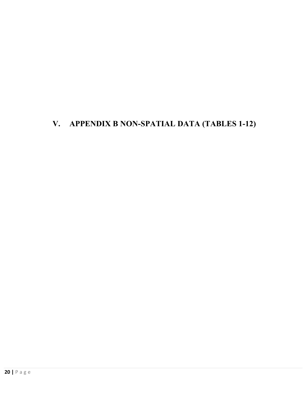## <span id="page-20-0"></span>**V. APPENDIX B NON-SPATIAL DATA (TABLES 1-12)**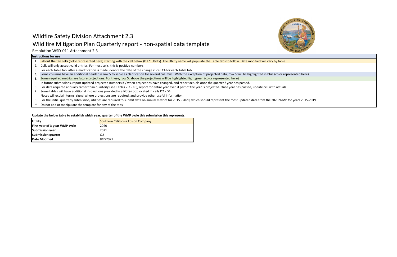## Wildfire Safety Division Attachment 2.3

Wildifire Mitigation Plan Quarterly report ‐ non‐spatial data template



#### **Instructions for use**

- 1. Fill out the tan cells (color represented here) starting with the cell below (D17: Utility). The Utility name will populate the Table tabs to follow. Date modified will vary by table.
- 2. Cells will only accept valid entries. For most cells, this is positive numbers
- 3. For each Table tab, after <sup>a</sup> modification is made, denote the date of the change in cell C4 for each Table tab.
- 4.Some columns have an additional header in row 5 to serve as clarification for several columns. With the exception of projected data, row 5 will be highlighted in blue (color represented here) 5.Some required metrics are future projections. For these, row 5, above the projections will be highlighted light green (color represented here)
- In future submissions, report updated projected numbers if / when projections have changed, and report actuals once the quarter / year has passed.
- 6. For data required annually rather than quarterly (see Tables 7.3 ‐ 10), report for entire year even if part of the year is projected. Once year has passed, update cell with actuals
- 7. Some tables will have additional instructions provided in <sup>a</sup> **Notes** box located in cells D2 ‐ D4 Notes will explain terms, signal where projections are required, and provide other useful information.
- 8. For the initial quarterly submission, utilities are required to submit data on annual metrics for 2015 ‐ 2020, which should represent the most updated data from the 2020 WMP for years 2015‐2019
- \*Do not add or manipulate the template for any of the tabs

**Update the below table to establish which year, quarter of the WMP cycle this submission this represents.**

| <b>IUtility</b>                | Southern California Edison Company |
|--------------------------------|------------------------------------|
| First year of 3-year WMP cycle | 2020                               |
| <b>Submission year</b>         | 2021                               |
| <b>Submission quarter</b>      | Q2                                 |
| <b>IDate Modified</b>          | 8/2/2021                           |

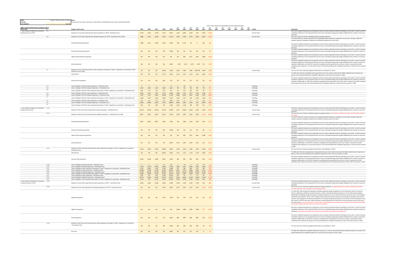SCE tracks completed inspections by tracking the counts of assets inspected instead of tracking by circuit miles. In order to present completed inspections in the requested format, SCE used a calculated average span length multiplied by the number of structures inspected.

inspected. SCE tracks completed inspections by tracking the counts of assets inspected instead of tracking by circuit miles. In order to present<br>inspected. Additionally, for 2020, SCE tracked the completed asset inspected by the year

inspected. SCESCE tracks completed inspections by tracking the counts of assets inspected instead of tracking by circuit miles. In order to present<br>completed inspections in the requested format, SCE used a calculated average span length

SCE tracks completed inspections by tracking the counts of assets inspected instead of tracking by circuit miles. In order to present completed inspections in the requested format, SCE used a calculated average span length multiplied by the number of structures<br>inspected. Additionally, for 2020, SCE tracked the completed asset inspected by the year and i

For 2020, SCE tracked the completed inspections by the year. In order to represent the 2020 completed inspection by quarter, SCE<br>evenly distributed the completed inspections to each of the four quarters evenly in 2020.

| Utility<br>Table No.                                             | Southern California Edison Company Not | ransmission lines refer to all lines at or above 65kV, and distribution lines refer to all lines below 65kV.                                                                  |                  |                  |                  |                  |                 |              |                                                     |                |                                   |                       |           |                                                                 |                                                                                                                                                                                                                                                                  |
|------------------------------------------------------------------|----------------------------------------|-------------------------------------------------------------------------------------------------------------------------------------------------------------------------------|------------------|------------------|------------------|------------------|-----------------|--------------|-----------------------------------------------------|----------------|-----------------------------------|-----------------------|-----------|-----------------------------------------------------------------|------------------------------------------------------------------------------------------------------------------------------------------------------------------------------------------------------------------------------------------------------------------|
| <b>Date Modified</b>                                             |                                        |                                                                                                                                                                               |                  |                  |                  |                  |                 |              |                                                     |                |                                   |                       |           | Note: These columns are placeholders for future QR submissions. |                                                                                                                                                                                                                                                                  |
| Table 1: Recent performance on progress metrics                  |                                        |                                                                                                                                                                               |                  |                  |                  |                  |                 | Q1           | Q2                                                  | Q3             | Q4                                | Q1                    |           | 02 03 04 01 02 03<br>Q4                                         |                                                                                                                                                                                                                                                                  |
| Metric type<br>1. Grid condition findings from inspection - 1.a. |                                        | Progress metric name                                                                                                                                                          | 2015             | 2016             | 2017             |                  |                 |              | 2018 2019 2020 2020 2020 2020 2021                  |                |                                   |                       | 2021      | 2021 2021 2022 2022 2022 2022 Unit(s)                           | Comments<br>SCE tracks completed inspections by tracking the counts of assets inspected instead of tracking by circuit miles. In order to pr                                                                                                                     |
| Distribution lines in HFTD                                       |                                        | Number of circuit miles inspected from patrol inspections in HFTD - Distribution lines                                                                                        | 9,729            | 9,734            | 9,738            |                  |                 |              | 9,751 9,814 1,587 6,954 1,250 233 3,783 5,489       |                |                                   |                       |           | # circuit miles                                                 | completed inspections in the requested format, SCE used a calculated average span length multiplied by the number of struc<br>inspected.                                                                                                                         |
|                                                                  | 1.b.                                   | Number of circuit miles inspected from detailed inspections in HFTD - Distribution lines (Total)                                                                              | 1,986            | 2,425            | 2,049            |                  |                 |              | 2,550 15,215 3,100 4,769 4,749 3,832 3,852 5,461    |                |                                   |                       |           | # circuit miles                                                 | This row is the sum of the four detailed inspection programs below it                                                                                                                                                                                            |
|                                                                  |                                        |                                                                                                                                                                               |                  |                  |                  |                  |                 |              |                                                     |                |                                   |                       |           |                                                                 | From 2015-2019, the number represents the completed detailed inspections completed in circuit miles. Starting in 2020, the<br>numbers represent completed compliance-due detailed inspections by circuit miles.                                                  |
|                                                                  |                                        | <b>Overhead Detailed Inspections</b>                                                                                                                                          | 1.986            | 2.425            | 2.049            | 1.618            | 1.906           | 518          | 1.352                                               | 48             | $\overline{4}$                    | 653<br>291            |           |                                                                 |                                                                                                                                                                                                                                                                  |
|                                                                  |                                        |                                                                                                                                                                               |                  |                  |                  |                  |                 |              |                                                     |                |                                   |                       |           |                                                                 | SCE tracks completed inspections by tracking the counts of assets inspected instead of tracking by circuit miles. In order to pr<br>completed inspections in the requested format, SCE used a calculated average span length multiplied by the number of struc   |
|                                                                  |                                        |                                                                                                                                                                               |                  |                  |                  |                  |                 |              |                                                     |                |                                   |                       |           |                                                                 | inspected.                                                                                                                                                                                                                                                       |
|                                                                  |                                        | <b>Enhanced Overhead Inspections</b>                                                                                                                                          |                  |                  | <b>NA</b>        | 932              | 9.448           | <b>NA</b>    | <b>NA</b>                                           |                | <b>NA</b>                         | <b>NA</b>             | <b>NA</b> |                                                                 | SCE tracks completed inspections by tracking the counts of assets inspected instead of tracking by circuit miles. In order to pr<br>completed inspections in the requested format, SCE used a calculated average span length multiplied by the number of struc   |
|                                                                  |                                        |                                                                                                                                                                               |                  |                  |                  |                  |                 |              |                                                     |                |                                   |                       |           |                                                                 | inspected.                                                                                                                                                                                                                                                       |
|                                                                  |                                        | High Fire Risk Informed Inspections                                                                                                                                           |                  | <b>NA</b>        | <b>NA</b>        | <b>NA</b>        | <b>NA</b>       | 154          | 990                                                 | 2274           | 1401                              | 2.984<br>1.823        |           |                                                                 | SCE tracks completed inspections by tracking the counts of assets inspected instead of tracking by circuit miles. In order to pr<br>completed inspections in the requested format, SCE used a calculated average span length multiplied by the number of struc   |
|                                                                  |                                        |                                                                                                                                                                               |                  |                  |                  |                  |                 |              |                                                     |                |                                   |                       |           |                                                                 | inspected.                                                                                                                                                                                                                                                       |
|                                                                  |                                        |                                                                                                                                                                               |                  |                  |                  |                  |                 |              |                                                     |                |                                   |                       |           |                                                                 | SCE tracks completed inspections by tracking the counts of assets inspected instead of tracking by circuit miles. In order to pr<br>completed inspections in the requested format, SCE used a calculated average span length multiplied by the number of struc   |
|                                                                  |                                        | Aerial Inspections                                                                                                                                                            | <b>NA</b>        | <b>NA</b>        | <b>NA</b>        | <b>NA</b>        | 3,861           | 2,427        | 2,427                                               |                | 2,427 2,427 215 3,347             |                       |           |                                                                 | inspected. Additionally, for 2020, SCE tracked the completed asset inspected by the year and in order to represent the 2020                                                                                                                                      |
|                                                                  |                                        |                                                                                                                                                                               |                  |                  |                  |                  |                 |              |                                                     |                |                                   |                       |           |                                                                 | completed asset inspection in circuit mile by quarter, SCE evenly distributed the completed inspections to each of the four qu<br>in 2020.                                                                                                                       |
|                                                                  | 1.c.                                   | Number of circuit miles inspected from other inspections (list types of "other" inspections in comments) in HFTD                                                              | <b>NA</b>        | <b>NA</b>        | <b>NA</b>        | 12,605           | 5,663           | 1,382        | 1,382                                               |                | 1,382 1382.478 2,548 2,183        |                       |           | # circuit miles                                                 | This row is the sum of the two programs below that are considered as "other"                                                                                                                                                                                     |
|                                                                  |                                        | Distribution lines (total)                                                                                                                                                    |                  |                  |                  |                  |                 |              |                                                     |                |                                   |                       |           |                                                                 |                                                                                                                                                                                                                                                                  |
|                                                                  |                                        | <b>Infrared Scan</b>                                                                                                                                                          | <b>NA</b>        | <b>NA</b>        | <b>NA</b>        | 11,775           | 4.962           | 1.112        | 1.112                                               |                | 1.112 1.112 2.465 1.945           |                       |           |                                                                 | For 2020, SCE tracks the completed asset inspected by year and in order to represent the 2020 completed asset inspection b<br>quarter, SCE evenly distributed the completed inspections to each of the four quarters in 2020.                                    |
|                                                                  |                                        |                                                                                                                                                                               |                  |                  |                  |                  |                 |              |                                                     |                |                                   |                       |           |                                                                 | SCE tracks completed inspections by tracking the counts of assets inspected instead of tracking by circuit miles. In order to pr                                                                                                                                 |
|                                                                  |                                        | Intrusive Pole Inspections                                                                                                                                                    | <b>NA</b>        | <b>NA</b>        | <b>NA</b>        | 830              | 701             | 271          | 271                                                 | 271            | 271                               | 83<br>238             |           |                                                                 | completed inspections in the requested format, SCE used a calculated average span length multiplied by the number of struc                                                                                                                                       |
|                                                                  |                                        |                                                                                                                                                                               |                  |                  |                  |                  |                 |              |                                                     |                |                                   |                       |           |                                                                 | inspected. Additionally, for 2020, SCE tracked the completed asset inspected by year and in order to represent the 2020 com<br>asset inspection by quarter, SCE evenly distributed the completed inspections to each of the four quarters in 2020.               |
|                                                                  | 1.d.                                   | Level 1 findings in HFTD for patrol inspections - Distribution lines                                                                                                          |                  |                  |                  |                  |                 |              | 18                                                  |                |                                   |                       |           | # findings                                                      |                                                                                                                                                                                                                                                                  |
|                                                                  | 1.e.                                   | Level 1 findings in HFTD for detailed inspections - Distribution lines                                                                                                        | 2,163            | 3,146            | 3,114            | 2,834            | 4,144           | 797          | 716                                                 | 706            | 739                               | 778                   | 632       | # findings                                                      |                                                                                                                                                                                                                                                                  |
|                                                                  | 1.f.                                   | Level 1 findings in HFTD for other inspections (list types of "other" inspections in comments) - Distribution lines                                                           | 246              | 773              | 325              | 167              | 617             | 91           | 115                                                 | 306            | 261                               | 90                    | 43        | # findings                                                      |                                                                                                                                                                                                                                                                  |
|                                                                  | 1.g.                                   | Level 2 findings in HFTD for patrol inspections - Distribution lines                                                                                                          | 6,392            | 5,124            | 3,781            | 3,730            | 6,498           | 1,028        | 1,513                                               | 1,227          | 1,054                             | 1,509                 | 977       | # findings                                                      |                                                                                                                                                                                                                                                                  |
|                                                                  | 1.h.                                   | Level 2 findings in HFTD for detailed inspections - Distribution lines                                                                                                        | 7,297            | 7,751            | 5,841            | 16,646           | 71,791          | 9,890        | 9,045                                               | 5,647          | 3,807                             | 9,174                 | 13,665    | # findings                                                      |                                                                                                                                                                                                                                                                  |
|                                                                  | 1.i.                                   | Level 2 findings in HFTD for other inspections (list types of "other" inspections in comments) - Distribution lines                                                           | 4.448            | 4.167            | 3.934            | 3.348            | 5.304           | 1.463        | 1.737                                               | 534            | 1.924                             | 1.166<br>636          |           | # findings                                                      |                                                                                                                                                                                                                                                                  |
|                                                                  | 1.j.                                   | Level 3 findings in HFTD for patrol inspections - Distribution lines                                                                                                          | 43               |                  | 33               |                  | 228             | 117          |                                                     |                |                                   | 26                    |           | # findings                                                      |                                                                                                                                                                                                                                                                  |
|                                                                  | 1.5<br>1.1                             | Level 3 findings in HFTD for detailed inspections - Distribution lines                                                                                                        | 14,301           | 18,081           | 12,647           | 13,725           | 108,873         | 8,982        | 9,381                                               | 9,536          | 824                               | 13,987<br>8.690       |           | # findings                                                      |                                                                                                                                                                                                                                                                  |
|                                                                  |                                        | Level 3 findings in HFTD for other inspections (list types of "other" inspections in comments) - Distribution lines                                                           | 256              | 142              | 206              | 214              | 1.563           | 1.267        | 1.136                                               | 138            | 298                               | 471 223               |           | # findings                                                      |                                                                                                                                                                                                                                                                  |
| 1. Grid condition findings from inspection - 1.a.ii.             |                                        |                                                                                                                                                                               |                  |                  |                  |                  |                 |              |                                                     |                |                                   |                       |           |                                                                 | SCE tracks completed inspections by tracking the counts of assets inspected instead of tracking by circuit miles. In order to pr                                                                                                                                 |
| Distribution lines total                                         |                                        | Number of total circuit miles inspected from patrol inspections - Distribution lines                                                                                          | 39,125           | 39.139           | 39,129           | 39,193           |                 |              | 39,464 1,011 23,406 10,641 2,691 5,336 10,004       |                |                                   |                       |           | # circuit miles                                                 | completed inspections in the requested format, SCE used a calculated average span length multiplied by the number of struc<br>inspected.                                                                                                                         |
|                                                                  | 1.b.ii.                                | Number of total circuit miles inspected from detailed inspections - Distribution lines (Total)                                                                                | 8,347            | 8.200            | 8.007            |                  |                 |              | 8,813 21,245 3,378 5,605                            |                | 6,442 6,935 4,243 6,599           |                       |           | # circuit miles                                                 | This row is the sum of the four detailed inspection programs below it. A correction as made to Q1 value as it incorrectly sum                                                                                                                                    |
|                                                                  |                                        |                                                                                                                                                                               |                  |                  |                  |                  |                 |              |                                                     |                |                                   |                       |           |                                                                 | rows 28-31.<br>From 2015-2019, the number represents the completed detailed inspections completed in circuit miles. Starting in 2020, the                                                                                                                        |
|                                                                  |                                        |                                                                                                                                                                               |                  |                  |                  |                  |                 |              |                                                     |                |                                   |                       |           |                                                                 | numbers represent completed compliance-due detailed inspections by circuit miles.                                                                                                                                                                                |
|                                                                  |                                        | <b>Overhead Detailed Inspections</b>                                                                                                                                          | 8.347            | 8,200            | 8.007            | 7,881            | 7,936           | 796          | 2,188                                               | 1.740 3.107    |                                   | 839<br>1.297          |           |                                                                 | SCE tracks completed inspections by tracking the counts of assets inspected instead of tracking by circuit miles. In order to pr                                                                                                                                 |
|                                                                  |                                        |                                                                                                                                                                               |                  |                  |                  |                  |                 |              |                                                     |                |                                   |                       |           |                                                                 | completed inspections in the requested format, SCE used a calculated average span length multiplied by the number of struc                                                                                                                                       |
|                                                                  |                                        |                                                                                                                                                                               |                  |                  |                  |                  |                 |              |                                                     |                |                                   |                       |           |                                                                 | inspected.                                                                                                                                                                                                                                                       |
|                                                                  |                                        | <b>Enhanced Overhead Inspections</b>                                                                                                                                          |                  |                  | <b>NA</b>        | 932              | 9,448           | <b>NA</b>    | <b>NA</b>                                           | <b>NA</b>      | <b>NA</b>                         | <b>NA</b>             | <b>NA</b> |                                                                 | SCE tracks completed inspections by tracking the counts of assets inspected instead of tracking by circuit miles. In order to pr<br>completed inspections in the requested format, SCE used a calculated average span length multiplied by the number of struc   |
|                                                                  |                                        |                                                                                                                                                                               |                  |                  |                  |                  |                 |              |                                                     |                |                                   |                       |           |                                                                 | inspected.                                                                                                                                                                                                                                                       |
|                                                                  |                                        | High fire Risk Informed Inspections                                                                                                                                           |                  |                  | <b>NA</b>        | <b>NA</b>        | <b>NA</b>       | 154          | 990                                                 | 2274           | 1401                              | 3.188 1.954           |           |                                                                 | SCE tracks completed inspections by tracking the counts of assets inspected instead of tracking by circuit miles. In order to pr<br>completed inspections in the requested format, SCE used a calculated average span length multiplied by the number of struc   |
|                                                                  |                                        |                                                                                                                                                                               |                  |                  |                  |                  |                 |              |                                                     |                |                                   |                       |           |                                                                 | inspected.                                                                                                                                                                                                                                                       |
|                                                                  |                                        |                                                                                                                                                                               |                  |                  |                  |                  |                 |              |                                                     |                |                                   |                       |           |                                                                 | SCE tracks completed inspections by tracking the counts of assets inspected instead of tracking by circuit miles. In order to pr                                                                                                                                 |
|                                                                  |                                        | Aerial Inspections                                                                                                                                                            |                  |                  |                  | <b>NA</b>        | 3.861           |              | 2,427 2,427                                         |                | 2,427 2,427 215 3,347             |                       |           |                                                                 | completed inspections in the requested format, SCE used a calculated average span length multiplied by the number of struc<br>inspected. Additionally, for 2020, SCE tracked the completed asset inspected by the year and in order to represent the 2020        |
|                                                                  |                                        |                                                                                                                                                                               |                  |                  |                  |                  |                 |              |                                                     |                |                                   |                       |           |                                                                 | completed asset inspection in circuit mile by quarter, SCE evenly distributed the completed inspections to each of the four qu                                                                                                                                   |
|                                                                  | 1.c.ii.                                | Number of total circuit miles inspected from other inspections (list types of "other" inspections in comments)                                                                |                  |                  |                  |                  |                 |              |                                                     |                |                                   |                       |           |                                                                 | in 2020.                                                                                                                                                                                                                                                         |
|                                                                  |                                        | <b>Distribution lines</b>                                                                                                                                                     | 4.320            | 4.509            | 4.093            | 29.902           | 8.887           |              | 2,106 2,106 2,106 2,106 3,458 2,986                 |                |                                   |                       |           | # circuit miles                                                 | This row is the sum of the two programs below that are considered as "other"                                                                                                                                                                                     |
|                                                                  |                                        | Infrared Scan                                                                                                                                                                 | <b>NA</b>        | <b>NA</b>        | <b>NA</b>        | 26,055           | 4,962           |              | 1,112 1,112 1,112 1,112 2,465 1,945                 |                |                                   |                       |           |                                                                 | For 2020, SCE tracks the completed asset inspected by the year and in order to represent the 2020 completed asset inspectic<br>quarter, SCE just evenly distributed the completed inspections to each of the four quarters in 2020.                              |
|                                                                  |                                        |                                                                                                                                                                               |                  |                  |                  |                  |                 |              |                                                     |                |                                   |                       |           |                                                                 |                                                                                                                                                                                                                                                                  |
|                                                                  |                                        |                                                                                                                                                                               |                  |                  |                  |                  |                 |              |                                                     |                |                                   |                       |           |                                                                 | SCE tracks completed inspections by tracking the counts of assets inspected instead of tracking by circuit miles. In order to pr<br>completed inspections in the requested format, SCE used a calculated average span length multiplied by the number of struc   |
|                                                                  |                                        | Intrusive Pole Inspections                                                                                                                                                    | 4.320            | 4.509            | 4.093            | 3.847            | 3,925           | 995          | 995                                                 | 995            | 995                               | 993<br>1.041          |           |                                                                 | inspected. Additionally, for 2020, SCE tracked the completed asset inspected by the year and in order to represent the 2020                                                                                                                                      |
|                                                                  |                                        |                                                                                                                                                                               |                  |                  |                  |                  |                 |              |                                                     |                |                                   |                       |           |                                                                 | completed asset inspection by quarter, SCE just evenly distributed the completed inspections to each of the four quarters in                                                                                                                                     |
|                                                                  | 1.d.ii.                                | Level 1 findings for patrol inspections - Distribution lines                                                                                                                  |                  |                  |                  |                  |                 |              | 5 2 4 10 28 0 76 3 19 19 13<br>4.923                | 6.308          |                                   |                       |           | # findings                                                      |                                                                                                                                                                                                                                                                  |
|                                                                  | 1.e.ii.<br>1.f.ii.                     | Level 1 findings for detailed inspections - Distribution lines<br>Level 1 findings for other inspections (list types of "other" inspections in comments) - Distribution lines | 17,812<br>1.742  | 19,726<br>2.636  | 21.832<br>1.762  | 19,482<br>1,506  | 21,320<br>2.680 | 4.300<br>557 | 596                                                 | 682            | 5.039<br>576                      | 4.918<br>4.578<br>370 | 301       | # findings<br># findings                                        |                                                                                                                                                                                                                                                                  |
|                                                                  | 1.g.ii.                                | Level 2 findings for patrol inspections - Distribution lines                                                                                                                  | 26,406           | 17,649           | 15,545           | 30,305           | 83,237          | 8,457        | 4,779                                               | 4,808          | 3,665                             | 4,551                 | 4,358     | # findings                                                      |                                                                                                                                                                                                                                                                  |
|                                                                  | 1.h.ii.<br>1.i.ii.                     | Level 2 findings for detailed inspections - Distribution lines<br>Level 2 findings for other inspections (list types of "other" inspections in comments) - Distribution lines | 51,016<br>14,687 | 48,323<br>13.466 | 41,641<br>12.071 | 39,640<br>12.873 | 40,771          | 8,510        | 13,463<br>26,158 6,250 6,497                        | 13,300         | 15,593<br>4.403 6.114 3.411 2.066 | 13,769                | 25.954    | # findings<br># findings                                        |                                                                                                                                                                                                                                                                  |
|                                                                  | $1.$ j.ii.                             | Level 3 findings for patrol inspections - Distribution lines                                                                                                                  | 328              | 64               | 128              | 7,790            |                 | 35,237 142   | 12                                                  | 4 <sup>1</sup> | 17                                | 26                    | 17        | # findings                                                      |                                                                                                                                                                                                                                                                  |
|                                                                  | 1.k.ii.                                | Level 3 findings for detailed inspections - Distribution lines                                                                                                                | 84,111           | 76,240           | 63,267           | 62,133           |                 |              | 62,271 11,811 16,961 18,740 19,548 17,760 17,749    |                |                                   |                       |           | # findings                                                      |                                                                                                                                                                                                                                                                  |
| 1. Grid condition findings from inspection - 1.a.iii.            | 1.I.ii.                                | Level 3 findings for other inspections (list types of "other" inspections in comments) - Distribution lines                                                                   | 1,149            | 753              | 1,013            |                  |                 |              | 2,851 92,092 2,428 2,514 1,240 1,510 664 268        |                |                                   |                       |           | # findings                                                      | SCE tracks completed inspections by tracking the counts of assets inspected instead of tracking by circuit miles. In order to pr                                                                                                                                 |
| Transmission lines in HFTD                                       |                                        | Number of circuit miles inspected from patrol inspections in HFTD - Transmission lines                                                                                        | 4.438            |                  |                  |                  |                 |              | 4,438 4,438 4,438 4,438 1,109 1,109 1,109 1,109 434 |                |                                   | 890                   |           | # circuit miles                                                 | completed inspections in the requested format, SCE used a calculated average span length multiplied by the number of struc                                                                                                                                       |
|                                                                  | 1.b.iii.                               |                                                                                                                                                                               |                  |                  |                  |                  |                 |              |                                                     |                |                                   |                       |           |                                                                 | inspected.<br>This row is the sum of the three detailed inspection programs below it. An updated historical number for detailed inspection:                                                                                                                      |
|                                                                  |                                        | Number of circuit miles inspected from detailed inspections in HFTD - Transmission lines                                                                                      |                  | <b>NA</b>        | <b>NA</b>        |                  |                 |              | 1,479 6,629 2,327 2,327 2,327 2,327 1,434 3,249     |                |                                   |                       |           | # circuit miles                                                 | occurred requiring a new summation of the programs below.                                                                                                                                                                                                        |
|                                                                  |                                        |                                                                                                                                                                               |                  |                  |                  |                  |                 |              |                                                     |                |                                   |                       |           |                                                                 | For 2015-2017, patrol inspections doubled as detailed inspections being completed on every transmission asset in the service                                                                                                                                     |
|                                                                  |                                        |                                                                                                                                                                               |                  |                  |                  |                  |                 |              |                                                     |                |                                   |                       |           |                                                                 | territory. Beginning in 2018 the recorded inspection numbers estimate the detail inspections in circuit miles being completed                                                                                                                                    |
|                                                                  |                                        |                                                                                                                                                                               |                  |                  |                  |                  |                 |              |                                                     |                |                                   |                       |           |                                                                 | Additionally, the detailed inspection program completes inspections of 1/3 of all SCE transmission assets per year. The compl<br>inspections are tracked by "Grids". SCE's complete transmission line network is broken out into large areas called "Grids" and  |
|                                                                  |                                        | <b>Detailed Inspections</b>                                                                                                                                                   |                  |                  |                  | 1.479            | 1,479           |              | 370 370 370 370 311 300                             |                |                                   |                       |           |                                                                 | execution and tracking are recorded at the grid level. The number being represented uses 1/3rd of the current transmission o                                                                                                                                     |
|                                                                  |                                        |                                                                                                                                                                               |                  |                  |                  |                  |                 |              |                                                     |                |                                   |                       |           |                                                                 | mile counts in HFTD for each year. 2020 in particular, evenly distributes the 1/3rd of the current transmission mile circuit cou<br>into each quarter. An error was found in the calculation methodology for the historical years, therefore the outlined method |
|                                                                  |                                        |                                                                                                                                                                               |                  |                  |                  |                  |                 |              |                                                     |                |                                   |                       |           |                                                                 | was properly applied and the historical numbers were updated.                                                                                                                                                                                                    |
|                                                                  |                                        |                                                                                                                                                                               |                  |                  |                  |                  |                 |              |                                                     |                |                                   |                       |           |                                                                 |                                                                                                                                                                                                                                                                  |
|                                                                  |                                        | High Fire Inspections                                                                                                                                                         |                  | <b>NA</b>        | <b>NA</b>        | <b>NA</b>        | 520             |              | 1,089 1,089 1,089 1,089 577 1,439                   |                |                                   |                       |           |                                                                 | SCE tracks completed inspections by tracking the counts of assets inspected instead of tracking by circuit miles. In order to pr<br>completed inspections in the requested format, SCE used a calculated average span length multiplied by the number of struc   |
|                                                                  |                                        |                                                                                                                                                                               |                  |                  |                  |                  |                 |              |                                                     |                |                                   |                       |           |                                                                 | inspected. A correction was made to the Q1 value as it incorrectly included some Q2 inspections.                                                                                                                                                                 |
|                                                                  |                                        |                                                                                                                                                                               |                  |                  |                  |                  |                 |              |                                                     |                |                                   |                       |           |                                                                 | SCE tracks completed inspections by tracking the counts of assets inspected instead of tracking by circuit miles. In order to pr                                                                                                                                 |
|                                                                  |                                        |                                                                                                                                                                               |                  | <b>NA</b>        | <b>NA</b>        | <b>NA</b>        | 4.630           | 868          | 868                                                 | 868            | 868                               | 546<br>1.509          |           |                                                                 | completed inspections in the requested format, SCE used a calculated average span length multiplied by the number of struc                                                                                                                                       |
|                                                                  |                                        | Aerial Inspections                                                                                                                                                            |                  |                  |                  |                  |                 |              |                                                     |                |                                   |                       |           |                                                                 | inspected. Additionally, for 2020, SCE tracked the completed asset inspected by the year and in order to represent the 2020                                                                                                                                      |
|                                                                  |                                        |                                                                                                                                                                               |                  |                  |                  |                  |                 |              |                                                     |                |                                   |                       |           |                                                                 | completed asset inspection by quarter, just evenly distributed the completed inspections to each of the four quarters in 2020                                                                                                                                    |
|                                                                  | 1.c.iii                                | Number of total circuit miles inspected from other inspections (list types of "other" inspections in comments) -<br><b>Transmission lines</b>                                 |                  |                  |                  |                  |                 |              |                                                     |                |                                   |                       |           |                                                                 |                                                                                                                                                                                                                                                                  |
|                                                                  |                                        |                                                                                                                                                                               | <b>NA</b>        | <b>NA</b>        | <b>NA</b>        | 103              | 5.003           | 284          | 284                                                 | 284            | 284                               | 43<br>121             |           |                                                                 | This row is the sum of the two programs below that are considered as "other"                                                                                                                                                                                     |
|                                                                  |                                        |                                                                                                                                                                               |                  |                  |                  |                  |                 |              |                                                     |                |                                   |                       |           |                                                                 | For 2020, SCE tracked the completed inspections by the year. In order to represent the 2020 completed inspection by quarte                                                                                                                                       |
|                                                                  |                                        | IR Corona                                                                                                                                                                     | <b>NA</b>        | <b>NA</b>        | <b>NA</b>        | <b>NA</b>        | 4,901           |              | 251 251 251 251 0 73                                |                |                                   |                       |           |                                                                 | evenly distributed the completed inspections to each of the four quarters evenly in 2020.                                                                                                                                                                        |

inspected. SCE tracks completed inspections by tracking the counts of assets inspected instead of tracking by circuit miles. In order to present<br>completed inspections in the requested format, SCE used a calculated average span length inspected.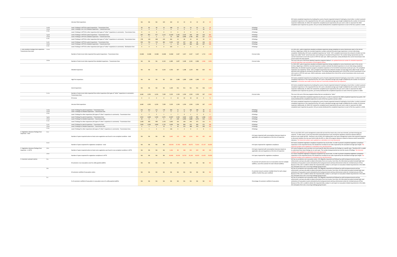SCE tracks completed inspections by tracking the counts of assets inspected instead of tracking by circuit miles. In order to present completed inspections in the requested format, SCE used a calculated average span length multiplied by the number of structures<br>inspected. Additionally, for 2020, SCE tracked the completed asset inspected by the year and i

For 2015-2017, patrol inspections doubled as detailed inspections being completed on every transmission asset in the service<br>territory. Beginning in 2018, the recorded inspection numbers estimate the patrol type inspection

circuit counts into each quarter. Chicult counts into each quarter.<br>This row is the sum of the three detailed inspection programs below it. An updated historical number for detailed inspections

occurred requiring a new summation of the programs below.<br>For 2015-2017, patrol inspections doubled as detailed inspections being completed on every transmission asset in the service<br>territory. Beginning in 2018 the record execution and tracking are recorded at the grid level. The number being represented uses 1/3rd of the current transmission circuit<br>mile counts in HFTD for each year. 2020 in particular, evenly distributes the 1/3rd of the into each quarter.

SCE tracks completed inspections by tracking the counts of assets inspected instead of tracking by circuit miles. In order to present<br>completed inspections in the requested format, SCE used a calculated average span length

SCE tracks completed inspections by tracking the counts of assets inspected instead of tracking by circuit miles. In order to present completed inspections in the requested format, SCE used a calculated average span length multiplied by the number of structures<br>inspected. Additionally, for 2020, SCE tracked the completed asset inspected by the year and i

This row is the sum of the two programs below that are considered as "other"<br>For 2020, SCE tracked the completed inspections by the year. In order to represent the 2020 completed inspection by quarter, SCE evenly distributed the completed inspections to each of the four quarters evenly in 2020.

SCE tracks completed inspections by tracking the counts of assets inspected instead of tracking by circuit miles. In order to present<br>inspected. Additionally, for 2020, SCE tracked the completed asset inspected by the year

Prior to July 2019, SCE's work management system did not track the reason why a tree was trimmed, just that trimming was<br>required. In other words, a tree may have been trimmed because it was nearing the regulatory clearan because it was inside the RCD. Starting in July of 2019, SCE implemented a new work management system that required inspectors<br>to document whether the tree was found inside the RCD, or other SCE program distances related t clearance. The historical numbers were updated as <sup>a</sup> calculation error was discovered.

SCE tracks completed vegetation compliance inspections by circuit miles. In order to present completed vegetation compliance inspections in the requested format, SCE divided the recorded circuit miles inspected by the calculated average span length. The

historical numbers were updated as <sup>a</sup> calculation error was discovered. SCE tracks findings by count and does not record specific data that associate the findings to a specific span. Therefore SCE is unable<br>to understand how many findings are on each span. The number being presented are just t

numbers were updated as a calculation error was discovered.<br>SCE tracks completed vegetation compliance inspections by circuit miles. In order to present completed vegetation compliance

inspections in the requested format, SCE divided the recorded circuit miles inspected by the calculated average span length. The<br>historical numbers were updated as a calculation error was discovered.<br>SCE has no jurisdictio estimations of evacuation counts estimated by the local government and law enforcement entity for a limited amount of fires.<br>Because of this, SCE is unable to obtain the requested data, analyze it, and report on evacuation

SCE anticipates this to be a recurring challenge going forward.<br>SCE has no jurisdiction over evacuation orders. SCE diligently requested and followed up with local governments and law<br>enforcement, and was only able to obta

enforcement, and was only able to obtain information from one county. Even then, the information provided included high-level<br>estimations of evacuation counts estimated by the local government and law enforcement entity fo

|                                                             |             | Intrusive Pole Inspections                                                                                          | <b>NA</b>      | <b>NA</b>        | <b>NA</b>       | 103            | 102                     | 32                                                | 32             | 32                | 32                                        | 43             | 49             |                                                                                                                              |
|-------------------------------------------------------------|-------------|---------------------------------------------------------------------------------------------------------------------|----------------|------------------|-----------------|----------------|-------------------------|---------------------------------------------------|----------------|-------------------|-------------------------------------------|----------------|----------------|------------------------------------------------------------------------------------------------------------------------------|
|                                                             | 1.d.iii.    | Level 1 findings in HFTD for patrol inspections - Transmission lines                                                | 50             | 82               | 40              | 32             | 108                     | 12                                                | 23             | 54                | 63                                        | 11             | 18             | # findings                                                                                                                   |
|                                                             | 1.e.iii.    | Level 1 findings in HFTD for detailed inspections - Transmission lines                                              | $\Omega$       | $\Omega$         | $\Omega$        | $\mathbf{1}$   | $\circ$                 | $\Omega$                                          | $\Omega$       | $\Omega$          | $\Omega$                                  | 18             | 41             | # findings                                                                                                                   |
|                                                             | 1.f.iii.    | Level 1 findings in HFTD for other inspections (list types of "other" inspections in comments) - Transmission lines | $\circ$        | $\Omega$         | $\mathbf{0}$    | $\overline{0}$ | $\mathbf{0}$            | 6                                                 | $\overline{0}$ | $\mathbf{0}$      | $\overline{0}$                            | $\overline{0}$ | $\overline{0}$ | # findings                                                                                                                   |
|                                                             | 1.g.iii.    | Level 2 findings in HFTD for patrol inspections - Transmission lines                                                | 697            | 855              | 977             | 1,215          | 15,029                  | 1,245                                             | 2,522          | 549               | 138                                       | 319            | 685            | # findings                                                                                                                   |
|                                                             | 1.h.iii.    | Level 2 findings in HFTD for detailed inspections - Transmission lines                                              | $\mathbf{R}$   | $\mathbf{1}$     | $\overline{2}$  | $\mathbf{1}$   | 14                      | 609                                               | 4,400          | 1,783             | 961                                       | 537            | 1,252          | # findings                                                                                                                   |
|                                                             | $1.i.$ iii. | Level 2 findings in HFTD for other inspections (list types of "other" inspections in comments) - Transmission lines | 278            | 128              | 408             | 419            | 456                     | 15                                                | 46             | 45                | 85                                        | 24             | 33             | # findings                                                                                                                   |
|                                                             | $1.$ j.iii. | Level 3 findings in HFTD for patrol inspections - Transmission lines                                                | 935            | 735              | 719             | 382            | 2,545                   | 130                                               | 437            | 166               | 48                                        | 166            | 259            | # findings                                                                                                                   |
|                                                             | 1.k.iii.    | Level 3 findings in HFTD for detailed inspections - Transmission lines                                              | $\circ$        | $\overline{2}$   | $\circ$         | $\overline{4}$ | $\overline{\mathbf{3}}$ | 44                                                | 309            | 366               | 186                                       | 207            | 508            | # findings                                                                                                                   |
|                                                             | 1.Liii.     | Level 3 findings in HFTD for other inspections (list types of "other" inspections in comments) - Distribution lines | $\mathbf 0$    | $\mathbf{0}$     | $\mathbf 0$     | $\circ$        | 103                     | $\overline{\mathbf{3}}$                           | $\,$ 1 $\,$    | $\overline{0}$    | $\overline{\mathbf{3}}$                   | $\circ$        | $\mathbf{1}$   | # findings                                                                                                                   |
| 1. Grid condition findings from inspection - 1.a.iv.        |             |                                                                                                                     |                |                  |                 |                |                         |                                                   |                |                   |                                           |                |                |                                                                                                                              |
| <b>Transmission lines total</b>                             |             |                                                                                                                     |                |                  |                 |                |                         |                                                   |                |                   |                                           |                |                |                                                                                                                              |
|                                                             |             | Number of total circuit miles inspected from patrol inspections - Transmission lines                                |                | 13.068           | 13,068          |                | 13,068                  |                                                   |                |                   | 3.267 3.267 3.267 3.267 1.713 1.980       |                |                | # circuit miles                                                                                                              |
|                                                             |             |                                                                                                                     | 13,068         |                  |                 | 13.068         |                         |                                                   |                |                   |                                           |                |                |                                                                                                                              |
|                                                             |             |                                                                                                                     |                |                  |                 |                |                         |                                                   |                |                   |                                           |                |                |                                                                                                                              |
|                                                             | 1.h.iv.     |                                                                                                                     |                |                  |                 |                |                         |                                                   |                |                   |                                           |                |                |                                                                                                                              |
|                                                             |             | Number of total circuit miles inspected from detailed inspections - Transmission lines                              | <b>NA</b>      | <b>NA</b>        | <b>NA</b>       | 4.210          | 6.389                   | 2,697                                             |                | 3,189 3,230 2,984 |                                           | 1,946 3,905    |                | # circuit miles                                                                                                              |
|                                                             |             |                                                                                                                     |                |                  |                 |                |                         |                                                   |                |                   |                                           |                |                |                                                                                                                              |
|                                                             |             |                                                                                                                     |                |                  |                 |                |                         |                                                   |                |                   |                                           |                |                |                                                                                                                              |
|                                                             |             | <b>Detailed Inspections</b>                                                                                         | <b>NA</b>      | <b>NA</b>        | <b>NA</b>       | 4,210          | 4,760                   | 697                                               | 1,188          | 1,229             | 983                                       | 823            | 956            |                                                                                                                              |
|                                                             |             |                                                                                                                     |                |                  |                 |                |                         |                                                   |                |                   |                                           |                |                |                                                                                                                              |
|                                                             |             |                                                                                                                     |                |                  |                 |                |                         |                                                   |                |                   |                                           |                |                |                                                                                                                              |
|                                                             |             |                                                                                                                     |                |                  |                 |                |                         |                                                   |                |                   |                                           |                |                |                                                                                                                              |
|                                                             |             | High Fire Inspections                                                                                               | <b>NA</b>      | <b>NA</b>        | <b>NA</b>       | <b>NA</b>      | 520                     | 1,089                                             | 1,089          | 1,089             | 1,089                                     | 577 1,439      |                |                                                                                                                              |
|                                                             |             |                                                                                                                     |                |                  |                 |                |                         |                                                   |                |                   |                                           |                |                |                                                                                                                              |
|                                                             |             |                                                                                                                     |                |                  |                 |                |                         |                                                   |                |                   |                                           |                |                |                                                                                                                              |
|                                                             |             |                                                                                                                     |                |                  |                 |                |                         |                                                   |                |                   |                                           |                |                |                                                                                                                              |
|                                                             |             | Aerial Inspections                                                                                                  | <b>NA</b>      | <b>NA</b>        | <b>NA</b>       | <b>NA</b>      | 1.109                   | 911                                               | 911            | 911               | 911                                       | 546            | 1.509          |                                                                                                                              |
|                                                             |             |                                                                                                                     |                |                  |                 |                |                         |                                                   |                |                   |                                           |                |                |                                                                                                                              |
|                                                             | 1.c.iv.     | Number of total circuit miles inspected from other inspections (list types of "other" inspections in comments) -    |                |                  |                 |                |                         |                                                   |                |                   |                                           |                |                |                                                                                                                              |
|                                                             |             | <b>Transmission lines</b>                                                                                           | 6,460          | 4,592            | 6,226           | 7,309          | 5,529                   | 1,594                                             | 1,594          | 1,594             | 1,594                                     | 267            | 2,066          | # circuit miles                                                                                                              |
|                                                             |             | IR Corona                                                                                                           | $\overline{0}$ | $\overline{0}$   | $\mathbf{0}$    | $\overline{0}$ | $\mathbf{0}$            | 43                                                | 43             | 43                | 43                                        | $\overline{0}$ | 73             |                                                                                                                              |
|                                                             |             |                                                                                                                     |                |                  |                 |                |                         |                                                   |                |                   |                                           |                |                |                                                                                                                              |
|                                                             |             |                                                                                                                     |                |                  |                 |                |                         |                                                   |                |                   |                                           |                |                |                                                                                                                              |
|                                                             |             | Intrusive Pole Inspections                                                                                          | 6.460          | 4.592            | 6,226           | 7.309          | 5.529                   | 1.594                                             | 1.594          | 1.594             | 1.594                                     | 267            | 1.993          |                                                                                                                              |
|                                                             |             |                                                                                                                     |                |                  |                 |                |                         |                                                   |                |                   |                                           |                |                |                                                                                                                              |
|                                                             | 1.d.iv.     | Level 1 findings for patrol inspections - Transmission lines                                                        | 241            | 252              | 211             | 178            | 304                     | 51                                                | 51             | 106               | 108                                       | 48             | 65             | $#$ findings                                                                                                                 |
|                                                             | 1.e.iv.     | Level 1 findings for detailed inspections - Transmission lines                                                      | $\circ$        | $1\,$            | $\mathbf 0$     | $\mathbf{1}$   | $\circ$                 | $\mathbf{0}$                                      | $\circ$        | $\mathbf{1}$      | $\mathbf{0}$                              | 19             | 42             | # findings                                                                                                                   |
|                                                             | 1.f.iv.     | Level 1 findings for other inspections (list types of "other" inspections in comments) - Transmission lines         | $\overline{1}$ | $\overline{2}$   | $\overline{2}$  | $\mathbf{1}$   | $\mathbf{1}$            | $\overline{7}$                                    | $\overline{0}$ | $\mathbf{1}$      | $\mathbf{0}$                              | $\mathbf{0}$   | $\overline{0}$ | $\#$ findings                                                                                                                |
|                                                             | 1.g.iv.     | Level 2 findings for patrol inspections - Transmission lines                                                        | 3.912          | 4.600            | 5.393           | 5.871          | 22,007                  | 2,536                                             | 3.644          | 1.200             | 802                                       | 1,486          | 1.492          | # findings                                                                                                                   |
|                                                             | $1.h.$ iv.  | Level 2 findings for detailed inspections - Transmission lines                                                      | 10             | $\boldsymbol{8}$ | $7\overline{ }$ | $\overline{a}$ | 37                      | 628                                               | 4,494          | 1.889             | 1,072                                     | 553            | 1,259          | # findings                                                                                                                   |
|                                                             | 1.i.w.      | Level 2 findings for other inspections (list types of "other" inspections in comments) - Transmission lines         | 1.428          | 583              | 999             | 1.150          | 1.003                   | 101                                               | 140            | 245               | 375                                       | 131            | 81             | # findings                                                                                                                   |
|                                                             | $1.1$ iv.   | Level 3 findings for patrol inspections - Transmission lines                                                        | 7,020          | 3,350            | 3,060           | 1,732          | 5,049                   | 744                                               | 904            | 475               | 383                                       | 371            | 508            | # findings                                                                                                                   |
|                                                             | 1. k. iv.   | Level 3 findings for detailed inspections - Transmission lines                                                      | $\overline{4}$ | $\overline{2}$   | $1\,$           | 10             | $\overline{\mathbf{3}}$ | 44                                                | 312            | 388               | 210                                       | 209            | 510            | # findings                                                                                                                   |
|                                                             | 1.l.w.      | Level 3 findings for other inspections (list types of "other" inspections in comments) - Transmission lines         | $\mathbf{1}$   | $\mathbf{1}$     | $\overline{a}$  | $\overline{3}$ | 136                     | $\overline{3}$                                    | $\overline{2}$ | $\overline{0}$    | $\overline{\mathbf{3}}$                   | $\overline{0}$ | $\blacksquare$ | # findings                                                                                                                   |
|                                                             |             |                                                                                                                     |                |                  |                 |                |                         |                                                   |                |                   |                                           |                |                |                                                                                                                              |
| 2. Vegetation clearance findings from<br>inspection - total | 2.a.i       |                                                                                                                     |                |                  |                 |                |                         |                                                   |                |                   |                                           |                |                |                                                                                                                              |
|                                                             |             |                                                                                                                     |                |                  |                 |                |                         |                                                   |                |                   |                                           |                |                | # of spans inspected with noncompliant clearance based on                                                                    |
|                                                             |             | Number of spans inspected where at least some vegetation was found in non-compliant condition - total               | <b>NA</b>      | <b>NA</b>        | <b>NA</b>       | $\sf NA$       | 2,645                   | 132                                               | 568            | 1,511             | 924                                       | 403            | 444            | applicable rules and regulations at the time of inspection                                                                   |
|                                                             |             |                                                                                                                     |                |                  |                 |                |                         |                                                   |                |                   |                                           |                |                |                                                                                                                              |
|                                                             | 2.a.ii      |                                                                                                                     |                |                  |                 |                |                         |                                                   |                |                   |                                           |                |                |                                                                                                                              |
|                                                             |             | Number of spans inspected for vegetation compliance - total                                                         | <b>NA</b>      | <b>NA</b>        | $\sf NA$        | <b>NA</b>      |                         | 130,934 37,783 58,595 69,975 73,341 67,137 60,876 |                |                   |                                           |                |                | # of spans inspected for vegetation compliance                                                                               |
|                                                             |             |                                                                                                                     |                |                  |                 |                |                         |                                                   |                |                   |                                           |                |                |                                                                                                                              |
| 2. Vegetation clearance findings from                       | 2.b.i       |                                                                                                                     | <b>NA</b>      | <b>NA</b>        | <b>NA</b>       | <b>NA</b>      | 1.446                   | 88                                                | 368            | 835               | 659                                       | 282            | 324            | # of spans inspected with noncompliant clearance based on                                                                    |
| inspection - in HFTD                                        |             | Number of spans inspected where at least some vegetation was found in non-compliant condition in HFTD               |                |                  |                 |                |                         |                                                   |                |                   |                                           |                |                | applicable rules and regulations at the time of inspection                                                                   |
|                                                             | 2.b.ii      |                                                                                                                     |                |                  |                 |                |                         |                                                   |                |                   |                                           |                |                |                                                                                                                              |
|                                                             |             | Number of spans inspected for vegetation compliance in HFTD                                                         | <b>NA</b>      | <b>NA</b>        | <b>NA</b>       | <b>NA</b>      | 69.496                  |                                                   |                |                   | 24.536 35.702 35.104 49.555 41.422 39.056 |                |                | # of spans inspected for vegetation compliance                                                                               |
| 3. Customer outreach metrics                                | 3.a.        |                                                                                                                     |                |                  |                 |                |                         |                                                   |                |                   |                                           |                |                |                                                                                                                              |
|                                                             |             |                                                                                                                     |                |                  |                 |                |                         |                                                   |                |                   |                                           |                |                |                                                                                                                              |
|                                                             |             | # Customers in an evacuation zone for utility-ignited wildfire                                                      | <b>NA</b>      | <b>NA</b>        | <b>NA</b>       | <b>NA</b>      | <b>NA</b>               | <b>NA</b>                                         | <b>NA</b>      | <b>NA</b>         | <b>NA</b>                                 | <b>NA</b>      | <b>NA</b>      | # customers (if customer was in an evacuation zone for multiple<br>wildfires, count the customer for each relevant wildfire) |
|                                                             |             |                                                                                                                     |                |                  |                 |                |                         |                                                   |                |                   |                                           |                |                |                                                                                                                              |
|                                                             | 3.b.        |                                                                                                                     |                |                  |                 |                |                         |                                                   |                |                   |                                           |                |                |                                                                                                                              |
|                                                             |             |                                                                                                                     |                |                  |                 |                |                         |                                                   |                |                   |                                           |                |                |                                                                                                                              |
|                                                             |             | # Customers notified of evacuation orders                                                                           | <b>NA</b>      | <b>NA</b>        | <b>NA</b>       | <b>NA</b>      | <b>NA</b>               | <b>NA</b>                                         | <b>NA</b>      | <b>NA</b>         | <b>NA</b>                                 | <b>NA</b>      | <b>NA</b>      | # customers (count customer multiple times for each unique<br>wildfire of which they were notified)                          |
|                                                             |             |                                                                                                                     |                |                  |                 |                |                         |                                                   |                |                   |                                           |                |                |                                                                                                                              |
|                                                             | 3.c.        |                                                                                                                     |                |                  |                 |                |                         |                                                   |                |                   |                                           |                |                |                                                                                                                              |
|                                                             |             |                                                                                                                     |                |                  |                 |                |                         |                                                   |                |                   |                                           |                |                |                                                                                                                              |
|                                                             |             | % of customers notified of evacuation in evacuation zone of a utility-ignited wildfire                              | $\sf NA$       | $\sf NA$         | <b>NA</b>       | $_{\sf NA}$    | $_{\sf NA}$             | <b>NA</b>                                         | <b>NA</b>      | $\sf NA$          | $_{\sf NA}$                               | NA             | NA             | Percentage of customers notified of evacuation                                                                               |
|                                                             |             |                                                                                                                     |                |                  |                 |                |                         |                                                   |                |                   |                                           |                |                |                                                                                                                              |
|                                                             |             |                                                                                                                     |                |                  |                 |                |                         |                                                   |                |                   |                                           |                |                |                                                                                                                              |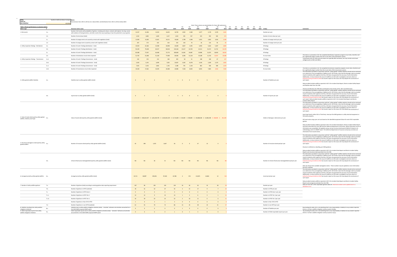| Table No.                                                                              | Southern California Edison Compar | ansmission lines refer to all lines at or above 65kV, and distribution lines refer to all lines below 65kV.                                                                                                                         |              |                |                                                                                                                                            |                         |                         |                                              |                          |                                                                |                         |            |                         |                       |                                              |           |    |                                                              |                                                                                                                                                                                                                                                                                                                                                                                                                                                                                                                                                                                                                                                                                                                                                                                                                                                                                                                                                                                                                                                                                                                                                                                                             |
|----------------------------------------------------------------------------------------|-----------------------------------|-------------------------------------------------------------------------------------------------------------------------------------------------------------------------------------------------------------------------------------|--------------|----------------|--------------------------------------------------------------------------------------------------------------------------------------------|-------------------------|-------------------------|----------------------------------------------|--------------------------|----------------------------------------------------------------|-------------------------|------------|-------------------------|-----------------------|----------------------------------------------|-----------|----|--------------------------------------------------------------|-------------------------------------------------------------------------------------------------------------------------------------------------------------------------------------------------------------------------------------------------------------------------------------------------------------------------------------------------------------------------------------------------------------------------------------------------------------------------------------------------------------------------------------------------------------------------------------------------------------------------------------------------------------------------------------------------------------------------------------------------------------------------------------------------------------------------------------------------------------------------------------------------------------------------------------------------------------------------------------------------------------------------------------------------------------------------------------------------------------------------------------------------------------------------------------------------------------|
| <b>Date Modified</b>                                                                   | 8/2/2021                          |                                                                                                                                                                                                                                     |              |                |                                                                                                                                            |                         |                         |                                              |                          | Note: These columns are placeholders for future QR submissions |                         |            |                         |                       |                                              |           |    |                                                              |                                                                                                                                                                                                                                                                                                                                                                                                                                                                                                                                                                                                                                                                                                                                                                                                                                                                                                                                                                                                                                                                                                                                                                                                             |
| Table 2: Recent performance on outcome metrics<br><b>Metric type</b>                   |                                   | Outcome metric name                                                                                                                                                                                                                 | 2015         | 2016           | 2017                                                                                                                                       | 2018                    | 2019                    | Q1<br>2020                                   | Q2<br>2020               | Q3                                                             | Q <sub>4</sub>          | Q1<br>2021 |                         | Q2<br>Q3<br>2021 2021 | Q4<br>Q1<br>2021 2022 2022 2022 2022 Unit(s) | $Q2 \tQ3$ | Q4 |                                                              | <b>Comment:</b>                                                                                                                                                                                                                                                                                                                                                                                                                                                                                                                                                                                                                                                                                                                                                                                                                                                                                                                                                                                                                                                                                                                                                                                             |
| 1. Risk events                                                                         | 1.a.                              | Number of all events with probability of ignition, including wires down, contacts with objects, line slap, events<br>with evidence of heat generation, and other events that cause sparking or have the potential to cause ignition | 12,337       | 12,406         | 13,243                                                                                                                                     | 14.635                  | 16,794                  | 2.902                                        | 3.368                    | 5.077                                                          | 3,178                   | 3.578      | 3.641                   |                       |                                              |           |    | Number per year                                              |                                                                                                                                                                                                                                                                                                                                                                                                                                                                                                                                                                                                                                                                                                                                                                                                                                                                                                                                                                                                                                                                                                                                                                                                             |
|                                                                                        | 1.b.                              | Number of wires down (total)                                                                                                                                                                                                        | 1,532        | 1,865          | 1,639                                                                                                                                      | 1,217                   | 1,524                   | 391                                          | 537                      | 523                                                            |                         | 593<br>503 |                         | 372                   |                                              |           |    | Number of wires down per year                                |                                                                                                                                                                                                                                                                                                                                                                                                                                                                                                                                                                                                                                                                                                                                                                                                                                                                                                                                                                                                                                                                                                                                                                                                             |
|                                                                                        | 1.c.                              | Number of outage events not caused by contact with vegetation (total)                                                                                                                                                               | 11,930       | 11,833         | 12,621                                                                                                                                     | 14,211                  | 16,260                  | 2.798                                        | 3.298                    | 5,051                                                          | 3,062                   | 3.554      | 3,190                   |                       |                                              |           |    | Number of outage events per year                             |                                                                                                                                                                                                                                                                                                                                                                                                                                                                                                                                                                                                                                                                                                                                                                                                                                                                                                                                                                                                                                                                                                                                                                                                             |
|                                                                                        | 1.d.                              | Number of outage events caused by contact with vegetation (total)                                                                                                                                                                   | 407          | 573            | 622                                                                                                                                        | 424                     | 534                     | 104                                          | 70                       | 26                                                             |                         | 116<br>95  |                         | 20                    |                                              |           |    | Number of outage events per year                             |                                                                                                                                                                                                                                                                                                                                                                                                                                                                                                                                                                                                                                                                                                                                                                                                                                                                                                                                                                                                                                                                                                                                                                                                             |
| 2. Utility inspection findings - Distribution 2.a.                                     |                                   | Number of Level 1 findings (distribution - total)                                                                                                                                                                                   | 19,559       | 22,364         | 23,598                                                                                                                                     | 20,998                  | 24,028                  | 4,857                                        | 5,595                    | 6,993                                                          | 5,634                   | 5,307      |                         | 4,892                 |                                              |           |    | # findings                                                   |                                                                                                                                                                                                                                                                                                                                                                                                                                                                                                                                                                                                                                                                                                                                                                                                                                                                                                                                                                                                                                                                                                                                                                                                             |
|                                                                                        | 2.b.                              | Number of Level 2 findings (distribution - total)                                                                                                                                                                                   | 92,109       | 79,438         | 69,257                                                                                                                                     | 82,818                  | 150,166                 | 23,217                                       | 24,739                   | 22,511                                                         | 25,372                  | 21,731     | 32,378                  |                       |                                              |           |    | # findings                                                   |                                                                                                                                                                                                                                                                                                                                                                                                                                                                                                                                                                                                                                                                                                                                                                                                                                                                                                                                                                                                                                                                                                                                                                                                             |
|                                                                                        | 2.c.                              | Number of Level 3 findings (distribution - total)                                                                                                                                                                                   | 85,588       | 77,057         | 64,408                                                                                                                                     | 72,774                  | 189,600                 | 14.381                                       | 19,487                   | 19,984                                                         | 21,075                  | 18,450     | 18,034                  |                       |                                              |           |    | # findings                                                   |                                                                                                                                                                                                                                                                                                                                                                                                                                                                                                                                                                                                                                                                                                                                                                                                                                                                                                                                                                                                                                                                                                                                                                                                             |
|                                                                                        | 2.d.                              | Number of distribution circuit miles inspected                                                                                                                                                                                      | 51,792       | 51,848         | 51,228                                                                                                                                     | 77,908                  | 69,596                  | 6.496                                        | 31,118                   | 19,189                                                         | 11,733                  | 13.037     | 19,588                  |                       |                                              |           |    | # circuit miles                                              | This total is a summation of all the completed distribution inspection program circuit miles, therefore will<br>be a significantly larger number than the circuit miles of the distribution system.                                                                                                                                                                                                                                                                                                                                                                                                                                                                                                                                                                                                                                                                                                                                                                                                                                                                                                                                                                                                         |
| 2. Utility inspection findings - Transmission 2.a.ii                                   |                                   | Number of Level 1 findings (transmission - total)                                                                                                                                                                                   | 242          | 255            | 213                                                                                                                                        | 180                     | 305                     | 58                                           | 51                       | 108                                                            |                         | 108<br>67  |                         | 107                   |                                              |           |    | # findings                                                   | Transmission lines for faults and wire downs are typically 65kV and above, but may include some lower<br>voltages (such as 55kV and 33kV).                                                                                                                                                                                                                                                                                                                                                                                                                                                                                                                                                                                                                                                                                                                                                                                                                                                                                                                                                                                                                                                                  |
|                                                                                        | 2.b.ii                            | Number of Level 2 findings (transmission - total)                                                                                                                                                                                   | 5,350        | 5,191          | 6,399                                                                                                                                      | 7,025                   | 23,047                  | 3,265                                        | 8,278                    | 3,334                                                          | 2,249                   | 2,170      |                         | 2,832                 |                                              |           |    | # findings                                                   |                                                                                                                                                                                                                                                                                                                                                                                                                                                                                                                                                                                                                                                                                                                                                                                                                                                                                                                                                                                                                                                                                                                                                                                                             |
|                                                                                        | 2.c.ii                            | Number of Level 3 findings (transmission - total)                                                                                                                                                                                   | 7,025        | 3,353          | 3,065                                                                                                                                      | 1.745                   | 5.188                   | 791                                          | 1.218                    | 863                                                            | 596                     | 580        | 1.019                   |                       |                                              |           |    | # findings                                                   |                                                                                                                                                                                                                                                                                                                                                                                                                                                                                                                                                                                                                                                                                                                                                                                                                                                                                                                                                                                                                                                                                                                                                                                                             |
|                                                                                        | 2.d.ii                            | Number of transmission circuit miles inspected                                                                                                                                                                                      | 19.528       | 17.661         | 19.295                                                                                                                                     | 24.588                  | 24,986                  | 7.558                                        | 8.050                    | 8.091                                                          | 7.845                   | 3.926      | 7.950                   |                       |                                              |           |    | # circuit miles                                              | This total is a summation of all the completed transmission inspection program circuit miles, therefore wil                                                                                                                                                                                                                                                                                                                                                                                                                                                                                                                                                                                                                                                                                                                                                                                                                                                                                                                                                                                                                                                                                                 |
| 3. Utility ignited wildfire fatalities                                                 | 3.a.                              | Fatalities due to utility-ignited wildfire (total)                                                                                                                                                                                  |              | $\overline{0}$ | $\overline{2}$                                                                                                                             | $\mathbf{R}$            |                         | 1 0                                          | $\overline{\phantom{0}}$ | $\overline{0}$                                                 | $\mathbf{0}$            |            | $\overline{\mathbf{0}}$ |                       |                                              |           |    | Number of fatalities per year                                | be a significantly larger number than the circuit miles of the transmission system.<br>The information provided in conjunction with the "utility-ignited" wildfire statistics should not be construe<br>as an admission of any wrongdoing or liability by SCE. SCE further notes that the damages metrics provider<br>may be tracked by other agencies and thus, SCE does not guarantee the accuracy of such information.<br>Additionally, in many instances the cause of wildfires are still under investigation and even where an<br>Authority Having Jurisdiction (AHJ) has issued a report on the cause, SCE may dispute the conclusions of<br>such report.<br>Data provided includes wildfires reported in SCE's Fire Incident Data Report, Electric Incident Safety Repor<br>and fatalities data from CAL FIRE.                                                                                                                                                                                                                                                                                                                                                                                       |
|                                                                                        | 3.b.                              | Injuries due to utility-ignited wildfire (total)                                                                                                                                                                                    |              |                |                                                                                                                                            | $\overline{\mathbf{3}}$ |                         | $3 \t 0$                                     | $\overline{\phantom{0}}$ | $-6$                                                           | $\overline{2}$          |            | $\overline{0}$          |                       |                                              |           |    | Number of injuries per year                                  | Thomas and Woosley CAL FIRE data contributed to the entirety of the 2017 and 2018 values.<br>The information provided in conjunction with the "utility-ignited" wildfire statistics should not be construe<br>as an admission of any wrongdoing or liability by SCE. SCE further notes that the damages metrics provide<br>may be tracked by other agencies and thus. SCE does not guarantee the accuracy of such information.<br>Additionally, in many instances the cause of wildfires are still under investigation and even where an<br>Authority Having Jurisdiction (AHJ) has issued a report on the cause, SCE may dispute the conclusions of<br>such report. Data provided includes wildfires reported in SCE's Fire Incident Data Report and Electric<br>Incident Safety Report.<br>The information provided in conjunction with the "utility-ignited" wildfire statistics should not be construe                                                                                                                                                                                                                                                                                                  |
| 4. Value of assets destroyed by utility-ignited 4.a.<br>wildfire, listed by asset type |                                   | Value of assets destroyed by utility-ignited wildfire (total)                                                                                                                                                                       |              |                | \$21,944,989 \$483,632,927 \$1,601,205,795 \$3,342,821,539 \$21,714,000 \$150,400 \$300,800 \$120,688,284 \$12,082,300 \$188,000 \$451,200 |                         |                         |                                              |                          |                                                                |                         |            |                         |                       |                                              |           |    | Dollars of damage or destruction per year                    | as an admission of any wrongdoing or liability by SCE. SCE further notes that the damages metrics provider<br>may be tracked by other agencies and thus, SCE does not guarantee the accuracy of such information.<br>Additionally, in many instances the cause of wildfires are still under investigation and even where an<br>Authority Having Jurisdiction (AHJ) has issued a report on the cause, SCE may dispute the conclusions of<br>such report.<br>Asset type listed is either SCE or Third Party. Asset per the WSD guidance is utility electrical equipment or<br>third party property.<br>SCE asset value using a per unit cost based on the identified equipment failure for each CPUC reportable<br>ignition.<br>Data provided includes wildfires reported in SCE's Fire Incident Data Report, Electric Incident Safety Repor<br>and asset value data from CAL FIRE and the California Department of Insurance. Where third party source<br>information was unavailable, SCE applied a proxy cost per structure destroyed of \$819,472 based on its<br>methodology used in its RAMP report. The California Department of Insurance and proxy cost data use<br>information from insured claims. |
| 5. Structures damaged or destroyed by utility- $\frac{1}{5.8}$<br>ignited wildfire     |                                   | Number of structures destroyed by utility-ignited wildfire (total)                                                                                                                                                                  | 45           | 290            | 1,072                                                                                                                                      | 1,667                   | 26                      | $\overline{0}$                               | $\mathbf{0}$             | 47                                                             | 13                      |            | $\overline{0}$          |                       |                                              |           |    | Number of structures destroyed per year                      | The information provided in conjunction with the "utility-ignited" wildfire statistics should not be construe<br>as an admission of any wrongdoing or liability by SCE. SCE further notes that the damages metrics provider<br>may be tracked by other agencies and thus, SCE does not guarantee the accuracy of such information.<br>Additionally, in many instances the cause of wildfires are still under investigation and even where an<br>Authority Having Jurisdiction (AHJ) has issued a report on the cause, SCE may dispute the conclusions of<br>such report.<br>Structure is defined as a dwelling, per WSD guidance.<br>Data provided includes wildfires reported in SCE's Fire Incident Data Report and Electric Incident Safety<br>Reports and structures destroyed data from CAL FIRE.                                                                                                                                                                                                                                                                                                                                                                                                      |
|                                                                                        | 5.b.                              | Critical infrastructure damaged/destroyed by utility-ignited wildfire (total)                                                                                                                                                       |              |                |                                                                                                                                            |                         |                         |                                              |                          |                                                                |                         | <b>NA</b>  |                         |                       |                                              |           |    | Number of critical infrastructure damaged/destroyed per year | The information provided in conjunction with the "utility-ignited" wildfire statistics should not be construe<br>as an admission of any wrongdoing or liability by SCE. SCE further notes that the damages metrics provide<br>may be tracked by other agencies and thus, SCE does not guarantee the accuracy of such information.<br>Additionally, in many instances the cause of wildfires are still under investigation and even where an<br>Authority Having Jurisdiction (AHJ) has issued a report on the cause, SCE may dispute the conclusions of<br>such report.                                                                                                                                                                                                                                                                                                                                                                                                                                                                                                                                                                                                                                     |
| 6. Acreage burned by utility-ignited wildfire 6.a.                                     |                                   | Acreage burned by utility-ignited wildfire (total)                                                                                                                                                                                  | 15,711       | 82.897         | 292.051                                                                                                                                    | 97,240                  | 22,784                  | $\overline{4}$                               | 574                      | 115,871                                                        | 12.863                  | 12         |                         | - 513                 |                                              |           |    | Acres burned per year                                        | Data was drawn from available subrogation claims. These numbers may be updated as more information<br>becomes available<br>The information provided in conjunction with the "utility-ignited" wildfire statistics should not be construe<br>as an admission of any wrongdoing or liability by SCE. SCE further notes that the damages metrics provide<br>may be tracked by other agencies and thus, SCE does not guarantee the accuracy of such information.<br>Additionally, in many instances the cause of wildfires are still under investigation and even where an<br>Authority Having Jurisdiction (AHJ) has issued a report on the cause, SCE may dispute the conclusions of<br>such report.<br>Data provided includes wildfires reported in SCE's Fire Incident Data Report and Electric Incident Safety<br>Reports and acreage burned data from CAL FIRE.                                                                                                                                                                                                                                                                                                                                           |
| 7. Number of utility wildfire ignitions                                                | 7.a.                              | Number of ignitions (total) according to existing ignition data reporting requirement                                                                                                                                               | 107          | 96             | 105                                                                                                                                        | 110                     | 124                     | 16                                           | 56                       | 45                                                             | 32                      | 28         |                         | - 59                  |                                              |           |    | Number per year                                              | Data are from SCE's CPUC reportable ignitions data set. Historical numbers were updated due to a                                                                                                                                                                                                                                                                                                                                                                                                                                                                                                                                                                                                                                                                                                                                                                                                                                                                                                                                                                                                                                                                                                            |
|                                                                                        | 7.b.                              | Number of ignitions in HFTD (subtotal)                                                                                                                                                                                              | 45           | 41             | 32                                                                                                                                         | 37                      |                         | $\overline{\mathbf{3}}$                      | 21                       | 17                                                             | 9                       |            | $7^{\circ}$             | 22                    |                                              |           |    | Number in HFTD per year                                      | tabulation error.                                                                                                                                                                                                                                                                                                                                                                                                                                                                                                                                                                                                                                                                                                                                                                                                                                                                                                                                                                                                                                                                                                                                                                                           |
|                                                                                        | 7.c.                              | Number of ignitions in HFTD Zone 1                                                                                                                                                                                                  | $\circ$      | $\overline{0}$ | $\mathbf{0}$                                                                                                                               | $\overline{0}$          | $\bullet$               | $\bullet$                                    | $\bullet$                | $\overline{0}$                                                 | $\bullet$               |            | $\overline{0}$          |                       |                                              |           |    | Number in HFTD Zone 1 per year                               |                                                                                                                                                                                                                                                                                                                                                                                                                                                                                                                                                                                                                                                                                                                                                                                                                                                                                                                                                                                                                                                                                                                                                                                                             |
|                                                                                        | 7.c.ii.                           | Number of ignitions in HFTD Tier 2                                                                                                                                                                                                  | 13           | 12             |                                                                                                                                            | 15                      |                         | $\overline{1}$                               | 5 <sup>5</sup>           | 6                                                              | $\overline{\mathbf{3}}$ |            |                         | $\overline{11}$       |                                              |           |    | Number in HFTD Tier 2 per year                               |                                                                                                                                                                                                                                                                                                                                                                                                                                                                                                                                                                                                                                                                                                                                                                                                                                                                                                                                                                                                                                                                                                                                                                                                             |
|                                                                                        | 7.c.iii.                          | Number of ignitions in HFTD Tier 3                                                                                                                                                                                                  | 32           | 29             | 23                                                                                                                                         | 22                      | 22                      | $\overline{2}$                               | 16                       | 11                                                             | 6                       |            | - 6                     | $_{11}$               |                                              |           |    | Number in HFTD Tier 3 per year                               |                                                                                                                                                                                                                                                                                                                                                                                                                                                                                                                                                                                                                                                                                                                                                                                                                                                                                                                                                                                                                                                                                                                                                                                                             |
|                                                                                        |                                   | Number of ignitions in Non-CPUC HFTD                                                                                                                                                                                                | $\mathbf{1}$ | $\overline{0}$ | $\overline{\mathbf{3}}$                                                                                                                    | $\mathbf{1}$            | $\overline{\mathbf{3}}$ | $\overline{\mathbf{0}}$                      | $\bullet$                | $\bullet$                                                      | $\bullet$               |            | $\overline{0}$          |                       |                                              |           |    | Number in Non-CPUC HFTD                                      |                                                                                                                                                                                                                                                                                                                                                                                                                                                                                                                                                                                                                                                                                                                                                                                                                                                                                                                                                                                                                                                                                                                                                                                                             |
|                                                                                        | 7.d.                              | Number of ignitions in non-HFTD (subtotal)                                                                                                                                                                                          | 61           | 55             | 70                                                                                                                                         | 72                      |                         | 13                                           | 35                       | 28                                                             | 23                      |            | 21                      | -37                   |                                              |           |    | Number in non-HFTD per year                                  |                                                                                                                                                                                                                                                                                                                                                                                                                                                                                                                                                                                                                                                                                                                                                                                                                                                                                                                                                                                                                                                                                                                                                                                                             |
| 8. Fatalities resulting from utility wildfire                                          | 8.a.                              | Fatalities due to utility wildfire mitigation activities (total) - "activities" defined as all activities accounted for in                                                                                                          | $\Omega$     |                |                                                                                                                                            |                         |                         |                                              |                          |                                                                |                         |            |                         |                       |                                              |           |    |                                                              | By providing this data, SCE is not admitting that 1) any responsibility or liability for any incident reported                                                                                                                                                                                                                                                                                                                                                                                                                                                                                                                                                                                                                                                                                                                                                                                                                                                                                                                                                                                                                                                                                              |
| mitigation initiatives<br>9. OSHA-reportable injuries from utility                     |                                   | the 2020 WMP proposed WMP spend<br>OSHA-reportable injuries due to utility wildfire mitigation activities (total) - "activities" defined as all activities                                                                          |              | $\mathbf{0}$   | $\mathbf{0}$                                                                                                                               | $\overline{0}$          |                         |                                              | $\bullet$                | $\bullet$                                                      | $\bullet$               |            | $\overline{0}$          |                       |                                              |           |    | Number of fatalities per year                                | herein or 2) that a wildfire mitigation activity caused a fatality.<br>By providing this data, SCE is not admitting that 1) any responsibility or liability for any incident reported                                                                                                                                                                                                                                                                                                                                                                                                                                                                                                                                                                                                                                                                                                                                                                                                                                                                                                                                                                                                                       |
| wildfire mitigation initiatives                                                        | 9.a.                              | accounted for in the 2020 WMP proposed WMP spend                                                                                                                                                                                    |              | $\overline{0}$ | $\overline{0}$                                                                                                                             | $\overline{0}$          | $\mathbf{1}$            | $\begin{array}{ccc} & & 0 & & 1 \end{array}$ |                          | $\overline{\phantom{a}}$                                       | $\bullet$               |            | $\overline{0}$          |                       |                                              |           |    | Number of OSHA-reportable injuries per year                  | herein or 2) that a wildfire mitigation activity caused an injury.                                                                                                                                                                                                                                                                                                                                                                                                                                                                                                                                                                                                                                                                                                                                                                                                                                                                                                                                                                                                                                                                                                                                          |

| <b>Comment</b> |  |
|----------------|--|

|            | This total is a summation of all the completed distribution inspection program circuit miles, therefore will<br>be a significantly larger number than the circuit miles of the distribution system.                                                                                                                                                                                                                                                                               |
|------------|-----------------------------------------------------------------------------------------------------------------------------------------------------------------------------------------------------------------------------------------------------------------------------------------------------------------------------------------------------------------------------------------------------------------------------------------------------------------------------------|
|            | Transmission lines for faults and wire downs are typically 65kV and above, but may include some lower<br>voltages (such as 55kV and 33kV).                                                                                                                                                                                                                                                                                                                                        |
|            |                                                                                                                                                                                                                                                                                                                                                                                                                                                                                   |
|            | This total is a summation of all the completed transmission inspection program circuit miles, therefore will                                                                                                                                                                                                                                                                                                                                                                      |
|            | be a significantly larger number than the circuit miles of the transmission system.<br>The information provided in conjunction with the "utility-ignited" wildfire statistics should not be construed                                                                                                                                                                                                                                                                             |
|            | as an admission of any wrongdoing or liability by SCE. SCE further notes that the damages metrics provided<br>may be tracked by other agencies and thus, SCE does not guarantee the accuracy of such information.                                                                                                                                                                                                                                                                 |
|            | Additionally, in many instances the cause of wildfires are still under investigation and even where an                                                                                                                                                                                                                                                                                                                                                                            |
|            | Authority Having Jurisdiction (AHJ) has issued a report on the cause, SCE may dispute the conclusions of<br>such report.                                                                                                                                                                                                                                                                                                                                                          |
|            | Data provided includes wildfires reported in SCE's Fire Incident Data Report, Electric Incident Safety Report<br>and fatalities data from CAL FIRE.                                                                                                                                                                                                                                                                                                                               |
|            | Thomas and Woosley CAL FIRE data contributed to the entirety of the 2017 and 2018 values.                                                                                                                                                                                                                                                                                                                                                                                         |
|            | The information provided in conjunction with the "utility-ignited" wildfire statistics should not be construed<br>as an admission of any wrongdoing or liability by SCE. SCE further notes that the damages metrics provided                                                                                                                                                                                                                                                      |
|            | may be tracked by other agencies and thus, SCE does not guarantee the accuracy of such information.                                                                                                                                                                                                                                                                                                                                                                               |
|            | Additionally, in many instances the cause of wildfires are still under investigation and even where an<br>Authority Having Jurisdiction (AHJ) has issued a report on the cause, SCE may dispute the conclusions of                                                                                                                                                                                                                                                                |
|            | such report. Data provided includes wildfires reported in SCE's Fire Incident Data Report and Electric<br>Incident Safety Report.                                                                                                                                                                                                                                                                                                                                                 |
|            | The information provided in conjunction with the "utility-ignited" wildfire statistics should not be construed                                                                                                                                                                                                                                                                                                                                                                    |
|            | as an admission of any wrongdoing or liability by SCE. SCE further notes that the damages metrics provided<br>may be tracked by other agencies and thus, SCE does not guarantee the accuracy of such information.                                                                                                                                                                                                                                                                 |
|            | Additionally, in many instances the cause of wildfires are still under investigation and even where an<br>Authority Having Jurisdiction (AHJ) has issued a report on the cause, SCE may dispute the conclusions of                                                                                                                                                                                                                                                                |
|            | such report.                                                                                                                                                                                                                                                                                                                                                                                                                                                                      |
|            | Asset type listed is either SCE or Third Party. Asset per the WSD guidance is utility electrical equipment or<br>third party property.                                                                                                                                                                                                                                                                                                                                            |
|            |                                                                                                                                                                                                                                                                                                                                                                                                                                                                                   |
|            | SCE asset value using a per unit cost based on the identified equipment failure for each CPUC reportable<br>ignition.                                                                                                                                                                                                                                                                                                                                                             |
|            | Data provided includes wildfires reported in SCE's Fire Incident Data Report, Electric Incident Safety Report<br>and asset value data from CAL FIRE and the California Department of Insurance. Where third party source of<br>information was unavailable, SCE applied a proxy cost per structure destroyed of \$819,472 based on its<br>methodology used in its RAMP report. The California Department of Insurance and proxy cost data use<br>information from insured claims. |
|            | The information provided in conjunction with the "utility-ignited" wildfire statistics should not be construed                                                                                                                                                                                                                                                                                                                                                                    |
|            | as an admission of any wrongdoing or liability by SCE. SCE further notes that the damages metrics provided<br>may be tracked by other agencies and thus, SCE does not guarantee the accuracy of such information.                                                                                                                                                                                                                                                                 |
|            | Additionally, in many instances the cause of wildfires are still under investigation and even where an                                                                                                                                                                                                                                                                                                                                                                            |
|            | Authority Having Jurisdiction (AHJ) has issued a report on the cause, SCE may dispute the conclusions of<br>such report.                                                                                                                                                                                                                                                                                                                                                          |
|            | Structure is defined as a dwelling, per WSD guidance.                                                                                                                                                                                                                                                                                                                                                                                                                             |
|            | Data provided includes wildfires reported in SCE's Fire Incident Data Report and Electric Incident Safety                                                                                                                                                                                                                                                                                                                                                                         |
|            | Reports and structures destroyed data from CAL FIRE.<br>The information provided in conjunction with the "utility-ignited" wildfire statistics should not be construed                                                                                                                                                                                                                                                                                                            |
|            | as an admission of any wrongdoing or liability by SCE. SCE further notes that the damages metrics provided<br>may be tracked by other agencies and thus, SCE does not guarantee the accuracy of such information.                                                                                                                                                                                                                                                                 |
| d per year | Additionally, in many instances the cause of wildfires are still under investigation and even where an                                                                                                                                                                                                                                                                                                                                                                            |
|            | Authority Having Jurisdiction (AHJ) has issued a report on the cause, SCE may dispute the conclusions of<br>such report.                                                                                                                                                                                                                                                                                                                                                          |
|            | Data was drawn from available subrogation claims. These numbers may be updated as more information                                                                                                                                                                                                                                                                                                                                                                                |
|            | becomes available.<br>The information provided in conjunction with the "utility-ignited" wildfire statistics should not be construed                                                                                                                                                                                                                                                                                                                                              |
|            | as an admission of any wrongdoing or liability by SCE. SCE further notes that the damages metrics provided<br>may be tracked by other agencies and thus, SCE does not guarantee the accuracy of such information.<br>Additionally, in many instances the cause of wildfires are still under investigation and even where an<br>Authority Having Jurisdiction (AHJ) has issued a report on the cause, SCE may dispute the conclusions of<br>such report.                           |
|            | Data provided includes wildfires reported in SCE's Fire Incident Data Report and Electric Incident Safety                                                                                                                                                                                                                                                                                                                                                                         |
|            | Reports and acreage burned data from CAL FIRE.<br>Data are from SCE's CPUC reportable ignitions data set. Historical numbers were updated due to a<br>tabulation error.                                                                                                                                                                                                                                                                                                           |
|            |                                                                                                                                                                                                                                                                                                                                                                                                                                                                                   |
|            |                                                                                                                                                                                                                                                                                                                                                                                                                                                                                   |
|            |                                                                                                                                                                                                                                                                                                                                                                                                                                                                                   |
|            |                                                                                                                                                                                                                                                                                                                                                                                                                                                                                   |
|            | By providing this data, SCE is not admitting that 1) any responsibility or liability for any incident reported                                                                                                                                                                                                                                                                                                                                                                    |
|            | herein or 2) that a wildfire mitigation activity caused a fatality.<br>By providing this data, SCE is not admitting that 1) any responsibility or liability for any incident reported<br>herein or 2) that a wildfire mitigation activity caused an injury.                                                                                                                                                                                                                       |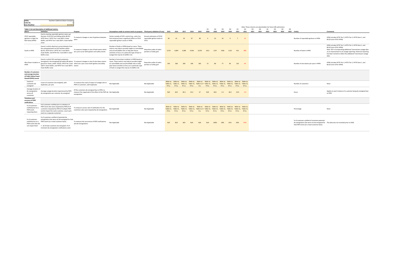| Utility                                                                                                      | Southern California Edison Company                                                                                                                                                                                                                      |                                                                                                                                                                                                    |                                                                                                                                                                                                                                                                    |                                                                    |                    |                                          |                                |                                                                                                                  |                  |                         |                            |                                                                                     |      |                   |                            |                                                                 |      |      |      |      |    |                                                                                              |                                                                                                                                                                                                                                                                                                    |
|--------------------------------------------------------------------------------------------------------------|---------------------------------------------------------------------------------------------------------------------------------------------------------------------------------------------------------------------------------------------------------|----------------------------------------------------------------------------------------------------------------------------------------------------------------------------------------------------|--------------------------------------------------------------------------------------------------------------------------------------------------------------------------------------------------------------------------------------------------------------------|--------------------------------------------------------------------|--------------------|------------------------------------------|--------------------------------|------------------------------------------------------------------------------------------------------------------|------------------|-------------------------|----------------------------|-------------------------------------------------------------------------------------|------|-------------------|----------------------------|-----------------------------------------------------------------|------|------|------|------|----|----------------------------------------------------------------------------------------------|----------------------------------------------------------------------------------------------------------------------------------------------------------------------------------------------------------------------------------------------------------------------------------------------------|
| Table No.<br><b>Date Modified</b>                                                                            | 8/2/2021                                                                                                                                                                                                                                                |                                                                                                                                                                                                    |                                                                                                                                                                                                                                                                    |                                                                    |                    |                                          |                                |                                                                                                                  |                  |                         |                            |                                                                                     |      |                   |                            |                                                                 |      |      |      |      |    |                                                                                              |                                                                                                                                                                                                                                                                                                    |
|                                                                                                              |                                                                                                                                                                                                                                                         |                                                                                                                                                                                                    |                                                                                                                                                                                                                                                                    |                                                                    |                    |                                          |                                |                                                                                                                  |                  |                         |                            |                                                                                     |      |                   |                            | Note: These columns are placeholders for future QR submissions. |      |      |      |      |    |                                                                                              |                                                                                                                                                                                                                                                                                                    |
|                                                                                                              | Table 3: List and description of additional metrics                                                                                                                                                                                                     |                                                                                                                                                                                                    |                                                                                                                                                                                                                                                                    |                                                                    |                    |                                          |                                |                                                                                                                  |                  | Q1                      | Q2                         | Q3                                                                                  | Q4   | Q1                | Q <sub>2</sub>             | Q3                                                              | Q4   | Q1   | Q2   | Q3   | Q4 |                                                                                              |                                                                                                                                                                                                                                                                                                    |
| Metric                                                                                                       | <b>Definition</b>                                                                                                                                                                                                                                       | Purpose                                                                                                                                                                                            | Assumptions made to connect metric to purpose Third-party validation (if any) 2015 2016 2017 2018 2019                                                                                                                                                             |                                                                    |                    |                                          |                                |                                                                                                                  |                  | 2020                    | 2020                       | 2020                                                                                | 2020 | 2021              | 2021                       | 2021                                                            | 2021 | 2022 | 2022 | 2022 |    | 2022 Unit(s)                                                                                 | <b>Comments</b>                                                                                                                                                                                                                                                                                    |
| CPUC reportable<br>ignitions in High Fire<br>Risk Areas (HFRA)                                               | Events meeting reportable ignition status per<br>Decision 14-02-015 and falling within BL322,<br>HFTD Zone 1 HFTD Tier 2 and 200 ft. Outer<br>Buffer, and HFTD Tier 3 and 200 ft. Outer Buffer<br>areas                                                 | To measure changes in rate of ignitions between<br>years                                                                                                                                           | Factors outside of SCE's control (e.g., wind, live<br>fuel moisture) have a significant effect on CPUC<br>reportable ignition counts in HFRA.                                                                                                                      | Annual submission of CPUC<br>reportable ignition totals to<br>CPUC | 46                 | 41                                       | 35                             | 37                                                                                                               | 38               | $\overline{\mathbf{3}}$ | 22                         | 16                                                                                  | - 9  |                   | 7 22                       |                                                                 |      |      |      |      |    | Number of reportable ignitions in HFRA                                                       | HFRA includes HFTD Tier 3, HFTD Tier 2, HFTD Zone 1, and<br>BL322 (non-CPUC HFRA)                                                                                                                                                                                                                  |
| Faults in HFRA                                                                                               | Events in which electrical current deviates from<br>the anticpated path via SCE facilities within<br>BL322, HFTD Zone 1 HFTD Tier 2 and 200 ft<br>Outer Buffer, and HFTD Tier 3 and 200 ft. Outer<br>Buffer areas                                       | To measure changes in rate of fault events which<br>are a pre-cursor both ignition and safety events                                                                                               | Number of faults in HFRA based on cause. These<br>metrics may help to provide insight on controllable<br>and uncontrollable risks or help plan future<br>activities to focus on a particular type of fault or<br>outage that may be of wildfire risk.              | Deep-dive audits of select<br>portions of utility grid             | 3,723              | 4,004                                    | 4,286                          | 4,558                                                                                                            | 6,578            | 1011                    | 1147                       | 1436                                                                                | 1132 | 912               | 806                        |                                                                 |      |      |      |      |    | Number of faults in HFRA                                                                     | HFRA includes HFTD Tier 3. HFTD Tier 2. HFTD Zone 1. and<br>BL322 (non-CPUC HFRA).<br>Note: SCE is incorporating additional Transmission outage data<br>as an improvement to its outage reporting. Historical reporting<br>has been revised to reflect the additional Transmission outage<br>data. |
| Wire Down Incidents in<br><b>HFRA</b>                                                                        | Events in which SCE overhead conductors<br>200 ft. Outer Buffer, and HFTD Tier 3 and 200 ft. events<br>Outer Buffer areas                                                                                                                               | (energized or de-energized) fall within 8ft above To measure changes in rate of wire down events<br>ground or lower, within BL322, HFTD Tier 2 and which are a pre-cursor both ignition and safety | Number of wire down incidents in HFRA based on<br>cause. These metrics may help to provide insight<br>on controllable and uncontrollable risks or help<br>plan future activities to focus on a particular type<br>of fault or outage that may be of wildfire risk. | Deep-dive audits of select<br>portions of utility grid             | 245                | 338                                      | 304                            | 199                                                                                                              | 303              | 72                      |                            | 77                                                                                  | 85   | 116               | $-40$                      |                                                                 |      |      |      |      |    | Number of wire downs per year in HFRA                                                        | HFRA includes HFTD Tier 3, HFTD Tier 2, HFTD Zone 1, and<br>BL322 (non-CPUC HFRA)                                                                                                                                                                                                                  |
| <b>Number of customers</b><br>and average duration<br>of Public Safety Power<br><b>Shutoff (PSPS) events</b> |                                                                                                                                                                                                                                                         |                                                                                                                                                                                                    |                                                                                                                                                                                                                                                                    |                                                                    |                    |                                          |                                |                                                                                                                  |                  |                         |                            |                                                                                     |      |                   |                            |                                                                 |      |      |      |      |    |                                                                                              |                                                                                                                                                                                                                                                                                                    |
| Total # of<br>customers de-<br>energized                                                                     | Count of customers de-energized, with<br>duplicates, per year                                                                                                                                                                                           | To measure the scale of impact of outages due to<br>PSPS to customers, with duplicates                                                                                                             | Not Applicable                                                                                                                                                                                                                                                     | Not Applicable                                                     | Table 11.<br>#4.a. | Refer to Refer to<br>Table 11.<br>#4.a.  | Refer to<br>Table 11.<br>#4.a. | Refer to<br>Table 11, Table 11, # Table 11, Table 11, Table 11, Table 11, Table 11, Table 11,<br>#4.a.           | 4.a.             |                         |                            | Refer to Refer to Refer to Refer to Refer to Refer to Refer to<br>#4.a. #4.a. #4.a. |      | #4.a. #4.a. #4.a. |                            |                                                                 |      |      |      |      |    | Number of customers                                                                          | None                                                                                                                                                                                                                                                                                               |
| Average duration of<br>de-energization<br>across all<br>customers.                                           | Average outage duration experienced by PSPS<br>de-energization per customer de-energized                                                                                                                                                                | Of the customers de-energized due to PSPS, to<br>measure the magnitude of the effect of the PSPS de- Not Applicable<br>energization                                                                |                                                                                                                                                                                                                                                                    | Not Applicable                                                     | N/A                | N/A                                      | 30.3                           | 23.2                                                                                                             | 27               | N/A                     | N/A                        | 2.2                                                                                 | 18.3 | 23.9              | 2.9                        |                                                                 |      |      |      |      |    | Hours                                                                                        | Applies to each instance of a customer being de-energized due<br>to PSPS                                                                                                                                                                                                                           |
| <b>Timeliness and</b><br>accuracy of PSPS<br>notifications                                                   |                                                                                                                                                                                                                                                         |                                                                                                                                                                                                    |                                                                                                                                                                                                                                                                    |                                                                    |                    |                                          |                                |                                                                                                                  |                  |                         |                            |                                                                                     |      |                   |                            |                                                                 |      |      |      |      |    |                                                                                              |                                                                                                                                                                                                                                                                                                    |
| % of customers<br>notified prior to a<br>PSPS event<br>impacting them                                        | # of customers notified prior to initiation of<br>PSPS event who were impacted by PSPS/ # of<br>customers impacted by PSPS (if multiple PSPS<br>events impact the same customer, count each<br>event as a separate customer)                            | To measure success rate of notification for the<br>customers who were impacted by de-energization                                                                                                  | Not Applicable                                                                                                                                                                                                                                                     | Not Applicable                                                     | Refer to<br>#4.e.  | Refer to<br>Table 11. Table 11.<br>#4.e. | Refer to<br>Table 11.          | Refer to<br>Table 11. Table 11. # Table 11. Table 11. Table 11. Table 11. Table 11. Table 11.<br>$#4.e.$ $#4.e.$ | Refer to<br>4.e. |                         | Refer to Refer to Refer to | #4.e. #4.e. #4.e. #4.e. #4.e. #4.e.                                                 |      |                   | Refer to Refer to Refer to |                                                                 |      |      |      |      |    | Percentage                                                                                   | None                                                                                                                                                                                                                                                                                               |
| % of customers<br>notified prior to a<br>PSPS event that did                                                 | % of customers notified of potential de-<br>energization that were not de-energized for that<br>PSPS event (on a total customer basis)<br>not impact them 1 - (# of total customers de-energized / # of<br>imminent de-energization notifications sent) | To measure the occurrence of PSPS notifications<br>and de-energizations                                                                                                                            | Not Applicable                                                                                                                                                                                                                                                     | Not Applicable                                                     | N/A                | N/A                                      | N/L                            |                                                                                                                  | N/A              |                         |                            | 39%                                                                                 | 61%  | 65%               | 87%                        |                                                                 |      |      |      |      |    | % of customers notified of imminent potential<br>that PSPS event (on a total customer basis) | de-energization that were not de-energized for This data was not recorded prior to 2020.                                                                                                                                                                                                           |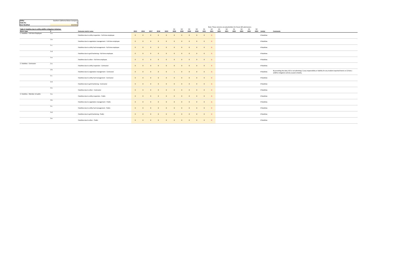| Utility<br>Table No.                                               | Southern California Edison Company |                                                                |                |                         |                |                          |                         |                         |                |                         |                          |                |                          |      |                                                                 |      |      |      |    |              |                                                                                                                                                                                   |
|--------------------------------------------------------------------|------------------------------------|----------------------------------------------------------------|----------------|-------------------------|----------------|--------------------------|-------------------------|-------------------------|----------------|-------------------------|--------------------------|----------------|--------------------------|------|-----------------------------------------------------------------|------|------|------|----|--------------|-----------------------------------------------------------------------------------------------------------------------------------------------------------------------------------|
| <b>Date Modified</b>                                               | 8/2/2021                           |                                                                |                |                         |                |                          |                         |                         |                |                         |                          |                |                          |      |                                                                 |      |      |      |    |              |                                                                                                                                                                                   |
|                                                                    |                                    |                                                                |                |                         |                |                          |                         |                         |                |                         |                          |                |                          |      | Note: These columns are placeholders for future QR submissions. |      |      |      |    |              |                                                                                                                                                                                   |
| Table 4: Fatalities due to utility wildfire mitigation initiatives |                                    |                                                                |                |                         |                |                          |                         | Q1                      | Q2             | Q3                      | Q4                       | Q1             | Q <sub>2</sub>           | Q3   | Q4                                                              | Q1   | Q2   | Q3   | Q4 |              |                                                                                                                                                                                   |
| <b>Metric type</b>                                                 | #                                  | Outcome metric name                                            |                | 2015 2016               | 2017           | 2018                     | 2019                    | 2020                    | 2020           | 2020                    | 2020                     | 2021           | 2021                     | 2021 | 2021                                                            | 2022 | 2022 | 2022 |    | 2022 Unit(s) | Comments                                                                                                                                                                          |
| 1. Fatalities - Full-time Employee                                 | 1.a.                               | Fatalities due to utility inspection - Full-time employee      | $\overline{0}$ | $\overline{\mathbf{0}}$ | $\overline{0}$ | $\overline{\mathbf{0}}$  | $\overline{0}$          | $\overline{0}$          | $\overline{0}$ | $\Omega$                | $\overline{0}$           | $\overline{0}$ | $\bullet$                |      |                                                                 |      |      |      |    | # fatalities |                                                                                                                                                                                   |
|                                                                    | 1.b.                               | Fatalities due to vegetation management - Full-time employee   | $\overline{0}$ | $\overline{\mathbf{0}}$ | $\overline{0}$ | $\overline{\mathbf{0}}$  | $\overline{0}$          | $\overline{\mathbf{0}}$ | $\overline{0}$ | $\overline{\mathbf{0}}$ | $\overline{\mathbf{0}}$  | $\overline{0}$ | $\bullet$                |      |                                                                 |      |      |      |    | # fatalities |                                                                                                                                                                                   |
|                                                                    | 1.c.                               | Fatalities due to utility fuel management - Full-time employee | $\overline{0}$ | $\Omega$                | $\mathbf{0}$   | $\overline{\mathbf{0}}$  | $\Omega$                | $\overline{0}$          | $\overline{0}$ | $\overline{0}$          | $\overline{0}$           | $\overline{0}$ | $\overline{0}$           |      |                                                                 |      |      |      |    | # fatalities |                                                                                                                                                                                   |
|                                                                    | 1.d.                               | Fatalities due to grid hardening - Full-time employee          | $\overline{0}$ | $\sqrt{ }$              | $\Omega$       | $\Omega$                 | $\Omega$                | $\Omega$                | $\overline{0}$ | $\Omega$                | $\overline{0}$           | $\overline{0}$ | $\overline{\mathbf{0}}$  |      |                                                                 |      |      |      |    | # fatalities |                                                                                                                                                                                   |
|                                                                    | 1.e.                               | Fatalities due to other - Full-time employee                   | $\overline{0}$ |                         | $\Omega$       | $\Omega$                 | $\overline{0}$          | $\Omega$                | $\overline{0}$ | $\overline{0}$          | $\overline{0}$           | $\overline{0}$ | $\overline{\mathbf{0}}$  |      |                                                                 |      |      |      |    | # fatalities |                                                                                                                                                                                   |
| 2. Fatalities - Contractor                                         | 2.a.                               | Fatalities due to utility inspection - Contractor              | $\overline{0}$ | $\overline{\mathbf{0}}$ | $\overline{0}$ | $\overline{\phantom{0}}$ | $\overline{0}$          | $\overline{\mathbf{0}}$ | $\overline{0}$ | $\overline{\mathbf{0}}$ | $\overline{\phantom{0}}$ | $\overline{0}$ | $\overline{\mathbf{0}}$  |      |                                                                 |      |      |      |    | # fatalities |                                                                                                                                                                                   |
|                                                                    | 2.b.                               | Fatalities due to vegetation management - Contractor           | $\overline{0}$ | $\overline{\mathbf{0}}$ | $\circ$        | $\overline{0}$           | $\overline{0}$          | $\mathbf{1}$            | $\overline{0}$ | $\overline{0}$          | $\overline{0}$           | $\overline{0}$ | $\overline{\mathbf{0}}$  |      |                                                                 |      |      |      |    | # fatalities | By providing this data, SCE is not admitting: 1) any responsibility or liability for any incident reported herein or 2) that a<br>wildfire mitigation activity caused a fatality. |
|                                                                    | 2.c.                               | Fatalities due to utility fuel management - Contractor         | $\overline{0}$ | $\sqrt{2}$              | $\Omega$       | $\Omega$                 | $\sqrt{ }$              | $\Omega$                | $\overline{0}$ | $\overline{0}$          | $\overline{0}$           | $\overline{0}$ | $\overline{\mathbf{0}}$  |      |                                                                 |      |      |      |    | # fatalities |                                                                                                                                                                                   |
|                                                                    | 2.d.                               | Fatalities due to grid hardening - Contractor                  | $\overline{0}$ |                         |                | $\overline{\mathbf{0}}$  |                         | $\Omega$                | $\Omega$       | $\overline{0}$          | $\overline{0}$           | $\overline{0}$ | $\bullet$ 0              |      |                                                                 |      |      |      |    | # fatalities |                                                                                                                                                                                   |
|                                                                    | 2.e.                               | Fatalities due to other - Contractor                           | $\overline{0}$ | $\overline{\mathbf{0}}$ | $\Omega$       | $\overline{\mathbf{0}}$  | $\overline{0}$          | $\overline{0}$          | $\overline{0}$ | $\overline{\mathbf{0}}$ | $\overline{\mathbf{0}}$  | $\overline{0}$ | $\overline{0}$           |      |                                                                 |      |      |      |    | # fatalities |                                                                                                                                                                                   |
| 3. Fatalities - Member of public                                   | 3.а.                               | Fatalities due to utility inspection - Public                  | $\overline{0}$ | $\overline{0}$          | $\circ$        | $\overline{\mathbf{0}}$  | $\overline{0}$          | $\overline{0}$          | $\overline{0}$ | $\overline{\mathbf{0}}$ | $\overline{\mathbf{0}}$  | $\overline{0}$ | $\bullet$ 0              |      |                                                                 |      |      |      |    | # fatalities |                                                                                                                                                                                   |
|                                                                    | 3.b.                               | Fatalities due to vegetation management - Public               | $\overline{0}$ | $\overline{\mathbf{0}}$ | $\mathbf{0}$   | $\overline{0}$           | $\overline{0}$          | $\overline{0}$          | $\overline{0}$ | $\overline{0}$          | $\overline{0}$           | $\overline{0}$ | $\overline{0}$           |      |                                                                 |      |      |      |    | # fatalities |                                                                                                                                                                                   |
|                                                                    | 3.c.                               | Fatalities due to utility fuel management - Public             | $\overline{0}$ | $\sqrt{2}$              | $\Omega$       | $\Omega$                 | $\overline{0}$          | $\overline{0}$          | $\overline{0}$ | $\overline{0}$          | $\overline{0}$           | $\overline{0}$ | $\overline{\phantom{0}}$ |      |                                                                 |      |      |      |    | # fatalities |                                                                                                                                                                                   |
|                                                                    | 3.d.                               | Fatalities due to grid hardening - Public                      | $\overline{0}$ | $\overline{0}$          | $\circ$        | $\overline{\mathbf{0}}$  | $\overline{0}$          | $\overline{0}$          | $\overline{0}$ | $\overline{\mathbf{0}}$ | $\overline{\mathbf{0}}$  | $\overline{0}$ | $\overline{\mathbf{0}}$  |      |                                                                 |      |      |      |    | # fatalities |                                                                                                                                                                                   |
|                                                                    | 3.e.                               | Fatalities due to other - Public                               | $\overline{0}$ | $\overline{\mathbf{0}}$ | $\overline{0}$ | $\overline{\phantom{0}}$ | $\overline{\mathbf{0}}$ | $\overline{\mathbf{0}}$ | $\overline{0}$ | $\overline{\mathbf{0}}$ | $\overline{\phantom{0}}$ | $\overline{0}$ | $\overline{\phantom{0}}$ |      |                                                                 |      |      |      |    | # fatalities |                                                                                                                                                                                   |
|                                                                    |                                    |                                                                |                |                         |                |                          |                         |                         |                |                         |                          |                |                          |      |                                                                 |      |      |      |    |              |                                                                                                                                                                                   |

| s not admitting: 1) any responsibility or liability for any incident reported herein or 2) that a<br>aused a fatality. |
|------------------------------------------------------------------------------------------------------------------------|
|                                                                                                                        |
|                                                                                                                        |
|                                                                                                                        |
|                                                                                                                        |
|                                                                                                                        |
|                                                                                                                        |
|                                                                                                                        |
|                                                                                                                        |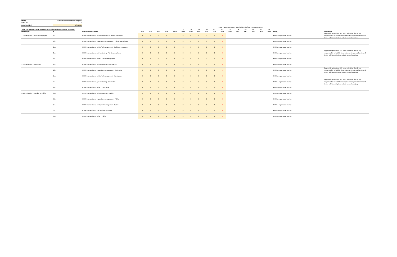| <b>Comments</b>                                                    |
|--------------------------------------------------------------------|
| By providing this data, SCE is not admitting that 1) any           |
| responsibility or liability for any incident reported herein or 2) |
| that a wildfire mitigation activity caused an injury.              |
|                                                                    |
|                                                                    |
|                                                                    |
|                                                                    |
|                                                                    |
| By providing this data, SCE is not admitting that 1) any           |
| responsibility or liability for any incident reported herein or 2) |
| that a wildfire mitigation activity caused an injury.              |
|                                                                    |
|                                                                    |
|                                                                    |
|                                                                    |
|                                                                    |
| By providing this data, SCE is not admitting that 1) any           |
| responsibility or liability for any incident reported herein or 2) |
| that a wildfire mitigation activity caused an injury.              |
|                                                                    |
|                                                                    |
| By providing this data, SCE is not admitting that 1) any           |
| responsibility or liability for any incident reported herein or 2) |
| that a wildfire mitigation activity caused an iniury.              |
|                                                                    |
|                                                                    |
|                                                                    |
|                                                                    |
|                                                                    |
|                                                                    |
|                                                                    |
|                                                                    |
|                                                                    |
|                                                                    |
|                                                                    |
|                                                                    |
|                                                                    |
|                                                                    |

| Utility<br>Table No.                                                             | Southern California Edison Company |                                                                   |                |                         |          |          |                |                |                |                |                         |                |                         |                                                                 |      |      |      |      |              |                            |                                |
|----------------------------------------------------------------------------------|------------------------------------|-------------------------------------------------------------------|----------------|-------------------------|----------|----------|----------------|----------------|----------------|----------------|-------------------------|----------------|-------------------------|-----------------------------------------------------------------|------|------|------|------|--------------|----------------------------|--------------------------------|
| <b>Date Modified</b>                                                             | 8/2/2021                           |                                                                   |                |                         |          |          |                |                |                |                |                         |                |                         |                                                                 |      |      |      |      |              |                            |                                |
|                                                                                  |                                    |                                                                   |                |                         |          |          |                |                |                |                |                         |                |                         | Note: These columns are placeholders for future QR submissions. |      |      |      |      |              |                            |                                |
| Table 5: OSHA-reportable injuries due to utility wildfire mitigation initiatives |                                    |                                                                   |                |                         |          |          |                | Q1             | Q2             | Q3             | Q4                      | Q1             | Q2                      | Q <sub>3</sub>                                                  | Q4   | Q1   | Q2   | Q3   | Q4           |                            |                                |
| <b>Metric type</b>                                                               | #                                  | Outcome metric name                                               | 2015           | 2016                    | 2017     | 2018     | 2019           | 2020           | 2020           | 2020           | 2020                    | 2021           | 2021                    | 2021                                                            | 2021 | 2022 | 2022 | 2022 | 2022 Unit(s) |                            | <b>Comments</b><br>By providir |
| 1. OSHA injuries - Full-time Employee                                            | 1.a.                               | OSHA injuries due to utility inspection - Full-time employee      | $\overline{0}$ | $\overline{\mathbf{0}}$ | $\Omega$ | $\Omega$ |                | $\Omega$       | $\Omega$       | $\Omega$       | $\Omega$                | $\overline{0}$ | $\overline{0}$          |                                                                 |      |      |      |      |              | # OSHA-reportable injuries | responsibi                     |
|                                                                                  |                                    |                                                                   |                |                         |          |          |                |                |                |                |                         |                |                         |                                                                 |      |      |      |      |              |                            | that a wild                    |
|                                                                                  | 1.b.                               | OSHA injuries due to vegetation management - Full-time employee   | $\overline{0}$ | - 0                     |          | $\Omega$ | $\Omega$       | $\Omega$       | $\Omega$       | $\Omega$       | $\Omega$                | $\overline{0}$ | $\overline{0}$          |                                                                 |      |      |      |      |              | # OSHA-reportable injuries |                                |
|                                                                                  |                                    |                                                                   |                |                         |          |          |                |                |                |                |                         |                |                         |                                                                 |      |      |      |      |              |                            |                                |
|                                                                                  |                                    |                                                                   |                |                         |          |          |                |                |                |                |                         |                |                         |                                                                 |      |      |      |      |              |                            |                                |
|                                                                                  | 1.c.                               | OSHA injuries due to utility fuel management - Full-time employee | $\overline{0}$ | $\Omega$                |          |          | $\Omega$       | $\Omega$       | $\Omega$       | $\Omega$       | $\Omega$                | $\overline{0}$ | $\overline{0}$          |                                                                 |      |      |      |      |              | # OSHA-reportable injuries |                                |
|                                                                                  |                                    |                                                                   |                |                         |          |          |                |                |                |                |                         |                |                         |                                                                 |      |      |      |      |              |                            | By providin                    |
|                                                                                  | 1.d.                               | OSHA injuries due to grid hardening - Full-time employee          | $\overline{0}$ | $\Omega$                |          | $\Omega$ | $\Omega$       | $\Omega$       | $\overline{0}$ | $\overline{0}$ | $\overline{0}$          | $\overline{0}$ | $\overline{0}$          |                                                                 |      |      |      |      |              | # OSHA-reportable injuries | responsibi                     |
|                                                                                  |                                    |                                                                   |                |                         |          |          |                |                |                |                |                         |                |                         |                                                                 |      |      |      |      |              |                            | that a wild                    |
|                                                                                  | 1.e.                               | OSHA injuries due to other - Full-time employee                   | $\overline{0}$ | $\Omega$                | $\Omega$ | $\Omega$ | $\Omega$       | $\Omega$       | $\overline{0}$ | $\overline{0}$ | $\overline{\mathbf{0}}$ | $\overline{0}$ | $\overline{0}$          |                                                                 |      |      |      |      |              | # OSHA-reportable injuries |                                |
|                                                                                  |                                    |                                                                   |                |                         |          |          |                |                |                |                |                         |                |                         |                                                                 |      |      |      |      |              |                            |                                |
| 2. OSHA injuries - Contractor                                                    | 2.a.                               | OSHA injuries due to utility inspection - Contractor              | $\overline{0}$ | - 0                     |          | $\Omega$ | $\Omega$       | $\Omega$       | $\overline{0}$ | $\Omega$       | $\overline{0}$          | $\overline{0}$ | $\overline{\mathbf{0}}$ |                                                                 |      |      |      |      |              | # OSHA-reportable injuries |                                |
|                                                                                  |                                    |                                                                   |                |                         |          |          |                |                |                |                |                         |                |                         |                                                                 |      |      |      |      |              |                            |                                |
|                                                                                  | 2.b.                               | OSHA injuries due to vegetation management - Contractor           | $\overline{0}$ | $\Omega$                | $\Omega$ | $\Omega$ | $\Omega$       | $\Omega$       |                | $\Omega$       | $\Omega$                | $\overline{0}$ | $\overline{1}$          |                                                                 |      |      |      |      |              | # OSHA-reportable injuries | By providir<br>responsibi      |
|                                                                                  |                                    |                                                                   |                |                         |          |          |                |                |                |                |                         |                |                         |                                                                 |      |      |      |      |              |                            | that a wild                    |
|                                                                                  |                                    |                                                                   |                |                         |          |          |                |                |                |                |                         |                |                         |                                                                 |      |      |      |      |              |                            |                                |
|                                                                                  | 2.c.                               | OSHA injuries due to utility fuel management - Contractor         | $\overline{0}$ | $\Omega$                | $\Omega$ | $\Omega$ | $\Omega$       | $\Omega$       | $\overline{0}$ | $\overline{0}$ | $\overline{0}$          | $\overline{0}$ | $\overline{0}$          |                                                                 |      |      |      |      |              | # OSHA-reportable injuries |                                |
|                                                                                  |                                    |                                                                   |                |                         |          |          |                |                |                |                |                         |                |                         |                                                                 |      |      |      |      |              |                            | By providir                    |
|                                                                                  | 2.d.                               | OSHA injuries due to grid hardening - Contractor                  | $\overline{0}$ | $\Omega$                | $\Omega$ | $\Omega$ | $\Omega$       | $\Omega$       | $\overline{0}$ |                | $\Omega$                | $\overline{0}$ | $\overline{0}$          |                                                                 |      |      |      |      |              | # OSHA-reportable injuries | responsibil                    |
|                                                                                  |                                    |                                                                   |                |                         |          |          |                |                |                |                |                         |                |                         |                                                                 |      |      |      |      |              |                            | that a wild                    |
|                                                                                  | 2.e.                               | OSHA injuries due to other - Contractor                           | $\overline{0}$ | $\Omega$                |          |          | $\Omega$       | $\Omega$       | $\Omega$       | $\Omega$       | $\overline{0}$          | $\overline{0}$ | $\overline{0}$          |                                                                 |      |      |      |      |              | # OSHA-reportable injuries |                                |
|                                                                                  |                                    |                                                                   |                |                         |          |          |                |                |                |                |                         |                |                         |                                                                 |      |      |      |      |              |                            |                                |
| 3. OSHA injuries - Member of public                                              | 3.a.                               | OSHA injuries due to utility inspection - Public                  | $\overline{0}$ | $\Omega$                |          | $\Omega$ | $\Omega$       | $\Omega$       | $\Omega$       | $\overline{0}$ | $\Omega$                | $\overline{0}$ | $\overline{0}$          |                                                                 |      |      |      |      |              | # OSHA-reportable injuries |                                |
|                                                                                  |                                    |                                                                   |                |                         |          |          |                |                |                |                |                         |                |                         |                                                                 |      |      |      |      |              |                            |                                |
|                                                                                  | 3.b.                               | OSHA injuries due to vegetation management - Public               | $\overline{0}$ | $\Omega$                | $\Omega$ | $\Omega$ | $\Omega$       | $\Omega$       | $\overline{0}$ | $\overline{0}$ | $\overline{\mathbf{0}}$ | $\overline{0}$ | $\overline{\mathbf{0}}$ |                                                                 |      |      |      |      |              | # OSHA-reportable injuries |                                |
|                                                                                  |                                    |                                                                   |                |                         |          |          |                |                |                |                |                         |                |                         |                                                                 |      |      |      |      |              |                            |                                |
|                                                                                  |                                    |                                                                   |                |                         |          |          |                |                |                |                |                         |                |                         |                                                                 |      |      |      |      |              |                            |                                |
|                                                                                  | 3.c.                               | OSHA injuries due to utility fuel management - Public             | $\overline{0}$ | $\Omega$                | $\Omega$ | $\Omega$ | $\overline{0}$ | $\overline{0}$ | $\overline{0}$ | $\overline{0}$ | $\overline{0}$          | $\overline{0}$ | $\overline{\mathbf{0}}$ |                                                                 |      |      |      |      |              | # OSHA-reportable injuries |                                |
|                                                                                  |                                    |                                                                   |                |                         |          |          |                |                |                |                |                         |                |                         |                                                                 |      |      |      |      |              |                            |                                |
|                                                                                  | 3.d.                               | OSHA injuries due to grid hardening - Public                      | $\overline{0}$ | - 0                     |          | $\Omega$ | $\Omega$       | $\Omega$       | $\overline{0}$ | $\overline{0}$ | $\overline{0}$          | $\overline{0}$ | $\overline{\mathbf{0}}$ |                                                                 |      |      |      |      |              | # OSHA-reportable injuries |                                |
|                                                                                  |                                    |                                                                   |                |                         |          |          |                |                |                |                |                         |                |                         |                                                                 |      |      |      |      |              |                            |                                |
|                                                                                  | 3.e.                               | OSHA injuries due to other - Public                               | $\overline{0}$ | $\Omega$                | $\Omega$ | $\Omega$ | $\overline{0}$ | $\overline{0}$ | $\overline{0}$ | $\overline{0}$ | $\overline{0}$          | $\overline{0}$ | $\overline{0}$          |                                                                 |      |      |      |      |              | # OSHA-reportable injuries |                                |
|                                                                                  |                                    |                                                                   |                |                         |          |          |                |                |                |                |                         |                |                         |                                                                 |      |      |      |      |              |                            |                                |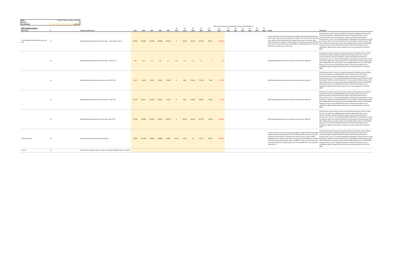| <b>Utility</b><br>Table No.                                             | Southern California Edison Compar |         |                                                                                               |                |                 |                 |         |                         |                        |            |            |            |                |                                                                 |      |      |      |      |      |              |                                                                                                                                                                                                                                                                                                                                                                                                                                                                                                                        |                                                                                                                                                                                                                                                                                                                                                                                                                                                                                                                                                                                                                                                                                                                                      |
|-------------------------------------------------------------------------|-----------------------------------|---------|-----------------------------------------------------------------------------------------------|----------------|-----------------|-----------------|---------|-------------------------|------------------------|------------|------------|------------|----------------|-----------------------------------------------------------------|------|------|------|------|------|--------------|------------------------------------------------------------------------------------------------------------------------------------------------------------------------------------------------------------------------------------------------------------------------------------------------------------------------------------------------------------------------------------------------------------------------------------------------------------------------------------------------------------------------|--------------------------------------------------------------------------------------------------------------------------------------------------------------------------------------------------------------------------------------------------------------------------------------------------------------------------------------------------------------------------------------------------------------------------------------------------------------------------------------------------------------------------------------------------------------------------------------------------------------------------------------------------------------------------------------------------------------------------------------|
| <b>Date Modified</b>                                                    |                                   | 8/2/202 |                                                                                               |                |                 |                 |         |                         |                        |            |            |            |                |                                                                 |      |      |      |      |      |              |                                                                                                                                                                                                                                                                                                                                                                                                                                                                                                                        |                                                                                                                                                                                                                                                                                                                                                                                                                                                                                                                                                                                                                                                                                                                                      |
|                                                                         |                                   |         |                                                                                               |                |                 |                 |         |                         |                        |            |            |            |                | Note: These columns are placeholders for future QR submissions. |      |      |      |      |      |              |                                                                                                                                                                                                                                                                                                                                                                                                                                                                                                                        |                                                                                                                                                                                                                                                                                                                                                                                                                                                                                                                                                                                                                                                                                                                                      |
| Table 6: Weather patterns                                               |                                   |         |                                                                                               |                |                 |                 |         |                         | Q1                     | Q2<br>2020 | Q3<br>2020 | Q4<br>2020 | Q1             | Q <sub>2</sub>                                                  | Q3   | Q4   | Q1   | Q2   | Q3   | Q4           |                                                                                                                                                                                                                                                                                                                                                                                                                                                                                                                        |                                                                                                                                                                                                                                                                                                                                                                                                                                                                                                                                                                                                                                                                                                                                      |
| <b>Metric type</b><br>L. Red Flag Warning Overhead circuit mile<br>Days | 1.a.                              |         | Outcome metric name<br>Red Flag Warning Overhead circuit mile days - entire utility territory | 2015<br>80,504 | 2016<br>286,327 | 2017<br>476,404 | 2018    | 2019<br>283,806 201,423 | 2020<br>$\overline{0}$ | 24,845     | 62,241     | 162,422    | 2021<br>58,515 | 2021<br>16,825.39                                               | 2021 | 2021 | 2022 | 2022 | 2022 | 2022 Unit(s) | Sum of overhead circuit miles of utility grid subject to Red Flag Warning each day<br>within a given time period, calculated as the number of overhead circuit miles that<br>were under an RFW multiplied by the number of days those circuit miles were<br>under said RFW. For example, if 100 overhead circuit miles were under an RFW for<br>1 day, and 10 of those miles were under RFW for an additional day, then the total<br>RFW OH circuit mile days would be 110.                                            | Comments<br>GIS systems are used in order to overlay the locational information of each red flag<br>warning. GIS models are updated frequently with changes within SCE's service<br>territroy and does not have the ability to analyze and calculate information in<br>previous years. As such, the overhead lengths of distribution and transmission circuits<br>are based on 2020 circuit mile information for the calculation of historical years 2015<br>2019. Additionally, this overall number may be slightly different than the 2020 WMP<br>filing due to the use of the 2020 GIS information. Historical information was re-<br>calculated as high fire threat district break outs are new requirements in the 2021<br>WMP. |
|                                                                         | 1.b.                              |         | Red Flag Warning Overhead circuit mile days - HFTD Zone 1                                     | 0.8            | 8.0             | 4.1             | 2.8     | 1.7                     | 0.0                    | 0.4        | 1.3        | 1.7        |                | 0.32                                                            |      |      |      |      |      |              | Red Flag Warning Overhead circuit mile days, see above for definition                                                                                                                                                                                                                                                                                                                                                                                                                                                  | GIS systems are used in order to overlay the locational information of each red flag<br>warning. GIS models are updated frequently with changes within SCE's service<br>territroy and does not have the ability to analyze and calculate information in<br>previous years. As such, the overhead lengths of distribution and transmission circuits<br>are based on 2020 circuit mile information for the calculation of historical years 2015<br>2019. Additionally, this overall number may be slightly different than the 2020 WMP<br>filing due to the use of the 2020 GIS information. Historical information was re-<br>calculated as high fire threat district break outs are new requirements in the 2021<br>WMP.             |
|                                                                         | 1.c.                              |         | Red Flag Warning Overhead circuit mile days - HFTD Tier 2                                     | 9,214          | 31,921          | 50.039          | 31,295  | 21,598                  | $\overline{0}$         | 4,391      | 10,011     | 17,964     | 7.003          | 3,074.07                                                        |      |      |      |      |      |              | Red Flag Warning Overhead circuit mile days, see above for definition                                                                                                                                                                                                                                                                                                                                                                                                                                                  | GIS systems are used in order to overlay the locational information of each red flag<br>warning. GIS models are updated frequently with changes within SCE's service<br>territroy and does not have the ability to analyze and calculate information in<br>previous years. As such, the overhead lengths of distribution and transmission circuits<br>are based on 2020 circuit mile information for the calculation of historical years 2015<br>2019. Additionally, this overall number may be slightly different than the 2020 WMP<br>filing due to the use of the 2020 GIS information. Historical information was re-<br>calculated as high fire threat district break outs are new requirements in the 2021<br>WMP.             |
|                                                                         | 1.d.                              |         | Red Flag Warning Overhead circuit mile days - HFTD Tier 3                                     | 25,523         | 88.117          | 127,005         | 82,216  | 57,321                  | - 0                    | 4.031      | 13,920     | 36,805     | 17,404         | 1,214.14                                                        |      |      |      |      |      |              | Red Flag Warning Overhead circuit mile days, see above for definition                                                                                                                                                                                                                                                                                                                                                                                                                                                  | GIS systems are used in order to overlay the locational information of each red flag<br>warning. GIS models are updated frequently with changes within SCE's service<br>territroy and does not have the ability to analyze and calculate information in<br>previous years. As such, the overhead lengths of distribution and transmission circuits<br>are based on 2020 circuit mile information for the calculation of historical years 2015<br>2019. Additionally, this overall number may be slightly different than the 2020 WMP<br>filing due to the use of the 2020 GIS information. Historical information was re-<br>calculated as high fire threat district break outs are new requirements in the 2021<br>WMP.             |
|                                                                         | 1.e.                              |         | Red Flag Warning Overhead circuit mile days - Non-HFTD                                        | 45.766         | 166.281         | 299,356         | 170,293 | 122,502                 | $\Omega$               | 16,423     | 38,309     | 107.651    | 34.108         | 12,536.87                                                       |      |      |      |      |      |              | Red Flag Warning Overhead circuit mile days, see above for definition                                                                                                                                                                                                                                                                                                                                                                                                                                                  | GIS systems are used in order to overlay the locational information of each red flag<br>warning. GIS models are updated frequently with changes within SCE's service<br>territroy and does not have the ability to analyze and calculate information in<br>previous years. As such, the overhead lengths of distribution and transmission circuits<br>are based on 2020 circuit mile information for the calculation of historical years 2015<br>2019. Additionally, this overall number may be slightly different than the 2020 WMP<br>filing due to the use of the 2020 GIS information. Historical information was re-<br>calculated as high fire threat district break outs are new requirements in the 2021<br>WMP.             |
| 2. Wind conditions                                                      | 2.a.                              |         | High wind warning overhead circuit mile days                                                  | 78.965         | 116,378         | 144,820         | 133,880 | 95,208                  | 61.545                 | 9.235      | 62         | 57.072     | 78,101         | 10,502.66                                                       |      |      |      |      |      |              | Sum of overhead circuit miles of utility grid subject to High Wind Warnings (HWW, warning. GIS models are updated frequently with changes within SCE's service<br>as defined by the National Weather Service) each day within a given time period, territroy and does not have the ability to analyze and calculate information in<br>were under HWW for an additional day, then the total HWW OH circuit mile days filing due to the use of the 2020 GIS information. Historical information was re-<br>would be 110. | GIS systems are used in order to overlay the locational information of each red flag<br>calculated as the number of overhead circuit miles that were under an HWW previous years. As such, the overhead lengths of distribution and transmission circuits<br>multiplied by the number of days those miles were under said HWW. For example, are based on 2020 circuit mile information for the calculation of historical years 2015-<br>if 100 overhead circuit miles were under an HWW for 1 day, and 10 of those miles 2019. Additionally, this overall number may be slightly different than the 2020 WMP<br>calculated as high fire threat district break outs are new requirements in the 2021<br>WMP.                          |
| 3. Other                                                                | 3.a.                              |         | Other relevant weather pattern metrics tracked (add additional rows as needed)                |                |                 |                 |         |                         |                        |            |            |            |                |                                                                 |      |      |      |      |      |              |                                                                                                                                                                                                                                                                                                                                                                                                                                                                                                                        |                                                                                                                                                                                                                                                                                                                                                                                                                                                                                                                                                                                                                                                                                                                                      |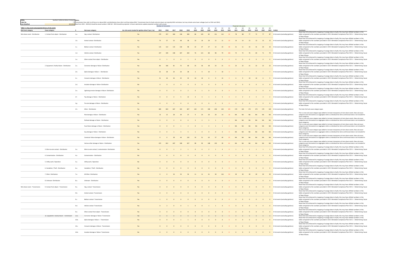| <b>Table No.</b><br><b>Date Modified</b>                   |                                                       |       | ransmission lines refer to all lines at or above 65kV, and distribution lines refer to all lines below 65kV. Transmission lines for faults and wire downs are typically 65kV and above, but may include some lower voltages (s<br>8/2/2021 Data from 2015 - 2020 Q2 should be actual numbers. 2020 Q3 - 2023 should be projected. In future submissions update projected numbers with actuals |                                                         |                         |                            |                |                               |            |                          |                         |                                            |                         |                                                     |                         |                          |                             |                          |                                           |           |                          |                                                  |                                                                                                                                                                                                                                                |
|------------------------------------------------------------|-------------------------------------------------------|-------|-----------------------------------------------------------------------------------------------------------------------------------------------------------------------------------------------------------------------------------------------------------------------------------------------------------------------------------------------------------------------------------------------|---------------------------------------------------------|-------------------------|----------------------------|----------------|-------------------------------|------------|--------------------------|-------------------------|--------------------------------------------|-------------------------|-----------------------------------------------------|-------------------------|--------------------------|-----------------------------|--------------------------|-------------------------------------------|-----------|--------------------------|--------------------------------------------------|------------------------------------------------------------------------------------------------------------------------------------------------------------------------------------------------------------------------------------------------|
| Table 7.1: Key recent and projected drivers of risk events |                                                       |       |                                                                                                                                                                                                                                                                                                                                                                                               |                                                         | Number of risk events   |                            |                |                               |            | $_{\Omega}1$             | Q2                      | Q3                                         | Q4                      | Q1                                                  | Q2                      | Q3                       | Projected risk events<br>Q4 |                          | Q1                                        | Q2        | Q3                       | Q4                                               |                                                                                                                                                                                                                                                |
| <b>Risk Event category</b>                                 | <b>Cause category</b>                                 | $\#$  | Sub-cause category                                                                                                                                                                                                                                                                                                                                                                            | Are risk events tracked for ignition driver? (yes / no) |                         |                            |                | 2015 2016 2017 2018 2019 2020 |            |                          |                         | 2020 2020                                  |                         | 2020 2021                                           |                         |                          |                             |                          |                                           |           |                          | 2021 2021 2021 2022 2022 2022 2022 Unit(s)       | Comments<br>Note that SCE enhanced its mapping of outage data to faults; this may have shifted numbers in this                                                                                                                                 |
| Wire down event - Distribution                             | 1. Contact from object - Distribution                 | 1.a.  | Veg. contact-Distribution                                                                                                                                                                                                                                                                                                                                                                     | Yes                                                     | 279                     | 357                        | 384            | 158                           | 308        | 86                       | 105                     | 82                                         | 151                     | 114                                                 | 34                      | 78                       | 88                          |                          | 77                                        | 72        | 77                       | 87 # risk events (excluding ignitions)           | table compared to the numbers provided in SCE's Remedial Compliance Plan SCE-2 - Determining C<br>of Near Misses.                                                                                                                              |
|                                                            |                                                       | 1.b.  | Animal contact-Distribution                                                                                                                                                                                                                                                                                                                                                                   | Yes                                                     | 74                      | 57                         | 53             | 48                            | 38         | 10                       | 19                      | 29                                         | 12                      | 11                                                  | 10                      | 14                       | 14                          |                          | 13<br>13                                  |           | 13                       | 13 # risk events (excluding ignitions)           | Note that SCE enhanced its mapping of outage data to faults; this may have shifted numbers in this<br>table compared to the numbers provided in SCE's Remedial Compliance Plan SCE-2 - Determining C<br>of Near Misses.                        |
|                                                            |                                                       | 1.c.  | Balloon contact-Distribution                                                                                                                                                                                                                                                                                                                                                                  | Yes                                                     | 115                     | 112                        | 115            | 134                           | 98         | 22                       | 47                      | 27                                         | 12                      | 24                                                  | 48                      | 21                       | 11                          |                          | 23<br>41                                  |           | 20                       | 10 # risk events (excluding ignitions)           | Note that SCE enhanced its mapping of outage data to faults; this may have shifted numbers in this<br>table compared to the numbers provided in SCE's Remedial Compliance Plan SCE-2 - Determining C<br>of Near Misses.                        |
|                                                            |                                                       | 1.d.  | Vehicle contact-Distribution                                                                                                                                                                                                                                                                                                                                                                  | Yes                                                     | 227                     | 349                        | 248            | 267                           | 269        | 76                       | 121                     | 88                                         | 98                      | 79                                                  | 106                     | 72                       | 72                          | 76                       | 69                                        |           | 71                       | 70 # risk events (excluding ignitions)           | Note that SCE enhanced its mapping of outage data to faults; this may have shifted numbers in this<br>table compared to the numbers provided in SCE's Remedial Compliance Plan SCE-2 - Determining C                                           |
|                                                            |                                                       | 1.e.  | Other contact from object - Distribution                                                                                                                                                                                                                                                                                                                                                      | Yes                                                     | $\overline{\mathbf{0}}$ | $\overline{1}$             | $\overline{0}$ | $\mathbf{0}$                  |            | $\Omega$                 | $\Omega$                | . വ                                        | $\overline{\mathbf{0}}$ | $\overline{0}$                                      | $\overline{0}$          | $\overline{0}$           | $\overline{0}$              |                          | $\overline{0}$<br>$\overline{\mathbf{0}}$ |           | $\Omega$                 | 0 # risk events (excluding ignitions)            | of Near Misses.<br>Note that SCE enhanced its mapping of outage data to faults; this may have shifted numbers in this<br>table compared to the numbers provided in SCE's Remedial Compliance Plan SCE-2 - Determining C                        |
|                                                            | 2. Equipment / facility failure - Distribution        | 2.a.  | Connector damage or failure- Distribution                                                                                                                                                                                                                                                                                                                                                     | Yes                                                     | 84                      | 106                        | 81             | 75                            |            | 25                       |                         | 38                                         | 23                      | 21                                                  | <b>13</b>               | 22                       | 22                          |                          | 21<br>22                                  |           | 22                       | 22 # risk events (excluding ignitions)           | of Near Misses.<br>Note that SCE enhanced its mapping of outage data to faults; this may have shifted numbers in this<br>table compared to the numbers provided in SCE's Remedial Compliance Plan SCE-2 - Determining C                        |
|                                                            |                                                       | 2.b.  | Splice damage or failure - Distribution                                                                                                                                                                                                                                                                                                                                                       | Yes                                                     | 35                      | 28                         | 24             | 24                            | 28         |                          |                         | 10                                         |                         | 10                                                  | $\overline{\mathbf{3}}$ | $\overline{7}$           | $\overline{7}$              | $\overline{7}$           | $\overline{7}$                            |           | $\overline{7}$           | 7 # risk events (excluding ignitions)            | of Near Misses.<br>Note that SCE enhanced its mapping of outage data to faults; this may have shifted numbers in this<br>table compared to the numbers provided in SCE's Remedial Compliance Plan SCE-2 - Determining C                        |
|                                                            |                                                       | 2.c.  | Crossarm damage or failure - Distribution                                                                                                                                                                                                                                                                                                                                                     | Yes                                                     | 31                      | 26                         | 26             | 25                            |            | 10                       | 10                      |                                            |                         | 15                                                  |                         |                          |                             |                          | 10<br>10                                  |           | 6                        | 9 # risk events (excluding ignitions)            | of Near Misses<br>Note that SCE enhanced its mapping of outage data to faults; this may have shifted numbers in this<br>table compared to the numbers provided in SCE's Remedial Compliance Plan SCE-2 - Determining C                         |
|                                                            |                                                       |       |                                                                                                                                                                                                                                                                                                                                                                                               |                                                         |                         |                            |                |                               |            |                          |                         |                                            |                         |                                                     |                         |                          |                             |                          |                                           |           |                          |                                                  | of Near Misses<br>Note that SCE enhanced its mapping of outage data to faults; this may have shifted numbers in this                                                                                                                           |
|                                                            |                                                       | 2.d.  | Insulator damage or failure- Distribution                                                                                                                                                                                                                                                                                                                                                     | <b>No</b>                                               | $\overline{0}$          | $\overline{\phantom{0}}$   |                | $\overline{\mathbf{0}}$       |            | $\overline{0}$           |                         |                                            |                         | $\overline{\mathbf{0}}$                             | $\bullet$               | $\overline{\mathbf{0}}$  | $\overline{0}$              |                          | $\bullet$<br>$\bullet$                    |           | $\overline{0}$           | # risk events (excluding ignitions)              | table compared to the numbers provided in SCE's Remedial Compliance Plan SCE-2 - Determining C<br>of Near Misses.<br>Note that SCE enhanced its mapping of outage data to faults; this may have shifted numbers in this                        |
|                                                            |                                                       | 2.e.  | Lightning arrestor damage or failure- Distribution                                                                                                                                                                                                                                                                                                                                            | Yes                                                     | $\mathbf{0}$            | $\overline{\phantom{0}}$   |                | $\overline{\mathbf{0}}$       |            | $\overline{0}$           |                         | $\mathbf{0}$                               | $\overline{0}$          | $\overline{0}$                                      | $\overline{\mathbf{0}}$ | $\overline{0}$           | $\overline{\mathbf{0}}$     | $\overline{\phantom{0}}$ | $\overline{\mathbf{0}}$                   |           | $\Omega$                 | 0 # risk events (excluding ignitions)            | table compared to the numbers provided in SCE's Remedial Compliance Plan SCE-2 - Determining C<br>of Near Misses.<br>Note that SCE enhanced its mapping of outage data to faults; this may have shifted numbers in this                        |
|                                                            |                                                       | 2.f.  | Tap damage or failure - Distribution                                                                                                                                                                                                                                                                                                                                                          | Yes                                                     | $\mathbf{0}$            | $\overline{\phantom{0}}$   |                | 5 <sup>5</sup>                | 12         |                          |                         |                                            | $\overline{2}$          |                                                     | $\mathbf{0}$            | $\overline{2}$           | $\overline{2}$              | $\overline{2}$           | $\overline{2}$                            |           | $\overline{2}$           | 2 # risk events (excluding ignitions)            | table compared to the numbers provided in SCE's Remedial Compliance Plan SCE-2 - Determining C<br>of Near Misses.                                                                                                                              |
|                                                            |                                                       | 2.g.  | Tie wire damage or failure - Distribution                                                                                                                                                                                                                                                                                                                                                     | <b>No</b>                                               | $\mathbf{0}$            | $\overline{\phantom{0}}$   | $\Omega$       | $\overline{\mathbf{0}}$       |            |                          |                         |                                            | $\mathbf{0}$            | $\overline{0}$                                      | $\mathbf{0}$            | $\overline{0}$           | $\mathbf{0}$                |                          | $\overline{0}$<br>$\overline{0}$          |           | $\overline{\mathbf{0}}$  | 0 # risk events (excluding ignitions)            | Note that SCE enhanced its mapping of outage data to faults; this may have shifted numbers in this<br>table compared to the numbers provided in SCE's Remedial Compliance Plan SCE-2 - Determining C<br>of Near Misses.                        |
|                                                            |                                                       | 2.h.  | Other - Distribution                                                                                                                                                                                                                                                                                                                                                                          | Yes                                                     | 685                     | 824                        | 667            | 423                           | 607        | 144                      | 171                     | 198                                        | 238                     | 104                                                 | 105                     | 170                      | 165                         |                          | 173                                       | 170       | 170                      | 165 # risk events (excluding ignitions)          | The total of all sub-cause category types                                                                                                                                                                                                      |
|                                                            |                                                       |       | Pole damage or failure - Distribution                                                                                                                                                                                                                                                                                                                                                         | Yes                                                     | 13                      | 12                         | 28             | 39                            |            |                          | 24                      | 20                                         | 20                      | 14                                                  | <b>18</b>               | <b>NA</b>                | <b>NA</b>                   | <b>NA</b>                | <b>NA</b>                                 |           | <b>NA</b>                | NA # risk events (excluding ignitions)           | This is a new sub-cause category type added to increase transparency of wire-down events. New sub-cause<br>categories were forecasted as an aggregate rather as individual line items and forecast data is not included f<br>these categories. |
|                                                            |                                                       |       | Pothead damage or failure - Distribution                                                                                                                                                                                                                                                                                                                                                      | Yes                                                     |                         | $\overline{\phantom{0}}$   |                |                               |            |                          |                         |                                            |                         |                                                     |                         | <b>NA</b>                | <b>NA</b>                   | <b>NA</b>                | <b>NA</b>                                 |           | <b>NA</b>                | <b>NA</b><br># risk events (excluding ignitions) | This is a new sub-cause category type added to increase transparency of wire-down events. New sub-cause<br>categories were forecasted as an aggregate rather as individual line items and forecast data is not included f<br>these categories  |
|                                                            |                                                       |       | Fuse failure damage or failure - Distribution                                                                                                                                                                                                                                                                                                                                                 | Yes                                                     | $\Omega$                | $\overline{\phantom{0}}$   | $\mathbf{0}$   |                               |            | $\overline{0}$           |                         | $\overline{2}$                             | $\overline{1}$          | $\overline{1}$                                      |                         | <b>NA</b>                | <b>NA</b>                   | <b>NA</b>                | <b>NA</b>                                 |           | <b>NA</b>                | NA # risk events (excluding ignitions)           | This is a new sub-cause category type added to increase transparency of wire-down events. New sub-cause<br>categories were forecasted as an aggregate rather as individual line items and forecast data is not included f<br>these categories. |
|                                                            |                                                       |       | Guy damage or failure - Distribution                                                                                                                                                                                                                                                                                                                                                          | Yes                                                     |                         | $\overline{\phantom{0}}$   |                |                               |            |                          |                         |                                            |                         |                                                     |                         |                          |                             |                          | <b>NA</b>                                 |           |                          | <b>NA</b><br># risk events (excluding ignitions) | This is a new sub-cause category type added to increase transparency of wire-down events. New sub-cause<br>categories were forecasted as an aggregate rather as individual line items and forecast data is not included f<br>these categories. |
|                                                            |                                                       |       | Conductor failure damage or failure - Distribution                                                                                                                                                                                                                                                                                                                                            | Yes                                                     | $\mathbf{0}$            | $\overline{\phantom{0}}$   | 28             | 44                            | 120        | 33                       | 51                      | 63                                         | 57                      | 49                                                  |                         | <b>NA</b>                | <b>NA</b>                   | <b>NA</b>                | <b>NA</b>                                 |           | <b>NA</b>                | # risk events (excluding ignitions)<br><b>NA</b> | This is a new sub-cause category type added to increase transparency of wire-down events. New sub-cause<br>categories were forecasted as an aggregate rather as individual line items and forecast data is not included f<br>these categories  |
|                                                            |                                                       |       | Various other damage or failure - Distribution                                                                                                                                                                                                                                                                                                                                                | Yes                                                     | 672                     | 812                        | 607            | 328                           | 437        | 98                       | 93                      | 108                                        | 159                     | 39                                                  | 61                      | <b>NA</b>                | <b>NA</b>                   |                          | <b>NA</b><br><b>NA</b>                    |           | <b>NA</b>                | NA # risk events (excluding ignitions)           | This is a new sub-cause category type added to increase transparency of wire-down events. New sub-cause<br>categories were forecasted as an aggregate rather as individual line items and forecast data is not included f<br>these categories. |
|                                                            | 3. Wire-to-wire contact - Distribution                | 3.a.  | Wire-to-wire contact / contamination- Distribution                                                                                                                                                                                                                                                                                                                                            | Yes                                                     | $\mathbf{0}$            | $\overline{0}$             |                |                               |            | $\overline{0}$           |                         | $\overline{2}$                             | $\overline{1}$          | $\overline{4}$                                      | $\mathbf{0}$            | $\overline{1}$           | $\mathbf{1}$                | $\overline{1}$           | $\mathbf{1}$                              |           |                          | 1 # risk events (excluding ignitions)            | Note that SCE enhanced its mapping of outage data to faults; this may have shifted numbers in this<br>table compared to the numbers provided in SCE's Remedial Compliance Plan SCE-2 - Determining C<br>of Near Misses.                        |
|                                                            | 4. Contamination - Distribution                       | 4.a.  | Contamination - Distribution                                                                                                                                                                                                                                                                                                                                                                  | <b>No</b>                                               |                         |                            | $\mathbf{0}$   | $\overline{\mathbf{0}}$       |            | $\overline{\mathbf{0}}$  |                         |                                            | $\overline{\mathbf{0}}$ | $\mathbf{0}$                                        |                         | $\overline{0}$           | $\mathbf{0}$                |                          | $\bullet$<br>$\bullet$                    |           | $\overline{\mathbf{0}}$  | 0 # risk events (excluding ignitions)            | Note that SCE enhanced its mapping of outage data to faults; this may have shifted numbers in this<br>table compared to the numbers provided in SCE's Remedial Compliance Plan SCE-2 - Determining C<br>of Near Misses                         |
|                                                            | 5. Utility work / Operation                           | 5.a.  | Utility work / Operation                                                                                                                                                                                                                                                                                                                                                                      | <b>No</b>                                               | $\mathbf{0}$            | $\overline{\mathbf{0}}$    | $\overline{0}$ | $\overline{0}$                | $\Omega$   | $\overline{0}$           | $\overline{0}$          | $\overline{0}$                             | $\overline{0}$          | $\overline{\mathbf{0}}$                             | $\bullet$               | $\overline{0}$           | $\mathbf{0}$                |                          | $\bullet$<br>$\bullet$                    |           | $\overline{\mathbf{0}}$  | 0 # risk events (excluding ignitions)            | Note that SCE enhanced its mapping of outage data to faults; this may have shifted numbers in this<br>table compared to the numbers provided in SCE's Remedial Compliance Plan SCE-2 - Determining C<br>of Near Misses.                        |
|                                                            | 6. Vandalism / Theft - Distribution                   | 6.a.  | Vandalism / Theft - Distribution                                                                                                                                                                                                                                                                                                                                                              | <b>No</b>                                               |                         |                            | $\overline{0}$ | $\overline{\phantom{0}}$      |            | $\overline{\phantom{0}}$ |                         | $\begin{array}{ccc} & & & 0 & \end{array}$ |                         |                                                     |                         |                          |                             |                          |                                           | $\sim$ 0  | $\overline{\mathbf{0}}$  | 0 # risk events (excluding ignitions)            | Note that SCE enhanced its mapping of outage data to faults; this may have shifted numbers in this<br>table compared to the numbers provided in SCE's Remedial Compliance Plan SCE-2 - Determining C<br>of Near Misses                         |
|                                                            | 7. Other-Distribution                                 | 7.a.  | All Other-Distribution                                                                                                                                                                                                                                                                                                                                                                        | Yes                                                     | $\mathbf{0}$            | $\overline{\phantom{0}}$   | 33             | 53                            | 54         | 11                       | 11                      | 41                                         | 39                      | 116                                                 | 50                      | 39                       | 39                          | 39                       | 39                                        |           | 39                       | 39 # risk events (excluding ignitions)           | Note that SCE enhanced its mapping of outage data to faults; this may have shifted numbers in this<br>table compared to the numbers provided in SCE's Remedial Compliance Plan SCE-2 - Determining C                                           |
|                                                            | 8. Unknown-Distribution                               | 8.a.  | Unknown - Distribution                                                                                                                                                                                                                                                                                                                                                                        | Yes                                                     | $\circ$                 | $\overline{\phantom{0}}$   | $\mathbf{0}$   | $\overline{\mathbf{0}}$       |            | $\overline{0}$           | $\overline{0}$          | $\overline{\mathbf{0}}$                    | $\overline{0}$          | $\overline{0}$                                      | $\overline{\mathbf{0}}$ | $\overline{0}$           | $\overline{0}$              |                          | $\overline{0}$<br>$\overline{0}$          |           | $\overline{\mathbf{0}}$  | 0 # risk events (excluding ignitions)            | of Near Misses.<br>Note that SCE enhanced its mapping of outage data to faults; this may have shifted numbers in this<br>table compared to the numbers provided in SCE's Remedial Compliance Plan SCE-2 - Determining C                        |
| Wire down event - Transmission                             | 9. Contact from object - Transmission                 | 9.a.  | Veg. contact-Transmission                                                                                                                                                                                                                                                                                                                                                                     | Yes                                                     | $\circ$                 | $\overline{\phantom{0}}$   | $\circ$        | $\overline{0}$                | $^{\circ}$ | $\overline{0}$           | $\overline{0}$          | $\overline{\mathbf{0}}$                    |                         | $0\qquad 0$                                         | $\overline{\mathbf{0}}$ | $\overline{\mathbf{0}}$  | $\overline{\mathbf{0}}$     | $\overline{\phantom{0}}$ | $\overline{\mathbf{0}}$                   |           | $\overline{\phantom{0}}$ | 0 # risk events (excluding ignitions)            | of Near Misses.<br>Note that SCE enhanced its mapping of outage data to faults; this may have shifted numbers in this<br>table compared to the numbers provided in SCE's Remedial Compliance Plan SCE-2 - Determining C                        |
|                                                            |                                                       | 9.b.  | Animal contact-Transmission                                                                                                                                                                                                                                                                                                                                                                   | Yes                                                     | $\mathbf{0}$            | $\overline{\phantom{0}}$   |                |                               |            |                          |                         |                                            | $\overline{0}$          | $\overline{0}$                                      |                         | $\overline{0}$           |                             |                          | $\overline{0}$<br>$\overline{\mathbf{0}}$ |           | $\overline{0}$           | 0 # risk events (excluding ignitions)            | of Near Misses<br>Note that SCE enhanced its mapping of outage data to faults; this may have shifted numbers in this<br>table compared to the numbers provided in SCE's Remedial Compliance Plan SCE-2 - Determining C                         |
|                                                            |                                                       |       |                                                                                                                                                                                                                                                                                                                                                                                               |                                                         |                         |                            |                |                               |            |                          |                         |                                            |                         |                                                     |                         |                          |                             |                          |                                           |           |                          |                                                  | of Near Misses.<br>Note that SCE enhanced its mapping of outage data to faults; this may have shifted numbers in this                                                                                                                          |
|                                                            |                                                       | 9.c.  | Balloon contact-Transmission                                                                                                                                                                                                                                                                                                                                                                  | Yes                                                     |                         | $1 \qquad 0$               | $\overline{0}$ | $\overline{\mathbf{0}}$       |            | $\overline{0}$           | $\overline{0}$          | $\overline{0}$                             |                         | $0\qquad 0$                                         | $\bullet$ 0             | $\overline{\phantom{0}}$ | $\overline{0}$              |                          | $\overline{\mathbf{0}}$<br>$\overline{0}$ |           | $\overline{0}$           | 0 # risk events (excluding ignitions)            | table compared to the numbers provided in SCE's Remedial Compliance Plan SCE-2 - Determining C<br>of Near Misses.<br>Note that SCE enhanced its mapping of outage data to faults; this may have shifted numbers in this                        |
|                                                            |                                                       | 9.d.  | Vehicle contact-Transmission                                                                                                                                                                                                                                                                                                                                                                  | Yes                                                     | $\mathbf{0}$            | $\overline{\phantom{0}}$ 2 | $\overline{0}$ | $\bullet$                     |            | $\overline{\mathbf{0}}$  | $\bullet$               | $\mathbf{1}$                               |                         | $1 \t 0$                                            | $\sim$ 0                | $\bullet$                | $\overline{\mathbf{0}}$     | $\overline{\phantom{0}}$ | $\bullet$                                 |           | $\overline{\mathbf{0}}$  | 0 # risk events (excluding ignitions)            | table compared to the numbers provided in SCE's Remedial Compliance Plan SCE-2 - Determining C<br>of Near Misses.<br>Note that SCE enhanced its mapping of outage data to faults; this may have shifted numbers in this                        |
|                                                            |                                                       | 9.e.  | Other contact from object - Transmission                                                                                                                                                                                                                                                                                                                                                      | Yes                                                     |                         |                            | $\overline{0}$ | $\overline{0}$                |            |                          | $\overline{0}$          | $\overline{0}$                             |                         | $0 \qquad 0$                                        | $\bullet$ $\bullet$     | $\overline{\phantom{0}}$ | $\bullet$                   | $\bullet$                | $\bullet$                                 |           | $\overline{\phantom{0}}$ | 0 # risk events (excluding ignitions)            | table compared to the numbers provided in SCE's Remedial Compliance Plan SCE-2 - Determining C<br>of Near Misses.                                                                                                                              |
|                                                            | 10. Equipment / facility failure - Transmission 10.a. |       | Connector damage or failure- Transmission                                                                                                                                                                                                                                                                                                                                                     | Yes                                                     |                         |                            |                |                               |            |                          |                         |                                            |                         |                                                     |                         |                          |                             |                          |                                           |           |                          | 0 # risk events (excluding ignitions)            | Note that SCE enhanced its mapping of outage data to faults; this may have shifted numbers in this<br>Note that SCE enhanced its mapping of outage data to faults; this may have shifted numbers in this                                       |
|                                                            |                                                       | 10.b. | Splice damage or failure - Transmission                                                                                                                                                                                                                                                                                                                                                       | Yes                                                     | $\circ$                 | $\overline{\phantom{0}}$   | $\circ$        | $\mathbf{1}$                  |            | $\overline{\mathbf{0}}$  | $\overline{\mathbf{0}}$ | $\bullet$                                  |                         | $\overline{\mathbf{0}}$<br>$\overline{\phantom{0}}$ | $\bullet$ 0             | $\bullet$ 0              | $\bullet$                   |                          | $\bullet$ 0                               | $\bullet$ | $\overline{\mathbf{0}}$  | 0 # risk events (excluding ignitions)            | table compared to the numbers provided in SCE's Remedial Compliance Plan SCE-2 - Determining C<br>of Near Misses.<br>Note that SCE enhanced its mapping of outage data to faults; this may have shifted numbers in this                        |
|                                                            |                                                       | 10.c. | Crossarm damage or failure - Transmission                                                                                                                                                                                                                                                                                                                                                     | Yes                                                     | $\circ$                 | $\overline{\phantom{0}}$   | $\mathbf{0}$   | $\overline{0}$                |            | $\overline{\mathbf{0}}$  | $\overline{\mathbf{0}}$ | $\overline{\mathbf{0}}$                    | $\overline{\mathbf{0}}$ | $\overline{\phantom{0}}$ 0                          | $\bullet$               | $\bullet$                | $\overline{\mathbf{0}}$     | $\bullet$                | $\overline{\phantom{0}}$                  |           | $\overline{\mathbf{0}}$  | 0 # risk events (excluding ignitions)            | table compared to the numbers provided in SCE's Remedial Compliance Plan SCE-2 - Determining C<br>of Near Misses.<br>Note that SCE enhanced its mapping of outage data to faults; this may have shifted numbers in this                        |
|                                                            |                                                       | 10.d. | Insulator damage or failure- Transmission                                                                                                                                                                                                                                                                                                                                                     | <b>No</b>                                               |                         |                            |                |                               |            |                          |                         |                                            |                         |                                                     |                         |                          |                             |                          |                                           |           |                          | 0 # risk events (excluding ignitions)            | table compared to the numbers provided in SCE's Remedial Compliance Plan SCE-2 - Determining C<br>of Near Misses.                                                                                                                              |

|     | <b>Comments</b>                                                                                                                                                                                                             |
|-----|-----------------------------------------------------------------------------------------------------------------------------------------------------------------------------------------------------------------------------|
| ıs) | Note that SCE enhanced its mapping of outage data to faults; this may have shifted numbers in this<br>table compared to the numbers provided in SCE's Remedial Compliance Plan SCE-2 - Determining Cause                    |
|     | of Near Misses.                                                                                                                                                                                                             |
| ıs) | Note that SCE enhanced its mapping of outage data to faults; this may have shifted numbers in this<br>table compared to the numbers provided in SCE's Remedial Compliance Plan SCE-2 - Determining Cause                    |
|     | of Near Misses.                                                                                                                                                                                                             |
| ıs) | Note that SCE enhanced its mapping of outage data to faults; this may have shifted numbers in this<br>table compared to the numbers provided in SCE's Remedial Compliance Plan SCE-2 - Determining Cause                    |
|     | of Near Misses.                                                                                                                                                                                                             |
|     | Note that SCE enhanced its mapping of outage data to faults; this may have shifted numbers in this                                                                                                                          |
| ıs) | table compared to the numbers provided in SCE's Remedial Compliance Plan SCE-2 - Determining Cause<br>of Near Misses.                                                                                                       |
|     | Note that SCE enhanced its mapping of outage data to faults; this may have shifted numbers in this                                                                                                                          |
| ıs) | table compared to the numbers provided in SCE's Remedial Compliance Plan SCE-2 - Determining Cause<br>of Near Misses.                                                                                                       |
|     | Note that SCE enhanced its mapping of outage data to faults; this may have shifted numbers in this                                                                                                                          |
| ıs) | table compared to the numbers provided in SCE's Remedial Compliance Plan SCE-2 - Determining Cause<br>of Near Misses.                                                                                                       |
|     | Note that SCE enhanced its mapping of outage data to faults; this may have shifted numbers in this                                                                                                                          |
| ıs) | table compared to the numbers provided in SCE's Remedial Compliance Plan SCE-2 - Determining Cause<br>of Near Misses.                                                                                                       |
|     | Note that SCE enhanced its mapping of outage data to faults; this may have shifted numbers in this                                                                                                                          |
| ıs) | table compared to the numbers provided in SCE's Remedial Compliance Plan SCE-2 - Determining Cause                                                                                                                          |
|     | of Near Misses.<br>Note that SCE enhanced its mapping of outage data to faults; this may have shifted numbers in this                                                                                                       |
| ıs) | table compared to the numbers provided in SCE's Remedial Compliance Plan SCE-2 - Determining Cause                                                                                                                          |
|     | of Near Misses.<br>Note that SCE enhanced its mapping of outage data to faults; this may have shifted numbers in this                                                                                                       |
| ıs) | table compared to the numbers provided in SCE's Remedial Compliance Plan SCE-2 - Determining Cause                                                                                                                          |
|     | of Near Misses.<br>Note that SCE enhanced its mapping of outage data to faults; this may have shifted numbers in this                                                                                                       |
| ıs) | table compared to the numbers provided in SCE's Remedial Compliance Plan SCE-2 - Determining Cause                                                                                                                          |
|     | of Near Misses.<br>Note that SCE enhanced its mapping of outage data to faults; this may have shifted numbers in this                                                                                                       |
| ıs) | table compared to the numbers provided in SCE's Remedial Compliance Plan SCE-2 - Determining Cause                                                                                                                          |
|     | of Near Misses.                                                                                                                                                                                                             |
| ıs) | The total of all sub-cause category types                                                                                                                                                                                   |
|     | This is a new sub-cause category type added to increase transparency of wire-down events. New sub-cause                                                                                                                     |
| ıs) | categories were forecasted as an aggregate rather as individual line items and forecast data is not included for<br>these categories.                                                                                       |
|     | This is a new sub-cause category type added to increase transparency of wire-down events. New sub-cause                                                                                                                     |
| ıs) | categories were forecasted as an aggregate rather as individual line items and forecast data is not included for<br>these categories.                                                                                       |
| ıs) | This is a new sub-cause category type added to increase transparency of wire-down events. New sub-cause<br>categories were forecasted as an aggregate rather as individual line items and forecast data is not included for |
|     | these categories.                                                                                                                                                                                                           |
| ıs) | This is a new sub-cause category type added to increase transparency of wire-down events. New sub-cause<br>categories were forecasted as an aggregate rather as individual line items and forecast data is not included for |
|     | these categories.<br>This is a new sub-cause category type added to increase transparency of wire-down events. New sub-cause                                                                                                |
| ıs) | categories were forecasted as an aggregate rather as individual line items and forecast data is not included for                                                                                                            |
|     | these categories.<br>This is a new sub-cause category type added to increase transparency of wire-down events. New sub-cause                                                                                                |
| ıs) | categories were forecasted as an aggregate rather as individual line items and forecast data is not included for<br>these categories.                                                                                       |
|     | Note that SCE enhanced its mapping of outage data to faults; this may have shifted numbers in this                                                                                                                          |
| ıs) | table compared to the numbers provided in SCE's Remedial Compliance Plan SCE-2 - Determining Cause<br>of Near Misses.                                                                                                       |
|     | Note that SCE enhanced its mapping of outage data to faults; this may have shifted numbers in this                                                                                                                          |
| ıs) | table compared to the numbers provided in SCE's Remedial Compliance Plan SCE-2 - Determining Cause<br>of Near Misses.                                                                                                       |
|     | Note that SCE enhanced its mapping of outage data to faults; this may have shifted numbers in this                                                                                                                          |
| ıs) | table compared to the numbers provided in SCE's Remedial Compliance Plan SCE-2 - Determining Cause<br>of Near Misses.                                                                                                       |
|     | Note that SCE enhanced its mapping of outage data to faults; this may have shifted numbers in this                                                                                                                          |
| ıs) | table compared to the numbers provided in SCE's Remedial Compliance Plan SCE-2 - Determining Cause<br>of Near Misses.                                                                                                       |
|     | Note that SCE enhanced its mapping of outage data to faults; this may have shifted numbers in this<br>table compared to the numbers provided in SCE's Remedial Compliance Plan SCE-2 - Determining Cause                    |
| ıs) | of Near Misses.                                                                                                                                                                                                             |
| ıs) | Note that SCE enhanced its mapping of outage data to faults; this may have shifted numbers in this<br>table compared to the numbers provided in SCE's Remedial Compliance Plan SCE-2 - Determining Cause                    |
|     | of Near Misses.                                                                                                                                                                                                             |
| ıs) | Note that SCE enhanced its mapping of outage data to faults; this may have shifted numbers in this<br>table compared to the numbers provided in SCE's Remedial Compliance Plan SCE-2 - Determining Cause                    |
|     | of Near Misses.                                                                                                                                                                                                             |
| ıs) | Note that SCE enhanced its mapping of outage data to faults; this may have shifted numbers in this<br>table compared to the numbers provided in SCE's Remedial Compliance Plan SCE-2 - Determining Cause                    |
|     | of Near Misses.                                                                                                                                                                                                             |
| ıs) | Note that SCE enhanced its mapping of outage data to faults; this may have shifted numbers in this<br>table compared to the numbers provided in SCE's Remedial Compliance Plan SCE-2 - Determining Cause                    |
|     | of Near Misses.                                                                                                                                                                                                             |
| ıs) | Note that SCE enhanced its mapping of outage data to faults; this may have shifted numbers in this<br>table compared to the numbers provided in SCE's Remedial Compliance Plan SCE-2 - Determining Cause                    |
|     | of Near Misses.                                                                                                                                                                                                             |
| ıs) | Note that SCE enhanced its mapping of outage data to faults; this may have shifted numbers in this<br>table compared to the numbers provided in SCE's Remedial Compliance Plan SCE-2 - Determining Cause                    |
|     | of Near Misses.                                                                                                                                                                                                             |
| ıs) | Note that SCE enhanced its mapping of outage data to faults; this may have shifted numbers in this<br>Note that SCE enhanced its mapping of outage data to faults; this may have shifted numbers in this                    |
| ıs) | table compared to the numbers provided in SCE's Remedial Compliance Plan SCE-2 - Determining Cause                                                                                                                          |
|     | of Near Misses.<br>Note that SCE enhanced its mapping of outage data to faults; this may have shifted numbers in this                                                                                                       |
| ıs) | table compared to the numbers provided in SCE's Remedial Compliance Plan SCE-2 - Determining Cause                                                                                                                          |
|     | of Near Misses.<br>Note that SCE enhanced its mapping of outage data to faults; this may have shifted numbers in this                                                                                                       |
| ıs) | table compared to the numbers provided in SCE's Remedial Compliance Plan SCE-2 - Determining Cause<br>of Near Misses.                                                                                                       |
|     |                                                                                                                                                                                                                             |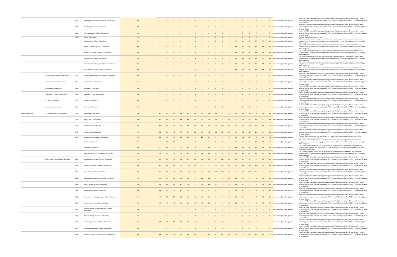|                       |                                                       |       |                                                                 |           |                     |                          |                          |                |                          |                |                          |                                            |                          |                                           |                          |                          |                         |                |                |                                                       | Note that SCE enhanced its mapping of outage data to faults; this may have shifted numbers in this                                                                                                                          |
|-----------------------|-------------------------------------------------------|-------|-----------------------------------------------------------------|-----------|---------------------|--------------------------|--------------------------|----------------|--------------------------|----------------|--------------------------|--------------------------------------------|--------------------------|-------------------------------------------|--------------------------|--------------------------|-------------------------|----------------|----------------|-------------------------------------------------------|-----------------------------------------------------------------------------------------------------------------------------------------------------------------------------------------------------------------------------|
|                       |                                                       | 10.e. | Lightning arrestor damage or failure- Transmission              | Yes       | $\circ$             | $\Omega$                 | $\mathbf{0}$             | $\mathbf{0}$   | $\overline{0}$           | $\overline{0}$ | $\overline{\phantom{0}}$ | $\overline{\mathbf{0}}$                    | $\overline{\mathbf{0}}$  | $\overline{\mathbf{0}}$<br>$\bullet$ 0    | $\overline{0}$           | $\overline{0}$           | $\overline{0}$          | $\overline{0}$ | $\overline{0}$ | 0 # risk events (excluding ignitions)                 | table compared to the numbers provided in SCE's Remedial Compliance Plan SCE-2 - Determining Cause<br>of Near Misses.                                                                                                       |
|                       |                                                       |       |                                                                 |           |                     |                          |                          |                |                          |                |                          |                                            |                          |                                           |                          |                          |                         |                |                |                                                       | Note that SCE enhanced its mapping of outage data to faults; this may have shifted numbers in this                                                                                                                          |
|                       |                                                       | 10.f. | Tap damage or failure - Transmission                            | Yes       |                     | $0$ 0                    | $\overline{\phantom{0}}$ | $\overline{0}$ | $\overline{\phantom{0}}$ | $0\qquad 0$    |                          | $\begin{array}{ccc} & & & 0 & \end{array}$ |                          | $\overline{0}$<br>$\bullet$ 0             | $\overline{\phantom{0}}$ | $\bullet$                | $\overline{\mathbf{0}}$ | $\overline{0}$ | $\overline{0}$ | 0 # risk events (excluding ignitions)                 | table compared to the numbers provided in SCE's Remedial Compliance Plan SCE-2 - Determining Cause<br>of Near Misses.                                                                                                       |
|                       |                                                       |       |                                                                 |           |                     |                          |                          |                |                          |                |                          |                                            |                          |                                           |                          |                          |                         |                |                |                                                       | Note that SCE enhanced its mapping of outage data to faults; this may have shifted numbers in this                                                                                                                          |
|                       |                                                       | 10.g. | Tie wire damage or failure - Transmission                       | No        | $\overline{0}$      | $\overline{0}$           | $\overline{0}$           | $\overline{0}$ | $\overline{0}$           | $\overline{0}$ | $\overline{0}$           | $\overline{\mathbf{0}}$                    | $\overline{\mathbf{0}}$  | $\overline{0}$<br>$\overline{0}$          | $\overline{0}$           | $\overline{\mathbf{0}}$  | $\overline{0}$          | $\overline{0}$ | $\overline{0}$ | $\overline{0}$<br># risk events (excluding ignitions) | table compared to the numbers provided in SCE's Remedial Compliance Plan SCE-2 - Determining Cause                                                                                                                          |
|                       |                                                       | 10.h. | Other - Transmission                                            | Yes       |                     |                          |                          |                |                          |                | $\circ$                  |                                            | - 0                      |                                           | - 0                      | $^{\circ}$               | $^{\circ}$              |                |                | # risk events (excluding ignitions)<br>$\overline{0}$ | of Near Misses.<br>The total of all sub-cause category types                                                                                                                                                                |
|                       |                                                       |       | Pole damage or failure - Transmission                           | Yes       |                     | $0 \qquad 1$             | $\overline{0}$           | $\overline{0}$ | $\overline{\mathbf{0}}$  | $\overline{0}$ | $\overline{\mathbf{0}}$  | $\overline{\mathbf{0}}$                    | $\overline{\phantom{0}}$ | $\overline{\mathbf{0}}$<br>$\bullet$      | <b>NA</b>                | <b>NA</b>                | <b>NA</b>               | <b>NA</b>      | <b>NA</b>      | NA # risk events (excluding ignitions)                | This is a new sub-cause category type added to increase transparency of wire-down events. New sub-cause<br>categories were forecasted as an aggregate rather as individual line items and forecast data is not included for |
|                       |                                                       |       |                                                                 |           |                     |                          |                          |                |                          |                |                          |                                            |                          |                                           |                          |                          |                         |                |                |                                                       | these categories                                                                                                                                                                                                            |
|                       |                                                       |       | Pothead damage or failure - Transmission                        | Yes       | $\bullet$           | $\overline{\phantom{0}}$ | $\overline{0}$           | $\overline{0}$ | $\overline{0}$           | $\overline{0}$ | $\overline{\phantom{0}}$ | $\overline{\mathbf{0}}$                    | $\overline{\mathbf{0}}$  |                                           | <b>NA</b>                | <b>NA</b>                | <b>NA</b>               | <b>NA</b>      | <b>NA</b>      | <b>NA</b><br># risk events (excluding ignitions)      | This is a new sub-cause category type added to increase transparency of wire-down events. New sub-cause<br>categories were forecasted as an aggregate rather as individual line items and forecast data is not included for |
|                       |                                                       |       |                                                                 |           |                     |                          |                          |                |                          |                |                          |                                            |                          |                                           |                          |                          |                         |                |                |                                                       | these categories.                                                                                                                                                                                                           |
|                       |                                                       |       | Fuse failure damage or failure - Transmission                   | Yes       | $\bullet$ $\bullet$ | $\overline{0}$           | $\bullet$                | $\overline{0}$ | $\bullet$                | $\bullet$      | $\bullet$ 0              | $\bullet$                                  | $\overline{\mathbf{0}}$  | $\overline{0}$<br>$\overline{\mathbf{0}}$ | <b>NA</b>                | <b>NA</b>                | <b>NA</b>               | <b>NA</b>      | <b>NA</b>      | <b>NA</b><br># risk events (excluding ignitions)      | This is a new sub-cause category type added to increase transparency of wire-down events. New sub-cause<br>categories were forecasted as an aggregate rather as individual line items and forecast data is not included for |
|                       |                                                       |       |                                                                 |           |                     |                          |                          |                |                          |                |                          |                                            |                          |                                           |                          |                          |                         |                |                |                                                       | these categories                                                                                                                                                                                                            |
|                       |                                                       |       | Guy damage or failure - Transmission                            | Yes       |                     | $0\qquad 0$              | $\overline{\mathbf{0}}$  | $\circ$        | $\overline{\mathbf{0}}$  | $\overline{0}$ | $\bullet$                | $\overline{\mathbf{0}}$                    | $\overline{\mathbf{0}}$  |                                           | <b>NA</b>                | <b>NA</b>                | <b>NA</b>               | <b>NA</b>      | <b>NA</b>      | # risk events (excluding ignitions)<br><b>NA</b>      | This is a new sub-cause category type added to increase transparency of wire-down events. New sub-cause<br>categories were forecasted as an aggregate rather as individual line items and forecast data is not included for |
|                       |                                                       |       |                                                                 |           |                     |                          |                          |                |                          |                |                          |                                            |                          |                                           |                          |                          |                         |                |                |                                                       | these categories                                                                                                                                                                                                            |
|                       |                                                       |       | Conductor failure damage or failure - Transmission              | Yes       | $\overline{0}$      | $\mathbf{0}$             | $\mathbf{0}$             | $\mathbf{0}$   | $\overline{0}$           | $\overline{0}$ | $\overline{0}$           | $\overline{0}$                             | $\overline{0}$           |                                           | <b>NA</b>                | <b>NA</b>                | <b>NA</b>               | <b>NA</b>      | <b>NA</b>      | <b>NA</b><br># risk events (excluding ignitions)      | This is a new sub-cause category type added to increase transparency of wire-down events. New sub-cause<br>categories were forecasted as an aggregate rather as individual line items and forecast data is not included for |
|                       |                                                       |       |                                                                 |           |                     |                          |                          |                |                          |                |                          |                                            |                          |                                           |                          |                          |                         |                |                |                                                       | these categories<br>This is a new sub-cause category type added to increase transparency of wire-down events. New sub-cause                                                                                                 |
|                       |                                                       |       | Various other damage or failure - Transmission                  | Yes       |                     | $1 \t 2$                 | $\mathbf{0}$             |                |                          |                | $\overline{0}$           | $\mathbf{0}$                               | $\overline{0}$           |                                           | <b>NA</b>                | <b>NA</b>                | <b>NA</b>               | <b>NA</b>      | <b>NA</b>      | <b>NA</b><br># risk events (excluding ignitions)      | categories were forecasted as an aggregate rather as individual line items and forecast data is not included for                                                                                                            |
|                       |                                                       |       |                                                                 |           |                     |                          |                          |                |                          |                |                          |                                            |                          |                                           |                          |                          |                         |                |                |                                                       | these categories.<br>Note that SCE enhanced its mapping of outage data to faults; this may have shifted numbers in this                                                                                                     |
|                       | 11. Wire-to-wire contact - Transmission               | 11.a. | Wire-to-wire contact / contamination- Transmission              | Yes       | $\bullet$           | $\overline{0}$           | $\mathbf{0}$             | $\overline{0}$ | $\overline{\mathbf{0}}$  | $\overline{0}$ | $\overline{\mathbf{0}}$  | $\overline{\mathbf{0}}$                    | $\overline{\mathbf{0}}$  | $\overline{0}$<br>$\overline{\mathbf{0}}$ | $\overline{0}$           | $\overline{\phantom{0}}$ | $\bullet$               | $\overline{0}$ | $\overline{0}$ | $\circ$<br># risk events (excluding ignitions)        | table compared to the numbers provided in SCE's Remedial Compliance Plan SCE-2 - Determining Cause                                                                                                                          |
|                       |                                                       |       |                                                                 |           |                     |                          |                          |                |                          |                |                          |                                            |                          |                                           |                          |                          |                         |                |                |                                                       | of Near Misses.<br>Note that SCE enhanced its mapping of outage data to faults; this may have shifted numbers in this                                                                                                       |
|                       | 12. Contamination - Transmission                      | 12.a. | Contamination - Transmission                                    | No        | $\bullet$           | $\overline{\phantom{0}}$ | $\overline{0}$           | $\circ$        | $\overline{0}$           | $\overline{0}$ | $\overline{0}$           | $\overline{\mathbf{0}}$                    | $\overline{0}$           | $\overline{0}$<br>$\overline{\mathbf{0}}$ | $\overline{0}$           | $\overline{\mathbf{0}}$  | $\overline{0}$          | $\Omega$       | - 0            | # risk events (excluding ignitions)<br>$\overline{0}$ | table compared to the numbers provided in SCE's Remedial Compliance Plan SCE-2 - Determining Cause                                                                                                                          |
|                       |                                                       |       |                                                                 |           |                     |                          |                          |                |                          |                |                          |                                            |                          |                                           |                          |                          |                         |                |                |                                                       | of Near Misses.                                                                                                                                                                                                             |
|                       | 13. Utility work / Operation                          | 13.a. | Utility work / Operation                                        | <b>No</b> | $\overline{0}$      | $\overline{0}$           | $\mathbf{0}$             | $\mathbf{0}$   | $\overline{\mathbf{0}}$  | $\circ$        | $\overline{0}$           | $\overline{0}$                             | $\overline{0}$           | - 0                                       | $\mathbf{0}$             | $\overline{\mathbf{0}}$  | $\overline{\mathbf{0}}$ | - 0            | $\circ$        | # risk events (excluding ignitions)<br>$\circ$        | Note that SCE enhanced its mapping of outage data to faults; this may have shifted numbers in this<br>table compared to the numbers provided in SCE's Remedial Compliance Plan SCE-2 - Determining Cause                    |
|                       |                                                       |       |                                                                 |           |                     |                          |                          |                |                          |                |                          |                                            |                          |                                           |                          |                          |                         |                |                |                                                       | of Near Misses.                                                                                                                                                                                                             |
|                       | 14. Vandalism / Theft - Transmission                  | 14.a. | Vandalism / Theft - Transmission                                | <b>No</b> | $\overline{0}$      | $\mathbf{0}$             | $\mathbf{0}$             | $\mathbf{0}$   | $\mathbf{0}$             | $\overline{0}$ | $\overline{\mathbf{0}}$  | $\mathbf{0}$                               | $\overline{0}$           |                                           | $\overline{0}$           | $\overline{0}$           | $\overline{0}$          | $\overline{0}$ | $\overline{0}$ | $\overline{0}$<br># risk events (excluding ignitions) | Note that SCE enhanced its mapping of outage data to faults; this may have shifted numbers in this<br>table compared to the numbers provided in SCE's Remedial Compliance Plan SCE-2 - Determining Cause                    |
|                       |                                                       |       |                                                                 |           |                     |                          |                          |                |                          |                |                          |                                            |                          |                                           |                          |                          |                         |                |                |                                                       | of Near Misses.                                                                                                                                                                                                             |
|                       |                                                       |       |                                                                 |           |                     |                          |                          |                |                          |                |                          |                                            |                          |                                           |                          |                          |                         |                |                |                                                       | Note that SCE enhanced its mapping of outage data to faults; this may have shifted numbers in this                                                                                                                          |
|                       | 15. Other- Transmission                               | 15.a. | All Other-Transmission                                          | Yes       | $\overline{0}$      |                          | $\mathbf{0}$             |                |                          |                | $\overline{\mathbf{0}}$  |                                            | $\overline{0}$           |                                           | $\overline{0}$           | $\overline{0}$           | $\overline{0}$          | $\mathbf{0}$   | $\overline{0}$ | $\overline{0}$<br># risk events (excluding ignitions) | table compared to the numbers provided in SCE's Remedial Compliance Plan SCE-2 - Determining Cause<br>of Near Misses.                                                                                                       |
|                       |                                                       |       |                                                                 |           |                     |                          |                          |                |                          |                |                          |                                            |                          |                                           |                          |                          |                         |                |                |                                                       | Note that SCE enhanced its mapping of outage data to faults; this may have shifted numbers in this                                                                                                                          |
|                       | 16. Unknown- Transmission                             | 16.a. | Unknown - Transmission                                          | Yes       | $\bullet$           | $\overline{0}$           | $\overline{0}$           | $\overline{0}$ | $\overline{\mathbf{0}}$  | $\overline{0}$ | $\overline{\mathbf{0}}$  | $\overline{\mathbf{0}}$                    | $\bullet$                | $\overline{0}$<br>$\bullet$               | $\overline{\mathbf{0}}$  | $\overline{\mathbf{0}}$  | $\bullet$               | $\overline{0}$ | $\overline{0}$ | # risk events (excluding ignitions)<br>$\overline{0}$ | table compared to the numbers provided in SCE's Remedial Compliance Plan SCE-2 - Determining Cause<br>of Near Misses.                                                                                                       |
|                       |                                                       |       |                                                                 |           |                     |                          |                          |                |                          |                |                          |                                            |                          |                                           |                          |                          |                         |                |                |                                                       | Note that SCE enhanced its mapping of outage data to faults; this may have shifted numbers in this                                                                                                                          |
| Outage - Distribution | 17. Contact from object - Distribution                | 17.a. | Veg. contact-Distribution                                       | Yes       | 395                 | 557                      | 609                      | 416            | 527                      | 104            | 70                       | 25                                         | 112                      | 93<br>19                                  | 22                       | 101                      | 103                     | 32             | 18             | # risk events (excluding ignitions)<br>99             | table compared to the numbers provided in SCE's Remedial Compliance Plan SCE-2 - Determining Cause                                                                                                                          |
|                       |                                                       |       |                                                                 |           |                     |                          |                          |                |                          |                |                          |                                            |                          |                                           |                          |                          |                         |                |                |                                                       | of Near Misses.<br>Note that SCE enhanced its mapping of outage data to faults; this may have shifted numbers in this                                                                                                       |
|                       |                                                       | 17.b. | Animal contact- Distribution                                    | Yes       | 655                 | 598                      | 622                      | 648            | 686                      | 122            | 201                      | 169                                        | 163                      | 79<br>168                                 | 153                      | 153                      | 111                     | 191            | 141            | # risk events (excluding ignitions)<br>146            | table compared to the numbers provided in SCE's Remedial Compliance Plan SCE-2 - Determining Cause                                                                                                                          |
|                       |                                                       |       |                                                                 |           |                     |                          |                          |                |                          |                |                          |                                            |                          |                                           |                          |                          |                         |                |                |                                                       | of Near Misses.<br>Note that SCE enhanced its mapping of outage data to faults; this may have shifted numbers in this                                                                                                       |
|                       |                                                       | 17.c. | Balloon contact-Distribution                                    | Yes       | 758                 | 785                      | 911                      | 975            | 776                      | 178            | 348                      | 275                                        | 191                      | 247<br>437                                | 223                      | 153                      | 220                     | 307            | 209            | 144<br># risk events (excluding ignitions)            | table compared to the numbers provided in SCE's Remedial Compliance Plan SCE-2 - Determining Cause                                                                                                                          |
|                       |                                                       |       |                                                                 |           |                     |                          |                          |                |                          |                |                          |                                            |                          |                                           |                          |                          |                         |                |                |                                                       | of Near Misses.<br>Note that SCE enhanced its mapping of outage data to faults; this may have shifted numbers in this                                                                                                       |
|                       |                                                       | 17.d. | Vehicle contact- Distribution                                   | Yes       | 508                 | 586                      | 528                      | 647            | 517                      | 116            | 113                      | 153                                        | 132                      | 145<br>129                                | 131                      | 131                      | 132                     | 130            | 124            | 125 # risk events (excluding ignitions)               | table compared to the numbers provided in SCE's Remedial Compliance Plan SCE-2 - Determining Cause                                                                                                                          |
|                       |                                                       |       |                                                                 |           |                     |                          |                          |                |                          |                |                          |                                            |                          |                                           |                          |                          |                         |                |                |                                                       | of Near Misses.                                                                                                                                                                                                             |
|                       |                                                       | 17.e. | Other contact from object - Distribution                        | Yes       | 870                 | 393                      | 289                      | 369            | 449                      | 44             | 28                       | 35                                         | 43                       | 64<br>- 75                                | 106                      | 110                      | 107                     | 79             | 105            | 110<br># risk events (excluding ignitions)            | The total of all sub-cause category types below. An additional sub-cause category type was added below<br>requiring a new summation for the total.                                                                          |
|                       |                                                       |       | Ice/Snow - Distribution                                         | Yes       | 4                   | 15                       | 19                       | -9             | $\overline{\mathbf{3}}$  | $\overline{0}$ | $\overline{\mathbf{0}}$  | $\overline{\mathbf{0}}$                    | $\overline{\mathbf{0}}$  | $\mathbf{1}$<br>$\overline{\mathbf{0}}$   | <b>NA</b>                | <b>NA</b>                | <b>NA</b>               | <b>NA</b>      | <b>NA</b>      | <b>NA</b><br># risk events (excluding ignitions)      | This is a new sub-cause category type added to increase transparency of outage events. New sub-cause<br>categories were forecasted as an aggregate rather as individual line items and forecast data is not included for    |
|                       |                                                       |       |                                                                 |           |                     |                          |                          |                |                          |                |                          |                                            |                          |                                           |                          |                          |                         |                |                |                                                       | these categories                                                                                                                                                                                                            |
|                       |                                                       |       | Lightning - Distribution                                        | Yes       | 757                 | 264                      | 167                      | 225            | 323                      | 20             | $\overline{2}$           | 15                                         | 27                       | 29<br>- 28.                               | <b>NA</b>                | <b>NA</b>                | <b>NA</b>               | <b>NA</b>      | <b>NA</b>      | <b>NA</b><br># risk events (excluding ignitions)      | This is a new sub-cause category type added to increase transparency of outage events. The new sub-cause<br>categories were originally forecasted under "23. Other-Distribution" and now has been moved to "17. Contact     |
|                       |                                                       |       |                                                                 |           |                     |                          |                          |                |                          |                |                          |                                            |                          |                                           |                          |                          |                         |                |                |                                                       | from object - Distribution"                                                                                                                                                                                                 |
|                       |                                                       |       | Various other contact from object - Distribution                | Yes       | 109                 | 114                      | 103                      | 135            | 123                      | 24             | 26                       | 20                                         | 16                       | 34<br>47                                  | <b>NA</b>                | <b>NA</b>                | <b>NA</b>               | <b>NA</b>      | <b>NA</b>      | <b>NA</b><br># risk events (excluding ignitions)      | This is a new sub-cause category type added to increase transparency of outage events. New sub-cause<br>categories were forecasted as an aggregate rather as individual line items and forecast data is not included for    |
|                       |                                                       |       |                                                                 |           |                     |                          |                          |                |                          |                |                          |                                            |                          |                                           |                          |                          |                         |                |                |                                                       | these categories                                                                                                                                                                                                            |
|                       | 18. Equipment / facility failure - Distribution 18.a. |       | Capacitor bank damage or failure-Distribution                   | Yes       | 319                 | 309                      | 425                      | 376            | 457                      | 128            | 160                      | 73                                         | 44                       | 111<br>100                                | 92                       |                          |                         |                | 92             | 95<br># risk events (excluding ignitions)             | Note that SCE enhanced its mapping of outage data to faults; this may have shifted numbers in this<br>table compared to the numbers provided in SCE's Remedial Compliance Plan SCE-2 - Determining Cause                    |
|                       |                                                       |       |                                                                 |           |                     |                          |                          |                |                          |                |                          |                                            |                          |                                           |                          |                          |                         |                |                |                                                       | of Near Misses.                                                                                                                                                                                                             |
|                       |                                                       | 18.b. | Conductor damage or failure - Distribution                      | Yes       | 463                 |                          | 654                      | 713            | 1.116                    | 205            | 143                      | 211                                        | 250                      | 277<br>110                                |                          |                          | 133                     | 195            | 149            | 85 # risk events (excluding ignitions)                | Note that SCE enhanced its mapping of outage data to faults; this may have shifted numbers in this<br>table compared to the numbers provided in SCE's Remedial Compliance Plan SCE-2 - Determining Cause                    |
|                       |                                                       |       |                                                                 |           |                     |                          |                          |                |                          |                |                          |                                            |                          |                                           |                          |                          |                         |                |                |                                                       | of Near Misses.                                                                                                                                                                                                             |
|                       |                                                       | 18.c. | Fuse damage or failure - Distribution                           | Yes       | 232                 | 195                      | 245                      | 508            | 1,245                    | 169            | 176                      | 316                                        | 167                      | 180<br>132                                | 132                      | 166                      | 168                     | 166            | 132            | # risk events (excluding ignitions)<br>166            | Note that SCE enhanced its mapping of outage data to faults; this may have shifted numbers in this<br>table compared to the numbers provided in SCE's Remedial Compliance Plan SCE-2 - Determining Cause                    |
|                       |                                                       |       |                                                                 |           |                     |                          |                          |                |                          |                |                          |                                            |                          |                                           |                          |                          |                         |                |                |                                                       | of Near Misses.                                                                                                                                                                                                             |
|                       |                                                       |       |                                                                 |           |                     |                          |                          | 105            |                          |                |                          |                                            |                          |                                           |                          |                          |                         |                |                |                                                       | Note that SCE enhanced its mapping of outage data to faults; this may have shifted numbers in this                                                                                                                          |
|                       |                                                       | 18.d. | Lightning arrestor damage or failure- Distribution              | Yes       | 105                 | 127                      | 99                       |                | 216                      | 27             | 21                       | 26                                         | 25                       | 12                                        | 30 <sup>2</sup>          | 31                       | 31                      | 31             | 30             | 31 # risk events (excluding ignitions)                | table compared to the numbers provided in SCE's Remedial Compliance Plan SCE-2 - Determining Cause<br>of Near Misses.                                                                                                       |
|                       |                                                       |       |                                                                 |           |                     |                          |                          |                |                          |                |                          |                                            |                          |                                           |                          |                          |                         |                |                |                                                       | Note that SCE enhanced its mapping of outage data to faults; this may have shifted numbers in this                                                                                                                          |
|                       |                                                       | 18.e. | Switch damage or failure-Distribution                           | Yes       | 51                  | 46                       | 45                       | 67             | 78                       | 17             | 11                       | 16                                         | 18                       | 15<br>10                                  | 14                       | 15                       | 15                      | 15             | 14             | 15 # risk events (excluding ignitions)                | table compared to the numbers provided in SCE's Remedial Compliance Plan SCE-2 - Determining Cause<br>of Near Misses.                                                                                                       |
|                       |                                                       |       |                                                                 |           |                     |                          |                          |                |                          |                |                          |                                            |                          |                                           |                          |                          |                         |                |                |                                                       | Note that SCE enhanced its mapping of outage data to faults; this may have shifted numbers in this                                                                                                                          |
|                       |                                                       | 18.f. | Pole damage or failure - Distribution                           | Yes       | 98                  | 126                      | 130                      | 207            | 541                      | 57             | 36                       | 31                                         | 41                       | 32<br>20                                  | 38                       | 41                       | 41                      | 41             | 38             | 41 # risk events (excluding ignitions)                | table compared to the numbers provided in SCE's Remedial Compliance Plan SCE-2 - Determining Cause<br>of Near Misses.                                                                                                       |
|                       |                                                       |       |                                                                 |           |                     |                          |                          |                |                          |                |                          |                                            |                          |                                           |                          |                          |                         |                |                |                                                       | Note that SCE enhanced its mapping of outage data to faults; this may have shifted numbers in this                                                                                                                          |
|                       |                                                       | 18.g. | Insulator and brushing damage or failure - Distribution         | Yes       | 42                  | 75                       | 79                       | 123            | 121                      | 28             | 14                       | 11                                         | 43                       | 30<br>14                                  | 15                       | 31                       | 24                      | 16             | <b>15</b>      | 31 # risk events (excluding ignitions)                | table compared to the numbers provided in SCE's Remedial Compliance Plan SCE-2 - Determining Cause                                                                                                                          |
|                       |                                                       |       |                                                                 |           |                     |                          |                          |                |                          |                |                          |                                            |                          |                                           |                          |                          |                         |                |                |                                                       | of Near Misses.<br>Note that SCE enhanced its mapping of outage data to faults; this may have shifted numbers in this                                                                                                       |
|                       |                                                       | 18.h. | Crossarm damage or failure - Distribution                       | Yes       | 127                 | 143                      | 138                      | 354            | 834                      | 98             | 45                       | 29                                         | 45                       | 39<br>17                                  | 60                       | 74                       | 75                      | 75             | 60             | # risk events (excluding ignitions)<br>74             | table compared to the numbers provided in SCE's Remedial Compliance Plan SCE-2 - Determining Cause                                                                                                                          |
|                       |                                                       |       |                                                                 |           |                     |                          |                          |                |                          |                |                          |                                            |                          |                                           |                          |                          |                         |                |                |                                                       | of Near Misses.<br>Note that SCE enhanced its mapping of outage data to faults; this may have shifted numbers in this                                                                                                       |
|                       |                                                       | 18.i. | Voltage regulator / booster damage or failure -<br>Distribution | Yes       | 1                   |                          |                          |                |                          |                | $\Omega$                 | $\overline{1}$                             | $\overline{1}$           | $\Omega$                                  | $\overline{0}$           | $\overline{0}$           | $\overline{1}$          | $\overline{0}$ | $\Omega$       | # risk events (excluding ignitions)<br>$\overline{0}$ | table compared to the numbers provided in SCE's Remedial Compliance Plan SCE-2 - Determining Cause                                                                                                                          |
|                       |                                                       |       |                                                                 |           |                     |                          |                          |                |                          |                |                          |                                            |                          |                                           |                          |                          |                         |                |                |                                                       | of Near Misses.<br>Note that SCE enhanced its mapping of outage data to faults; this may have shifted numbers in this                                                                                                       |
|                       |                                                       | 18.j. | Recloser damage or failure - Distribution                       | <b>No</b> | $\bullet$           | $\overline{0}$           | $\mathbf{0}$             | $\overline{0}$ | $\overline{0}$           | $\overline{0}$ | $\overline{0}$           | $\overline{0}$                             | $\overline{\mathbf{0}}$  | - 0                                       | $\overline{0}$           | $\overline{0}$           | $\overline{0}$          | $\overline{0}$ | $\Omega$       | 0 # risk events (excluding ignitions)                 | table compared to the numbers provided in SCE's Remedial Compliance Plan SCE-2 - Determining Cause                                                                                                                          |
|                       |                                                       |       |                                                                 |           |                     |                          |                          |                |                          |                |                          |                                            |                          |                                           |                          |                          |                         |                |                |                                                       | of Near Misses.                                                                                                                                                                                                             |
|                       |                                                       | 18.k. | Anchor / guy damage or failure - Distribution                   | Yes       | 17                  | 20                       | 18                       | 17             | 20                       |                |                          | $\overline{\mathbf{3}}$                    | $\overline{4}$           | $\overline{\mathbf{3}}$                   | $\overline{2}$           | 6 <sup>6</sup>           | 6                       | $\overline{4}$ | $\overline{2}$ | # risk events (excluding ignitions)                   | Note that SCE enhanced its mapping of outage data to faults; this may have shifted numbers in this<br>table compared to the numbers provided in SCE's Remedial Compliance Plan SCE-2 - Determining Cause                    |
|                       |                                                       |       |                                                                 |           |                     |                          |                          |                |                          |                |                          |                                            |                          |                                           |                          |                          |                         |                |                |                                                       | of Near Misses.                                                                                                                                                                                                             |
|                       |                                                       | 18.I. | Sectionalizer damage or failure - Distribution                  | <b>No</b> |                     |                          |                          |                |                          |                | $\overline{0}$           |                                            | $\overline{0}$           |                                           |                          | $\overline{0}$           | $\overline{0}$          |                |                | # risk events (excluding ignitions)<br>$\overline{0}$ | Note that SCE enhanced its mapping of outage data to faults; this may have shifted numbers in this<br>table compared to the numbers provided in SCE's Remedial Compliance Plan SCE-2 - Determining Cause                    |
|                       |                                                       |       |                                                                 |           |                     |                          |                          |                |                          |                |                          |                                            |                          |                                           |                          |                          |                         |                |                |                                                       | of Near Misses.                                                                                                                                                                                                             |
|                       |                                                       | 18.m. | Connection device damage or failure - Distribution              | Yes       | 386                 | 490                      | 406                      | 501            | 500                      | 123            | 111                      | 86                                         | 97                       | 111<br>106                                | 110                      | 112                      | 111                     | 112            | 110            | 112<br># risk events (excluding ignitions)            | Note that SCE enhanced its mapping of outage data to faults; this may have shifted numbers in this<br>table compared to the numbers provided in SCE's Remedial Compliance Plan SCE-2 - Determining Cause                    |
|                       |                                                       |       |                                                                 |           |                     |                          |                          |                |                          |                |                          |                                            |                          |                                           |                          |                          |                         |                |                |                                                       | of Near Misses.                                                                                                                                                                                                             |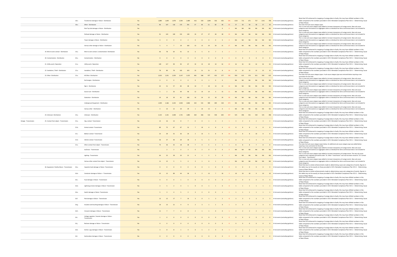|                       |                                                       | 18.n. | Transformer damage or failure - Distribution                    | Yes       | 1.889          |                         | 1.978                    |                | 2.489                    | 416                     | 559                     |                |                          | 403                      |                         | 1154                    | 712                        | 671                        | 757                     | 1141                             | 709 # risk events (excluding ignitions) | Note that SCE enhanced its mapping of outage data to faults; this may have shifted numbers in this<br>table compared to the numbers provided in SCE's Remedial Compliance Plan SCE-2 - Determining Cause                                                |
|-----------------------|-------------------------------------------------------|-------|-----------------------------------------------------------------|-----------|----------------|-------------------------|--------------------------|----------------|--------------------------|-------------------------|-------------------------|----------------|--------------------------|--------------------------|-------------------------|-------------------------|----------------------------|----------------------------|-------------------------|----------------------------------|-----------------------------------------|---------------------------------------------------------------------------------------------------------------------------------------------------------------------------------------------------------------------------------------------------------|
|                       |                                                       | 18.o. | Other - Distribution                                            | Yes       | 96             | 147                     | 116                      | 173            | 291                      | 37                      | 40                      | 51             | 60                       | 49                       |                         | 57                      | 59                         | 59                         | 58                      | 57                               | 59 # risk events (excluding ignitions)  | of Near Misses.<br>The total of all sub-cause category types                                                                                                                                                                                            |
|                       |                                                       |       | Pole Top Sub damage or failure - Distribution                   | Yes       |                |                         |                          |                |                          |                         |                         |                |                          | $\mathbf{0}$             |                         | <b>NA</b>               | <b>NA</b>                  | <b>NA</b>                  | <b>NA</b>               | <b>NA</b>                        | NA # risk events (excluding ignitions)  | This is a new sub-cause category type added to increase transparency of outage events. New sub-cause<br>categories were forecasted as an aggregate rather as individual line items and forecast data is not included for                                |
|                       |                                                       |       | Pothead damage or failure - Distribution                        | Yes       | 91             | 143                     | 109                      | 155            | 128                      | 24                      | 27                      | 27             | 40                       | 28                       | 33                      | <b>NA</b>               | <b>NA</b>                  | <b>NA</b>                  | <b>NA</b>               | <b>NA</b><br><b>NA</b>           | # risk events (excluding ignitions)     | these categories<br>This is a new sub-cause category type added to increase transparency of outage events. New sub-cause<br>categories were forecasted as an aggregate rather as individual line items and forecast data is not included for            |
|                       |                                                       |       | Tower damage or failure - Distribution                          | Yes       | $\mathbf{0}$   |                         |                          |                |                          |                         |                         |                | $\mathbf{0}$             |                          |                         | <b>NA</b>               | <b>NA</b>                  | <b>NA</b>                  | <b>NA</b>               | <b>NA</b><br><b>NA</b>           | # risk events (excluding ignitions)     | these categories.<br>This is a new sub-cause category type added to increase transparency of outage events. New sub-cause<br>categories were forecasted as an aggregate rather as individual line items and forecast data is not included for           |
|                       |                                                       |       | Various other damage or failure - Distribution                  | Yes       | -5             |                         |                          | <b>18</b>      | 160                      | 13                      | 12                      | 24             | 20                       | 21                       | 27                      | <b>NA</b>               | <b>NA</b>                  | <b>NA</b>                  | <b>NA</b>               | <b>NA</b><br><b>NA</b>           | # risk events (excluding ignitions)     | these categories<br>This is a new sub-cause category type added to increase transparency of outage events. New sub-cause<br>categories were forecasted as an aggregate rather as individual line items and forecast data is not included for            |
|                       | 19. Wire-to-wire contact - Distribution               | 19.a. | Wire-to-wire contact / contamination- Distribution              | Yes       | 46             | 78                      | 64                       | 41             | 13                       | 6                       |                         |                |                          | $\overline{\mathbf{3}}$  |                         |                         |                            | $\overline{7}$             | $7\overline{ }$         |                                  | 7 # risk events (excluding ignitions)   | these categories<br>Note that SCE enhanced its mapping of outage data to faults; this may have shifted numbers in this<br>table compared to the numbers provided in SCE's Remedial Compliance Plan SCE-2 - Determining Cause                            |
|                       |                                                       |       |                                                                 |           |                |                         |                          |                |                          |                         |                         |                |                          |                          |                         |                         |                            |                            |                         |                                  |                                         | of Near Misses<br>Note that SCE enhanced its mapping of outage data to faults; this may have shifted numbers in this                                                                                                                                    |
|                       | 20. Contamination - Distribution                      | 20.a. | Contamination - Distribution                                    | <b>No</b> | $\bullet$      | $\overline{\mathbf{0}}$ | $\overline{\mathbf{0}}$  |                | $\overline{0}$           | $\mathbf{0}$            | $\overline{0}$          | $\circ$        | $\overline{\mathbf{0}}$  | $\overline{\mathbf{0}}$  | $\overline{\mathbf{0}}$ | $\overline{0}$          | $\overline{\mathbf{0}}$    | $\overline{\mathbf{0}}$    | $\overline{\mathbf{0}}$ | $\overline{0}$<br>$\overline{0}$ | # risk events (excluding ignitions)     | table compared to the numbers provided in SCE's Remedial Compliance Plan SCE-2 - Determining Cause<br>of Near Misses.<br>Note that SCE enhanced its mapping of outage data to faults; this may have shifted numbers in this                             |
|                       | 21. Utility work / Operation                          | 21.a. | Utility work / Operation                                        | Yes       | 149            | 117                     | 99                       | 94             | 67                       | 32                      | 15                      | <b>18</b>      | 10                       | 16                       | 10                      | 16                      | 16                         | 16                         | 16                      | 16                               | 16 # risk events (excluding ignitions)  | table compared to the numbers provided in SCE's Remedial Compliance Plan SCE-2 - Determining Cause<br>of Near Misses.                                                                                                                                   |
|                       | 22. Vandalism / Theft - Distribution                  | 22.a. | Vandalism / Theft - Distribution                                | Yes       | 78             | -80                     | 78                       | 102            | 103                      | 23                      | 21                      | 21             | 15                       | -8                       | $-16$                   | 22                      | 22                         | 22                         | 22                      | 22                               | 22 # risk events (excluding ignitions)  | Note that SCE enhanced its mapping of outage data to faults; this may have shifted numbers in this<br>table compared to the numbers provided in SCE's Remedial Compliance Plan SCE-2 - Determining Cause<br>of Near Misses.                             |
|                       | 23. Other- Distribution                               | 23.a. | All Other-Distribution                                          | Yes       | 2,010          | 2.251                   | 2.359                    | 3.147          | 3,125                    | 481                     | 586                     | 977            | 453                      | 377                      | 530                     | 959                     | 615                        | 574                        | 651                     | 959                              | 615 # risk events (excluding ignitions) | The total of all sub-cause category types. A sub-cause category type was removed below requiring a new<br>summation for the total.                                                                                                                      |
|                       |                                                       |       | De-Energize - Distribution                                      | Yes       | $\circ$        |                         |                          |                | $\overline{\mathbf{0}}$  | $\overline{0}$          | $\Omega$                | $\overline{1}$ | $\overline{0}$           | $\mathbf{0}$             |                         | <b>NA</b>               | <b>NA</b>                  | <b>NA</b>                  | <b>NA</b>               | <b>NA</b><br><b>NA</b>           | # risk events (excluding ignitions)     | This is a new sub-cause category type added to increase transparency of outage events. New sub-cause<br>categories were forecasted as an aggregate rather as individual line items and forecast data is not included for<br>these categories.           |
|                       |                                                       |       | Dig In - Distribution                                           | Yes       | 42             | 51                      | 57                       | 83             | 48                       | 10                      | $\overline{7}$          | 18             | 13                       | 15                       | $-16$                   | <b>NA</b>               | <b>NA</b>                  | <b>NA</b>                  | <b>NA</b>               | <b>NA</b>                        | NA # risk events (excluding ignitions)  | This is a new sub-cause category type added to increase transparency of outage events. New sub-cause<br>categories were forecasted as an aggregate rather as individual line items and forecast data is not included for<br>these categories.           |
|                       |                                                       |       | Source Lost - Distribution                                      | Yes       | $5^{\circ}$    |                         | 26                       | 49             | 96                       | 12                      | 14                      | 14             | $\overline{4}$           | 15                       | 11                      | <b>NA</b>               | <b>NA</b>                  | <b>NA</b>                  | <b>NA</b>               | <b>NA</b><br><b>NA</b>           | # risk events (excluding ignitions)     | This is a new sub-cause category type added to increase transparency of outage events. New sub-cause<br>categories were forecasted as an aggregate rather as individual line items and forecast data is not included for                                |
|                       |                                                       |       | Substation - Distribution                                       | Yes       | 10             | 18                      | 30                       | 61             | 106                      | 16                      | 24                      | 22             | 18                       | 29                       | 30                      | <b>NA</b>               | <b>NA</b>                  | <b>NA</b>                  | <b>NA</b>               | <b>NA</b>                        | # risk events (excluding ignitions)     | these categories.<br>This is a new sub-cause category type added to increase transparency of outage events. New sub-cause<br>categories were forecasted as an aggregate rather as individual line items and forecast data is not included for           |
|                       |                                                       |       | Underground Equipment - Distribution                            | Yes       |                | 1.949 2.166             | 2.234                    | 2.944          | 2.846                    | 442                     | 531                     | 909            | 409                      | 318                      | 473                     | <b>NA</b>               | <b>NA</b>                  | <b>NA</b>                  | <b>NA</b>               | <b>NA</b><br><b>NA</b>           | # risk events (excluding ignitions)     | these categories<br>This is a new sub-cause category type added to increase transparency of outage events. New sub-cause<br>categories were forecasted as an aggregate rather as individual line items and forecast data is not included for            |
|                       |                                                       |       |                                                                 |           |                |                         |                          |                |                          |                         |                         |                |                          |                          |                         |                         |                            |                            |                         |                                  |                                         | these categories<br>This is a new sub-cause category type added to increase transparency of outage events. New sub-cause                                                                                                                                |
|                       |                                                       |       | Various other - Distribution                                    | Yes       | $\sim$ 4       | 14                      | 12                       | 10             | 29                       | $\overline{1}$          | 10                      | <sup>13</sup>  | $\overline{9}$           | $\overline{\mathbf{0}}$  | $\overline{0}$          | <b>NA</b>               | <b>NA</b>                  | <b>NA</b>                  | <b>NA</b>               | <b>NA</b>                        | NA # risk events (excluding ignitions)  | categories were forecasted as an aggregate rather as individual line items and forecast data is not included for<br>these categories.<br>Note that SCE enhanced its mapping of outage data to faults; this may have shifted numbers in this             |
|                       | 24. Unknown- Distribution                             | 24.a. | Unknown - Distribution                                          | Yes       |                | 2,142 2,141             | 2,408                    | 1,741          | 1,883                    | 364                     | 466                     | 513            | 558                      | 603                      | 507                     | 525                     | 496                        | 551                        | 530                     | 525                              | 496 # risk events (excluding ignitions) | table compared to the numbers provided in SCE's Remedial Compliance Plan SCE-2 - Determining Cause<br>of Near Misses<br>Note that SCE enhanced its mapping of outage data to faults; this may have shifted numbers in this                              |
| Outage - Transmission | 25. Contact from object - Transmission                | 25.a. | Veg. contact-Transmission                                       | Yes       | 12             | <sup>16</sup>           | 13                       |                |                          | $\mathbf{0}$            |                         |                | $\overline{4}$           | $\overline{2}$           |                         |                         | $\overline{2}$             |                            |                         |                                  | 2 # risk events (excluding ignitions)   | table compared to the numbers provided in SCE's Remedial Compliance Plan SCE-2 - Determining Cause<br>of Near Misses.                                                                                                                                   |
|                       |                                                       | 25.b. | Animal contact-Transmission                                     | Yes       | 80             | 75                      | 67                       | 67             | 31                       | $\overline{7}$          | 19                      | $\overline{4}$ | 8                        | $\overline{4}$           | 12                      | 8 <sup>8</sup>          | 8 <sup>2</sup>             | $_{\rm 8}$                 | 6                       | - 8                              | 8 # risk events (excluding ignitions)   | Note that SCE enhanced its mapping of outage data to faults; this may have shifted numbers in this<br>table compared to the numbers provided in SCE's Remedial Compliance Plan SCE-2 - Determining Cause<br>of Near Misses.                             |
|                       |                                                       | 25.c. | Balloon contact-Transmission                                    | Yes       | 23             | 39                      | 55                       | 36             | 24                       | $\overline{2}$          | 13                      | $-5$           | 8                        | 9                        | <b>14</b>               | 8 <sup>8</sup>          | 8                          | 8                          | 10                      |                                  | 8 # risk events (excluding ignitions)   | Note that SCE enhanced its mapping of outage data to faults; this may have shifted numbers in this<br>table compared to the numbers provided in SCE's Remedial Compliance Plan SCE-2 - Determining Cause                                                |
|                       |                                                       | 25.d. | Vehicle contact-Transmission                                    | Yes       | 36             | 37                      | 40                       |                | 18                       |                         |                         |                |                          | $\overline{7}$           |                         | $\overline{4}$          | $\overline{4}$             | $\overline{4}$             | $\overline{4}$          | $\overline{4}$                   | 4 # risk events (excluding ignitions)   | of Near Misses.<br>Note that SCE enhanced its mapping of outage data to faults; this may have shifted numbers in this<br>table compared to the numbers provided in SCE's Remedial Compliance Plan SCE-2 - Determining Cause                             |
|                       |                                                       | 25.e. | Other contact from object - Transmission                        | Yes       | 75             | 36                      | 35                       | <b>18</b>      | 28                       |                         | $\overline{4}$          | $-5$           | $\overline{\mathbf{3}}$  | $\mathbf{1}$             | $\overline{2}$          | $\mathbf{8}$            | 8                          | $_{\rm 8}$                 |                         | 8                                | 8 # risk events (excluding ignitions)   | of Near Misses.<br>The total of all sub-cause category types below. An additional sub-cause category type was added below<br>requiring a new summation for the total.                                                                                   |
|                       |                                                       |       | Ice/Snow - Transmission                                         | Yes       |                | $\overline{2}$          | $\overline{\phantom{a}}$ |                | $\overline{\phantom{a}}$ | $\overline{\mathbf{0}}$ | $\overline{2}$          | $\bullet$      | $\overline{\phantom{0}}$ | $\overline{\phantom{0}}$ | $\bullet$               | <b>NA</b>               | <b>NA</b>                  | <b>NA</b>                  | <b>NA</b>               | <b>NA</b>                        | NA # risk events (excluding ignitions)  | This is a new sub-cause category type added to increase transparency of outage events. New sub-cause<br>categories were forecasted as an aggregate rather as individual line items and forecast data is not included for                                |
|                       |                                                       |       | Lighting - Transmission                                         | Yes       |                | 64 22                   | 28                       | 33             | 21                       | $\overline{4}$          | $\overline{1}$          | 5 <sup>5</sup> | $\overline{2}$           | $\overline{0}$           |                         | <b>NA</b>               | <b>NA</b>                  | <b>NA</b>                  | <b>NA</b>               | <b>NA</b>                        | NA # risk events (excluding ignitions)  | these categories<br>This is a new sub-cause category type added to increase transparency of outage events. The new sub-cause<br>categories were originally forecasted under "31. Other- Transmission" and now has been moved to "25. Contact            |
|                       |                                                       |       | Various other contact from object - Transmission                | Yes       | 11             | 12                      | $-5$                     | $-5$           | $\overline{4}$           | $\overline{\mathbf{3}}$ | $\overline{1}$          | $\bullet$      | $\overline{1}$           | $\mathbf{1}$             | $\overline{1}$          | <b>NA</b>               | <b>NA</b>                  | <b>NA</b>                  | <b>NA</b>               | <b>NA</b><br><b>NA</b>           | # risk events (excluding ignitions)     | from object - Transmission"<br>This is a new sub-cause category type added to increase transparency of outage events. New sub-cause<br>categories were forecasted as an aggregate rather as individual line items and forecast data is not included for |
|                       |                                                       |       |                                                                 |           |                |                         |                          |                |                          |                         |                         |                |                          |                          |                         |                         |                            |                            |                         |                                  |                                         | these categories<br>Note that due to certain enhancements made to determining cause sub-categories of events, figures in                                                                                                                                |
|                       | 26. Equipment / facility failure - Transmission 26.a. |       | Capacitor bank damage or failure- Transmission                  | Yes       | $\bullet$      |                         |                          |                | $\overline{0}$           | $\overline{0}$          | $\overline{0}$          | $\overline{1}$ | $\overline{\mathbf{0}}$  | $\overline{0}$           | $\bullet$ 0             | $\overline{0}$          | $\overline{0}$             | $\overline{\phantom{0}}$   | $\overline{0}$          | $\Omega$                         | 0 # risk events (excluding ignitions)   | this table may not tie exactly to those provided in SCE's Remedial Compliance Plan SCE-2 - Determining<br>Cause of Near Misses.<br>Note that due to certain enhancements made to determining cause sub-categories of events, figures in                 |
|                       |                                                       | 26.b. | Conductor damage or failure - Transmission                      | Yes       |                | 22 15                   | 89                       | 44             | 36                       | 5 <sup>5</sup>          | $\overline{2}$          | 13             | $\overline{7}$           | 10                       |                         | 10                      | 10                         | 10                         | $\overline{9}$          | 10                               | 10 # risk events (excluding ignitions)  | this table may not tie exactly to those provided in SCE's Remedial Compliance Plan SCE-2 - Determining<br>Cause of Near Misses.                                                                                                                         |
|                       |                                                       | 26.c. | Fuse damage or failure - Transmission                           | Yes       | $\overline{0}$ |                         |                          |                | $\overline{0}$           | $\overline{0}$          |                         | $\overline{0}$ | $\overline{0}$           | $\overline{0}$           | $\overline{\mathbf{0}}$ | $\overline{0}$          | $\overline{0}$             | $\mathbf{0}$               | $\mathbf{0}$            |                                  | 0 # risk events (excluding ignitions)   | Note that SCE enhanced its mapping of outage data to faults; this may have shifted numbers in this<br>table compared to the numbers provided in SCE's Remedial Compliance Plan SCE-2 - Determining Cause<br>of Near Misses.                             |
|                       |                                                       | 26.d. | Lightning arrestor damage or failure- Transmission              | Yes       | 2              |                         |                          |                |                          | $\overline{0}$          | $\overline{0}$          |                | $\mathbf{1}$             | $\overline{0}$           | $\overline{\mathbf{0}}$ |                         | $\mathbf{1}$               | $\overline{1}$             |                         |                                  | # risk events (excluding ignitions)     | Note that SCE enhanced its mapping of outage data to faults; this may have shifted numbers in this<br>table compared to the numbers provided in SCE's Remedial Compliance Plan SCE-2 - Determining Cause<br>of Near Misses.                             |
|                       |                                                       | 26.e. | Switch damage or failure- Transmission                          | Yes       |                | $5 \qquad \qquad 3$     |                          |                | $\overline{2}$           | $\overline{\mathbf{3}}$ | $\overline{2}$          | $\overline{0}$ | $\bullet$                | $\mathbf{1}$             | $\mathbf{1}$            | $\overline{1}$          | $\mathbf{1}$               | $\overline{1}$             |                         |                                  | # risk events (excluding ignitions)     | Note that SCE enhanced its mapping of outage data to faults: this may have shifted numbers in this<br>table compared to the numbers provided in SCE's Remedial Compliance Plan SCE-2 - Determining Cause                                                |
|                       |                                                       | 26.f. | Pole damage or failure - Transmission                           | Yes       | 12             | 12                      |                          |                | 14                       |                         | $\overline{0}$          |                | $\overline{\mathbf{3}}$  | $\overline{2}$           | 8 <sup>2</sup>          | $\overline{\mathbf{3}}$ | $\overline{\mathbf{3}}$    | $\overline{\phantom{a}}$ 3 | $\overline{\mathbf{3}}$ |                                  | 3 # risk events (excluding ignitions)   | of Near Misses.<br>Note that SCE enhanced its mapping of outage data to faults; this may have shifted numbers in this<br>table compared to the numbers provided in SCE's Remedial Compliance Plan SCE-2 - Determining Cause                             |
|                       |                                                       |       |                                                                 |           |                |                         |                          |                |                          |                         |                         |                |                          |                          |                         |                         |                            |                            |                         |                                  |                                         | of Near Misses.<br>Note that SCE enhanced its mapping of outage data to faults; this may have shifted numbers in this                                                                                                                                   |
|                       |                                                       | 26.g. | Insulator and brushing damage or failure - Transmission         | Yes       |                | 10 13                   | 21                       | $\overline{4}$ | 9                        | $\overline{2}$          | $\overline{3}$          | $\sim$ 1       | $\mathbf{1}$             | $\overline{\mathbf{0}}$  | $-1$                    | $\overline{3}$          | $\overline{\phantom{a}}$ 3 | $\overline{2}$             | $\overline{2}$          |                                  | 3 # risk events (excluding ignitions)   | table compared to the numbers provided in SCE's Remedial Compliance Plan SCE-2 - Determining Cause<br>of Near Misses.<br>Note that SCE enhanced its mapping of outage data to faults; this may have shifted numbers in this                             |
|                       |                                                       | 26.h. | Crossarm damage or failure - Transmission                       | Yes       | 11             |                         |                          | 6              | $^{\circ}$ 8             | $\overline{2}$          | $\overline{1}$          | $\overline{1}$ | $\bullet$                | $\overline{\mathbf{0}}$  | $\mathbf{1}$            | $\overline{2}$          | $\overline{2}$             | $\overline{2}$             | $\overline{2}$          | $\overline{2}$                   | 2 # risk events (excluding ignitions)   | table compared to the numbers provided in SCE's Remedial Compliance Plan SCE-2 - Determining Cause<br>of Near Misses.<br>Note that SCE enhanced its mapping of outage data to faults; this may have shifted numbers in this                             |
|                       |                                                       | 26.i. | Voltage regulator / booster damage or failure -<br>Transmission | Yes       | 1              |                         |                          |                | $\Omega$                 | $\Omega$                | $\Omega$                |                | $\overline{0}$           | $\overline{0}$           | $\overline{0}$          | $\Omega$                | $\overline{0}$             | $\overline{0}$             | $\overline{0}$          | $\Omega$                         | 0 # risk events (excluding ignitions)   | table compared to the numbers provided in SCE's Remedial Compliance Plan SCE-2 - Determining Cause<br>of Near Misses.                                                                                                                                   |
|                       |                                                       | 26.j. | Recloser damage or failure - Transmission                       | No        |                | $0$ 0                   |                          |                | $\Omega$                 | $\Omega$                | $\Omega$                | $\Omega$       | $\overline{0}$           | $\overline{0}$           | $\overline{0}$          | $\overline{0}$          | $\overline{0}$             | $\overline{0}$             | $\overline{0}$          |                                  | 0 # risk events (excluding ignitions)   | Note that SCE enhanced its mapping of outage data to faults; this may have shifted numbers in this<br>table compared to the numbers provided in SCE's Remedial Compliance Plan SCE-2 - Determining Cause<br>of Near Misses.                             |
|                       |                                                       | 26.k. | Anchor / guy damage or failure - Transmission                   | Yes       |                | $3 \t 8$                |                          |                | $\overline{4}$           | $\overline{0}$          |                         | $\overline{2}$ | 4                        | $\overline{\mathbf{0}}$  | $\mathbf{1}$            | $\mathbf{1}$            | $\mathbf{1}$               | $\overline{1}$             | $\overline{1}$          |                                  | 1 # risk events (excluding ignitions)   | Note that SCE enhanced its mapping of outage data to faults; this may have shifted numbers in this<br>table compared to the numbers provided in SCE's Remedial Compliance Plan SCE-2 - Determining Cause                                                |
|                       |                                                       | 26.I. | Sectionalizer damage or failure - Transmission                  | No        |                | $0$ 0                   |                          |                | $\overline{\mathbf{0}}$  | $\overline{\mathbf{0}}$ | $\overline{\mathbf{0}}$ | $\bullet$      | $\overline{\mathbf{0}}$  | $\overline{\mathbf{0}}$  | $\bullet$               | $\overline{0}$          | $\overline{0}$             | $\overline{\mathbf{0}}$    | $\overline{0}$          |                                  | 0 # risk events (excluding ignitions)   | of Near Misses.<br>Note that SCE enhanced its mapping of outage data to faults; this may have shifted numbers in this<br>table compared to the numbers provided in SCE's Remedial Compliance Plan SCE-2 - Determining Cause                             |
|                       |                                                       |       |                                                                 |           |                |                         |                          |                |                          |                         |                         |                |                          |                          |                         |                         |                            |                            |                         |                                  |                                         | of Near Misses.                                                                                                                                                                                                                                         |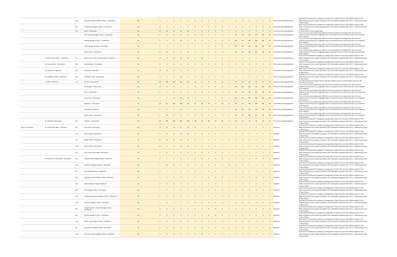|                         |                                                 | 26.m. | Connection device damage or failure - Transmission              | Yes       | 1              |                          |                         |                         | $\overline{2}$           | $\overline{\mathbf{0}}$ | $\overline{\mathbf{0}}$                             | $\overline{\mathbf{0}}$ | $\overline{\mathbf{0}}$         | $\overline{0}$           | $\mathbf{1}$            | $\overline{\mathbf{0}}$    | $\overline{0}$<br>$\overline{\phantom{0}}$ | $\overline{\mathbf{0}}$                   | $\overline{\mathbf{0}}$              |                | 0 # risk events (excluding ignitions)  | Note that SCE enhanced its mapping of outage data to faults; this may have shifted numbers in this<br>table compared to the numbers provided in SCE's Remedial Compliance Plan SCE-2 - Determining Cause                                             |
|-------------------------|-------------------------------------------------|-------|-----------------------------------------------------------------|-----------|----------------|--------------------------|-------------------------|-------------------------|--------------------------|-------------------------|-----------------------------------------------------|-------------------------|---------------------------------|--------------------------|-------------------------|----------------------------|--------------------------------------------|-------------------------------------------|--------------------------------------|----------------|----------------------------------------|------------------------------------------------------------------------------------------------------------------------------------------------------------------------------------------------------------------------------------------------------|
|                         |                                                 | 26.n. | Transformer damage or failure - Transmission                    | Yes       |                | $0 \qquad \qquad 1$      |                         |                         |                          |                         | $\Omega$                                            |                         | $\Omega$                        | $\Omega$                 | $\overline{0}$          | $\Omega$                   | $\bullet$<br>$\Omega$                      | $\overline{0}$                            | $\overline{0}$                       |                | 0 # risk events (excluding ignitions)  | of Near Misses.<br>Note that SCE enhanced its mapping of outage data to faults; this may have shifted numbers in this<br>table compared to the numbers provided in SCE's Remedial Compliance Plan SCE-2 - Determining Cause                          |
|                         |                                                 | 26.0. | Other - Transmission                                            | Yes       |                |                          |                         |                         |                          |                         |                                                     |                         |                                 |                          |                         |                            |                                            |                                           |                                      |                | # risk events (excluding ignitions)    | of Near Misses.<br>The total of all sub-cause category types                                                                                                                                                                                         |
|                         |                                                 |       | Pole Tops Sub damage or failure - Transmission                  | Yes       |                | $0\qquad 0$              | $\overline{\mathbf{0}}$ |                         | $\overline{\mathbf{0}}$  | $\overline{0}$          | $\overline{\mathbf{0}}$                             |                         | $\overline{\mathbf{0}}$         | $\overline{0}$           | $\overline{\mathbf{0}}$ | <b>NA</b>                  | <b>NA</b><br><b>NA</b>                     | <b>NA</b>                                 | <b>NA</b>                            |                | NA # risk events (excluding ignitions) | This is a new sub-cause category type added to increase transparency of outage events. New sub-cause<br>categories were forecasted as an aggregate rather as individual line items and forecast data is not included for                             |
|                         |                                                 |       | Pothead damage or failure - Transmission                        | Yes       |                | $6 \t 4$                 | $\overline{0}$          | 12                      | $-5$                     | $\overline{0}$          | $\overline{\mathbf{0}}$                             | $\mathbf{1}$            | $\overline{0}$                  | $\overline{0}$           | $^{\circ}$              | <b>NA</b>                  | <b>NA</b>                                  | <b>NA</b><br><b>NA</b>                    | <b>NA</b>                            | <b>NA</b>      | # risk events (excluding ignitions)    | these categories.<br>This is a new sub-cause category type added to increase transparency of outage events. New sub-cause<br>categories were forecasted as an aggregate rather as individual line items and forecast data is not included for        |
|                         |                                                 |       | Tower damage or failure - Transmission                          | Yes       |                | $0 \qquad \qquad 2$      |                         |                         | $\overline{0}$           |                         | $\overline{1}$                                      |                         | $\overline{0}$                  | $\overline{0}$           |                         | <b>NA</b>                  | <b>NA</b>                                  | <b>NA</b><br><b>NA</b>                    | <b>NA</b>                            | <b>NA</b>      | # risk events (excluding ignitions)    | these categories.<br>This is a new sub-cause category type added to increase transparency of outage events. New sub-cause<br>categories were forecasted as an aggregate rather as individual line items and forecast data is not included for        |
|                         |                                                 |       | Various other - Transmission                                    | Yes       | 8              | 20                       |                         |                         | 36                       | $\overline{2}$          | $\overline{7}$                                      |                         | 8                               | 9                        |                         | <b>NA</b>                  | <b>NA</b>                                  | <b>NA</b><br><b>NA</b>                    | <b>NA</b>                            | <b>NA</b>      | # risk events (excluding ignitions)    | these categories.<br>This is a new sub-cause category type added to increase transparency of outage events. New sub-cause<br>categories were forecasted as an aggregate rather as individual line items and forecast data is not included for        |
|                         |                                                 |       |                                                                 |           |                |                          |                         |                         |                          |                         |                                                     |                         |                                 |                          |                         |                            |                                            |                                           |                                      |                |                                        | these categories.<br>Note that SCE enhanced its mapping of outage data to faults; this may have shifted numbers in this                                                                                                                              |
|                         | 27. Wire-to-wire contact - Transmission         | 27.a. | Wire-to-wire contact / contamination- Transmission              | Yes       | 14             | 17                       | 15                      | 19                      | 42                       |                         | 10                                                  |                         | $\overline{\mathbf{3}}$         | $\overline{0}$           |                         |                            |                                            | - 5                                       |                                      |                | # risk events (excluding ignitions)    | table compared to the numbers provided in SCE's Remedial Compliance Plan SCE-2 - Determining Cause<br>of Near Misses.<br>Note that SCE enhanced its mapping of outage data to faults; this may have shifted numbers in this                          |
|                         | 28. Contamination - Transmission                | 28.a. | Contamination - Transmission                                    | <b>No</b> |                | $0\qquad 0$              | $\overline{0}$          |                         | $\bullet$                | $\mathbf{0}$            | $\overline{\mathbf{0}}$                             | $\overline{0}$          | $\overline{0}$                  | $\overline{0}$           | $\bullet$ 0             | $\overline{\mathbf{0}}$    | $\overline{\mathbf{0}}$                    | $\bullet$<br>$\bullet$                    | $\overline{0}$                       | $\overline{0}$ | # risk events (excluding ignitions)    | table compared to the numbers provided in SCE's Remedial Compliance Plan SCE-2 - Determining Cause<br>of Near Misses.<br>Note that SCE enhanced its mapping of outage data to faults; this may have shifted numbers in this                          |
|                         | 29. Utility work / Operation                    | 29.a. | Utility work / Operation                                        | Yes       | 10             | 15                       |                         |                         | $_{\rm 8}$               | $\overline{0}$          | $\overline{1}$                                      | $\overline{1}$          | $\overline{1}$                  | $\overline{2}$           | $\sim$ 2                | $\overline{2}$             | $\overline{2}$<br>$\overline{2}$           | $\overline{2}$                            | $\overline{2}$                       |                | 2 # risk events (excluding ignitions)  | table compared to the numbers provided in SCE's Remedial Compliance Plan SCE-2 - Determining Cause<br>of Near Misses.                                                                                                                                |
|                         | 30. Vandalism / Theft - Transmission            | 30.a. | Vandalism / Theft - Transmission                                | Yes       | 4              |                          |                         | 10                      | $\overline{2}$           | $\mathbf{0}$            | $\overline{\mathbf{0}}$                             |                         | $\overline{1}$                  | $\overline{\mathbf{0}}$  | $\bullet$               | $\mathbf{1}$               | $\mathbf{1}$                               | <sup>1</sup><br>$\mathbf{1}$              |                                      |                | # risk events (excluding ignitions)    | Note that SCE enhanced its mapping of outage data to faults; this may have shifted numbers in this<br>table compared to the numbers provided in SCE's Remedial Compliance Plan SCE-2 - Determining Cause<br>of Near Misses.                          |
|                         | 31. Other- Transmission                         | 31.a. | All Other- Transmission                                         | Yes       | 194            | 238                      | 240                     | 242                     | 193                      | 40                      | 67                                                  | 47                      | 54                              | 52                       | 57                      | 47                         | 54                                         | 40<br>67                                  | 47                                   | 54             | # risk events (excluding ignitions)    | The total of all sub-cause category types. A sub-cause category type was removed below requiring a new                                                                                                                                               |
|                         |                                                 |       | De-energized - Transmission                                     | Yes       | $\mathbf{0}$   |                          |                         |                         | $\mathbf{0}$             | $\mathbf{0}$            | $\overline{0}$                                      |                         | $\overline{0}$                  | $\overline{0}$           | $\mathbf{0}$            | <b>NA</b>                  | <b>NA</b>                                  | <b>NA</b><br><b>NA</b>                    | <b>NA</b>                            | <b>NA</b>      | # risk events (excluding ignitions)    | summation for the total.<br>This is a new sub-cause category type added to increase transparency of outage events. New sub-cause<br>categories were forecasted as an aggregate rather as individual line items and forecast data is not included for |
|                         |                                                 |       | Dig In - Transmission                                           | Yes       | <sup>1</sup>   |                          | $\Omega$                |                         | $\overline{0}$           | $\mathbf{0}$            | $\overline{0}$                                      | $\Omega$                | $\overline{0}$                  | $\mathbf{0}$             | ം                       | <b>NA</b>                  | <b>NA</b>                                  | <b>NA</b><br><b>NA</b>                    | <b>NA</b>                            | <b>NA</b>      | # risk events (excluding ignitions)    | these categories.<br>This is a new sub-cause category type added to increase transparency of outage events. New sub-cause<br>categories were forecasted as an aggregate rather as individual line items and forecast data is not included for        |
|                         |                                                 |       | Source Lost - Transmission                                      | Yes       |                |                          | 21                      | 38                      | 36                       |                         |                                                     |                         |                                 |                          |                         | <b>NA</b>                  | <b>NA</b>                                  | <b>NA</b><br><b>NA</b>                    | <b>NA</b>                            | <b>NA</b>      | # risk events (excluding ignitions)    | these categories.<br>This is a new sub-cause category type added to increase transparency of outage events. New sub-cause<br>categories were forecasted as an aggregate rather as individual line items and forecast data is not included for        |
|                         |                                                 |       | Substation - Transmission                                       | Yes       | 179            |                          |                         | 188                     | 146                      | 35                      | 63                                                  | 39                      | 47                              | 39                       | - 53                    | <b>NA</b>                  | <b>NA</b>                                  | <b>NA</b><br><b>NA</b>                    |                                      | <b>NA</b>      |                                        | these categories.<br>This is a new sub-cause category type added to increase transparency of outage events. New sub-cause<br>categories were forecasted as an aggregate rather as individual line items and forecast data is not included for        |
|                         |                                                 |       |                                                                 |           |                | 221                      | 208                     |                         |                          |                         |                                                     |                         |                                 |                          |                         |                            |                                            |                                           |                                      |                | # risk events (excluding ignitions)    | these categories.<br>This is a new sub-cause category type added to increase transparency of outage events. New sub-cause                                                                                                                            |
|                         |                                                 |       | <b>Underground Equipment</b>                                    | Yes       | $5 -$          |                          |                         | 14                      |                          |                         |                                                     |                         | $\overline{0}$                  |                          |                         | <b>NA</b>                  | <b>NA</b>                                  | <b>NA</b><br><b>NA</b>                    | <b>NA</b>                            | <b>NA</b>      | # risk events (excluding ignitions)    | categories were forecasted as an aggregate rather as individual line items and forecast data is not included for<br>these categories.<br>This is a new sub-cause category type added to increase transparency of outage events. New sub-cause        |
|                         |                                                 |       | Various other - Transmission                                    | Yes       | <sup>2</sup>   | 10                       | $\overline{4}$          | $\Omega$                | $\overline{4}$           | $\overline{0}$          | $\overline{\mathbf{0}}$                             | $\overline{0}$          | $\overline{0}$                  | 9 <sup>°</sup>           | $\overline{0}$          | <b>NA</b>                  | <b>NA</b><br><b>NA</b>                     | <b>NA</b>                                 | <b>NA</b>                            | <b>NA</b>      | # risk events (excluding ignitions)    | categories were forecasted as an aggregate rather as individual line items and forecast data is not included for<br>these categories.<br>Note that SCE enhanced its mapping of outage data to faults; this may have shifted numbers in this          |
|                         | 32. Unknown-Transmission                        | 32.a. | Unknown - Transmission                                          | Yes       | 371            | 326                      | 306                     | 160                     | 266                      |                         |                                                     |                         | 54                              | 50                       |                         | 53                         | 52                                         | 55<br>50                                  | 53                                   | 52             | # risk events (excluding ignitions)    | table compared to the numbers provided in SCE's Remedial Compliance Plan SCE-2 - Determining Cause<br>of Near Misses.                                                                                                                                |
| Ignition - Distribution | 33. Contact from object - Distribution          | 33.a. | Veg. contact-Distribution                                       | Yes       | 13             | 12                       | 16                      | 15                      | 13                       | $\overline{0}$          | $\overline{2}$                                      |                         | $\overline{2}$                  | $\overline{\mathbf{3}}$  | $-5$                    | $\overline{\mathbf{3}}$    | $\overline{2}$                             | $\overline{2}$<br>$\overline{\mathbf{3}}$ | $\overline{\mathbf{3}}$              |                | 2 # ignitions                          | Note that SCE enhanced its mapping of outage data to faults; this may have shifted numbers in this<br>table compared to the numbers provided in SCE's Remedial Compliance Plan SCE-2 - Determining Cause<br>of Near Misses.                          |
|                         |                                                 | 33.b. | Animal contact-Distribution                                     | Yes       | 9              |                          |                         | 12                      | 18                       | $\mathbf{0}$            | 8                                                   |                         | $\overline{4}$                  | $\overline{2}$           | $\overline{7}$          | $6\overline{6}$            | 5 <sub>1</sub>                             | $\overline{\mathbf{3}}$<br>$\overline{7}$ | $-5$                                 |                | 4 #ignitions                           | Note that SCE enhanced its mapping of outage data to faults; this may have shifted numbers in this<br>table compared to the numbers provided in SCE's Remedial Compliance Plan SCE-2 - Determining Cause                                             |
|                         |                                                 | 33.c. | Balloon contact- Distribution                                   | Yes       | 12             | 10                       | 18                      | 30 <sup>2</sup>         | 15                       | $\overline{\mathbf{0}}$ | $\overline{7}$                                      |                         | $1 \qquad 2 \qquad 3$           |                          | - 8 - 1                 | 6 <sup>1</sup>             | $3 \t 0$                                   | 9                                         | 6 <sup>6</sup>                       |                | 3 # ignitions                          | of Near Misses.<br>Note that SCE enhanced its mapping of outage data to faults; this may have shifted numbers in this<br>table compared to the numbers provided in SCE's Remedial Compliance Plan SCE-2 - Determining Cause                          |
|                         |                                                 | 33.d. | Vehicle contact-Distribution                                    | Yes       | 11             |                          |                         | 13                      | 10                       | $\overline{\mathbf{0}}$ | $\overline{2}$                                      | $\overline{1}$          | $\overline{\phantom{0}}$        | $\mathbf{1}$             | $\sim$ 1                | $3 \t2 \t2$                |                                            | $\overline{\phantom{a}}$                  | $\overline{\mathbf{3}}$              |                | 2 # ignitions                          | of Near Misses.<br>Note that SCE enhanced its mapping of outage data to faults; this may have shifted numbers in this<br>table compared to the numbers provided in SCE's Remedial Compliance Plan SCE-2 - Determining Cause                          |
|                         |                                                 |       |                                                                 |           |                |                          |                         |                         |                          |                         |                                                     |                         |                                 |                          |                         |                            |                                            |                                           |                                      |                |                                        | of Near Misses.<br>Note that SCE enhanced its mapping of outage data to faults; this may have shifted numbers in this                                                                                                                                |
|                         |                                                 | 33.e. | Other contact from object - Distribution                        | Yes       | $\overline{3}$ |                          |                         | $\overline{\mathbf{0}}$ | $6^{\circ}$              | $\overline{0}$          | $\overline{0}$                                      | $\overline{\mathbf{3}}$ | $\overline{1}$                  | 4                        | $-4$                    | $\overline{1}$             | $\mathbf{1}$                               | $\overline{1}$<br>$\overline{1}$          | $\overline{1}$                       |                | 1 #ignitions                           | table compared to the numbers provided in SCE's Remedial Compliance Plan SCE-2 - Determining Cause<br>of Near Misses.<br>Note that SCE enhanced its mapping of outage data to faults; this may have shifted numbers in this                          |
|                         | 34. Equipment / facility failure - Distribution | 34.a. | Capacitor bank damage or failure- Distribution                  | Yes       | $\Omega$       | $\overline{1}$           | $\mathbf{1}$            | $\overline{\mathbf{0}}$ | $\overline{1}$           | $\bullet$               | $\overline{\phantom{0}}$                            | $\overline{0}$          | $\overline{\mathbf{0}}$         | $\overline{\mathbf{0}}$  | $\bullet$ $\bullet$     | $\overline{\mathbf{0}}$    | $0 \qquad 0$                               | $\overline{0}$                            | $\overline{\mathbf{0}}$              |                | 0 # ignitions                          | table compared to the numbers provided in SCE's Remedial Compliance Plan SCE-2 - Determining Cause<br>of Near Misses.                                                                                                                                |
|                         |                                                 | 34.b. | Conductor damage or failure - Distribution                      | Yes       |                |                          | 15                      |                         | 11                       |                         | 6 <sup>6</sup>                                      |                         | 8 6 4 13 6 4 3 5                |                          |                         |                            |                                            |                                           | 6 <sup>6</sup>                       |                | 3 # ignitions                          | Note that SCE enhanced its mapping of outage data to faults; this may have shifted numbers in this<br>table compared to the numbers provided in SCE's Remedial Compliance Plan SCE-2 - Determining Cause<br>of Near Misses.                          |
|                         |                                                 | 34.c. | Fuse damage or failure - Distribution                           | Yes       |                | $1 \quad 1$              |                         | $\overline{0}$          | $\overline{2}$           | $\bullet$               |                                                     |                         | $1 \qquad 0 \qquad 0 \qquad 0$  |                          | $\mathbf{1}$            | $\overline{\mathbf{0}}$    | $0\qquad 0$                                | $\overline{\mathbf{0}}$                   | $\bullet$                            |                | 0 # ignitions                          | Note that SCE enhanced its mapping of outage data to faults; this may have shifted numbers in this<br>table compared to the numbers provided in SCE's Remedial Compliance Plan SCE-2 - Determining Cause                                             |
|                         |                                                 | 34.d. | Lightning arrestor damage or failure- Distribution              | Yes       |                | $2 \t 0$                 | $\overline{2}$          | $\overline{0}$          | $\overline{1}$           | $\overline{\mathbf{0}}$ |                                                     |                         | $2 \qquad 0 \qquad 0 \qquad 0$  |                          | $\sim$ 1                | $\overline{\mathbf{0}}$    | $0\qquad 0$                                | $\bullet$ 0                               | $\bullet$                            |                | 0 #ignitions                           | of Near Misses.<br>Note that SCE enhanced its mapping of outage data to faults; this may have shifted numbers in this<br>table compared to the numbers provided in SCE's Remedial Compliance Plan SCE-2 - Determining Cause                          |
|                         |                                                 |       |                                                                 |           |                |                          |                         |                         |                          |                         |                                                     |                         |                                 |                          |                         |                            |                                            |                                           |                                      |                |                                        | of Near Misses.<br>Note that SCE enhanced its mapping of outage data to faults; this may have shifted numbers in this                                                                                                                                |
|                         |                                                 | 34.e. | Switch damage or failure-Distribution                           | Yes       |                | $0\qquad 0$              | $\overline{\mathbf{0}}$ |                         | $\overline{2}$           | $\mathbf{1}$            | $\mathbf{1}$                                        |                         | $1 \qquad 2 \qquad 1$           |                          | $\sim$ 1                | $\overline{\phantom{a}}$ 2 | $2 \t 1$                                   | $\overline{\mathbf{2}}$                   | $\overline{2}$                       |                | 2 # ignitions                          | table compared to the numbers provided in SCE's Remedial Compliance Plan SCE-2 - Determining Cause<br>of Near Misses.<br>Note that SCE enhanced its mapping of outage data to faults; this may have shifted numbers in this                          |
|                         |                                                 | 34.f. | Pole damage or failure - Distribution                           | Yes       |                | $1 \quad 2$              |                         |                         | $\overline{1}$           | $\overline{0}$          | $\mathbf{1}$                                        | $0 \qquad \qquad 2$     |                                 | $\overline{\mathbf{0}}$  | $\bullet$ 0             | $\overline{\mathbf{0}}$    | $0 \qquad 0$                               | $\bullet$                                 | $\overline{\phantom{0}}$             |                | 0 #ignitions                           | table compared to the numbers provided in SCE's Remedial Compliance Plan SCE-2 - Determining Cause<br>of Near Misses.                                                                                                                                |
|                         |                                                 | 34.g. | Insulator and brushing damage or failure - Distribution         | Yes       |                | $1 \t 2$                 |                         |                         | $\overline{\phantom{a}}$ |                         |                                                     |                         | 3 1 2 1 0                       |                          |                         | 0 1 1 1 1 1                |                                            |                                           |                                      |                | 1 # ignitions                          | Note that SCE enhanced its mapping of outage data to faults; this may have shifted numbers in this<br>table compared to the numbers provided in SCE's Remedial Compliance Plan SCE-2 - Determining Cause<br>of Near Misses.                          |
|                         |                                                 | 34.h. | Crossarm damage or failure - Distribution                       | Yes       |                | $1 \quad 2$              |                         |                         | $\overline{1}$           | $\overline{0}$          | $\overline{\phantom{0}}$                            |                         | $0\qquad 0$                     | $\overline{\phantom{0}}$ | $\bullet$ $\bullet$     | $\overline{\mathbf{0}}$    | $\overline{0}$<br>$\overline{\phantom{0}}$ | $\overline{0}$                            | $\overline{\mathbf{0}}$              |                | 0 # ignitions                          | Note that SCE enhanced its mapping of outage data to faults; this may have shifted numbers in this<br>table compared to the numbers provided in SCE's Remedial Compliance Plan SCE-2 - Determining Cause<br>of Near Misses.                          |
|                         |                                                 | 34.i. | Voltage regulator / booster damage or failure -<br>Distribution | Yes       |                | $0\qquad 0$              |                         |                         | $\overline{0}$           | $\overline{0}$          | $\overline{0}$                                      |                         | $\overline{0}$                  | $\overline{0}$           | $\overline{\mathbf{0}}$ | $\overline{0}$             | $\overline{0}$<br>$\overline{\mathbf{0}}$  | $\overline{0}$                            | $\overline{\mathbf{0}}$              |                | 0 #ignitions                           | Note that SCE enhanced its mapping of outage data to faults; this may have shifted numbers in this<br>table compared to the numbers provided in SCE's Remedial Compliance Plan SCE-2 - Determining Cause                                             |
|                         |                                                 | 34.j. | Recloser damage or failure - Distribution                       | Yes       | $\bullet$      | $\overline{\phantom{0}}$ | $\overline{0}$          |                         | $\bullet$                | $\bullet$               | $\bullet$                                           | $\overline{0}$          | $\overline{\mathbf{0}}$         | $\bullet$                | $\bullet$ 0             | $\bullet$                  | $\bullet$<br>$\bullet$                     |                                           | $\bullet$<br>$\bullet$               |                | 0 #ignitions                           | of Near Misses.<br>Note that SCE enhanced its mapping of outage data to faults; this may have shifted numbers in this<br>table compared to the numbers provided in SCE's Remedial Compliance Plan SCE-2 - Determining Cause                          |
|                         |                                                 |       |                                                                 |           |                |                          |                         |                         |                          |                         |                                                     |                         |                                 |                          |                         |                            |                                            |                                           |                                      |                |                                        | of Near Misses.<br>Note that SCE enhanced its mapping of outage data to faults; this may have shifted numbers in this                                                                                                                                |
|                         |                                                 | 34.k. | Anchor / guy damage or failure - Distribution                   | Yes       | $\overline{0}$ |                          |                         |                         |                          |                         | $\overline{0}$                                      |                         | $\overline{0}$                  | $\overline{0}$           | $\overline{\mathbf{0}}$ | $\overline{0}$             | $\overline{0}$<br>$\bullet$                | $\overline{0}$                            | $\overline{\mathbf{0}}$              |                | 0 #ignitions                           | table compared to the numbers provided in SCE's Remedial Compliance Plan SCE-2 - Determining Cause<br>of Near Misses.<br>Note that SCE enhanced its mapping of outage data to faults; this may have shifted numbers in this                          |
|                         |                                                 | 34.1. | Sectionalizer damage or failure - Distribution                  | Yes       |                | $0\qquad 0$              | $\overline{\mathbf{0}}$ |                         | $\bullet$                | $\bullet$               | $\overline{\phantom{a}}$ 0 $\overline{\phantom{a}}$ |                         | $0\qquad 0\qquad 0$             |                          | $\sim$ 0 $\sim$         | $\overline{\mathbf{0}}$    | $0\qquad 0$                                |                                           | $\overline{\mathbf{0}}$<br>$\bullet$ |                | 0 #ignitions                           | table compared to the numbers provided in SCE's Remedial Compliance Plan SCE-2 - Determining Cause<br>of Near Misses.                                                                                                                                |
|                         |                                                 | 34.m. | Connection device damage or failure - Distribution              | Yes       |                |                          |                         |                         |                          |                         |                                                     |                         | 4 4 3 1 7 0 0 2 1 1 4 1 1 1 1 1 |                          |                         |                            |                                            |                                           |                                      |                | 1 # ignitions                          | Note that SCE enhanced its mapping of outage data to faults; this may have shifted numbers in this<br>table compared to the numbers provided in SCE's Remedial Compliance Plan SCE-2 - Determining Cause<br>of Near Misses.                          |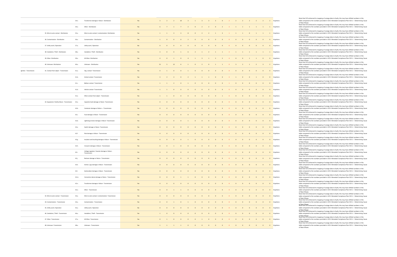|                         |                                                 | 34.n. | Transformer damage or failure - Distribution              | Yes       |                         | $\overline{\phantom{0}}$   | $\overline{\phantom{a}}$ | 10                       |                          |                                            |                                            |                            |                            |                                            |                          |                                                     |                                                           |                                                                                                     |                            |                         | Note that SCE enhanced its mapping of outage data to faults; this may have shifted numbers in this<br>table compared to the numbers provided in SCE's Remedial Compliance Plan SCE-2 - Determining Cause<br>3 1 3 3 3 0 2 2 2 2 2 2 2 #ignitions                             |
|-------------------------|-------------------------------------------------|-------|-----------------------------------------------------------|-----------|-------------------------|----------------------------|--------------------------|--------------------------|--------------------------|--------------------------------------------|--------------------------------------------|----------------------------|----------------------------|--------------------------------------------|--------------------------|-----------------------------------------------------|-----------------------------------------------------------|-----------------------------------------------------------------------------------------------------|----------------------------|-------------------------|------------------------------------------------------------------------------------------------------------------------------------------------------------------------------------------------------------------------------------------------------------------------------|
|                         |                                                 | 34.0. | Other - Distribution                                      | Yes       | $6 -$                   | $\overline{7}$             | $\overline{1}$           | 7 <sup>7</sup>           | $\overline{\mathbf{2}}$  |                                            |                                            |                            |                            |                                            | 0 2 2 0 2 2 1 1          |                                                     |                                                           | 1 1                                                                                                 | $\overline{1}$             |                         | of Near Misses.<br>Note that SCE enhanced its mapping of outage data to faults; this may have shifted numbers in this<br>table compared to the numbers provided in SCE's Remedial Compliance Plan SCE-2 - Determining Cause<br>1 #ignitions                                  |
|                         | 35. Wire-to-wire contact - Distribution         | 35.a. | Wire-to-wire contact / contamination- Distribution        | Yes       | $1 \quad 1$             |                            | $\overline{\mathbf{3}}$  | $\overline{\mathbf{3}}$  | 8 <sup>2</sup>           |                                            |                                            |                            |                            |                                            |                          |                                                     | 0 2 2 1 3 1 1 1 0 1                                       |                                                                                                     | $\sim$ 1                   |                         | of Near Misses.<br>Note that SCE enhanced its mapping of outage data to faults; this may have shifted numbers in this<br>table compared to the numbers provided in SCE's Remedial Compliance Plan SCE-2 - Determining Cause<br>1 #ignitions                                  |
|                         | 36. Contamination - Distribution                | 36.a. | Contamination - Distribution                              | Yes       | 1                       | $\overline{0}$             | $\overline{0}$           | $\overline{0}$           | $\overline{2}$           |                                            | $\begin{array}{ccc} & & & 0 & \end{array}$ | $\overline{\mathbf{0}}$    | $\overline{\mathbf{0}}$    | $0\qquad 0$                                |                          | $0 \qquad 0$                                        | $\sim$ 0                                                  | $\overline{\phantom{0}}$                                                                            | $\overline{0}$             |                         | of Near Misses.<br>Note that SCE enhanced its mapping of outage data to faults; this may have shifted numbers in this<br>table compared to the numbers provided in SCE's Remedial Compliance Plan SCE-2 - Determining Cause<br>0 #ignitions                                  |
|                         | 37. Utility work / Operation                    | 37.a. | Utility work / Operation                                  | <b>No</b> | $\mathbf{0}$            | $\overline{0}$             | $\overline{0}$           | $\overline{0}$           | $\overline{0}$           | $\overline{0}$                             | $\overline{0}$                             | $\overline{\mathbf{0}}$    | $\bullet$                  | $\bullet$                                  |                          | $\overline{0}$                                      | $\overline{\mathbf{0}}$<br>$\bullet$                      | $\overline{\mathbf{0}}$                                                                             | $\overline{0}$             | $\overline{\mathbf{0}}$ | of Near Misses.<br>Note that SCE enhanced its mapping of outage data to faults; this may have shifted numbers in this<br>table compared to the numbers provided in SCE's Remedial Compliance Plan SCE-2 - Determining Cause<br># ignitions                                   |
|                         |                                                 |       |                                                           |           |                         |                            |                          |                          |                          |                                            |                                            |                            |                            |                                            |                          |                                                     |                                                           |                                                                                                     |                            |                         | of Near Misses.<br>Note that SCE enhanced its mapping of outage data to faults; this may have shifted numbers in this                                                                                                                                                        |
|                         | 38. Vandalism / Theft - Distribution            | 38.a. | Vandalism / Theft - Distribution                          | Yes       | $\overline{\mathbf{3}}$ | $\overline{0}$             | $\overline{0}$           | $\mathbf{1}$             | 6 <sup>6</sup>           | $\overline{\mathbf{2}}$                    |                                            | $1 \t 2$                   | $\mathbf{1}$               | $\overline{1}$                             | $\sim$ 2                 | $1 \quad 1$                                         |                                                           | $1 \quad 1$                                                                                         | $\mathbf{1}$               |                         | table compared to the numbers provided in SCE's Remedial Compliance Plan SCE-2 - Determining Cause<br>1 # ignitions<br>of Near Misses.<br>Note that SCE enhanced its mapping of outage data to faults; this may have shifted numbers in this                                 |
|                         | 39. Other- Distribution                         | 39.a. | All Other- Distribution                                   | Yes       | $4 -$                   | $\overline{\mathbf{0}}$    | <sup>1</sup>             | $\overline{\mathbf{0}}$  | $\overline{4}$           | $\mathbf{1}$                               | $\overline{\mathbf{3}}$                    | $\mathbf{1}$               | $\overline{\phantom{a}}$ 2 | $\overline{\mathbf{2}}$                    | $-4$                     | $\overline{\mathbf{0}}$<br>$\overline{\phantom{0}}$ | $\mathbf{1}$                                              | $\overline{1}$                                                                                      | $\bullet$                  |                         | 0 #ignitions<br>table compared to the numbers provided in SCE's Remedial Compliance Plan SCE-2 - Determining Cause<br>of Near Misses.<br>Note that SCE enhanced its mapping of outage data to faults; this may have shifted numbers in this                                  |
|                         | 40. Unknown-Distribution                        | 40.a. | Unknown - Distribution                                    | Yes       | 21                      | 5 <sub>5</sub>             | 12                       | 6 <sup>6</sup>           | $\mathbf{1}$             | $\bullet$                                  |                                            | $2 \t 0$                   |                            |                                            |                          |                                                     | $1 \qquad 1 \qquad 0 \qquad 3 \qquad 2 \qquad 1 \qquad 2$ |                                                                                                     | $\overline{\phantom{a}}$ 3 |                         | table compared to the numbers provided in SCE's Remedial Compliance Plan SCE-2 - Determining Cause<br>2 # ignitions<br>of Near Misses.<br>Note that SCE enhanced its mapping of outage data to faults; this may have shifted numbers in this                                 |
| Ignition - Transmission | 41. Contact from object - Transmission          | 41.a. | Veg. contact-Transmission                                 | Yes       | $0 \qquad 1$            |                            | $\overline{0}$           | $\bullet$ 0              | $\overline{1}$           |                                            |                                            |                            |                            |                                            |                          |                                                     |                                                           | $\overline{\phantom{a}}$ $\overline{\phantom{a}}$ $\overline{\phantom{a}}$ $\overline{\phantom{a}}$ | $\overline{\phantom{0}}$   |                         | table compared to the numbers provided in SCE's Remedial Compliance Plan SCE-2 - Determining Cause<br>0 # ignitions<br>of Near Misses.                                                                                                                                       |
|                         |                                                 | 41.b. | Animal contact-Transmission                               | Yes       | $3^{\circ}$             | $\overline{\phantom{0}}$ 2 | $\overline{\mathbf{3}}$  | $\overline{\phantom{0}}$ | $\overline{2}$           | $\overline{1}$                             | $\overline{1}$                             | $\sim$ 1                   | $\overline{\phantom{0}}$   | $\overline{\mathbf{0}}$                    | $\sim$ 2                 | $1 \quad 0$                                         | $\overline{\phantom{0}}$                                  | $\mathbf{1}$                                                                                        | $\bullet$                  |                         | Note that SCE enhanced its mapping of outage data to faults; this may have shifted numbers in this<br>table compared to the numbers provided in SCE's Remedial Compliance Plan SCE-2 - Determining Cause<br>0 #ignitions<br>of Near Misses.                                  |
|                         |                                                 | 41.c. | Balloon contact-Transmission                              | Yes       | 1                       | $\overline{1}$             | $\overline{2}$           | $\overline{\mathbf{0}}$  | $\mathbf{1}$             | $\begin{array}{ccc} & & & 0 & \end{array}$ |                                            | $\overline{\mathbf{0}}$    | $\overline{0}$             | $\overline{\mathbf{0}}$                    | $\sim$ 1                 |                                                     | $\begin{matrix} 0 & 0 & 0 & 0 \end{matrix}$               |                                                                                                     | $\overline{0}$             |                         | Note that SCE enhanced its mapping of outage data to faults; this may have shifted numbers in this<br>table compared to the numbers provided in SCE's Remedial Compliance Plan SCE-2 - Determining Cause<br>0 #ignitions<br>of Near Misses.                                  |
|                         |                                                 | 41.d. | Vehicle contact-Transmission                              | Yes       | $1 \quad 1$             |                            | $\overline{\mathbf{0}}$  | $\overline{\mathbf{0}}$  | $\overline{\mathbf{0}}$  | $\overline{0}$                             | $\overline{\phantom{a}}$                   |                            |                            | $0\qquad 0$                                |                          | $0\qquad 0$                                         | $\overline{\phantom{0}}$                                  | $\overline{\phantom{a}}$                                                                            | $\overline{\mathbf{0}}$    |                         | Note that SCE enhanced its mapping of outage data to faults; this may have shifted numbers in this<br>table compared to the numbers provided in SCE's Remedial Compliance Plan SCE-2 - Determining Cause<br>0 # ignitions                                                    |
|                         |                                                 | 41.e. | Other contact from object - Transmission                  | Yes       | 1                       | $\overline{1}$             | $\overline{0}$           | $\overline{\mathbf{0}}$  | $\overline{0}$           | $\overline{0}$                             | $\bullet$ 0                                | $\overline{\phantom{0}}$ 0 | $\overline{\mathbf{0}}$    | $1 \qquad 0$                               |                          |                                                     | $\begin{matrix} 0 & 0 & 0 & 0 \end{matrix}$               |                                                                                                     | $\bullet$                  |                         | of Near Misses.<br>Note that SCE enhanced its mapping of outage data to faults; this may have shifted numbers in this<br>table compared to the numbers provided in SCE's Remedial Compliance Plan SCE-2 - Determining Cause<br>0 #ignitions                                  |
|                         | 42. Equipment / facility failure - Transmission | 42.a. | Capacitor bank damage or failure- Transmission            | Yes       |                         | $\overline{0}$             |                          | $\overline{0}$           | $\overline{0}$           | $\overline{0}$                             | $\bullet$                                  | $\bullet$                  | $\overline{\mathbf{0}}$    | $\overline{\mathbf{0}}$                    | $\overline{\mathbf{0}}$  | $\overline{0}$                                      | $\overline{\phantom{0}}$<br>$\bullet$ 0                   | $\overline{\phantom{0}}$                                                                            | $\overline{0}$             |                         | of Near Misses.<br>Note that SCE enhanced its mapping of outage data to faults; this may have shifted numbers in this<br>table compared to the numbers provided in SCE's Remedial Compliance Plan SCE-2 - Determining Cause<br>0 #ignitions                                  |
|                         |                                                 |       |                                                           |           |                         |                            |                          |                          |                          |                                            |                                            |                            |                            |                                            |                          |                                                     |                                                           |                                                                                                     |                            |                         | of Near Misses.<br>Note that SCE enhanced its mapping of outage data to faults; this may have shifted numbers in this                                                                                                                                                        |
|                         |                                                 | 42.b. | Conductor damage or failure - Transmission                | Yes       | $\mathbf{0}$            | $\overline{\mathbf{0}}$    | $\mathbf{0}$             | $\overline{\mathbf{0}}$  |                          | $\overline{0}$                             | $\overline{\mathbf{0}}$                    | $\overline{0}$             | $\overline{0}$             | $\overline{\mathbf{0}}$                    | $\bullet$                | $\bullet$                                           | $\overline{\mathbf{0}}$<br>$\bullet$                      | $\bullet$ 0                                                                                         | $\bullet$                  |                         | 0 # ignitions<br>table compared to the numbers provided in SCE's Remedial Compliance Plan SCE-2 - Determining Cause<br>of Near Misses.<br>Note that SCE enhanced its mapping of outage data to faults; this may have shifted numbers in this                                 |
|                         |                                                 | 42.c. | Fuse damage or failure - Transmission                     | Yes       | $\mathbf{0}$            | $\overline{0}$             |                          | $\overline{0}$           | $\overline{0}$           | $\overline{0}$                             | $\overline{0}$                             | $\overline{0}$             | $\overline{0}$             | $\bullet$                                  | $\overline{\mathbf{0}}$  | $\overline{0}$                                      | $\overline{\mathbf{0}}$<br>$\bullet$                      | $\overline{\phantom{0}}$                                                                            | $\overline{\mathbf{0}}$    |                         | table compared to the numbers provided in SCE's Remedial Compliance Plan SCE-2 - Determining Cause<br>0 # ignitions<br>of Near Misses.<br>Note that SCE enhanced its mapping of outage data to faults; this may have shifted numbers in this                                 |
|                         |                                                 | 42.d. | Lightning arrestor damage or failure- Transmission        | Yes       | $\overline{0}$          | $\overline{\mathbf{0}}$    | $\overline{0}$           | $\overline{\mathbf{0}}$  | $\overline{1}$           | $\overline{\mathbf{0}}$                    | $\overline{\phantom{0}}$                   | $\overline{\phantom{0}}$ 0 | $\overline{\phantom{0}}$   |                                            |                          |                                                     | $\begin{matrix} 0 & 0 & 0 & 0 \end{matrix}$               |                                                                                                     | $\overline{\mathbf{0}}$    |                         | table compared to the numbers provided in SCE's Remedial Compliance Plan SCE-2 - Determining Cause<br>0 # ignitions<br>of Near Misses.                                                                                                                                       |
|                         |                                                 | 42.e. | Switch damage or failure- Transmission                    | Yes       | $\overline{0}$          | $\overline{\mathbf{0}}$    | $\mathbf{0}$             | $\overline{0}$           | $\overline{0}$           | $\overline{0}$                             | $\overline{0}$                             | $\overline{0}$             | $\overline{0}$             | $\overline{\mathbf{0}}$                    | $\bullet$ 0              | $\overline{0}$                                      | $\overline{\mathbf{0}}$<br>$\bullet$ 0                    | $\bullet$ 0                                                                                         | $\overline{\mathbf{0}}$    |                         | Note that SCE enhanced its mapping of outage data to faults; this may have shifted numbers in this<br>table compared to the numbers provided in SCE's Remedial Compliance Plan SCE-2 - Determining Cause<br>0 # ignitions<br>of Near Misses.                                 |
|                         |                                                 | 42.f. | Pole damage or failure - Transmission                     | Yes       | $\overline{0}$          | $\overline{0}$             | $\overline{0}$           | $\overline{\mathbf{0}}$  | $\overline{\mathbf{0}}$  | $\overline{0}$                             | $\overline{0}$                             | $\overline{\mathbf{0}}$    | $\overline{0}$             | $\overline{\mathbf{0}}$                    | $\bullet$ 0              | $\overline{0}$                                      | $\overline{\phantom{0}}$<br>$\bullet$ 0                   | $\overline{\phantom{0}}$                                                                            | $\overline{\mathbf{0}}$    |                         | Note that SCE enhanced its mapping of outage data to faults; this may have shifted numbers in this<br>0 #ignitions<br>table compared to the numbers provided in SCE's Remedial Compliance Plan SCE-2 - Determining Cause<br>of Near Misses.                                  |
|                         |                                                 | 42.g. | Insulator and brushing damage or failure - Transmission   | Yes       | $\overline{0}$          | $\overline{0}$             | $\mathbf{0}$             | $\overline{\mathbf{0}}$  |                          | $\overline{\mathbf{0}}$                    | $\overline{0}$                             | $\overline{0}$             | $\overline{0}$             | $\overline{\mathbf{0}}$                    | $\overline{\phantom{a}}$ | $0\qquad 0$                                         | $\sim$ 0                                                  | $\overline{\phantom{0}}$                                                                            | $\overline{0}$             |                         | Note that SCE enhanced its mapping of outage data to faults; this may have shifted numbers in this<br>table compared to the numbers provided in SCE's Remedial Compliance Plan SCE-2 - Determining Cause<br>0 # ignitions                                                    |
|                         |                                                 | 42.h. | Crossarm damage or failure - Transmission                 | Yes       | $\overline{0}$          | $\overline{0}$             |                          | $\overline{0}$           | $\overline{0}$           | $\overline{\mathbf{0}}$                    | $\bullet$ 0                                | $\bullet$ 0                | $\bullet$                  | $\overline{\mathbf{0}}$                    | $\bullet$                | $0\qquad 0$                                         | $\bullet$                                                 | $\overline{\phantom{0}}$                                                                            | $\bullet$                  |                         | of Near Misses.<br>Note that SCE enhanced its mapping of outage data to faults; this may have shifted numbers in this<br>table compared to the numbers provided in SCE's Remedial Compliance Plan SCE-2 - Determining Cause<br>0 #ignitions                                  |
|                         |                                                 | 42.i. | Voltage regulator / booster damage or failure -           | Yes       | $\overline{0}$          | $\overline{\phantom{0}}$   | $\overline{0}$           | $\overline{\mathbf{0}}$  | $\overline{\phantom{0}}$ |                                            |                                            |                            |                            |                                            |                          |                                                     |                                                           |                                                                                                     | $\overline{0}$             |                         | of Near Misses.<br>Note that SCE enhanced its mapping of outage data to faults; this may have shifted numbers in this<br>table compared to the numbers provided in SCE's Remedial Compliance Plan SCE-2 - Determining Cause<br>0 #ignitions                                  |
|                         |                                                 | 42.j. | Transmission<br>Recloser damage or failure - Transmission | Yes       | $\overline{0}$          | $\overline{\mathbf{0}}$    | $\bullet$                | $\bullet$                | $\bullet$ 0              | $\overline{\mathbf{0}}$                    | $\bullet$ 0                                | $\bullet$                  | $\overline{\mathbf{0}}$    | $\bullet$                                  | $\overline{\mathbf{0}}$  | $\overline{0}$                                      | $\overline{\mathbf{0}}$<br>$\bullet$                      | $\bullet$                                                                                           | $\bullet$                  |                         | of Near Misses.<br>Note that SCE enhanced its mapping of outage data to faults; this may have shifted numbers in this<br>table compared to the numbers provided in SCE's Remedial Compliance Plan SCE-2 - Determining Cause<br>0 #ignitions                                  |
|                         |                                                 |       |                                                           |           |                         |                            |                          |                          |                          |                                            |                                            |                            |                            |                                            |                          |                                                     |                                                           |                                                                                                     |                            |                         | of Near Misses.<br>Note that SCE enhanced its mapping of outage data to faults; this may have shifted numbers in this                                                                                                                                                        |
|                         |                                                 | 42.k. | Anchor / guy damage or failure - Transmission             | Yes       |                         |                            |                          |                          |                          |                                            |                                            |                            |                            |                                            |                          |                                                     | $\bullet$<br>$\overline{0}$                               | $\bullet$                                                                                           | $\bullet$                  |                         | table compared to the numbers provided in SCE's Remedial Compliance Plan SCE-2 - Determining Cause<br>0 #ignitions<br>of Near Misses<br>Note that SCE enhanced its mapping of outage data to faults; this may have shifted numbers in this                                   |
|                         |                                                 | 42.1. | Sectionalizer damage or failure - Transmission            | Yes       | $\overline{0}$          |                            |                          |                          |                          |                                            | $\overline{0}$                             | $\overline{0}$             | $\overline{0}$             | $\overline{0}$                             |                          | $\overline{\mathbf{0}}$                             | $\overline{0}$<br>$\overline{0}$                          | $\overline{\phantom{0}}$                                                                            | $\overline{0}$             |                         | table compared to the numbers provided in SCE's Remedial Compliance Plan SCE-2 - Determining Cause<br>0 #ignitions<br>of Near Misses.<br>Note that SCE enhanced its mapping of outage data to faults; this may have shifted numbers in this                                  |
|                         |                                                 | 42.m. | Connection device damage or failure - Transmission        | Yes       | $0\qquad 0$             |                            | $\overline{\mathbf{0}}$  | $\overline{1}$           |                          | $\overline{\mathbf{0}}$                    | $\sim$ 0                                   | $\overline{\phantom{a}}$ 0 | $\overline{\phantom{0}}$   | $\begin{array}{ccc} & & & 0 & \end{array}$ |                          | $\begin{array}{ccc} & & & 0 & \end{array}$          |                                                           | $\begin{array}{ccc} & & & 0 & \end{array}$                                                          | $\bullet$ 0                |                         | table compared to the numbers provided in SCE's Remedial Compliance Plan SCE-2 - Determining Cause<br>0 # ignitions<br>of Near Misses.                                                                                                                                       |
|                         |                                                 | 42.n. | Transformer damage or failure - Transmission              | Yes       | $\mathbf{0}$            |                            | $\Omega$                 | $\mathbf{0}$             |                          | $\overline{0}$                             | $\overline{0}$                             | $\overline{0}$             | $\overline{0}$             | $\overline{\mathbf{0}}$                    | $\overline{0}$           | $\overline{0}$                                      | $\overline{0}$<br>$\bullet$                               | $\overline{\phantom{0}}$                                                                            | $\overline{\phantom{0}}$   |                         | Note that SCE enhanced its mapping of outage data to faults; this may have shifted numbers in this<br>table compared to the numbers provided in SCE's Remedial Compliance Plan SCE-2 - Determining Cause<br>0 # ignitions<br>of Near Misses.                                 |
|                         |                                                 | 42.0. | Other - Transmission                                      | Yes       | $\overline{0}$          | $\overline{\phantom{0}}$   | <sup>1</sup>             | $\overline{1}$           | $\overline{\mathbf{0}}$  | $\overline{\mathbf{0}}$                    | $\overline{0}$                             | $\overline{\mathbf{0}}$    | $\overline{0}$             | $\overline{\mathbf{0}}$                    | $\bullet$                | $\overline{0}$                                      | $\overline{0}$<br>$\overline{\mathbf{0}}$                 | $\sim$ 0                                                                                            | $\bullet$ 0                |                         | Note that SCE enhanced its mapping of outage data to faults; this may have shifted numbers in this<br>table compared to the numbers provided in SCE's Remedial Compliance Plan SCE-2 - Determining Cause<br>0 #ignitions<br>of Near Misses.                                  |
|                         | 43. Wire-to-wire contact - Transmission         | 43.a. | Wire-to-wire contact / contamination- Transmission        | Yes       | $\bullet$               | $\overline{\phantom{0}}$   | $\mathbf{0}$             | $\overline{\mathbf{0}}$  | $\overline{\mathbf{0}}$  | $\overline{0}$                             | $\overline{\mathbf{0}}$                    | $\overline{\phantom{0}}$   | $\overline{\mathbf{0}}$    | $\overline{\mathbf{0}}$                    | $\bullet$ 0              | $\begin{array}{ccc} 0 & & 0 \end{array}$            | $\overline{\phantom{0}}$                                  | $\overline{\phantom{0}}$                                                                            | $\bullet$ 0                |                         | Note that SCE enhanced its mapping of outage data to faults; this may have shifted numbers in this<br>table compared to the numbers provided in SCE's Remedial Compliance Plan SCE-2 - Determining Cause<br>0 #ignitions                                                     |
|                         | 44. Contamination - Transmission                | 44.a. | Contamination - Transmission                              | Yes       | $\overline{0}$          |                            |                          |                          |                          | $\Omega$                                   | $\overline{0}$                             | $\overline{0}$             | $\overline{0}$             | $\overline{\mathbf{0}}$                    |                          | $\Omega$                                            | $\overline{\mathbf{0}}$<br>$\overline{\mathbf{0}}$        | $\overline{\phantom{0}}$                                                                            | $\overline{0}$             |                         | of Near Misses.<br>Note that SCE enhanced its mapping of outage data to faults; this may have shifted numbers in this<br>table compared to the numbers provided in SCE's Remedial Compliance Plan SCE-2 - Determining Cause<br>0 #ignitions                                  |
|                         | 45. Utility work / Operation                    | 45.a. | Utility work / Operation                                  | No        | $\overline{0}$          | $\overline{\mathbf{0}}$    | $\mathbf{0}$             | $\overline{\mathbf{0}}$  | $\overline{\mathbf{0}}$  | $\overline{0}$                             | $\overline{\mathbf{0}}$                    | $\overline{0}$             | $\overline{\mathbf{0}}$    | $\overline{0}$                             | $\overline{\mathbf{0}}$  | $\overline{0}$                                      | $\overline{\mathbf{0}}$<br>$\overline{\mathbf{0}}$        | $\overline{\mathbf{0}}$                                                                             | $\overline{\mathbf{0}}$    |                         | Note that SCE enhanced its mapping of outage data to faults; this may have shifted numbers in this<br>table compared to the numbers provided in SCE's Remedial Compliance Plan SCE-2 - Determining Cause<br>0 # ignitions                                                    |
|                         | 46. Vandalism / Theft - Transmission            | 46.a. | Vandalism / Theft - Transmission                          | Yes       | 1                       |                            |                          |                          |                          | $\overline{0}$                             | $\overline{\mathbf{0}}$                    | $\overline{\mathbf{0}}$    | $\overline{0}$             | $\bullet$                                  |                          | $\overline{0}$                                      | $\overline{0}$<br>$\overline{\mathbf{0}}$                 | $\overline{0}$                                                                                      | $\overline{\mathbf{0}}$    |                         | of Near Misses.<br>Note that SCE enhanced its mapping of outage data to faults; this may have shifted numbers in this<br>table compared to the numbers provided in SCE's Remedial Compliance Plan SCE-2 - Determining Cause<br>0 #ignitions                                  |
|                         | 47. Other- Transmission                         | 47.a. | All Other- Transmission                                   | Yes       |                         |                            |                          |                          |                          | $\overline{0}$                             |                                            | $\overline{\mathbf{0}}$    | $\overline{0}$             | $\overline{\mathbf{0}}$                    |                          | $\overline{\mathbf{0}}$                             | $\overline{\mathbf{0}}$<br>$\bullet$                      | $\bullet$                                                                                           | $\overline{\mathbf{0}}$    |                         | of Near Misses.<br>Note that SCE enhanced its mapping of outage data to faults; this may have shifted numbers in this<br>table compared to the numbers provided in SCE's Remedial Compliance Plan SCE-2 - Determining Cause<br>0 #ignitions                                  |
|                         | 48. Unknown-Transmission                        | 48.a. | Unknown - Transmission                                    | Yes       |                         |                            |                          |                          |                          |                                            |                                            |                            |                            |                                            |                          |                                                     |                                                           |                                                                                                     |                            |                         | of Near Misses<br>Note that SCE enhanced its mapping of outage data to faults; this may have shifted numbers in this<br>1 1 1 1 0 0 0 0 0 0 0 0 0 0 0 0 0 0 #ignitions<br>table compared to the numbers provided in SCE's Remedial Compliance Plan SCE-2 - Determining Cause |

table compared to the numbers provided in SCE's Remedial Compliance Plan SCE-2 - Determining Cause of Near Misses.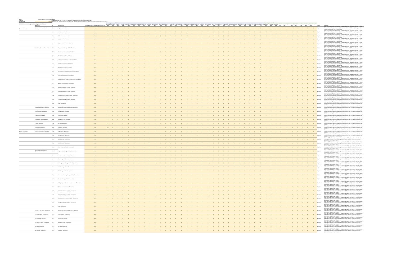|                                                                             |       | nes refer to all lines at or above 65kV, and distribution lines refer to all lines below 65kV.<br>from 2015 - 2019 should be actual numbers, 2020 - 2023 should be projected. In future submissions update projected numbers with actu- |                                                                                                                                                                          |                                                                                                                                                                                                                                   |
|-----------------------------------------------------------------------------|-------|-----------------------------------------------------------------------------------------------------------------------------------------------------------------------------------------------------------------------------------------|--------------------------------------------------------------------------------------------------------------------------------------------------------------------------|-----------------------------------------------------------------------------------------------------------------------------------------------------------------------------------------------------------------------------------|
| Table 7.2: Key recent and projected drivers of ignitions by HFTD region     |       |                                                                                                                                                                                                                                         | Number of ignitions by HFTD tier                                                                                                                                         | Non-HTD Zone1 HFTD Tar2 HFD Tar2 HFD Tar2 HFD Tar2 HFD Tar2 HFD Tar2 HFD Tar2 HFD Tare2 HFD Tare2 HFD Tare2 HFD Tare2 HFD Tar2 Non-CPUCHFTD Non-HFD HFD Tar2 Non-CPUCHFTD Non-HFD Tar2 HFD Tar2 HFD Tar2 HFD Tar2 HFD Tar2 HFD    |
| <b>Metric type</b><br>1. Contact from object - Distribution                 | 1.a.  | Ignition driver<br>Veg. contact-Distribution                                                                                                                                                                                            | Are ignitions tracked for ignition driver? (yes / no) 2015<br>2015 2015 2015<br>2015<br>2016 2016<br>2016<br>2016<br>2017<br>2017<br>2017<br>2017<br>2017<br>2016<br>Yes | 2018<br>2018<br>2018<br>2018<br>2018<br>2019<br>2019<br>2019<br>2019<br>2019<br>2020<br>2020<br>2020<br>2020<br>2020<br>2021<br>2021<br>2021 2021<br>2022 2022<br>2022<br>2022<br>2021                                            |
|                                                                             |       |                                                                                                                                                                                                                                         |                                                                                                                                                                          |                                                                                                                                                                                                                                   |
|                                                                             | 1.b.  | Animal contact- Distribution                                                                                                                                                                                                            | Yes                                                                                                                                                                      |                                                                                                                                                                                                                                   |
|                                                                             | 1.c.  | Balloon contact- Distribution                                                                                                                                                                                                           | Yes                                                                                                                                                                      | # ignition                                                                                                                                                                                                                        |
|                                                                             | 1.d.  | Vehicle contact- Distribution                                                                                                                                                                                                           | Yes                                                                                                                                                                      | # ignition                                                                                                                                                                                                                        |
|                                                                             | 1.e.  | Other contact from object - Distribution                                                                                                                                                                                                | Yes<br>$2 \qquad 0$                                                                                                                                                      | $\circ$<br># ignition                                                                                                                                                                                                             |
|                                                                             |       |                                                                                                                                                                                                                                         |                                                                                                                                                                          |                                                                                                                                                                                                                                   |
| 2. Equipment / facility failure - Distribution 2.a.                         |       | Capacitor bank damage or failure- Distribution                                                                                                                                                                                          | Yes                                                                                                                                                                      | # ignition                                                                                                                                                                                                                        |
|                                                                             | 2.b.  | Conductor damage or failure - Distribution                                                                                                                                                                                              | Yes                                                                                                                                                                      |                                                                                                                                                                                                                                   |
|                                                                             | 2.c.  | Fuse damage or failure - Distribution                                                                                                                                                                                                   | Yes                                                                                                                                                                      |                                                                                                                                                                                                                                   |
|                                                                             | 2.d.  | Lightning arrestor damage or failure-Distribution                                                                                                                                                                                       | Yes                                                                                                                                                                      | # ignition                                                                                                                                                                                                                        |
|                                                                             |       |                                                                                                                                                                                                                                         |                                                                                                                                                                          |                                                                                                                                                                                                                                   |
|                                                                             | 2.e.  | Switch damage or failure- Distribution                                                                                                                                                                                                  | Yes                                                                                                                                                                      | # ignition                                                                                                                                                                                                                        |
|                                                                             | 2.f.  | Pole damage or failure - Distribution                                                                                                                                                                                                   | Yes                                                                                                                                                                      | # ignitions                                                                                                                                                                                                                       |
|                                                                             | 2.g.  | Insulator and brushing damage or failure - Distribution                                                                                                                                                                                 | Yes                                                                                                                                                                      | # ignitions                                                                                                                                                                                                                       |
|                                                                             | 2.h.  | Crossarm damage or failure - Distribution                                                                                                                                                                                               | Yes                                                                                                                                                                      | # ignitions                                                                                                                                                                                                                       |
|                                                                             |       |                                                                                                                                                                                                                                         |                                                                                                                                                                          |                                                                                                                                                                                                                                   |
|                                                                             |       | Voltage regulator / booster damage or failure - Distributio                                                                                                                                                                             | Yes                                                                                                                                                                      |                                                                                                                                                                                                                                   |
|                                                                             |       | Recloser damage or failure - Distribution                                                                                                                                                                                               | Yes                                                                                                                                                                      | # ignitions                                                                                                                                                                                                                       |
|                                                                             |       | Anchor / guy damage or failure - Distribution                                                                                                                                                                                           | Yes                                                                                                                                                                      | # ignitions                                                                                                                                                                                                                       |
|                                                                             |       | Sectionalizer damage or failure - Distribution                                                                                                                                                                                          | Yes                                                                                                                                                                      | Note that<br># ignitions<br>figures in                                                                                                                                                                                            |
|                                                                             |       |                                                                                                                                                                                                                                         |                                                                                                                                                                          | $SCE-2 - E$                                                                                                                                                                                                                       |
|                                                                             | 2.m.  | Connection device damage or failure - Distribution                                                                                                                                                                                      | Yes<br>$1 \quad 0$                                                                                                                                                       | $\circ$<br># ignitions<br>figures in<br>$SCE-2 - E$                                                                                                                                                                               |
|                                                                             | 2.n.  | Transformer damage or failure - Distribution                                                                                                                                                                                            | Yes                                                                                                                                                                      | # ignitions<br>$SCE-2 - C$                                                                                                                                                                                                        |
|                                                                             | 2.0.  | Other - Distribution                                                                                                                                                                                                                    | Yes                                                                                                                                                                      | $SCE-2 - D$                                                                                                                                                                                                                       |
| 3. Wire-to-wire contact - Distribution                                      | 3.a.  | Wire-to-wire contact / contamination- Distribution                                                                                                                                                                                      | Yes                                                                                                                                                                      |                                                                                                                                                                                                                                   |
| 4. Contamination - Distribution                                             |       | Contamination - Distribution                                                                                                                                                                                                            | Yes<br>$1 \quad 0$                                                                                                                                                       | $SCE-2 - C$<br>Note that<br># ignitions                                                                                                                                                                                           |
|                                                                             |       |                                                                                                                                                                                                                                         |                                                                                                                                                                          |                                                                                                                                                                                                                                   |
| 5. Utility work / Operation                                                 | 5.a.  | Utility work / Operation                                                                                                                                                                                                                | <b>No</b><br>$0 \qquad 0$                                                                                                                                                | # ignitions                                                                                                                                                                                                                       |
| 6. Vandalism / Theft - Distribution                                         | 6.a.  | Vandalism / Theft - Distribution                                                                                                                                                                                                        | Yes<br>$3 \t 0$<br>$\overline{\phantom{0}}$                                                                                                                              | # ignitions<br>$SCE-2 - D$                                                                                                                                                                                                        |
| 7. Other- Distribution                                                      | 7.3.  | All Other- Distribution                                                                                                                                                                                                                 | Yes<br>$2 \qquad 0$                                                                                                                                                      | $\circ$<br># ignitions                                                                                                                                                                                                            |
| 8. Unknown-Distribution                                                     | 8.a.  | Unknown - Distribution                                                                                                                                                                                                                  | Yes                                                                                                                                                                      | # ignition                                                                                                                                                                                                                        |
|                                                                             |       |                                                                                                                                                                                                                                         |                                                                                                                                                                          |                                                                                                                                                                                                                                   |
| 9. Contact from object - Transmission                                       | 9.a.  | Veg. contact-Transmission                                                                                                                                                                                                               | Yes                                                                                                                                                                      |                                                                                                                                                                                                                                   |
|                                                                             | 9.b.  | Animal contact- Transmission                                                                                                                                                                                                            | Yes                                                                                                                                                                      | # ignition                                                                                                                                                                                                                        |
|                                                                             | 9.c.  | Balloon contact- Transmission                                                                                                                                                                                                           | Yes                                                                                                                                                                      | # ignition                                                                                                                                                                                                                        |
|                                                                             | 9.d.  | Vehicle contact- Transmission                                                                                                                                                                                                           | Yes<br>$\begin{array}{cccccccccccccc} 0 & & & 0 & & & 0 & & \end{array}$                                                                                                 | # ignition                                                                                                                                                                                                                        |
|                                                                             | 9.e.  | Other contact from object - Transmission                                                                                                                                                                                                | Yes                                                                                                                                                                      |                                                                                                                                                                                                                                   |
|                                                                             |       |                                                                                                                                                                                                                                         |                                                                                                                                                                          |                                                                                                                                                                                                                                   |
| 10. Equipment / facility failure -<br>Transmission                          | 10.a. | Capacitor bank damage or failure- Transmissi                                                                                                                                                                                            | Yes<br>$0\qquad 0$<br>$\sim$ 0                                                                                                                                           | # ignition                                                                                                                                                                                                                        |
|                                                                             | 10.b. | Conductor damage or failure - Transmissi                                                                                                                                                                                                | Yes                                                                                                                                                                      |                                                                                                                                                                                                                                   |
|                                                                             | 10.c. | Fuse damage or failure - Transmissic                                                                                                                                                                                                    | Yes                                                                                                                                                                      | # ignitic                                                                                                                                                                                                                         |
|                                                                             | 10.d. | Lightning arrestor damage or failure- Transmissic                                                                                                                                                                                       | Yes                                                                                                                                                                      |                                                                                                                                                                                                                                   |
|                                                                             |       | 10.e. Switch damage or failure- Transmission                                                                                                                                                                                            |                                                                                                                                                                          |                                                                                                                                                                                                                                   |
|                                                                             |       |                                                                                                                                                                                                                                         | Yes                                                                                                                                                                      |                                                                                                                                                                                                                                   |
|                                                                             |       | 10.f. Pole damage or failure - Transmission                                                                                                                                                                                             | Yes                                                                                                                                                                      |                                                                                                                                                                                                                                   |
|                                                                             |       | 10.g. Insulator and brushing damage or failure - Transmission                                                                                                                                                                           | Yes                                                                                                                                                                      | .<br>In the contract of the contract of the contract of the contract of the contract of the contract of the contract of the contract of the contract of the contract of the contract of the contract of the contract of the contr |
|                                                                             |       | 10.h. Crossarm damage or failure - Transmission                                                                                                                                                                                         | Yes                                                                                                                                                                      |                                                                                                                                                                                                                                   |
|                                                                             |       | 10.i. Voltage regulator / booster damage or failure - Transmission                                                                                                                                                                      | Yes                                                                                                                                                                      |                                                                                                                                                                                                                                   |
|                                                                             |       |                                                                                                                                                                                                                                         |                                                                                                                                                                          |                                                                                                                                                                                                                                   |
|                                                                             |       | 10.j. Recloser damage or failure - Transmission                                                                                                                                                                                         | Yes                                                                                                                                                                      |                                                                                                                                                                                                                                   |
|                                                                             |       | 10.k. Anchor / guy damage or failure - Transmission                                                                                                                                                                                     | Yes                                                                                                                                                                      | . The contract is a contract of the contract of the contract of the contract of the contract of the contract of the contract of the contract of the contract of the contract of the contract of the contract of the contract o    |
|                                                                             |       | 10.1. Sectionalizer damage or failure - Transmission                                                                                                                                                                                    | Yes                                                                                                                                                                      | .<br>In the case of the contract and a state of the contract and a state of the contract of the contract and the con                                                                                                              |
|                                                                             |       | 10.m. Connection device damage or failure - Transmission                                                                                                                                                                                | Yes                                                                                                                                                                      |                                                                                                                                                                                                                                   |
|                                                                             |       | 10.n. Transformer damage or failure - Transmission                                                                                                                                                                                      |                                                                                                                                                                          |                                                                                                                                                                                                                                   |
|                                                                             |       |                                                                                                                                                                                                                                         | Yes                                                                                                                                                                      |                                                                                                                                                                                                                                   |
|                                                                             |       | 10.o. Other - Transmission                                                                                                                                                                                                              | Yes                                                                                                                                                                      |                                                                                                                                                                                                                                   |
|                                                                             |       | 11. Wire-to-wire contact - Transmission 11.a. Wire-to-wire contact / contamination- Transmission                                                                                                                                        | Yes                                                                                                                                                                      |                                                                                                                                                                                                                                   |
| 12. Contamination - Transmission                                            |       | 12.a. Contamination - Transmission                                                                                                                                                                                                      | Yes                                                                                                                                                                      |                                                                                                                                                                                                                                   |
| 13. Utility work / Operation                                                |       | 13.a. Utility work / Operation                                                                                                                                                                                                          |                                                                                                                                                                          | no concerta con concerta con concerta con concerta concerta concerta concerta concerta concerta concerta a con                                                                                                                    |
|                                                                             |       |                                                                                                                                                                                                                                         | No                                                                                                                                                                       |                                                                                                                                                                                                                                   |
| 14. Vandalism / Theft - Transmission 14.a. Vandalism / Theft - Transmission |       |                                                                                                                                                                                                                                         | Yes                                                                                                                                                                      |                                                                                                                                                                                                                                   |
| 15. Other- Transmission                                                     |       | 15.a. All Other- Transmission                                                                                                                                                                                                           | Yes                                                                                                                                                                      | no concerto de concerto de concerto de concerto de concerto de concerto de concerto de la españa as interiorad                                                                                                                    |
| 16. Unknown-Transmission                                                    |       | 16.a. Unknown - Transmission                                                                                                                                                                                                            | Yes                                                                                                                                                                      |                                                                                                                                                                                                                                   |

Note that due to certain enhancements made to determining cause sub-categories of events,<br>Isgures in this table may not tie exactly to those provided in SCE's Remedial Compliance Plan<br>SCE-2 - Determining Cause of Near Miss SCE-2 - Determining Cause of Near Maters.<br>As to determining Cause of Near Maters.<br>As the method complete and the state of Near Maters and the state of the state of the state of the state of the state of the state of the st SCE-2 - Determining Cause of Near Misses.<br>Note that due to certain enhancements made to determining cause sub-categories of events,<br>Rigues in this table may not tie exactly to those provided in SCE's Remedial Compliance Pl SCE2 - Determining Cause of Near Minos.<br>New York Case Contains enhancements made to determining cause sub-categories of events,<br>Near the due to certain enhancements made to determining cause sub-categories of events.<br>SCE2  $\mathcal{SL}(2,2)$  - Determining Cause of Near Minors.<br>The charged points of the Minors of Near Minors and the determining cause sub-categories of events, the studie may not be easily to those provided in SCS fermedial Complian Note that SCE enhanced in mapping of outage data to fact this may have a then the first transfer and the mattern in this table companed on the number provided in SCE is Remetald Complanes Plan SCE-2 -<br>The first density of In this table compared to the numbers provided in SCE's Remedial Compliance Plan SCE-2 -<br>Determining Cause of Near Misses.<br>West mixing Cause of Near Misses.<br>In this table compared to the numbers provided in SCE's Remedial Determining Cause of New Misses.<br>
Note that SCE enhanced its mapping of outage data to fault; this may have shifted numbers<br>
in this table compared to the muniters provided in SCE kemetal Complanes Pan SCE-2<br>
Determining Determining Cause of New Mission.<br>Holder and Scheme and Marketing and outlined data to facility this may have abilited number.<br>Determining Cause of New Missions in provided in SCS kemetial Complement Plan SCE-2<br>Note that S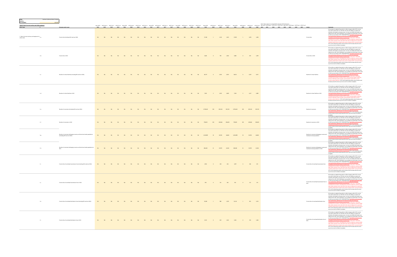| Table No.                                                                                      | Southern California Edison Cor |                                                                                                         |                                        |                   |                   |                   |                                        |                   |                   |                   |                   |                                     |                   |                   |                   |                |                        |                           |                      |                          |                |                                         |       |                                                                                                                                                                                                                                                                                                  |                                                                                                 |                                                                                                                                                                                                                                                                                                                                                                                                                                                                                                                                                                                                                                                                                                                                                                                                                                                                                                                                    |
|------------------------------------------------------------------------------------------------|--------------------------------|---------------------------------------------------------------------------------------------------------|----------------------------------------|-------------------|-------------------|-------------------|----------------------------------------|-------------------|-------------------|-------------------|-------------------|-------------------------------------|-------------------|-------------------|-------------------|----------------|------------------------|---------------------------|----------------------|--------------------------|----------------|-----------------------------------------|-------|--------------------------------------------------------------------------------------------------------------------------------------------------------------------------------------------------------------------------------------------------------------------------------------------------|-------------------------------------------------------------------------------------------------|------------------------------------------------------------------------------------------------------------------------------------------------------------------------------------------------------------------------------------------------------------------------------------------------------------------------------------------------------------------------------------------------------------------------------------------------------------------------------------------------------------------------------------------------------------------------------------------------------------------------------------------------------------------------------------------------------------------------------------------------------------------------------------------------------------------------------------------------------------------------------------------------------------------------------------|
| Table 8: State of service territory and utility equipment                                      |                                |                                                                                                         |                                        |                   |                   |                   |                                        |                   |                   |                   |                   |                                     |                   |                   |                   |                |                        |                           |                      |                          |                |                                         |       | Note: These columns are placeholders for future OR submissions<br>Non-HFTD HFTD2one1 HFTDTier2 HFTDTier3 Non-HFTD HFTDZone1 HFTDTier3 Non-HFTD HFTDZone1 HFTDTier2 HFTDTier2 HFTDTier2 HFTDTier3 Non-HFTD HFTDZone1 HFTDTier2 HFTDTier3 Non-HFTD HFTDTier3 Non-HFTD HFTDTier3 Non-HFTD HFTDTier3 |                                                                                                 |                                                                                                                                                                                                                                                                                                                                                                                                                                                                                                                                                                                                                                                                                                                                                                                                                                                                                                                                    |
| <b>Metric type</b><br>1. State of service territory and equipment in $_{1.8}$ .<br>urban areas |                                | Outcome metric name<br>Circuit miles (including WUI and non-WUI)                                        | 2015<br>2015<br><b>NA</b><br><b>NA</b> | 2015<br><b>NA</b> | 2015<br><b>NA</b> | 2016<br><b>NA</b> | 2016<br>2016<br><b>NA</b><br><b>NA</b> | 2016<br><b>NA</b> | 2017<br><b>NA</b> | 2017<br><b>NA</b> | 2017<br><b>NA</b> | 2017 2018<br><b>NA</b><br><b>NA</b> | 2018<br><b>NA</b> | 2018<br><b>NA</b> | 2018<br><b>NA</b> | 2019<br>17,160 | 2019<br>$\overline{1}$ | 2019<br>1,126             | 2019<br>1,453 17,053 | 2020                     | $\mathbf{1}$   | 2020 2020 2020 2021 2021<br>1,035 1,428 |       | 2021 2021 2022 2022 2022 2022 Unit(s)                                                                                                                                                                                                                                                            | Circuit miles                                                                                   | Comments<br>GIS models are updated frequently to reflect changes within SCE's service<br>area and for data clean-up. SCE does not have the ability to analyze and<br>calculate information in previous years. As such, only 2020 information was<br>obtained from GIS. 2015-2018 data is not available and 2019 data is the same<br>as what was provided in SCE's 2020 WMP filing. The 2019 transmission data-<br>was replicated fo<br>completing the GIS Data Schema requirements. Furthermore, 2019 data<br>included all circuit miles, including those outside of California, whereas 2020<br>data solely includes circuit miles within the state of California for assets SCE<br>maintains (which does include some assets outside of SCE's service territory<br>SCE is still conducting quality control review of all the data and will correct<br>any errors once its review is complete.                                    |
| 1.b.                                                                                           |                                | Circuit miles in WUI                                                                                    |                                        |                   |                   |                   |                                        |                   |                   |                   |                   |                                     |                   |                   |                   | 3,446          |                        | 750                       | 1,364                | 3,482                    |                | 674                                     | 1,339 |                                                                                                                                                                                                                                                                                                  | Circuit miles in WUI                                                                            | GIS models are updated frequently to reflect changes within SCE's service<br>area and for data clean-up. SCE does not have the ability to analyze and<br>calculate information in previous years. As such, only 2020 information was<br>obtained from GIS. 2015-2018 data is not available and 2019 data is the same<br>as what was provided in SCE's 2020 WMP filing. The 2019 transmission data<br>was replicated for 2020 because SCE discovered data discrepancies.<br>completing the GIS Data Schema requirements. Furthermore, 2019 data<br>included all circuit miles, including those outside of California, whereas 202<br>data solely includes circuit miles within the state of California for assets SCE<br>maintains (which does include some assets outside of SCE's service territory<br>SCE is still conducting quality control review of all the data and will correct<br>any errors once its review is complete. |
| 1.c.                                                                                           |                                | Number of critical facilities (including WUI and non-WUI)                                               | <b>NA</b><br><b>NA</b>                 |                   | NA NA             | NA.               | <b>NA</b><br><b>NA</b>                 | <b>NA</b>         | <b>NA</b>         | <b>NA</b>         | <b>NA</b>         | NA<br><b>NA</b>                     | NA                | <b>NA</b>         | <b>NA</b>         | 36,757         | 6 <sup>1</sup>         | 2,550                     | 3,923                | 36,911                   | 6 <sup>1</sup> | 2,207 3,917                             |       |                                                                                                                                                                                                                                                                                                  | Number of critical facilities                                                                   | GIS models are updated frequently to reflect changes within SCE's service<br>area and for data clean-up. SCE does not have the ability to analyze and<br>calculate information in previous years. As such, only 2020 information was<br>obtained from GIS. 2015-2018 data is not available and 2019 data is the same<br>as what was provided in SCE's 2020 WMP filing. The 2019 transm<br>was replicated for 2020 because SCE discovered data discrepancies.<br>irements. Furthermore, 2019 data<br>completing the GIS Data Sche<br>included some locations outside of SCE's service territory within California<br>whereas 2020 data solely includes critical facilities within SCE's service<br>territory within California. SCE is still conducting quality control review of all<br>the data and will correct any errors once its review is complete.                                                                          |
| 1.d.                                                                                           |                                | Number of critical facilities in WUI                                                                    |                                        |                   |                   |                   |                                        | NA                |                   |                   |                   |                                     |                   | <b>NA</b>         |                   | 7,305          |                        | 1,676                     | 3,489                | 7,502                    | 5 <sup>1</sup> | 1,417<br>3,489                          |       |                                                                                                                                                                                                                                                                                                  | Number of critical facilities in WUI                                                            | GIS models are updated frequently to reflect changes within SCE's service<br>area and for data clean-up. SCE does not have the ability to analyze and<br>calculate information in previous years. As such, only 2020 information was<br>obtained from GIS. 2015-2018 data is not available and 2019 data is the same<br>as what was provided in SCE's 2020 WMP filing. The 2019 tran<br>ments. Furthermore, 2019 data<br>included some locations outside of SCE's service territory within California,<br>whereas 2020 data solely includes critical facilities within SCE's service<br>territory within California. SCE is still conducting quality control review of all<br>the data and will correct any errors once its review is complete.                                                                                                                                                                                    |
| 1.e.                                                                                           |                                | Number of customers (including WUI and non-WUI)                                                         | <b>NA</b><br><b>NA</b>                 | <b>NA</b>         | <b>NA</b>         | <b>NA</b>         | <b>NA</b><br><b>NA</b>                 | <b>NA</b>         | <b>NA</b>         | <b>NA</b>         | <b>NA</b>         | <b>NA</b><br><b>NA</b>              | <b>NA</b>         | <b>NA</b>         | <b>NA</b>         | 3.790.432      | 545                    | 209.126 323.745 3.790.432 |                      |                          | 545            | 209.126 323.745                         |       |                                                                                                                                                                                                                                                                                                  | Number of customers                                                                             | GIS models are updated frequently to reflect changes within SCE's service<br>area and for data clean-up. SCE does not have the ability to analyze and<br>calculate information in previous years. As such, only 2020 information was<br>obtained from GIS. 2015-2018 data is not available and 2019 data is the same<br>as what was provided in SCE's 2020 WMP filing. The 2019 transmission data<br>was regligated for 2020 herause SCE disc<br>completing the GIS Data Schema<br><b>aments.</b> SCE is still conducting quality<br>control review of all the data and will correct any errors once its review is<br>complete.                                                                                                                                                                                                                                                                                                    |
| 1.f.                                                                                           |                                | Number of customers in WUI                                                                              |                                        |                   |                   |                   |                                        |                   |                   |                   |                   |                                     |                   |                   |                   | 778,819        | 525                    | 149,646                   | 294,005              | 778,819                  | 525            | 149,646 294,005                         |       |                                                                                                                                                                                                                                                                                                  | Number of customers in WUI                                                                      | GIS models are updated frequently to reflect changes within SCE's service<br>area and for data clean-up. SCE does not have the ability to analyze and<br>calculate information in previous years. As such, only 2020 information was<br>obtained from GIS. 2015-2018 data is not available and 2019 data is the same<br>as what was provided in SCE's 2020 WMP filing. The 2019 transmission data-<br>was replicated for 2020 because SCE discovered data di:<br>quirements: SCE is still conducting quality<br>completing the GIS Data Se<br>control review of all the data and will correct any errors once its review is<br>complete.                                                                                                                                                                                                                                                                                           |
| 1.g.                                                                                           |                                | Number of customers belonging to access and functional needs populations<br>(including WUI and non-WUI) |                                        |                   |                   |                   |                                        |                   |                   |                   |                   |                                     |                   |                   |                   | 1,032,899      |                        | 30,783                    | 44,840               | 1,032,899                | 32             | 30,783 44,840                           |       |                                                                                                                                                                                                                                                                                                  | functional needs populations                                                                    | GIS models are updated frequently to reflect changes within SCE's service<br>area and for data clean-up. SCE does not have the ability to analyze and<br>calculate information in previous years. As such, only 2020 information was<br>Number of customers belonging to access and<br>Obtained from GIS. 2015-2018 data is not available and 2019 data is the same<br>as what was provided in SCE's 2020 WMP filing. The 2019 transmission data-<br>was replicated for 2020 because SCE disc<br>completing the GIS Data Schema requirements. SCE is still conducting quality<br>control review of all the data and will correct any errors once its review is<br>complete.                                                                                                                                                                                                                                                        |
| 1.h.                                                                                           |                                | Number of customers belonging to access and functional needs populations in<br>WUI                      | <b>NA</b><br><b>NA</b>                 | NA.               | <b>NA</b>         | <b>NA</b>         | NA<br><b>NA</b>                        | <b>NA</b>         | <b>NA</b>         | <b>NA</b>         | <b>NA</b>         | <b>NA</b><br>NA                     | <b>NA</b>         | <b>NA</b>         | <b>NA</b>         | 206,260        | 21                     |                           |                      | 23,970 41,362 206,260 21 |                | 23.970 41.362                           |       |                                                                                                                                                                                                                                                                                                  | functional needs populations in WUI                                                             | GIS models are updated frequently to reflect changes within SCE's service<br>area and for data clean-up. SCE does not have the ability to analyze and<br>calculate information in previous years. As such, only 2020 information was<br>obtained from GIS. 2015-2018 data is not available and 2019 data is the same<br>Number of customers belonging to access and<br>as what was provided in SCE's 2020 WMP filing. The 2019 transmission data-<br>was replicated for 2020 because SCE disc<br>ments: SCE is still conducting quality<br>completing the GIS Data Sch<br>control review of all the data and will correct any errors once its review is<br>complete.                                                                                                                                                                                                                                                               |
|                                                                                                |                                |                                                                                                         |                                        |                   |                   |                   |                                        |                   |                   |                   |                   |                                     |                   |                   |                   |                |                        |                           |                      |                          |                |                                         |       |                                                                                                                                                                                                                                                                                                  | Circuit miles of overhead transmission lines                                                    | GIS models are updated frequently to reflect changes within SCE's service<br>area and for data clean-up. SCE does not have the ability to analyze and<br>calculate information in previous years. As such, only 2020 information was<br>obtained from GIS. 2015-2018 data is not available and 2019 data is the same<br>as what was provided in SCE's 2020 WMP filing. The 2019 transmission data<br>was renlicated for 2020 herause SCE dis-<br>included all circuit miles, including those outside of California, whereas 2020<br>data solely includes circuit miles within the state of California for assets SCE<br>maintains (which does include some assets outside of SCE's service territory<br>SCE is still conducting quality control review of all the data and will correct<br>any errors once its review is complete.                                                                                                 |
| 1.j.                                                                                           |                                | Circuit miles of overhead transmission lines in WUI                                                     |                                        |                   |                   |                   |                                        |                   |                   |                   |                   |                                     |                   |                   |                   |                |                        |                           |                      |                          |                |                                         |       |                                                                                                                                                                                                                                                                                                  | WUI                                                                                             | GIS models are updated frequently to reflect changes within SCE's service<br>area and for data clean-up. SCE does not have the ability to analyze and<br>calculate information in previous years. As such, only 2020 information was<br>obtained from GIS. 2015-2018 data is not available and 2019 data is the same<br>as what was provided in SCE's 2020 WMP filing. The 2019 tra<br>Circuit miles of overhead transmission lines in was replicated for 2020 because SCE discovered data di<br>ments Furthermore, 2019 data<br>included all circuit miles, including those outside of California, whereas 2020<br>data solely includes circuit miles within the state of California for assets SCE<br>maintains (which does include some assets outside of SCE's service territory<br>SCE is still conducting quality control review of all the data and will correct<br>any errors once its review is complete.                 |
| 1.k.                                                                                           |                                | Circuit miles of overhead distribution lines (including WUI and non-WUI)                                |                                        |                   |                   |                   |                                        |                   |                   |                   |                   |                                     |                   |                   |                   |                |                        |                           |                      |                          |                | 831 1,213                               |       |                                                                                                                                                                                                                                                                                                  | Circuit miles of overhead distribution lines                                                    | GIS models are updated frequently to reflect changes within SCE's service<br>area and for data clean-up. SCE does not have the ability to analyze and<br>calculate information in previous years. As such, only 2020 information was<br>obtained from GIS. 2015-2018 data is not available and 2019 data is the same<br>as what was provided in SCE's 2020 WMP filing. The 2019 transmission data<br>was replicated for 2020 because SCE discovered data discret<br>completing the GIS Data Schema requirements. Furthermore, 2019 data<br>included all circuit miles, including those outside of California, whereas 2020<br>data solely includes circuit miles within the state of California for assets SCE<br>maintains (which does include some assets outside of SCE's service territory<br>SCE is still conducting quality control review of all the data and will correct<br>any errors once its review is complete.       |
| <b>1.L</b>                                                                                     |                                | Circuit miles of overhead distribution lines in WUI                                                     |                                        |                   |                   |                   |                                        |                   |                   |                   |                   |                                     |                   |                   |                   |                |                        |                           |                      |                          |                |                                         |       |                                                                                                                                                                                                                                                                                                  | Circuit miles of overhead distribution lines in was replicated for 2020 because SCE dis-<br>WUI | GIS models are updated frequently to reflect changes within SCE's service<br>area and for data clean-up. SCE does not have the ability to analyze and<br>calculate information in previous years. As such, only 2020 information was<br>obtained from GIS. 2015-2018 data is not available and 2019 data is the same<br>as what was provided in SCE's 2020 WMP filing. The 2019 transmission data-<br>completing the GIS Data Schema requirements. Furthermore, 2019 data<br>included all circuit miles, including those outside of California, whereas 2020<br>data solely includes circuit miles within the state of California for assets SCE<br>maintains (which does include some assets outside of SCE's service territo<br>SCE is still conducting quality control review of all the data and will correct<br>any errors once its review is complete.                                                                       |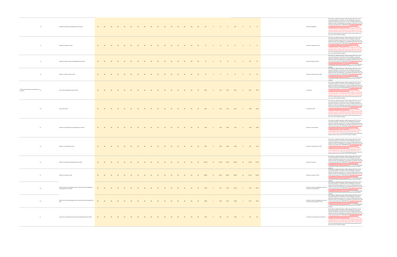| 1.m.                                                               | Number of substations (including WUI and non-WUI)                                                       | <b>NA</b> |           | NA 1      | <b>NA</b> | <b>NA</b> | <b>NA</b>         | NA.       | <b>NA</b> | <b>NA</b><br><b>NA</b> |           | <b>NA</b><br><b>NA</b> | NA 1999        | <b>NA</b> |           | NA NA        | 231    |                      |       |       | 0 23 17 230 |                                                                                                     | $0$ $12$ $13$                                                                        |       | GIS models are updated frequently to reflect changes within SCE's service<br>area and for data clean-up. SCE does not have the ability to analyze and<br>calculate information in previous years. As such, only 2020 information was<br>obtained from GIS. 2015-2018 data is not available and 2019 data is the same<br>as what was provided in SCE's 2020 WMP filing. The 2019 trans<br><del>mission data</del><br>was replicated for 2020 because SCE discovered data discrepancies<br>Number of substations<br>a requirements. Furthermore, 2019 data<br>included all substations, including those outside of California, whereas 2020<br>data solely includes substations within the state of California for assets SCE<br>maintains (which does include some assets outside of SCE's service territory)<br>SCE is still conducting quality control review of all the data and will correct<br>any errors once its review is complete.                         |
|--------------------------------------------------------------------|---------------------------------------------------------------------------------------------------------|-----------|-----------|-----------|-----------|-----------|-------------------|-----------|-----------|------------------------|-----------|------------------------|----------------|-----------|-----------|--------------|--------|----------------------|-------|-------|-------------|-----------------------------------------------------------------------------------------------------|--------------------------------------------------------------------------------------|-------|--------------------------------------------------------------------------------------------------------------------------------------------------------------------------------------------------------------------------------------------------------------------------------------------------------------------------------------------------------------------------------------------------------------------------------------------------------------------------------------------------------------------------------------------------------------------------------------------------------------------------------------------------------------------------------------------------------------------------------------------------------------------------------------------------------------------------------------------------------------------------------------------------------------------------------------------------------------------|
| 1.n                                                                | Number of substations in WUI                                                                            | <b>NA</b> |           |           |           |           |                   |           |           |                        |           |                        |                |           |           |              |        |                      |       |       | 0 16 16 43  | $\sim$ 0 $\sim$                                                                                     | $6 -$                                                                                | 12    | GIS models are updated frequently to reflect changes within SCE's service<br>area and for data clean-up. SCE does not have the ability to analyze and<br>calculate information in previous years. As such, only 2020 information was<br>obtained from GIS. 2015-2018 data is not available and 2019 data is the same<br>as what was provided in SCE's 2020 WMP filing. The 2019 transmission data-<br>was replicated for 2020 because SCE discovered data dis<br>Number of substations in WUI<br>completing the GIS Data Schema requirements. Furthermore, 2019 data<br>included all substations, including those outside of California, whereas 2020<br>data solely includes substations within the state of California for assets SCE<br>maintains (which does include some assets outside of SCE's service territory)<br>SCE is still conducting quality control review of all the data and will correct<br>any errors once its review is complete.             |
| 1.0.                                                               | Number of weather stations (including WUI and non-WUI)                                                  |           | <b>NA</b> | <b>NA</b> | <b>NA</b> | <b>NA</b> | NA                | NA.       | <b>NA</b> | <b>NA</b><br><b>NA</b> |           | <b>NA</b><br><b>NA</b> | <b>NA</b>      | <b>NA</b> | <b>NA</b> | NA           | 35     | $\bullet$            | 18    | 32    | 51          | $\sim$ 0                                                                                            | 107                                                                                  | 94    | GIS models are updated frequently to reflect changes within SCE's service<br>area and for data clean-up. SCE does not have the ability to analyze and<br>calculate information in previous years. As such, only 2020 information was<br>obtained from GIS. 2015-2018 data is not available and 2019 data is the same<br>Number of weather stations<br>as what was provided in SCE's 2020 WMP filing. The 2019 transmission data<br>was replicated for 2020 because SCE discovered data discrepancies-<br>completing the GIS Data Schema requirements. SCE is still conducting quality<br>control review of all the data and will correct any errors once its review is<br>complete.                                                                                                                                                                                                                                                                                |
| 1.p.                                                               | Number of weather stations in WUI                                                                       | <b>NA</b> | <b>NA</b> | <b>NA</b> | <b>NA</b> | <b>NA</b> | <b>NA</b>         | <b>NA</b> | <b>NA</b> | <b>NA</b><br><b>NA</b> |           | <b>NA</b><br><b>NA</b> | <b>NA</b>      | <b>NA</b> | NA        | <b>NA</b>    | 20     | $\bullet$            | 11    | 31    | 29          | $\overline{\phantom{a}}$ $\overline{\phantom{a}}$ $\overline{\phantom{a}}$ $\overline{\phantom{a}}$ | 63                                                                                   | 89    | GIS models are updated frequently to reflect changes within SCE's service<br>area and for data clean-up. SCE does not have the ability to analyze and<br>calculate information in previous years. As such, only 2020 information was<br>obtained from GIS. 2015-2018 data is not available and 2019 data is the same<br>Number of weather stations in WUI<br>as what was provided in SCE's 2020 WMP filing. The 2019 transmission data-<br>was replicated for 2020 because SCE discovered data di<br>completing the GIS Data Schema requirements. SCE is still conducting quality<br>control review of all the data and will correct any errors once its review is<br>complete.                                                                                                                                                                                                                                                                                    |
| 2. State of service territory and equipment in 2.a.<br>rural areas | Circuit miles (including WUI and non-WUI)                                                               |           |           |           |           |           |                   |           |           |                        |           |                        | NA             | <b>NA</b> | <b>NA</b> | <b>NA</b>    | 8,536  | $\bullet$            | 2,127 | 3,724 | 8,543       | $\bullet$                                                                                           | 2,012                                                                                | 3,676 | GIS models are updated frequently to reflect changes within SCE's service<br>area and for data clean-up. SCE does not have the ability to analyze and<br>calculate information in previous years. As such, only 2020 information was<br>obtained from GIS. 2015-2018 data is not available and 2019 data is the same<br>as what was provided in SCE's 2020 WMP filing. The 2019 transmission data<br>was replicated for 2020 because SCE discovered de<br>Circuit miles<br>completing the GIS Data Schema requirements. Furthermore, 2019 data<br>included all circuit miles, including those outside of California, whereas 2020<br>data solely includes circuit miles within the state of California for assets SCE<br>maintains (which does include some assets outside of SCE's service territory<br>SCE is still conducting quality control review of all the data and will correct<br>any errors once its review is complete.                                |
| 2.b.                                                               | Circuit miles in WUI                                                                                    | <b>NA</b> | <b>NA</b> | <b>NA</b> | <b>NA</b> | <b>NA</b> | <b>NA</b>         | NA.       | <b>NA</b> | <b>NA</b><br><b>NA</b> |           | NA.<br><b>NA</b>       | <b>NA</b>      | <b>NA</b> | <b>NA</b> | <b>NA</b>    | 3.263  | $\bullet$            | 1.492 | 2.729 | 3.307       | $\sim$ 0                                                                                            | 1.408 2.695                                                                          |       | GIS models are updated frequently to reflect changes within SCE's service<br>area and for data clean-up. SCE does not have the ability to analyze and<br>calculate information in previous years. As such, only 2020 information was<br>obtained from GIS. 2015-2018 data is not available and 2019 data is the same<br>as what was provided in SCE's 2020 WMP filing. The 2019 transmission data<br>was replicated for 2020 because SCE discovered data discre<br>Circuit miles in WUI<br>completing the GIS Data Schema requirements. Furthermore, 2019 data<br>included all circuit miles, including those outside of California, whereas 2020<br>data solely includes circuit miles within the state of California for assets SCE<br>maintains (which does include some assets outside of SCE's service territory)<br>SCE is still conducting quality control review of all the data and will correct<br>any errors once its review is complete.               |
| 2.c.                                                               | Number of critical facilities (including WUI and non-WUI)                                               |           |           | <b>NA</b> | <b>NA</b> | <b>NA</b> | <b>NA</b>         | <b>NA</b> | NA        |                        |           | <b>NA</b>              | NA             | NA        | <b>NA</b> | <b>NA</b>    | 7,692  | $\bullet$            | 1,456 | 2,894 | 7,744       | $\sim$ 0                                                                                            | 1,338 2,890                                                                          |       | GIS models are updated frequently to reflect changes within SCE's service<br>area and for data clean-up. SCE does not have the ability to analyze and<br>calculate information in previous years. As such, only 2020 information was<br>obtained from GIS. 2015-2018 data is not available and 2019 data is the same<br>as what was provided in SCE's 2020 WMP filing. The 2019 transmission data<br>Number of critical facilities<br>was replicated for 2020 because SCE discr<br>completing the GIS Data Schema requirements. Furthermore, 2019 data<br>included some locations outside of SCE's service territory within California,<br>whereas 2020 data solely includes critical facilities within SCE's service<br>territory within California. SCE is still conducting quality control review of all<br>the data and will correct any errors once its review is complete.                                                                                   |
| 2.d.                                                               | Number of critical facilities in WUI                                                                    | <b>NA</b> | <b>NA</b> | NA 1      | NA        | <b>NA</b> | <b>NA</b>         | NA.       | <b>NA</b> | <b>NA</b><br><b>NA</b> | <b>NA</b> | <b>NA</b>              | <b>NA</b>      | <b>NA</b> | NA        | <b>NA</b>    | 2,397  | $\bullet$            | 1,036 | 2,348 | 2,460       | $\sim$ 0                                                                                            | 940 2,343                                                                            |       | GIS models are updated frequently to reflect changes within SCE's service<br>area and for data clean-up. SCE does not have the ability to analyze and<br>calculate information in previous years. As such, only 2020 information was<br>obtained from GIS. 2015-2018 data is not available and 2019 data is the same<br>as what was provided in SCE's 2020 WMP filing. The 2019 transmission data<br>Number of critical facilities in WUI<br>was replicated for 2020 because SCE discovered data discrepancies.<br>completing the GIS Data Schema requirements. Furthermore, 2019 data<br>included some locations outside of SCE's service territory within California,<br>whereas 2020 data solely includes critical facilities within SCE's service<br>territory within California. SCE is still conducting quality control review of all<br>the data and will correct any errors once its review is complete.                                                   |
|                                                                    |                                                                                                         | <b>MA</b> |           |           |           |           | NA NA NA NA NA NA |           |           |                        |           |                        |                |           |           |              |        |                      |       |       |             |                                                                                                     | .<br>NA NA NA NA NA NA NA NA NA NA 225,587 20 53,624 92,195 225,587 20 53,624 92,195 |       | GIS models are updated frequently to reflect changes within SCE's service<br>area and for data clean-up. SCE does not have the ability to analyze and<br>calculate information in previous years. As such, only 2020 information was<br>obtained from GIS. 2015-2018 data is not available and 2019 data is the same<br>Number of customers<br>as what was provided in SCE's 2020 WMP filing. <del>The 2019 tran:</del><br>was replicated for 2020 because SCE discovered data discrepancies<br>completing the GIS Data Schema requirements. SCE is still conducting quality<br>control review of all the data and will correct any errors once its review is<br>complete.                                                                                                                                                                                                                                                                                         |
| 2.5.                                                               | Number of customers in WUI                                                                              |           |           |           |           |           |                   |           |           |                        |           |                        |                |           |           |              |        |                      |       |       |             |                                                                                                     | 94.950 16 44.971 83.235 94.950 16 44.971 83.235                                      |       | GIS models are updated frequently to reflect changes within SCE's service<br>area and for data clean-up. SCE does not have the ability to analyze and<br>calculate information in previous years. As such, only 2020 information was<br>obtained from GIS, 2015-2018 data is not available and 2019 data is the same<br>Number of customers in WUI<br>as what was provided in SCF's 2020 WMP filing The 2019 transmission data.<br>was replicated for 2020 because SCE discovered data discrepancies.<br>completing the GIS Data Schema requirements: SCE is still conducting quality<br>control review of all the data and will correct any errors once its review is<br>complete.                                                                                                                                                                                                                                                                                |
| 2.g.                                                               | Number of customers belonging to access and functional needs populations<br>(including WUI and non-WUI) | NA        | <b>NA</b> | <b>NA</b> | <b>NA</b> | <b>NA</b> | NA                | <b>NA</b> | NA        | <b>NA</b><br><b>NA</b> |           | <b>NA</b><br><b>NA</b> | <b>NA</b>      | <b>NA</b> | <b>NA</b> | NA           | 37,100 | 4 7,741 9,410 37,100 |       |       |             |                                                                                                     | 4 7,741 9,410                                                                        |       | GIS models are updated frequently to reflect changes within SCE's service<br>area and for data clean-up. SCE does not have the ability to analyze and<br>calculate information in previous years. As such, only 2020 information was<br>obtained from GIS. 2015-2018 data is not available and 2019 data is the same<br>Number of customers belonging to access and<br>as what was provided in SCE's 2020 WMP filing. The 2019 the access deterministion data<br>functional needs populations<br>was replicated for 2020 because SCE discovered data discr<br>completing the GIS Data Schema requirements. SCE is still conducting quality<br>control review of all the data and will correct any errors once its review is<br>complete.                                                                                                                                                                                                                           |
| 2.h.                                                               | Number of customers belonging to access and functional needs populations in<br>WUI                      | <b>NA</b> | NA NA     | <b>NA</b> | <b>NA</b> | <b>NA</b> | NA                | NA.       | <b>NA</b> | <b>NA</b><br><b>NA</b> |           | <b>NA</b>              | NA 1<br>NA COM | <b>NA</b> |           | NA NA 19,384 |        | 1 6,718 8,676 19,384 |       |       |             |                                                                                                     | 1 6,718 8,676                                                                        |       | GIS models are updated frequently to reflect changes within SCE's service<br>area and for data clean-up. SCE does not have the ability to analyze and<br>calculate information in previous years. As such, only 2020 information was<br>obtained from GIS. 2015-2018 data is not available and 2019 data is the same<br>Number of customers belonging to access and<br>as what was provided in SCE's 2020 WMP filing. The 2019 transmission data<br>functional needs populations in WUI<br>was replicated for 2020 because SCE discovered data discr<br>completing the GIS Data Schema requirements. SCE is still conducting quality<br>control review of all the data and will correct any errors once its review is<br>complete.                                                                                                                                                                                                                                 |
| 2.i.                                                               |                                                                                                         |           |           |           |           |           |                   |           |           |                        |           |                        |                |           |           |              |        |                      |       |       |             |                                                                                                     |                                                                                      |       | GIS models are updated frequently to reflect changes within SCE's service<br>area and for data clean-up. SCE does not have the ability to analyze and<br>calculate information in previous years. As such, only 2020 information was<br>obtained from GIS. 2015-2018 data is not available and 2019 data is the same<br>as what was provided in SCE's 2020 WMP filing. The 2019 transmission data<br>was replicated for 2020 because SCE discovered da<br>Circuit miles of overhead transmission lines<br>completing the GIS Data Schema requirements. Furthermore, 2019 data<br>included all circuit miles, including those outside of California, whereas 2020<br>data solely includes circuit miles within the state of California for assets SCE<br>maintains (which does include some assets outside of SCE's service territory<br>SCE is still conducting quality control review of all the data and will correct<br>any errors once its review is complete. |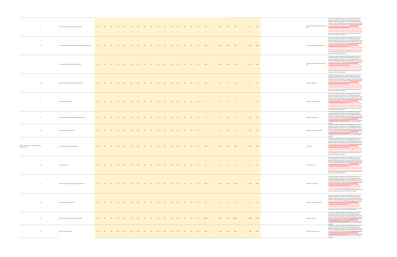| 2.j.                                                                           | Circuit miles of overhead transmission lines in WUI                      | NA           | NA.       | NA           |           | NA NA     |           |           |           |           |           |           |           |           |           |           |           |         |                                                              |        |        | .<br>NA NA NA NA NA NA NA NA NA NA NA 334 0 284 419 336 0                                                                                     |                |           | 277 410              | Circuit miles of overhead transmission lines in<br>WUI |
|--------------------------------------------------------------------------------|--------------------------------------------------------------------------|--------------|-----------|--------------|-----------|-----------|-----------|-----------|-----------|-----------|-----------|-----------|-----------|-----------|-----------|-----------|-----------|---------|--------------------------------------------------------------|--------|--------|-----------------------------------------------------------------------------------------------------------------------------------------------|----------------|-----------|----------------------|--------------------------------------------------------|
| 2.k.                                                                           | Circuit miles of overhead distribution lines (including WUI and non-WUI) | NA           | <b>NA</b> | <b>NA</b>    | <b>NA</b> | <b>NA</b> | <b>NA</b> | <b>NA</b> | <b>NA</b> | NA.       | <b>NA</b> | <b>NA</b> | <b>NA</b> | <b>NA</b> | <b>NA</b> | NA        | <b>NA</b> | 7,183   | $\bullet$                                                    | 1,673  | 2,952  | 7,195                                                                                                                                         | $\bullet$      |           | 1,567 2,919          | Circuit miles of overhead distribution lines           |
| 2.L                                                                            | Circuit miles of overhead distribution lines in WUI                      | NA           | <b>NA</b> |              |           |           | <b>NA</b> |           |           |           |           |           |           |           |           |           | <b>NA</b> | 2,929   |                                                              | 1,208  | 2,310  | 2,970                                                                                                                                         | $\bullet$      |           | 1,131 2,285          | Circuit miles of overhead distribution lines in<br>WUI |
| 2.m.                                                                           | Number of substations (including WUI and non-WUI)                        | NA           | <b>NA</b> | NA           | <b>NA</b> | <b>NA</b> | NA        | <b>NA</b> | NA        | <b>NA</b> | NA        | NA        |           | NA NA     | NA        | NA        | NA        | 125     | $\sim$ 0                                                     | 18     | 32     | 112                                                                                                                                           | $\sim$ 0       |           | 13 29                | Number of substations                                  |
| 2.n                                                                            | Number of substations in WUI                                             | NA .         | NA        | NA           | NA        | <b>NA</b> | NA        | NA        | NA        | NA 1      | NA        | NA .      |           | NA NA     | NA        | NA        | NA        | 25      | $\begin{array}{ccccccc}\n0 & & & 10 & & & 26 \\ \end{array}$ |        |        | 21                                                                                                                                            | $\bullet$      |           | $6 \qquad \qquad 24$ | Number of substations in WUI                           |
| 2.0.                                                                           | Number of weather stations (including WUI and non-WUI)                   | NA <b>NA</b> | <b>NA</b> | NA           | <b>NA</b> | <b>NA</b> | NA        | <b>NA</b> | <b>NA</b> | <b>NA</b> | NA        | <b>NA</b> | NA NA     |           | <b>NA</b> | NA        | NA        | 20      | $\overline{0}$                                               | 53     | 152    | 30                                                                                                                                            | $\bullet$      |           | 144 273              | Number of weather stations                             |
| 2.p.                                                                           | Number of weather stations in WUI                                        | NA           | <b>NA</b> |              |           |           | <b>NA</b> |           |           |           |           |           |           |           |           |           | <b>NA</b> |         |                                                              | 39     | 119    | $14\,$                                                                                                                                        | $\overline{0}$ | 105       | 216                  | Number of weather stations in WUI                      |
| 3. State of service territory and equipment in $_{3.3.}$<br>highly rural areas | Circuit miles (including WUI and non-WUI)                                | NA           | <b>NA</b> | NA           | <b>NA</b> | NA.       | NA        | <b>NA</b> | <b>NA</b> | NA.       | NA        | <b>NA</b> | <b>NA</b> |           | <b>NA</b> | <b>NA</b> | <b>NA</b> | 12,179  | $\overline{1}$                                               | 2,758  | 2,992  | 11,688                                                                                                                                        | 1              |           | 2,645 2,916          | Circuit miles                                          |
| 3.b.                                                                           | Circuit miles in WUI                                                     |              |           |              |           |           |           |           |           |           |           |           |           |           |           |           |           |         |                                                              |        |        |                                                                                                                                               |                |           |                      | Circuit miles in WUI                                   |
| 3.c.                                                                           | Number of critical facilities (including WUI and non-WUI)                | NA           | <b>NA</b> | <b>NA</b>    | <b>NA</b> | <b>NA</b> | NA        | <b>NA</b> | <b>NA</b> | <b>NA</b> | <b>NA</b> | <b>NA</b> | <b>NA</b> | <b>NA</b> | <b>NA</b> | NA        | NA 1      |         |                                                              |        |        | $21,784 \qquad \qquad 0 \qquad \qquad 1,767 \qquad \qquad 2,598 \qquad \qquad 21,728 \qquad \qquad 0 \qquad \qquad 1,613 \qquad \qquad 2,560$ |                |           |                      | Number of critical facilities                          |
| 3.d.                                                                           | Number of critical facilities in WUI                                     | <b>NA</b>    | NA        | NA           | NA        | NA        | NA        | <b>NA</b> | <b>NA</b> | <b>NA</b> | NA        | NA        | NA        | <b>NA</b> | <b>NA</b> | NA        | NA        | 98      | $\bullet$                                                    | 22     | 32     | 99                                                                                                                                            |                | $0$ 18 29 |                      | Number of critical facilities in WUI                   |
| 3.e.                                                                           | Number of customers (including WUI and non-WUI)                          | <b>NA</b>    | <b>NA</b> | NA.          | <b>NA</b> | NA.       | <b>NA</b> | <b>NA</b> | <b>NA</b> | <b>NA</b> | <b>NA</b> | NA        | <b>NA</b> | <b>NA</b> | NA.       | NA        | <b>NA</b> | 379,812 | $\overline{\phantom{a}}$ 8                                   | 24,861 | 37,774 | 379,812                                                                                                                                       | $8 - 8$        |           | 24,861 37,774        | Number of customers                                    |
| 3.f.                                                                           | Number of customers in WUI                                               | NA <b>NA</b> | NA        | NA <b>NA</b> |           | NA NA     |           | NA NA     | NA        |           | NA NA     |           |           |           |           |           |           |         |                                                              |        |        | NA NA NA NA NA NA 2,566 0 968 1,578 2,566 0                                                                                                   |                |           | 968 1,578            | Number of customers in WUI                             |

| o  | Circuit miles of overhead transmission lines in<br>WUI | GIS models are updated frequently to reflect changes within SCE's service<br>area and for data clean-up. SCE does not have the ability to analyze and<br>calculate information in previous years. As such, only 2020 information was<br>obtained from GIS. 2015-2018 data is not available and 2019 data is the same<br>as what was provided in SCE's 2020 WMP filing. The 2015<br>ing the GIS Data Schema requirements. Furthermore, 2019 data<br>included all circuit miles, including those outside of California, whereas 2020<br>data solely includes circuit miles within the state of California for assets SCE<br>maintains (which does include some assets outside of SCE's service territory).<br>SCE is still conducting quality control review of all the data and will correct<br>any errors once its review is complete.                                                                            |
|----|--------------------------------------------------------|-------------------------------------------------------------------------------------------------------------------------------------------------------------------------------------------------------------------------------------------------------------------------------------------------------------------------------------------------------------------------------------------------------------------------------------------------------------------------------------------------------------------------------------------------------------------------------------------------------------------------------------------------------------------------------------------------------------------------------------------------------------------------------------------------------------------------------------------------------------------------------------------------------------------|
| 19 | Circuit miles of overhead distribution lines           | GIS models are updated frequently to reflect changes within SCE's service<br>area and for data clean-up. SCE does not have the ability to analyze and<br>calculate information in previous years. As such, only 2020 information was<br>obtained from GIS. 2015-2018 data is not available and 2019 data is the same<br>as what was provided in SCE's 2020 WMP filing. The 2015<br><b>HE-Furthermore, 2019 data</b><br>included all circuit miles, including those outside of California, whereas 2020<br>data solely includes circuit miles within the state of California for assets SCE<br>maintains (which does include some assets outside of SCE's service territory).<br>SCE is still conducting quality control review of all the data and will correct<br>any errors once its review is complete.                                                                                                        |
|    | Circuit miles of overhead distribution lines in<br>WUI | GIS models are updated frequently to reflect changes within SCE's service<br>area and for data clean-up. SCE does not have the ability to analyze and<br>calculate information in previous years. As such, only 2020 information was<br>obtained from GIS. 2015-2018 data is not available and 2019 data is the same<br>as what was provided in SCE's 2020 WMP filing. The 2019<br>for 2020 hr<br>data disera<br>co SCE dic<br>the CIS Data Sch<br>ats Furthermore, 2019 data<br>included all circuit miles, including those outside of California, whereas 2020<br>data solely includes circuit miles within the state of California for assets SCE<br>maintains (which does include some assets outside of SCE's service territory).<br>SCE is still conducting quality control review of all the data and will correct<br>any errors once its review is complete.                                              |
|    | Number of substations                                  | GIS models are updated frequently to reflect changes within SCE's service<br>area and for data clean-up. SCE does not have the ability to analyze and<br>calculate information in previous years. As such, only 2020 information was<br>obtained from GIS. 2015-2018 data is not available and 2019 data is the same<br>as what was provided in SCE's 2020 WMP filing. The<br>tr-Furthermore, 2019 data<br>included all substations, including those outside of California, whereas 2020<br>data solely includes substations within the state of California for assets SCE<br>maintains (which does include some assets outside of SCE's service territory).<br>SCE is still conducting quality control review of all the data and will correct<br>any errors once its review is complete.                                                                                                                        |
|    | Number of substations in WUI                           | GIS models are updated frequently to reflect changes within SCE's service<br>area and for data clean-up. SCE does not have the ability to analyze and<br>calculate information in previous years. As such, only 2020 information was<br>obtained from GIS. 2015-2018 data is not available and 2019 data is the same<br>as what was provided in SCE's 2020 WMP filing. The 2019 tra<br>start for 2020 harauca SCE disc<br>noleting the GIS Data Schema requirements. Furthermore, 2019 data<br>included all substations, including those outside of California, whereas 2020<br>data solely includes substations within the state of California for assets SCE<br>maintains (which does include some assets outside of SCE's service territory).<br>SCE is still conducting quality control review of all the data and will correct<br>any errors once its review is complete.                                    |
|    | Number of weather stations                             | GIS models are updated frequently to reflect changes within SCE's service<br>area and for data clean-up. SCE does not have the ability to analyze and<br>calculate information in previous years. As such, only 2020 information was<br>obtained from GIS. 2015-2018 data is not available and 2019 data is the same<br>as what was provided in SCE's 2020 WMP filing. The 201<br>ated for 2020 because SCE dis-<br><b>ts.</b> SCE is still conducting quality<br>control review of all the data and will correct any errors once its review is                                                                                                                                                                                                                                                                                                                                                                   |
|    | Number of weather stations in WUI                      | complete.<br>GIS models are updated frequently to reflect changes within SCE's service<br>area and for data clean-up. SCE does not have the ability to analyze and<br>calculate information in previous years. As such, only 2020 information was<br>obtained from GIS. 2015-2018 data is not available and 2019 data is the same<br>as what was provided in SCE's 2020 WMP filing. The 2019 tr<br>ed for 2020 because SCE d<br><b>HHz:</b> SCE is still conducting quality<br>control review of all the data and will correct any errors once its review is                                                                                                                                                                                                                                                                                                                                                      |
|    | Circuit miles                                          | complete.<br>GIS models are updated frequently to reflect changes within SCE's service<br>area and for data clean-up. SCE does not have the ability to analyze and<br>calculate information in previous years. As such, only 2020 information was<br>obtained from GIS 2015-2018 data is not available and 2019 data is the same<br>as what was provided in SCE's 2020 WMP filing. The 2019<br>ents. Furthermore, 2019 data<br>included all circuit miles, including those outside of California, whereas 2020<br>data solely includes circuit miles within the state of California for assets SCE<br>maintains (which does include some assets outside of SCE's service territory).<br>SCE is still conducting quality control review of all the data and will correct<br>any errors once its review is complete.                                                                                                |
|    | Circuit miles in WUI                                   | GIS models are updated frequently to reflect changes within SCE's service<br>area and for data clean-up. SCE does not have the ability to analyze and<br>alculate information in previous years. As such, only 2020 information was<br>obtained from GIS. 2015-2018 data is not available and 2019 data is the same<br>as what was provided in SCE's 2020 WMP filing. The 2019 tran<br>was renlicated for 2020 hecause SCE discr<br>محافله وعواداته<br>completing the GIS Data Schema requirements. Furthermore, 2019 data<br>included all circuit miles, including those outside of California, whereas 2020<br>data solely includes circuit miles within the state of California for assets SCE<br>maintains (which does include some assets outside of SCE's service territory).<br>SCE is still conducting quality control review of all the data and will correct<br>any errors once its review is complete. |
|    | Number of critical facilities                          | GIS models are updated frequently to reflect changes within SCE's service<br>area and for data clean-up. SCE does not have the ability to analyze and<br>calculate information in previous years. As such, only 2020 information was<br>obtained from GIS. 2015-2018 data is not available and 2019 data is the same<br>as what was provided in SCE's 2020 WMP filing. The 2019 tran<br>was renlicated for 2020 herause SCE discovered data discre<br>completing the GIS Data Schema requirements. Furthermore, 2019 data<br>included some locations outside of SCE's service territory within California,<br>whereas 2020 data solely includes critical facilities within SCE's service<br>territory within California. SCE is still conducting quality control review of all<br>the data and will correct any errors once its review is complete.                                                               |
|    | Number of critical facilities in WUI                   | GIS models are updated frequently to reflect changes within SCE's service<br>area and for data clean-up. SCE does not have the ability to analyze and<br>calculate information in previous years. As such, only 2020 information was<br>obtained from GIS. 2015-2018 data is not available and 2019 data is the same<br>as what was provided in SCE's 2020 WMP filing. The 2019<br>or 2020 because SCE die<br>ats.Furthermore, 2019 data<br>included some locations outside of SCE's service territory within California,<br>whereas 2020 data solely includes critical facilities within SCE's service<br>territory within California. SCE is still conducting quality control review of all<br>the data and will correct any errors once its review is complete.                                                                                                                                                |
| 74 | Number of customers                                    | GIS models are updated frequently to reflect changes within SCE's service<br>area and for data clean-up. SCE does not have the ability to analyze and<br>calculate information in previous years. As such, only 2020 information was<br>obtained from GIS. 2015-2018 data is not available and 2019 data is the same<br>as what was provided in SCE's 2020 WMP filing. The 2019 transmission data<br>was replicated for 2020 because SCE discovered data discrepancies<br>completing the GIS Data Schema requirements. SCE is still conducting quality<br>control review of all the data and will correct any errors once its review is<br>complete.                                                                                                                                                                                                                                                              |
| 78 | Number of customers in WUI                             | GIS models are updated frequently to reflect changes within SCE's service<br>area and for data clean-up. SCE does not have the ability to analyze and<br>calculate information in previous years. As such, only 2020 information was<br>obtained from GIS, 2015-2018 data is not available and 2019 data is the same<br>as what was provided in SCE's 2020 WMP filing. The 2019 tra<br><b>Hs:</b> SCE is still conducting quality<br>control review of all the data and will correct any errors once its review is<br>complete.                                                                                                                                                                                                                                                                                                                                                                                   |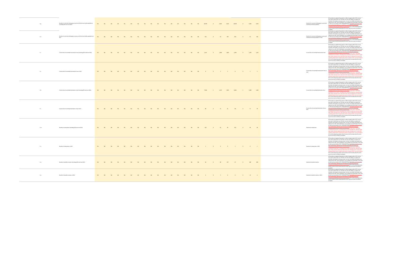| Number of customers belonging to access and functional needs populations<br>3.g.<br>(including WUI and non-WUI) | NA NA NA NA<br><b>NA</b><br>NA<br>NA<br><b>NA</b><br><b>NA</b><br><b>NA</b><br><b>NA</b><br>NA<br><b>NA</b><br><b>NA</b><br>NA NA<br>44.535<br>$\bullet$<br>2.492 2.674 44.535<br>$\sim$ 0<br>2.492 2.674                                   | GIS models are updated frequently to reflect changes within SCE's service<br>area and for data clean-up. SCE does not have the ability to analyze and<br>calculate information in previous years. As such, only 2020 information was<br>Number of customers belonging to access and<br>stated from GIS. 2015-2018 data is not available and 2019 data is the same<br>functional needs equilations and as what was provided in SCE's 2020 WMP filing. The 2019 transmission<br>functional needs populations<br>ng the GIS Data Schema requirements: SCE is still conducting quality<br>control review of all the data and will correct any errors once its review is<br>complete.                                                                                                                                                                                                                                                                             |
|-----------------------------------------------------------------------------------------------------------------|---------------------------------------------------------------------------------------------------------------------------------------------------------------------------------------------------------------------------------------------|--------------------------------------------------------------------------------------------------------------------------------------------------------------------------------------------------------------------------------------------------------------------------------------------------------------------------------------------------------------------------------------------------------------------------------------------------------------------------------------------------------------------------------------------------------------------------------------------------------------------------------------------------------------------------------------------------------------------------------------------------------------------------------------------------------------------------------------------------------------------------------------------------------------------------------------------------------------|
| Number of customers belonging to access and functional needs populations in<br>3.h.                             | NA<br>NA NA NA NA<br>NA<br>NA<br>NA<br>NA<br><b>NA</b><br>NA<br>NA<br>NA.<br>NA<br>NA.<br>NA<br>342<br>54<br>100<br>342<br>$\bullet$<br>$\bullet$<br>54<br>100                                                                              | GIS models are updated frequently to reflect changes within SCE's service<br>area and for data clean-up. SCE does not have the ability to analyze and<br>calculate information in previous years. As such, only 2020 information was<br>obtained from GIS. 2015-2018 data is not available and 2019 data is the same<br>Number of customers belonging to access and<br>as what was provided in SCE's 2020 WMP filing. The 2019 transmi<br>functional needs populations in WUI<br>was replicated for 2020 because SCE disci<br>wirements. SCE is still conducting quality<br>control review of all the data and will correct any errors once its review is<br>complete.                                                                                                                                                                                                                                                                                       |
| Circuit miles of overhead transmission lines (including WUI and non-WUI)                                        | 5.161<br>1.286<br>1.400<br>4,764<br>$\bullet$<br>1.256 1.372<br>NA.<br><b>NA</b><br><b>NA</b><br><b>NA</b><br><b>NA</b><br>NA.<br>$\Omega$                                                                                                  | GIS models are updated frequently to reflect changes within SCE's service<br>area and for data clean-up. SCE does not have the ability to analyze and<br>calculate information in previous years. As such, only 2020 information was<br>obtained from GIS. 2015-2018 data is not available and 2019 data is the same<br>as what was provided in SCE's 2020 WMP filing. The 2019 tra<br>was replicated for 2020 because SCE discov<br>Circuit miles of overhead transmission lines<br>E-Furthermore, 2019 data<br>included all circuit miles, including those outside of California, whereas 2020<br>data solely includes circuit miles within the state of California for assets SCE<br>maintains (which does include some assets outside of SCE's service territor<br>SCE is still conducting quality control review of all the data and will correct<br>any errors once its review is complete.                                                            |
| Circuit miles of overhead transmission lines in WUL<br>3.1                                                      | NA NA NA NA<br>NA<br><b>NA</b><br><b>NA</b><br>NA<br><b>NA</b><br>NA<br><b>NA</b><br>NA<br>NA<br>NA <sub>1</sub><br>$\sim$ 8 $-$<br>$\sim$ 0<br>$\sim$ 3.000 $\sim$<br>3 8<br>$\sim$ 0 $\sim$<br>$3 \qquad 5$<br><b>NA</b><br><b>NA</b>     | GIS models are updated frequently to reflect changes within SCE's service<br>area and for data clean-up. SCE does not have the ability to analyze and<br>calculate information in previous years. As such, only 2020 information was<br>obtained from GIS. 2015-2018 data is not available and 2019 data is the same<br>as what was provided in SCE's 2020 WMP filing. The 2019 transmission date<br>Circuit miles of overhead transmission lines in was replicate<br>* 2020 because SCE disco<br>requirements Furthermore 2019 data<br>WILL<br>included all circuit miles, including those outside of California, whereas 2020<br>data solely includes circuit miles within the state of California for assets SCE<br>maintains (which does include some assets outside of SCE's service territory<br>SCE is still conducting quality control review of all the data and will correct<br>any errors once its review is complete.                            |
| 3.k.<br>Circuit miles of overhead distribution lines (including WUI and non-WUI)                                | <b>NA</b><br><b>NA</b><br><b>NA</b><br><b>NA</b><br><b>NA</b><br>NA<br><b>NA</b><br>NA<br>NA.<br>NA.<br><b>NA</b><br>NA<br><b>NA</b><br><b>NA</b><br><b>NA</b><br>7.018<br>1.472<br>1.593<br>6.924<br>$\overline{1}$<br>1.389 1.544<br>$-1$ | GIS models are updated frequently to reflect changes within SCE's service<br>area and for data clean-up. SCE does not have the ability to analyze and<br>calculate information in previous years. As such, only 2020 information was<br>obtained from GIS. 2015-2018 data is not available and 2019 data is the same<br>as what was provided in SCE's 2020 WMP filing. The 2019 transmission date<br>I for 2020 because SCE disce<br>was replicat<br>Circuit miles of overhead distribution lines<br>complating the GIS Data Schama requirements, Furthermore, 2019 data<br>included all circuit miles, including those outside of California, whereas 2020<br>data solely includes circuit miles within the state of California for assets SCE<br>maintains (which does include some assets outside of SCE's service territor<br>SCE is still conducting quality control review of all the data and will correct<br>any errors once its review is complete. |
| Circuit miles of overhead distribution lines in WUI<br>3.1                                                      | <b>NA</b><br>NA<br><b>NA</b><br><b>NA</b><br>NA<br>86<br>$\bullet$<br>31<br>41 86<br>$\sim$ 0 $\sim$<br><b>NA</b><br><b>NA</b><br>NA<br><b>NA</b><br><b>NA</b><br>NA<br><b>NA</b><br><b>NA</b><br>NA.<br><b>NA</b><br>NA<br>21 39           | GIS models are updated frequently to reflect changes within SCE's service<br>area and for data clean-up. SCE does not have the ability to analyze and<br>calculate information in previous years. As such, only 2020 information was<br>obtained from GIS. 2015-2018 data is not available and 2019 data is the same<br>as what was provided in SCE's 2020 WMP filing. The 2019 transmission data-<br>Circuit miles of overhead distribution lines in<br>WUI<br>completing the GIS Data Schema requirements. Furthermore, 2019 data<br>included all circuit miles, including those outside of California, whereas 2020<br>data solely includes circuit miles within the state of California for assets SCE<br>maintains (which does include some assets outside of SCE's service territory<br>SCE is still conducting quality control review of all the data and will correct<br>any errors once its review is complete.                                     |
| 3.m<br>Number of substations (including WUI and non-WUI)                                                        | <b>NA</b><br>420<br>62<br>49<br>322<br>$\bullet$<br>49                                                                                                                                                                                      | GIS models are updated frequently to reflect changes within SCE's service<br>area and for data clean-up. SCE does not have the ability to analyze and<br>calculate information in previous years. As such, only 2020 information was<br>obtained from GIS. 2015-2018 data is not available and 2019 data is the same<br>as what was provided in SCE's 2020 WMP filing. The 2019 transmission date<br>vas replicated for 2020 because SCE dis<br>Number of substations<br>completing the GIS Data Schema requirements. Furthermore, 2019 data<br>included all substations, including those outside of California, whereas 2020<br>data solely includes substations within the state of California for assets SCE<br>maintains (which does include some assets outside of SCE's service territory<br>SCE is still conducting quality control review of all the data and will correct<br>any errors once its review is complete.                                |
| Number of substations in WUI<br>3.n                                                                             | <b>NA</b><br><b>NA</b><br><b>NA</b><br>NA.<br>NA<br>$\mathbf{1}$<br>$\bullet$<br>$\sim$ 0<br>$0 \qquad \qquad 2$<br>$\sim$ 0 $\sim$<br>$0 \qquad \qquad 1$                                                                                  | GIS models are updated frequently to reflect changes within SCE's service<br>area and for data clean-up. SCE does not have the ability to analyze and<br>calculate information in previous years. As such, only 2020 information was<br>obtained from GIS. 2015-2018 data is not available and 2019 data is the same<br>as what was provided in SCE's 2020 WMP filing. The 2019 transmi<br>was replicated for 2020 because SCE discovered data discreps<br>Number of substations in WUI<br>na requirements. Furthermore, 2019 data<br>completing the GIS Data Scher<br>included all substations, including those outside of California, whereas 2020<br>data solely includes substations within the state of California for assets SCE<br>maintains (which does include some assets outside of SCE's service territory<br>SCE is still conducting quality control review of all the data and will correct<br>any errors once its review is complete.         |
| 3.0.<br>Number of weather stations (including WUI and non-WUI)                                                  | NA.<br><b>NA</b><br><b>NA</b><br>36<br>90<br>137<br>47<br>$\overline{\mathbf{0}}$<br>348<br>465<br><b>NA</b><br><b>NA</b><br><b>NA</b><br><b>NA</b><br><b>NA</b><br>$N\Lambda$<br>NA.<br><b>NA</b><br><b>NA</b><br>$\sim$                   | GIS models are updated frequently to reflect changes within SCE's service<br>area and for data clean-up. SCE does not have the ability to analyze and<br>calculate information in previous years. As such, only 2020 information was<br>obtained from GIS. 2015-2018 data is not available and 2019 data is the same<br>Number of weather stations<br>as what was provided in SCE's 2020 WMP filing. The 2019 transmission data<br>was replicated for 2020 because SCE discove<br>ments. SCE is still conducting quality<br>completing the GIS Data Schen<br>control review of all the data and will correct any errors once its review is<br>complete.                                                                                                                                                                                                                                                                                                      |
| Number of weather stations in WUI<br>3.p.                                                                       | NA<br><b>NA</b><br>NA<br>NA<br>NA<br><b>NA</b><br>NA<br>NA NA<br><b>NA NA</b> NA<br><b>NA</b><br><b>NA</b><br><b>NA</b><br><b>NA</b><br><b>NA</b>                                                                                           | GIS models are updated frequently to reflect changes within SCE's service<br>area and for data clean-up. SCE does not have the ability to analyze and<br>alculate information in previous years. As such, only 2020 information was<br>obtained from GIS. 2015-2018 data is not available and 2019 data is the same<br>Number of weather stations in WUI<br>as what was provided in SCE's 2020 WMP filing. The 2019 transmission data-<br>was replicated for 2020 because SCE discove<br>completing the GIS Data Schema requirements: SCE is still conducting quality<br>control review of all the data and will correct any errors once its review is<br>complete.                                                                                                                                                                                                                                                                                          |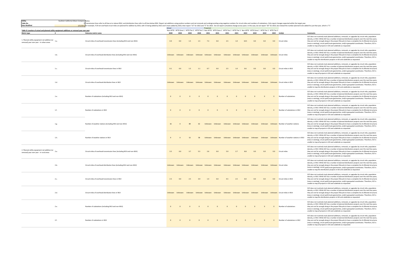| Utility<br>Table No.<br><b>Date Modified</b>                                                             | Southern California Edison Company<br>2/5/202 | Notes<br>Fransmission lines refer to all lines at or above 65kV, and distribution lines refer to all lines below 65kV. Report net additions using positive numbers and net removals and undergrounding using negative numbers for circu<br>For example, if 20 net overhead circuit miles are planned for addition by 2023, with 15 being added by 2022 and 5 more added by 2023, then report "15" for 2022 and 5" for 2022. Do not report cumulative change across years. |              |                 |                |             |             |             |             |             |              |             |                                                                                                                                        |                     |                                                                                                                      |                                                                                                                                                                                                                                                                                                                                                                                                                                                                                                           |
|----------------------------------------------------------------------------------------------------------|-----------------------------------------------|---------------------------------------------------------------------------------------------------------------------------------------------------------------------------------------------------------------------------------------------------------------------------------------------------------------------------------------------------------------------------------------------------------------------------------------------------------------------------|--------------|-----------------|----------------|-------------|-------------|-------------|-------------|-------------|--------------|-------------|----------------------------------------------------------------------------------------------------------------------------------------|---------------------|----------------------------------------------------------------------------------------------------------------------|-----------------------------------------------------------------------------------------------------------------------------------------------------------------------------------------------------------------------------------------------------------------------------------------------------------------------------------------------------------------------------------------------------------------------------------------------------------------------------------------------------------|
| Table 9: Location of actual and planned utility equipment additions or removal year over year            |                                               |                                                                                                                                                                                                                                                                                                                                                                                                                                                                           | Actual       |                 |                |             | Projected   |             |             |             |              |             | Non-HFTD HFTD Zone 1 HFTD Tier 2 HFTD Tier 3 Non-HFTD HFTD Zone 1 HFTD Tier 2 HFTD Tier 3 Non-HFTD HFTD Zone 1 HFTD Tier 2 HFTD Tier 3 |                     |                                                                                                                      |                                                                                                                                                                                                                                                                                                                                                                                                                                                                                                           |
| Metric type<br>1. Planned utility equipment net addition (or<br>removal) year over year - in urban areas | #                                             | Outcome metric name<br>Circuit miles of overhead transmission lines (including WUI and non-WUI)                                                                                                                                                                                                                                                                                                                                                                           | 2020<br>4.0  | 2020<br>0.0     | 2020<br>1.5    | 2020<br>1.5 | 2021<br>7.3 | 2021<br>0.0 | 2021<br>2.5 | 2021<br>1.0 | 2022<br>10.5 | 2022<br>0.0 | 2022<br>0.0                                                                                                                            | 2022 Unit(s)<br>0.0 | Circuit miles                                                                                                        | <b>Comments</b><br>SCE does not routinely track planned additions, removals, or upgrades by circuit mile, population<br>density, or WUI. While SCE has a number of planned distribution projects over the next few years,<br>they are not far enough along in the project lifecycle to have a complete list of affected structures<br>(new or existing), circuit path/route geometries, and/or geospatial coordinates. Therefore, SCE is<br>unable to map all projects in GIS and subdivide as requested. |
|                                                                                                          | 1.b.                                          | Circuit miles of overhead distribution lines (including WUI and non-WUI)                                                                                                                                                                                                                                                                                                                                                                                                  |              |                 |                |             |             |             |             |             |              |             | Unknown Unknown Unknown Unknown Unknown Unknown Unknown Unknown Unknown Unknown Unknown Unknown Circuit miles                          |                     |                                                                                                                      | SCE does not routinely track planned additions, removals, or upgrades by circuit mile, population<br>density, or WUI. While SCE has a number of planned distribution projects over the next few years,<br>they are not far enough along in the project lifecycle to have a complete list of affected structures<br>(new or existing), circuit path/route geometries, and/or geospatial coordinates. Therefore, SCE is<br>unable to map the distribution projects in GIS and subdivide as requested.       |
|                                                                                                          | 1.c.                                          | Circuit miles of overhead transmission lines in WUI                                                                                                                                                                                                                                                                                                                                                                                                                       | 0.1          | 0.0             | 1.5            | 1.1         | 0.7         | 0.0         | 2.5         | 1.0         | 0.6          | 0.0         | 0.0                                                                                                                                    | 0.0                 | Circuit miles in WUI                                                                                                 | SCE does not routinely track planned additions, removals, or upgrades by circuit mile, population<br>density, or WUI. While SCE has a number of planned distribution projects over the next few years,<br>they are not far enough along in the project lifecycle to have a complete list of affected structures<br>(new or existing), circuit path/route geometries, and/or geospatial coordinates. Therefore, SCE is<br>unable to map all projects in GIS and subdivide as requested.                    |
|                                                                                                          | 1.d.                                          | Circuit miles of overhead distribution lines in WUI                                                                                                                                                                                                                                                                                                                                                                                                                       |              | Unknown Unknown |                |             |             |             |             |             |              |             |                                                                                                                                        |                     | Unknown Unknown Unknown Unknown Unknown Unknown Unknown Unknown Unknown Unknown Circuit miles in WUI                 | SCE does not routinely track planned additions, removals, or upgrades by circuit mile, population<br>density, or WUI. While SCE has a number of planned distribution projects over the next few years,<br>they are not far enough along in the project lifecycle to have a complete list of affected structures<br>(new or existing), circuit path/route geometries, and/or geospatial coordinates. Therefore, SCE is<br>unable to map the distribution projects in GIS and subdivide as requested.       |
|                                                                                                          | 1.e.                                          | Number of substations (including WUI and non-WUI)                                                                                                                                                                                                                                                                                                                                                                                                                         |              |                 | $\mathbf{0}$   |             |             |             |             |             |              |             |                                                                                                                                        |                     | Number of substations                                                                                                | SCE does not routinely track planned additions, removals, or upgrades by circuit mile, population<br>density, or WUI. While SCE has a number of planned distribution projects over the next few years,<br>they are not far enough along in the project lifecycle to have a complete list of affected structures<br>(new or existing), circuit path/route geometries, and/or geospatial coordinates. Therefore, SCE is<br>unable to map all projects in GIS and subdivide as requested.                    |
|                                                                                                          | 1.f.                                          | Number of substations in WUI                                                                                                                                                                                                                                                                                                                                                                                                                                              |              |                 |                |             |             |             |             |             |              |             |                                                                                                                                        | $\mathbf{0}$        | Number of substations in WUI                                                                                         | SCE does not routinely track planned additions, removals, or upgrades by circuit mile, population<br>density, or WUI. While SCE has a number of planned distribution projects over the next few years,<br>they are not far enough along in the project lifecycle to have a complete list of affected structures<br>(new or existing), circuit path/route geometries, and/or geospatial coordinates. Therefore, SCE is<br>unable to map all projects in GIS and subdivide as requested.                    |
|                                                                                                          | 1.g.                                          | Number of weather stations (including WUI and non-WUI)                                                                                                                                                                                                                                                                                                                                                                                                                    |              |                 | 89             | 62          |             |             |             |             |              |             |                                                                                                                                        |                     | Unknown Unknown Unknown Unknown Unknown Unknown Unknown Unknown Number of weather stations                           | SCE does not routinely track planned additions, removals, or upgrades by circuit mile, population<br>density, or WUI. While SCE has a number of planned distribution projects over the next few years,<br>they are not far enough along in the project lifecycle to have a complete list of affected structures<br>(new or existing), circuit path/route geometries, and/or geospatial coordinates. Therefore, SCE is<br>unable to map all projects in GIS and subdivide as requested.                    |
|                                                                                                          | 1.h.                                          | Number of weather stations in WUI                                                                                                                                                                                                                                                                                                                                                                                                                                         |              |                 | 52             | -58         |             |             |             |             |              |             |                                                                                                                                        |                     | Unknown Unknown Unknown Unknown Unknown Unknown Unknown Unknown Unknown Number of weather stations in WUI            | SCE does not routinely track planned additions, removals, or upgrades by circuit mile, population<br>density, or WUI. While SCE has a number of planned distribution projects over the next few years,<br>they are not far enough along in the project lifecycle to have a complete list of affected structures<br>(new or existing), circuit path/route geometries, and/or geospatial coordinates. Therefore, SCE is<br>unable to map all projects in GIS and subdivide as requested.                    |
| 2. Planned utility equipment net addition (or<br>removal) year over year - in rural areas                |                                               | Circuit miles of overhead transmission lines (including WUI and non-WUI)                                                                                                                                                                                                                                                                                                                                                                                                  | 3.5          | 0.0             | 3.7            | 5.5         | 2.6         | 0.0         | 5.9         | 2.7         | 8.8          | 0.0         | 0.0                                                                                                                                    | 0.0                 | Circuit miles                                                                                                        | SCE does not routinely track planned additions, removals, or upgrades by circuit mile, population<br>density, or WUI. While SCE has a number of planned distribution projects over the next few years,<br>they are not far enough along in the project lifecycle to have a complete list of affected structures<br>(new or existing), circuit path/route geometries, and/or geospatial coordinates. Therefore, SCE is<br>unable to map all projects in GIS and subdivide as requested.                    |
|                                                                                                          |                                               | Circuit miles of overhead distribution lines (including WUI and non-WUI)                                                                                                                                                                                                                                                                                                                                                                                                  |              | Unknown         | Unknown        |             |             |             |             |             |              |             | Unknown Unknown Unknown Unknown Unknown Unknown Unknown Unknown Unknown Circuit miles                                                  |                     |                                                                                                                      | SCE does not routinely track planned additions, removals, or upgrades by circuit mile, population<br>density, or WUI. While SCE has a number of planned distribution projects over the next few years,<br>they are not far enough along in the project lifecycle to have a complete list of affected structures<br>(new or existing), circuit path/route geometries, and/or geospatial coordinates. Therefore, SCE is<br>unable to map the distribution projects in GIS and subdivide as requested.       |
|                                                                                                          | 2.c.                                          | Circuit miles of overhead transmission lines in WUI                                                                                                                                                                                                                                                                                                                                                                                                                       | 2.5          | 0.0             | 2.5            | 3.9         | 1.4         | 0.0         | 4.5         | 2.5         | 0.0          | 0.0         | 0.0                                                                                                                                    | 0.0                 | Circuit miles in WUI                                                                                                 | SCE does not routinely track planned additions, removals, or upgrades by circuit mile, population<br>density, or WUI. While SCE has a number of planned distribution projects over the next few years,<br>they are not far enough along in the project lifecycle to have a complete list of affected structures<br>(new or existing), circuit path/route geometries, and/or geospatial coordinates. Therefore, SCE is<br>unable to map all projects in GIS and subdivide as requested.                    |
|                                                                                                          | 2.d.                                          | Circuit miles of overhead distribution lines in WUI                                                                                                                                                                                                                                                                                                                                                                                                                       |              |                 |                |             |             |             |             |             |              |             |                                                                                                                                        |                     | Unknown Unknown Unknown Unknown Unknown Unknown Unknown Unknown Unknown Unknown Unknown Unknown Circuit miles in WUI | SCE does not routinely track planned additions, removals, or upgrades by circuit mile, population<br>density, or WUI. While SCE has a number of planned distribution projects over the next few years,<br>they are not far enough along in the project lifecycle to have a complete list of affected structures<br>(new or existing), circuit path/route geometries, and/or geospatial coordinates. Therefore, SCE is<br>unable to map the distribution projects in GIS and subdivide as requested.       |
|                                                                                                          | 2.e.                                          | Number of substations (including WUI and non-WUI)                                                                                                                                                                                                                                                                                                                                                                                                                         | $\mathbf{0}$ |                 | $\overline{0}$ |             |             |             |             |             |              |             |                                                                                                                                        | $\Omega$            | Number of substations                                                                                                | SCE does not routinely track planned additions, removals, or upgrades by circuit mile, population<br>density, or WUI. While SCE has a number of planned distribution projects over the next few years,<br>they are not far enough along in the project lifecycle to have a complete list of affected structures<br>(new or existing), circuit path/route geometries, and/or geospatial coordinates. Therefore, SCE is<br>unable to map all projects in GIS and subdivide as requested.                    |
|                                                                                                          | 2.f.                                          | Number of substations in WUI                                                                                                                                                                                                                                                                                                                                                                                                                                              |              |                 | $\Omega$       |             |             |             |             |             |              |             |                                                                                                                                        |                     | Number of substations in WUI                                                                                         | SCE does not routinely track planned additions, removals, or upgrades by circuit mile, population<br>density, or WUI. While SCE has a number of planned distribution projects over the next few years,<br>they are not far enough along in the project lifecycle to have a complete list of affected structures<br>(new or existing), circuit path/route geometries, and/or geospatial coordinates. Therefore, SCE is<br>unable to map all projects in GIS and subdivide as requested.                    |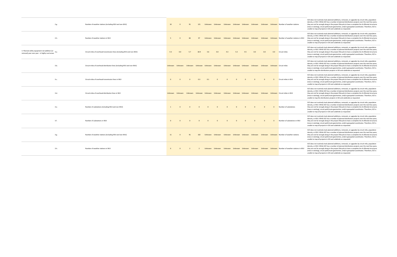|                                                                                                         | 2.g. | Number of weather stations (including WUI and non-WUI)                   | 10 <sup>10</sup> |          | 91             |                |     |                                                                                 |     |     |     |     |                |          | 121 Unknown Unknown Unknown Unknown Unknown Unknown Unknown Unknown Number of weather stations                | SCE does not routinely track planned additions, removals, or upgrades by circuit mile, population<br>density, or WUI. While SCE has a number of planned distribution projects over the next few years,<br>they are not far enough along in the project lifecycle to have a complete list of affected structures<br>(new or existing), circuit path/route geometries, and/or geospatial coordinates. Therefore, SCE is<br>unable to map all projects in GIS and subdivide as requested.                                                                                                   |
|---------------------------------------------------------------------------------------------------------|------|--------------------------------------------------------------------------|------------------|----------|----------------|----------------|-----|---------------------------------------------------------------------------------|-----|-----|-----|-----|----------------|----------|---------------------------------------------------------------------------------------------------------------|------------------------------------------------------------------------------------------------------------------------------------------------------------------------------------------------------------------------------------------------------------------------------------------------------------------------------------------------------------------------------------------------------------------------------------------------------------------------------------------------------------------------------------------------------------------------------------------|
|                                                                                                         | 2.h. | Number of weather stations in WUI                                        |                  |          | 66             | 97             |     |                                                                                 |     |     |     |     |                |          | Unknown Unknown Unknown Unknown Unknown Unknown Unknown Unknown Number of weather stations in WUI             | SCE does not routinely track planned additions, removals, or upgrades by circuit mile, population<br>density, or WUI. While SCE has a number of planned distribution projects over the next few years,<br>they are not far enough along in the project lifecycle to have a complete list of affected structures<br>(new or existing), circuit path/route geometries, and/or geospatial coordinates. Therefore, SCE is<br>unable to map all projects in GIS and subdivide as requested.                                                                                                   |
| 3. Planned utility equipment net addition (or $3.a.$<br>removal) year over year - in highly rural areas |      | Circuit miles of overhead transmission lines (including WUI and non-WUI) | 4.3              | 0.0      | 5.7            | 18.9           | 3.6 | 0.0                                                                             | 4.3 | 5.3 | 4.5 | 0.0 | 0 <sub>0</sub> | 0.0      | <b>Circuit miles</b>                                                                                          | SCE does not routinely track planned additions, removals, or upgrades by circuit mile, population<br>density, or WUI. While SCE has a number of planned distribution projects over the next few years,<br>they are not far enough along in the project lifecycle to have a complete list of affected structures<br>(new or existing), circuit path/route geometries, and/or geospatial coordinates. Therefore, SCE is<br>unable to map all projects in GIS and subdivide as requested.                                                                                                   |
|                                                                                                         | 3.b. | Circuit miles of overhead distribution lines (including WUI and non-WUI) |                  |          |                |                |     |                                                                                 |     |     |     |     |                |          | Unknown Unknown Unknown Unknown Unknown Unknown Unknown Unknown Unknown Unknown Unknown Unknown Circuit miles | SCE does not routinely track planned additions, removals, or upgrades by circuit mile, population<br>density, or WUI. While SCE has a number of planned distribution projects over the next few years,<br>they are not far enough along in the project lifecycle to have a complete list of affected structures<br>(new or existing), circuit path/route geometries, and/or geospatial coordinates. Therefore, SCE is<br>unable to map the distribution projects in GIS and subdivide as requested.                                                                                      |
|                                                                                                         | 3.c. | Circuit miles of overhead transmission lines in WUI                      | $\Omega$         |          | $\Omega$       | 0.3            | 0.1 |                                                                                 |     |     |     |     |                | $\Omega$ | Circuit miles in WUI                                                                                          | SCE does not routinely track planned additions, removals, or upgrades by circuit mile, population<br>density, or WUI. While SCE has a number of planned distribution projects over the next few years,<br>they are not far enough along in the project lifecycle to have a complete list of affected structures<br>(new or existing), circuit path/route geometries, and/or geospatial coordinates. Therefore, SCE is<br>unable to map all projects in GIS and subdivide as requested.                                                                                                   |
|                                                                                                         | 3.d. | Circuit miles of overhead distribution lines in WUI                      |                  |          |                |                |     | Unknown Unknown Unknown Unknown Unknown Unknown Unknown Unknown Unknown Unknown |     |     |     |     |                |          | Unknown Unknown Circuit miles in WUI                                                                          | SCE does not routinely track planned additions, removals, or upgrades by circuit mile, population<br>density, or WUI. While SCE has a number of planned distribution projects over the next few years,<br>they are not far enough along in the project lifecycle to have a complete list of affected structures<br>(new or existing), circuit path/route geometries, and/or geospatial coordinates. Therefore, SCE is<br>unable to map the distribution projects in GIS and subdivide as requested.                                                                                      |
|                                                                                                         | 3.e. | Number of substations (including WUI and non-WUI)                        |                  |          |                |                |     |                                                                                 |     |     |     |     |                |          | Number of substations                                                                                         | SCE does not routinely track planned additions, removals, or upgrades by circuit mile, population<br>density, or WUI. While SCE has a number of planned distribution projects over the next few years,<br>they are not far enough along in the project lifecycle to have a complete list of affected structures<br>(new or existing), circuit path/route geometries, and/or geospatial coordinates. Therefore, SCE is<br>unable to map all projects in GIS and subdivide as requested.                                                                                                   |
|                                                                                                         | 3.f. | Number of substations in WUI                                             |                  |          |                |                |     |                                                                                 |     |     |     |     |                |          | Number of substations in WUI                                                                                  | SCE does not routinely track planned additions, removals, or upgrades by circuit mile, population<br>density, or WUI. While SCE has a number of planned distribution projects over the next few years,<br>they are not far enough along in the project lifecycle to have a complete list of affected structures<br>(new or existing), circuit path/route geometries, and/or geospatial coordinates. Therefore, SCE is<br>unable to map all projects in GIS and subdivide as requested.                                                                                                   |
|                                                                                                         | 3.g. | Number of weather stations (including WUI and non-WUI)                   | 11               |          |                | 102            |     |                                                                                 |     |     |     |     |                |          | Unknown Unknown Unknown Unknown Unknown Unknown Unknown Unknown Number of weather stations                    | SCE does not routinely track planned additions, removals, or upgrades by circuit mile, population<br>density, or WUI. While SCE has a number of planned distribution projects over the next few years,<br>they are not far enough along in the project lifecycle to have a complete list of affected structures<br>(new or existing), circuit path/route geometries, and/or geospatial coordinates. Therefore, SCE is<br>unable to map all projects in GIS and subdivide as requested.                                                                                                   |
|                                                                                                         | 3.h. | Number of weather stations in WUI                                        | $\mathbf{0}$     | $\Omega$ | $\overline{2}$ | $\overline{2}$ |     |                                                                                 |     |     |     |     |                |          |                                                                                                               | SCE does not routinely track planned additions, removals, or upgrades by circuit mile, population<br>density, or WUI. While SCE has a number of planned distribution projects over the next few years,<br>Unknown Unknown Unknown Unknown Unknown Unknown Unknown Unknown Wunher of weather stations in WUI they are not far enough along in the project lifecycle to have a complete list of affected structures<br>(new or existing), circuit path/route geometries, and/or geospatial coordinates. Therefore, SCE is<br>unable to map all projects in GIS and subdivide as requested. |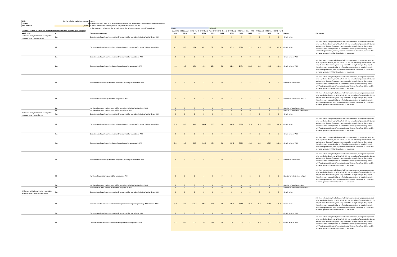| Utility<br>Table No.                                                                 | Southern California Edison Company Notes:                                               |                                                                                                                                                                                            |                            |                          |                      |                          |                          |                      |                          |                                                                                                                                        |                            |                          |                 |                      |                                                                 |                                                                                                                                                                                                                                                                                                                                                                                                                                                                                           |
|--------------------------------------------------------------------------------------|-----------------------------------------------------------------------------------------|--------------------------------------------------------------------------------------------------------------------------------------------------------------------------------------------|----------------------------|--------------------------|----------------------|--------------------------|--------------------------|----------------------|--------------------------|----------------------------------------------------------------------------------------------------------------------------------------|----------------------------|--------------------------|-----------------|----------------------|-----------------------------------------------------------------|-------------------------------------------------------------------------------------------------------------------------------------------------------------------------------------------------------------------------------------------------------------------------------------------------------------------------------------------------------------------------------------------------------------------------------------------------------------------------------------------|
| <b>Date Modified</b>                                                                 |                                                                                         | ransmission lines refer to all lines at or above 65kV, and distribution lines refer to all lines below 65kV.<br>2/5/2021 In future submissions update planned upgrade numbers with actuals |                            |                          |                      |                          |                          |                      |                          |                                                                                                                                        |                            |                          |                 |                      |                                                                 |                                                                                                                                                                                                                                                                                                                                                                                                                                                                                           |
|                                                                                      |                                                                                         | In the comments column on the far-right, enter the relevant program target(s) associated                                                                                                   | Actual                     |                          |                      |                          | Projected                |                      |                          |                                                                                                                                        |                            |                          |                 |                      |                                                                 |                                                                                                                                                                                                                                                                                                                                                                                                                                                                                           |
|                                                                                      | Table 10: Location of actual and planned utility infrastructure upgrades year over year |                                                                                                                                                                                            |                            |                          |                      |                          |                          |                      |                          | Non-HFTD HFTD Zone 1 HFTD Tier 2 HFTD Tier 3 Non-HFTD HFTD Zone 1 HFTD Tier 2 HFTD Tier 3 Non-HFTD HFTD Zone 1 HFTD Tier 2 HFTD Tier 3 |                            |                          |                 |                      |                                                                 |                                                                                                                                                                                                                                                                                                                                                                                                                                                                                           |
| <b>Metric type</b><br>1. Planned utility infrastructure upgrades                     | #                                                                                       | Outcome metric name                                                                                                                                                                        | 2020                       | 2020                     | 2020                 | 2020                     | 2021                     | 2021                 | 2021                     | 2021                                                                                                                                   | 2022                       | 2022                     | 2022            |                      | 2022 Unit(s)                                                    | <b>Comments</b>                                                                                                                                                                                                                                                                                                                                                                                                                                                                           |
| year over year - in urban areas                                                      | 1.a.                                                                                    | Circuit miles of overhead transmission lines planned for upgrades (including WUI and non-WUI)                                                                                              | $\overline{0}$             | $\mathbf{0}$             | $\Omega$             | $\mathbf{0}$             | $\Omega$                 | $\sqrt{2}$           | $\Omega$                 | $\mathbf{0}$                                                                                                                           | $\overline{0}$             | $\overline{0}$           |                 | $\overline{0}$       | Circuit miles                                                   |                                                                                                                                                                                                                                                                                                                                                                                                                                                                                           |
|                                                                                      | 1.b.                                                                                    | Circuit miles of overhead distribution lines planned for upgrades (including WUI and non-WUI)                                                                                              | 4.7                        | 0.0                      | 16.4                 | 46.2                     | 32.3                     | 0.0                  | 63.9                     | 252.6                                                                                                                                  | 35.2                       | 0.0                      | 73.5            | 149.4                | Circuit miles                                                   | SCE does not routinely track planned additions, removals, or upgrades by circuit<br>mile, population density, or WUI. While SCE has a number of planned distribution<br>projects over the next few years, they are not far enough along in the project<br>lifecycle to have a complete list of affected structures (new or existing), circuit<br>path/route geometries, and/or geospatial coordinates. Therefore, SCE is unable<br>to map all projects in GIS and subdivide as requested. |
|                                                                                      | 1.c.                                                                                    | Circuit miles of overhead transmission lines planned for upgrades in WUI                                                                                                                   | $\overline{0}$             | $\overline{\mathbf{0}}$  | $\mathbf{0}$         | $\mathbf{0}$             | $\overline{0}$           | <u>ര</u>             | $\mathbf{0}$             | $\overline{0}$                                                                                                                         | $\overline{0}$             | $\overline{0}$           | $\Omega$        | $\overline{0}$       | Circuit miles in WUI                                            |                                                                                                                                                                                                                                                                                                                                                                                                                                                                                           |
|                                                                                      | 1.d.                                                                                    | Circuit miles of overhead distribution lines planned for upgrades in WUI                                                                                                                   | 4.3                        | 0.0                      | 16.1                 | 44.9                     | 16.4                     | 0.0                  | 62.3                     | 247.1                                                                                                                                  | 28.5                       | 0.0                      | 66.8            |                      | 148.1 Circuit miles in WUI                                      | SCE does not routinely track planned additions, removals, or upgrades by circuit<br>mile, population density, or WUI. While SCE has a number of planned distribution<br>projects over the next few years, they are not far enough along in the project<br>lifecycle to have a complete list of affected structures (new or existing), circuit<br>path/route geometries, and/or geospatial coordinates. Therefore, SCE is unable<br>to map all projects in GIS and subdivide as requested. |
|                                                                                      | 1.e.                                                                                    | Number of substations planned for upgrades (including WUI and non-WUI)                                                                                                                     |                            | $\Omega$                 |                      |                          |                          |                      |                          |                                                                                                                                        |                            |                          |                 |                      | Number of substations                                           | SCE does not routinely track planned additions, removals, or upgrades by circuit<br>mile, population density, or WUI. While SCE has a number of planned distribution<br>projects over the next few years, they are not far enough along in the project<br>lifecycle to have a complete list of affected structures (new or existing), circuit<br>path/route geometries, and/or geospatial coordinates. Therefore, SCE is unable<br>to map all projects in GIS and subdivide as requested. |
|                                                                                      | 1.f.                                                                                    | Number of substations planned for upgrades in WUI                                                                                                                                          |                            | $\mathbf{0}$             | $\overline{4}$       |                          |                          |                      |                          |                                                                                                                                        |                            |                          |                 |                      | Number of substations in WUI                                    | SCE does not routinely track planned additions, removals, or upgrades by circuit<br>mile, population density, or WUI. While SCE has a number of planned distribution<br>projects over the next few years, they are not far enough along in the project<br>lifecycle to have a complete list of affected structures (new or existing), circuit<br>path/route geometries, and/or geospatial coordinates. Therefore, SCE is unable<br>to map all projects in GIS and subdivide as requested. |
|                                                                                      | 1.g.                                                                                    | Number of weather stations planned for upgrades (including WUI and non-WUI)                                                                                                                | $\overline{0}$             | $\Omega$                 |                      | $\Omega$                 |                          |                      |                          |                                                                                                                                        |                            |                          |                 |                      | Number of weather stations                                      |                                                                                                                                                                                                                                                                                                                                                                                                                                                                                           |
| 2. Planned utility infrastructure upgrades                                           | 1.h.                                                                                    | Number of weather stations planned for upgrades in WUI                                                                                                                                     | $\overline{0}$             | $\Omega$                 |                      | $\Omega$                 | $\Omega$                 |                      |                          | $\Omega$                                                                                                                               |                            | $\Omega$                 |                 | $\Omega$             | Number of weather stations in WUI                               |                                                                                                                                                                                                                                                                                                                                                                                                                                                                                           |
| year over year - in rural areas                                                      | 2.a.                                                                                    | Circuit miles of overhead transmission lines planned for upgrades (including WUI and non-WUI)                                                                                              | $\Omega$                   | $\Omega$                 |                      | $\Omega$                 |                          |                      |                          |                                                                                                                                        |                            |                          |                 | $\Omega$             | Circuit miles                                                   |                                                                                                                                                                                                                                                                                                                                                                                                                                                                                           |
|                                                                                      | 2.b.                                                                                    | Circuit miles of overhead distribution lines planned for upgrades (including WUI and non-WUI)                                                                                              | 9.5                        | 0.0                      | 93.0                 | 390.4                    | 60.7                     | 0.0                  | 304.9                    | 938.6                                                                                                                                  | 28.8                       | 0.0                      | 186.9           |                      | 268.3 Circuit miles                                             | SCE does not routinely track planned additions, removals, or upgrades by circuit<br>mile, population density, or WUI. While SCE has a number of planned distribution<br>projects over the next few years, they are not far enough along in the project<br>lifecycle to have a complete list of affected structures (new or existing), circuit<br>path/route geometries, and/or geospatial coordinates. Therefore, SCE is unable<br>to map all projects in GIS and subdivide as requested. |
|                                                                                      | 2.c.                                                                                    | Circuit miles of overhead transmission lines planned for upgrades in WUI                                                                                                                   | $\overline{0}$             |                          |                      | $\Omega$                 |                          |                      |                          |                                                                                                                                        | $\Omega$                   | $\Omega$                 |                 | $\Omega$             | Circuit miles in WUI                                            |                                                                                                                                                                                                                                                                                                                                                                                                                                                                                           |
|                                                                                      | 2.d.                                                                                    | Circuit miles of overhead distribution lines planned for upgrades in WUI                                                                                                                   | 7.4                        |                          |                      | 296.2                    |                          |                      | 247.8                    | 763.9                                                                                                                                  | 19.9                       | 0.0                      | 132.5           | 202.2                | Circuit miles in WUI                                            | SCE does not routinely track planned additions, removals, or upgrades by circuit<br>mile, population density, or WUI. While SCE has a number of planned distribution<br>projects over the next few years, they are not far enough along in the project<br>lifecycle to have a complete list of affected structures (new or existing), circuit<br>path/route geometries, and/or geospatial coordinates. Therefore, SCE is unable<br>to map all projects in GIS and subdivide as requested. |
|                                                                                      | 2.e.                                                                                    | Number of substations planned for upgrades (including WUI and non-WUI)                                                                                                                     | $\mathbf{0}$               |                          | $\mathbf{0}$         | $\overline{4}$           |                          | $\Omega$             |                          |                                                                                                                                        |                            | $\overline{0}$           |                 |                      | Number of substations                                           | SCE does not routinely track planned additions, removals, or upgrades by circuit<br>mile, population density, or WUI. While SCE has a number of planned distribution<br>projects over the next few years, they are not far enough along in the project<br>lifecycle to have a complete list of affected structures (new or existing), circuit<br>path/route geometries, and/or geospatial coordinates. Therefore, SCE is unable<br>to map all projects in GIS and subdivide as requested. |
|                                                                                      | 2.f.                                                                                    | Number of substations planned for upgrades in WUI                                                                                                                                          | $\circ$                    | $\mathbf{0}$             | $\overline{0}$       | $\overline{4}$           | $\mathbf{1}$             | $\Omega$             | $\overline{1}$           | $\overline{2}$                                                                                                                         | $\overline{2}$             | $\overline{\mathbf{0}}$  |                 |                      | Number of substations in WUI                                    | SCE does not routinely track planned additions, removals, or upgrades by circuit<br>mile, population density, or WUI. While SCE has a number of planned distribution<br>projects over the next few years, they are not far enough along in the project<br>lifecycle to have a complete list of affected structures (new or existing), circuit<br>path/route geometries, and/or geospatial coordinates. Therefore, SCE is unable<br>to map all projects in GIS and subdivide as requested. |
|                                                                                      | 2.g.<br>2.h.                                                                            | Number of weather stations planned for upgrades (including WUI and non-WUI)<br>Number of weather stations planned for upgrades in WUI                                                      | $\overline{0}$<br>$\Omega$ | $\mathbf{0}$<br>$\Omega$ | $\Omega$<br>$\Omega$ | $\mathbf{0}$<br>$\Omega$ | $\mathbf{0}$<br>$\Omega$ | $\Omega$<br>$\Omega$ | $\mathbf{0}$<br>$\Omega$ | $\mathbf{0}$<br>$\Omega$                                                                                                               | $\overline{0}$<br>$\Omega$ | $\mathbf{0}$<br>$\Omega$ | - 0<br>$\Omega$ | $\Omega$<br>$\Omega$ | Number of weather stations<br>Number of weather stations in WUI |                                                                                                                                                                                                                                                                                                                                                                                                                                                                                           |
|                                                                                      |                                                                                         |                                                                                                                                                                                            |                            |                          |                      |                          |                          |                      |                          |                                                                                                                                        |                            |                          |                 |                      |                                                                 |                                                                                                                                                                                                                                                                                                                                                                                                                                                                                           |
| 3. Planned utility infrastructure upgrades<br>year over year - in highly rural areas | 3.a.                                                                                    | Circuit miles of overhead transmission lines planned for upgrades (including WUI and non-WUI)                                                                                              | $\mathbf{0}$               | $\Omega$                 |                      |                          |                          |                      |                          |                                                                                                                                        |                            |                          |                 | $\Omega$             | <b>Circuit miles</b>                                            |                                                                                                                                                                                                                                                                                                                                                                                                                                                                                           |
|                                                                                      | 3.b.                                                                                    | Circuit miles of overhead distribution lines planned for upgrades (including WUI and non-WUI)                                                                                              | 3.0                        | 0.0                      | 121.2                | 88.8                     |                          |                      |                          |                                                                                                                                        | 19.2                       |                          |                 | 149.7                | Circuit miles                                                   | SCE does not routinely track planned additions, removals, or upgrades by circuit<br>mile, population density, or WUI. While SCE has a number of planned distribution<br>projects over the next few years, they are not far enough along in the project<br>lifecycle to have a complete list of affected structures (new or existing), circuit<br>path/route geometries, and/or geospatial coordinates. Therefore, SCE is unable<br>to map all projects in GIS and subdivide as requested. |
|                                                                                      | 3.c.                                                                                    | Circuit miles of overhead transmission lines planned for upgrades in WUI                                                                                                                   | $\overline{0}$             | $\Omega$                 | $\Omega$             | $\Omega$                 | $\Omega$                 | $\Omega$             | $\Omega$                 | $\Omega$                                                                                                                               | $\Omega$                   | $\Omega$                 |                 | $\overline{0}$       | Circuit miles in WUI                                            |                                                                                                                                                                                                                                                                                                                                                                                                                                                                                           |
|                                                                                      | 3.d.                                                                                    | Circuit miles of overhead distribution lines planned for upgrades in WUI                                                                                                                   | 0.1                        | 0.0                      | 1.8                  | 2.2                      | 0.4                      | 0.0                  | 1.5                      | 12.1                                                                                                                                   | 0.1                        | 0.0                      | 2.2             | 2.6                  | Circuit miles in WUI                                            | SCE does not routinely track planned additions, removals, or upgrades by circuit<br>mile, population density, or WUI. While SCE has a number of planned distribution<br>projects over the next few years, they are not far enough along in the project<br>lifecycle to have a complete list of affected structures (new or existing), circuit<br>path/route geometries, and/or geospatial coordinates. Therefore, SCE is unable<br>to map all projects in GIS and subdivide as requested. |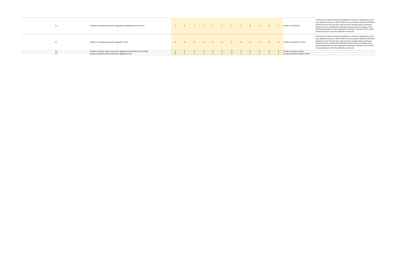| 3.e. | Number of substations planned for upgrades (including WUI and non-WUI)      |  |  |  |  |  |  | Number of substations             | SCE does not routinely track planned additions, removals, or upgrades by circuit<br>mile, population density, or WUI. While SCE has a number of planned distribution<br>projects over the next few years, they are not far enough along in the project<br>lifecycle to have a complete list of affected structures (new or existing), circuit<br>path/route geometries, and/or geospatial coordinates. Therefore, SCE is unable<br>to map all projects in GIS and subdivide as requested. |
|------|-----------------------------------------------------------------------------|--|--|--|--|--|--|-----------------------------------|-------------------------------------------------------------------------------------------------------------------------------------------------------------------------------------------------------------------------------------------------------------------------------------------------------------------------------------------------------------------------------------------------------------------------------------------------------------------------------------------|
| 3.f  | Number of substations planned for upgrades in WUI                           |  |  |  |  |  |  | Number of substations in WUI      | SCE does not routinely track planned additions, removals, or upgrades by circuit<br>mile, population density, or WUI. While SCE has a number of planned distribution<br>projects over the next few years, they are not far enough along in the project<br>lifecycle to have a complete list of affected structures (new or existing), circuit<br>path/route geometries, and/or geospatial coordinates. Therefore, SCE is unable<br>to map all projects in GIS and subdivide as requested. |
|      | Number of weather stations planned for upgrades (including WUI and non-WUI) |  |  |  |  |  |  | Number of weather stations        |                                                                                                                                                                                                                                                                                                                                                                                                                                                                                           |
| 3.h. | Number of weather stations planned for upgrades in WUI                      |  |  |  |  |  |  | Number of weather stations in WUI |                                                                                                                                                                                                                                                                                                                                                                                                                                                                                           |
|      |                                                                             |  |  |  |  |  |  |                                   |                                                                                                                                                                                                                                                                                                                                                                                                                                                                                           |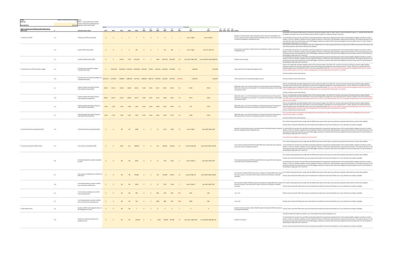2021 time periods, SCE used 2020 recorded data adjusted for improvement expected based on SCE's planned wildfire mitigation activities to create <sup>a</sup> baseline. To factor in weather variability, which has significant impacts on PSPS events, SCE developed a range around the baseline. The range was based on an 18<br>year backcast analysis that analyzed how current PSPS trigge

calculating the range, please see section 8.5<br>For Q2-Q4 2021 time periods, SCE used 2020 recorded data adjusted for improvement expected based on SCE's planned wildfire mitigation activities to create a baseline. To factor in weather variability, which has significant impacts on PSPS events, SCE developed a range around the baseline. The range was based on an 18<br>year backcast analysis that analyzed how current PSPS trigge calculation the range, please see section 8.5

SCE has not traditionally calculated reliability metrics tied to planned outages Since as the many prompt and refining its planned outage reliability<br>peporting, therefore the years after 2018 reflect not only actual change

#### based on time‐series forecast.

SCE has not traditionally calculated reliability metrics tied to planned outages. Since 2019, SCE has been improving and refining its planned outage reliability<br>reporting, therefore the years after 2018 reflect not only ac currently unable to provide planned outage data metrics due to recent IT system implementation issues. SCE is actively investigating this issue and will provide the is available.

.<br>Iraditionally calculated reliability metrics tied to planned outages. Since 2019, SCE has been improving and refining its planned outage reliability reporting, therefore the years after 2018 reflect not only actual changes but changes due to the improved process. Further, SCE does not consider PSPS to be<br>planned outages but has included PSPS metrics in this row as requ

|                                                     | Southern California Edison Company N |                                                                                  |        |                          |           |           |                                                                                                               |                |                        |                |                               |                |                        |                   |                                                       |                                            |                                                                                                                                                                                                        |                                                                                                                                                                                                                                                                                                                                                                                                                                                                                                                                                                                                                                                                                                                                                                                                                                                                                                                                                                                             |
|-----------------------------------------------------|--------------------------------------|----------------------------------------------------------------------------------|--------|--------------------------|-----------|-----------|---------------------------------------------------------------------------------------------------------------|----------------|------------------------|----------------|-------------------------------|----------------|------------------------|-------------------|-------------------------------------------------------|--------------------------------------------|--------------------------------------------------------------------------------------------------------------------------------------------------------------------------------------------------------|---------------------------------------------------------------------------------------------------------------------------------------------------------------------------------------------------------------------------------------------------------------------------------------------------------------------------------------------------------------------------------------------------------------------------------------------------------------------------------------------------------------------------------------------------------------------------------------------------------------------------------------------------------------------------------------------------------------------------------------------------------------------------------------------------------------------------------------------------------------------------------------------------------------------------------------------------------------------------------------------|
| <b>Table No.</b>                                    |                                      | "PSPS" = Public Safety Power Shutoff<br>future submissions update planned        |        |                          |           |           |                                                                                                               |                |                        |                |                               |                |                        |                   |                                                       |                                            |                                                                                                                                                                                                        |                                                                                                                                                                                                                                                                                                                                                                                                                                                                                                                                                                                                                                                                                                                                                                                                                                                                                                                                                                                             |
| <b>Date Modified</b>                                | 8/2/20                               | pgrade numbers with actuals                                                      | Actual |                          |           |           |                                                                                                               |                |                        |                |                               |                |                        | Projected         |                                                       |                                            |                                                                                                                                                                                                        |                                                                                                                                                                                                                                                                                                                                                                                                                                                                                                                                                                                                                                                                                                                                                                                                                                                                                                                                                                                             |
| Table 11: Recent use of PSPS and other PSPS metrics |                                      | Outcome metric name                                                              | 2015   | 2016                     | 2017      | 2018      | 2019                                                                                                          | Q1<br>2020     | Q <sub>2</sub><br>2020 | Q3<br>2020     | Q4<br>2020                    | Q1<br>2021     | Q <sub>2</sub><br>2021 | O3<br>2021        | Q4<br>2021                                            | Q1 Q2 Q3 Q4<br>2022 2022 2022 2022 Unit(s) |                                                                                                                                                                                                        | <b>Comment:</b>                                                                                                                                                                                                                                                                                                                                                                                                                                                                                                                                                                                                                                                                                                                                                                                                                                                                                                                                                                             |
| Metric type                                         |                                      |                                                                                  |        |                          |           |           |                                                                                                               |                |                        |                |                               |                |                        |                   |                                                       |                                            |                                                                                                                                                                                                        | During 2020, SCE initiated 12 PSPS events (2 of which SCE did not de-energize, Table 11, Metric Type 5.a.) with 16 periods of concern, i.e., periods of time                                                                                                                                                                                                                                                                                                                                                                                                                                                                                                                                                                                                                                                                                                                                                                                                                                |
| 1. Recent use of PSPS                               | 1.a.                                 | Frequency of PSPS events (total)                                                 |        | $\overline{\phantom{0}}$ |           |           | $\overline{7}$                                                                                                | $\overline{0}$ | $\overline{0}$         | $\overline{2}$ | 8                             | $\overline{1}$ |                        | Low 1 / High 3    | Low 3 / High 11                                       |                                            | Number of instances where utility operating protocol requires de-energization of a<br>in which de-energization ultimately occurred                                                                     | energization was likely to occur due to forecast weather and fuel conditions, 16 relates to periods of concerns.<br>circuit or portion thereof to reduce ignition probability, per year. Only include events For Q2-Q4 2021 time periods, SCE used 2020 recorded data adjusted for improvement expected based on SCE's planned wildfire mitigation<br>baseline. To factor in weather variability, which has significant impacts on PSPS events, SCE developed a range around the baseline. The range was based<br>year backcast analysis that analyzed how current PSPS triggers would have resulted in PSPS events when applied to historical weather data. For further d<br>calculating the range, please see section 8.5                                                                                                                                                                                                                                                                 |
|                                                     | 1.b.                                 | Scope of PSPS events (total)                                                     |        |                          |           |           | 267                                                                                                           | $\overline{0}$ | $\overline{0}$         | $\overline{7}$ | 417                           | 160            |                        | Low $2$ / High 7  | Low 147 / High 473                                    |                                            | Circuit-events, measured in number of events multiplied by number of circuits de-<br>energized per year                                                                                                | SCE interprets this line item as de-energized circuit count. Additionally, the numbers being reported may not align with the ESRB-8 report because that re<br>preliminary operations data that has not been fully validated.<br>For Q2-Q4 2021 time periods, SCE used 2020 recorded data adjusted for improvement expected based on SCE's planned wildfire mitigation activities to c<br>baseline. To factor in weather variability, which has significant impacts on PSPS events, SCE developed a range around the baseline. The range was based<br>year backcast analysis that analyzed how current PSPS triggers would have resulted in PSPS events when applied to historical weather data. For further d                                                                                                                                                                                                                                                                               |
|                                                     | 1.c.                                 | Duration of PSPS events (total)                                                  |        | $\overline{\phantom{0}}$ | 87,019    |           | 3,570 5,275,193 0                                                                                             |                | $\overline{0}$         |                | 3,981 4,451,955 1,953,962 224 |                |                        |                   | Low 1,129 / High 3,622 Low 1,213,366 / High 3,893,102 |                                            | Customer hours per year                                                                                                                                                                                | calculating the range, please see section 8.5<br>For Q2-Q4 2021 time periods, SCE used 2020 recorded data adjusted for improvement expected based on SCE's planned wildfire mitigation activities to c<br>baseline. To factor in weather variability, which has significant impacts on PSPS events, SCE developed a range around the baseline. The range was based<br>year backcast analysis that analyzed how current PSPS triggers would have resulted in PSPS events when applied to historical weather data. For further d<br>calculating the range, please see section 8.5                                                                                                                                                                                                                                                                                                                                                                                                             |
| 2. Customer hours of PSPS and other outages         | 2.a.                                 | Customer hours of planned outages<br>including PSPS (total)                      |        |                          |           |           | 11,067,182 10,406,442 9,556,442 10,918,480 1,236,491 770,811 1,295,679 6,103,855 3,778,268                    |                |                        |                |                               |                |                        | 1,830,060         | 4,539,429                                             |                                            | Total customer hours of planned outages per year                                                                                                                                                       | SCE has not traditionally calculated reliability metrics tied to planned outages. Since 2019, SCE has been improving and refining its planned outage reliab<br>reporting, therefore the years after 2018 reflect not only actual changes but changes due to the improved process. Further, SCE does not consider PSPS I<br>planned outages but has included PSPS metrics in this row as requested by WSD.SCE is currently unable to provide planned outage data metrics due to re<br>system implementation issues. SCE is actively investigating this issue and will provide the data when it is available.<br>Forecast is based on time-series forecast.                                                                                                                                                                                                                                                                                                                                   |
|                                                     | 2.b.                                 | Customer hours of unplanned outages, not<br>including PSPS (total)               |        |                          |           |           | 8,401,612 9,276,813 7,788,697 6,088,158 7,617,913 1,480,964 1,496,752 2,350,456 2,224,812 1,615,913 1,958,196 |                |                        |                |                               |                |                        | 2,350,456         | 2,224,812                                             |                                            | Total customer hours of unplanned outages per year                                                                                                                                                     | Forecast is based on time-series forecast                                                                                                                                                                                                                                                                                                                                                                                                                                                                                                                                                                                                                                                                                                                                                                                                                                                                                                                                                   |
|                                                     | 2.c.                                 | System Average Interruption Duration<br>Index (SAIDI) (including PSPS)           | 100.15 | 241.21                   | 214.28    | 183.09    | 215.91                                                                                                        |                | 26.25                  | 42.21          |                               | 63.08          |                        | 48.39             | 78.29                                                 |                                            | SAIDI index value = sum of all interruptions in time period where each interruption is<br>defined as sum(duration of interruption * # of customer interruptions) / Total number<br>of customers served | SCE has not traditionally calculated reliability metrics tied to planned outages. Since 2019, SCE has been improving and refining its planned outage reliab<br>reporting, therefore the years after 2018 reflect not only actual changes but changes due to the improved process. Further, SCE does not consider PSPS<br>planned outages but has included PSPS metrics in this row as requested by WSD. SCE is currently unable to provide planned outage data metrics due to r<br>system implementation issues. SCE is actively investigating this issue and will provide the data when it is available.<br>Forecast is based on time-series forecast.                                                                                                                                                                                                                                                                                                                                     |
|                                                     | 2.d.                                 | System Average Interruption Duration<br>Index (SAIDI) (excluding PSPS)           | 100.15 | 241.21                   | 213.25    | 183.04    | 154.47                                                                                                        | 31.46          | 26.25                  | 42.16          | 44.88                         | 39.76          |                        | 46.75             | 41.68                                                 |                                            | SAIDI index value = sum of all interruptions in time period where each interruption is<br>defined as sum(duration of interruption * # of customer interruptions) / Total number<br>of customers served | SCE has not traditionally calculated reliability metrics tied to planned outages. Since 2019, SCE has been improving and refining its planned outage reliab<br>reporting, therefore the years after 2018 reflect not only actual changes but changes due to the improved process. Forecast is based on time-series forec<br>currently unable to provide planned outage data metrics due to recent IT system implementation issues. SCE is actively investigating this issue and will pr<br>data when it is available                                                                                                                                                                                                                                                                                                                                                                                                                                                                        |
|                                                     | 2.e.                                 | System Average Interruption Frequency<br>Index (SAIFI) (including PSPS)          | 1.164  | 1.335                    | 1.203     | 1.029     | 1.105                                                                                                         | 0.222          | 0.216                  | 0.282          | 0.321                         | 0.293          |                        | 0.31              | 0.279                                                 |                                            | SAIFI index value = sum of all interruptions in time period where each interruption is<br>defined as (total # of customer interruptions) / (total # of customers served)                               | SCE has not traditionally calculated reliability metrics tied to planned outages. Since 2019, SCE has been improving and refining its planned outage reliab<br>reporting, therefore the years after 2018 reflect not only actual changes but changes due to the improved process. Further, SCE does not consider PSPS I<br>planned outages but has included PSPS metrics in this row as requested by WSD. SCE is currently unable to provide planned outage data metrics due to r<br>system implementation issues. SCE is actively investigating this issue and will provide the data when it is available.<br>Forecast is based on time-series forecast.                                                                                                                                                                                                                                                                                                                                   |
|                                                     | 2.f.                                 | System Average Interruption Frequency<br>Index (SAIFI) (excluding PSPS)          | 1.164  | 1.335                    | 1.203     | 1.029     | 1.067                                                                                                         | 0.222          | 0.216                  | 0.281          | 0.279                         | 0.270          |                        | 0.309             | 0.278                                                 |                                            | SAIFI index value = sum of all interruptions in time period where each interruption is<br>defined as (total # of customer interruptions) / (total # of customers served)                               | SCE is currently unable to provide planned outage data metrics due to recent IT system implementation issues. SCE is actively investigating this issue and<br>provide the data when it is available.<br>Forecast is based on time-series forecast.                                                                                                                                                                                                                                                                                                                                                                                                                                                                                                                                                                                                                                                                                                                                          |
| 3. Critical infrastructure impacted by PSPS         | 3.a.                                 | Critical infrastructure impacted by PSPS                                         |        |                          | <b>NA</b> |           | 5.868                                                                                                         |                |                        | 12             | 5.123                         | 2.066          |                        | Low 1 / High 4    | Low 1,658 / High 5,320                                |                                            | per hour multiplied by hours offline per year                                                                                                                                                          | The numbers being reported may not align with the ESRB-8 report because that report uses preliminary operations data that has not been fully validated<br>SCE also notes, that earlier PSPS events were not tracked and recorded in the same level of detail as it is now, therefore not all data is available.<br>Number of critical infrastructure (in accordance with D.19-05-042) locations impacted For Q2-Q4 2021 time periods, SCE used 2020 recorded data adjusted for improvement expected based on SCE's planned wildfire mitigation ac<br>baseline. To factor in weather variability, which has significant impacts on PSPS events, SCE developed a range around the baseline. The range was based<br>year backcast analysis that analyzed how current PSPS triggers would have resulted in PSPS events when applied to historical weather data. For further d<br>calculating the range, please see section 8.5<br>Historical data was updated as a typing error was discovered. |
| 4. Community outreach of PSPS metrics               | 4.a.                                 | # of customers impacted by PSPS                                                  |        |                          | 2.861     | 112       | 198,826                                                                                                       |                |                        | 270            | 229.530                       | 116,349        |                        | Low 58 / High 185 | Low 67,220 / High 215,678                             |                                            | count each event as a separate customer)                                                                                                                                                               | The numbers being reported may not align with the ESRB-8 report because that report uses preliminary operations data that has not been fully validated<br># of customers impacted by PSPS (if multiple PSPS events impact the same customer, For Q2-Q4 2021 time periods, SCE used 2020 recorded data adjusted for improvement expected based on SCE's planned wildfire mitigation activ<br>baseline. To factor in weather variability, which has significant impacts on PSPS events, SCE developed a range around the baseline. The range was based<br>year backcast analysis that analyzed how current PSPS triggers would have resulted in PSPS events when applied to historical weather data. For further d<br>calculating the range, please see section 8.5                                                                                                                                                                                                                           |
|                                                     | 4.b.                                 | # of medical baseline customers impacted<br>by PSPS                              |        |                          |           |           |                                                                                                               |                |                        | 11             | 7.725                         | 3.415          |                        | Low $4/$ High 12  | Low 2,443 / High 7,837                                |                                            | # of customers impacted by PSPS (if multiple PSPS events impact the same custome<br>count each event as a separate customer)                                                                           | The numbers being reported may not align with the ESRB-8 report because that report uses preliminary operations data that has not been fully validated<br>SCE also notes, that earlier PSPS events were not tracked and recorded in the same level of detail as it is now, therefore not all data is available<br>For Q2-Q4 2021 time periods, SCE used 2020 recorded data adjusted for improvement expected based on SCE's planned wildfire mitigation activities to c<br>baseline. To factor in weather variability, which has significant impacts on PSPS events, SCE developed a range around the baseline. The range was based<br>year backcast analysis that analyzed how current PSPS triggers would have resulted in PSPS events when applied to historical weather data. For further d<br>calculating the range, please see section 8.5                                                                                                                                            |
|                                                     | 4.c.                                 | # of customers notified prior to initiation of<br>PSPS event                     |        |                          | <b>NA</b> | <b>NA</b> | 155,824                                                                                                       |                |                        | 232            | 143,908                       | 110,217        |                        | Low 36 / High 116 | Low 41,960 / High 134,628                             |                                            | # of customers notified of PSPS event prior to initiation (if multiple PSPS events impact<br>the same customer, count each event in which customer was notified as a separate<br>customer)             | The numbers being reported may not align with the ESRB-8 report because that report uses preliminary operations data that has not been fully validated<br>SCE also notes, that earlier PSPS events were not tracked and recorded in the same level of detail as it is now, therefore not all data is available.                                                                                                                                                                                                                                                                                                                                                                                                                                                                                                                                                                                                                                                                             |
|                                                     | 4.d.                                 | # of medical baseline customers notified<br>prior to initiation of PSPS event    |        |                          |           |           | 3.044                                                                                                         |                |                        | 15             | 7.531                         | 3,138          |                        | Low 4 / High 12   | Low , 296 / High 7, 367                               |                                            | the same customer, count each event in which customer was notified as a separate<br>customer)                                                                                                          | # of customers notified of PSPS event prior to initiation (if multiple PSPS events impact The numbers being reported may not align with the ESRB-8 report because that report uses preliminary operations data that has not be<br>SCE also notes, that earlier PSPS events were not tracked and recorded in the same level of detail as it is now, therefore not all data is available.                                                                                                                                                                                                                                                                                                                                                                                                                                                                                                                                                                                                     |
|                                                     | 4.e.                                 | % of customers notified prior to a PSPS<br>event impacting them                  |        |                          | <b>NA</b> | <b>NA</b> | 78%                                                                                                           |                |                        | 85%            | 62%                           | 95%            | 85%                    | 62%               | 62%                                                   |                                            | $=4.c. / 4.a.$                                                                                                                                                                                         | SCE also notes, that earlier PSPS events were not tracked and recorded in the same level of detail as it is now, therefore not all data is available.                                                                                                                                                                                                                                                                                                                                                                                                                                                                                                                                                                                                                                                                                                                                                                                                                                       |
|                                                     | 4.f.                                 | % of medical baseline customers notified<br>prior to a PSPS event impacting them |        |                          | <b>NA</b> | <b>NA</b> | 75%                                                                                                           | $\sqrt{2}$     |                        | 100%           | 88%                           | 92%            | 100%                   | 100%              | 94%                                                   |                                            | $=4.d. / 4.b.$                                                                                                                                                                                         | SCE also notes, that earlier PSPS events were not tracked and recorded in the same level of detail as it is now, therefore not all data is available.                                                                                                                                                                                                                                                                                                                                                                                                                                                                                                                                                                                                                                                                                                                                                                                                                                       |
| 5. Other PSPS metrics                               | 5.a.                                 | Number of PSPS events triggered where no<br>de-energization occurred             |        | $\Omega$                 | <b>NA</b> | <b>NA</b> | $\overline{7}$                                                                                                | $\Omega$       | $\overline{2}$         | $\overline{0}$ | $\overline{0}$                | $\sqrt{2}$     |                        |                   | $\overline{0}$                                        |                                            | de-energization followed                                                                                                                                                                               | Number of instances where utility notified the public of a potential PSPS event but no<br>SCE also notes, that earlier PSPS event were ont tracked and recorded in the same level of detail as it is now, therefore not all data                                                                                                                                                                                                                                                                                                                                                                                                                                                                                                                                                                                                                                                                                                                                                            |
|                                                     | 5.b.                                 | Number of customers located on de-<br>energized circuit                          |        |                          |           |           | 237.666                                                                                                       |                |                        | 5.820          | 407.853 597.448               |                | - 78                   |                   | Low 1,226 / High 3,933 Low 118,918 / High 381,552     |                                            | Number of customers                                                                                                                                                                                    | This data includes the number of customers on a circuit whether they were de-energized or not<br>For Q2-Q4 2021 time periods, SCE used 2020 recorded data adjusted for improvement expected based on SCE's planned wildfire mitigation activities to c<br>baseline. To factor in weather variability, which has significant impacts on PSPS events, SCE developed a range around the baseline. The range was based<br>year backcast analysis that analyzed how current PSPS triggers would have resulted in PSPS events when applied to historical weather data. For further d<br>calculating the range, please see section 8.5<br>SCE also notes, that earlier PSPS events were not tracked and recorded in the same level of detail as it is now, therefore not all data is available.                                                                                                                                                                                                    |
|                                                     |                                      |                                                                                  |        |                          |           |           |                                                                                                               |                |                        |                |                               |                |                        |                   |                                                       |                                            |                                                                                                                                                                                                        |                                                                                                                                                                                                                                                                                                                                                                                                                                                                                                                                                                                                                                                                                                                                                                                                                                                                                                                                                                                             |

During 2020, SCE initiated 12 PSPS events (2 of which SCE did not de-energize, Table 11, Metric Type 5.a.) with 16 periods of concern, i.e., periods of time when de-<br>energization was likely to occur due to forecast weather

For Q2-Q4 2021 time periods, SCE used 2020 recorded data adjusted for improvement expected based on SCE's planned wildfire mitigation activities to create a<br>baseline. To factor in weather variability, which has ispirified

calculating the range, please see section 8.5<br>SCE interprets this line item as de-energized circuit count. Additionally, the numbers being reported may not align with the ESRB-8 report because that report uses<br>preliminary

#### based on time‐series forecast.

For Q2-Q4 2021 time periods, SCE used 2020 recorded data adjusted for improvement expected based on SCE's planned wildfire mitigation activities to create a<br>baseline. To factor in weather variability, which has ispirified he range, please see section 8.5

#### data was updated as <sup>a</sup> typing error was discovered.

14 2021 time periods, SCE used 2020 recorded data adjusted for improvement expected based on SCE's planned wildfire mitigation activities to create a<br>. To factor in weather variability, which has significant impacts on PSP t analysis that analyzed how current PSPS triggers would have resulted in PSPS events when applied to historical weather data. For further details on he range, please see section 8.5

For Q2-Q4 2021 time periods, SCE used 2020 recorded data adjusted for improvement expected based on SCE's planned with ether and the state and the state and the state and the state of the state of the state of the state of

For Q2-Q4 2021 time periods, SCE used 2020 recorded data adjusted for improvement expected based on SCE's planned with ether and the state and the state and the state and the state of the state of the state of the state of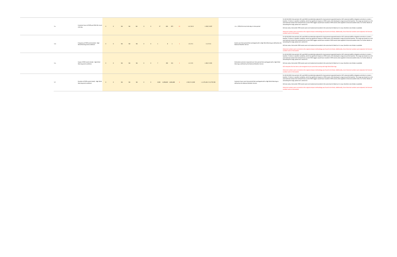| 5.c. | Customer hours of PSPS per RFW OH circuit<br>mile day                   | $\Omega$  | $\overline{0}$ | NA        | NA NA     |           | $\overline{0}$ | $\overline{0}$ | 17          |                           | 434 875 11 |          | L6/H18      | L 158 / H 507             | =1.c. / RFW OH circuit mile days in time period                                                                                      | For Q2-Q4 20<br>baseline. To f<br>year backcas<br>calculating th<br>SCE also note<br><b>Historical nur</b><br>numbers wer                         |
|------|-------------------------------------------------------------------------|-----------|----------------|-----------|-----------|-----------|----------------|----------------|-------------|---------------------------|------------|----------|-------------|---------------------------|--------------------------------------------------------------------------------------------------------------------------------------|---------------------------------------------------------------------------------------------------------------------------------------------------|
| 5.d. | Frequency of PSPS events (total) - High<br>Wind Warning wind conditions | $\bullet$ | $\overline{0}$ | <b>NA</b> | <b>NA</b> | <b>NA</b> | $\overline{0}$ | $\overline{0}$ | $\sim$ 1    |                           | 8 1 1      |          | LO/H1       | L3/H11                    | Events over time period that overlapped with a High Wind Warning as defined by the<br>National Weather Service                       | For Q2-Q4 20<br>baseline. To f<br>year backcas<br>calculating th<br>SCE also note<br><b>Historical nur</b><br>numbers wer                         |
| 5.e. | Scope of PSPS events (total) - High Wind<br>Warning wind conditions     | $\bullet$ | $\overline{0}$ | <b>NA</b> | <b>NA</b> | <b>NA</b> | $\Omega$       | $\Omega$       | $7^{\circ}$ | 392 151                   |            | $\sim$ 1 | L2/H5       | L 104 / H 335             | Estimated customers impacted over time period that overlapped with a High Wind<br>Warning as defined by the National Weather Service | For Q2-Q4 20<br>baseline. To f<br>year backcas<br>calculating th<br>SCE also note<br><b>SCE</b> interpret<br><b>Historical nur</b><br>numbers wer |
| 5.f. | Duration of PSPS events (total) - High Wind<br>Warning wind conditions  | $\circ$   | $\Omega$       | <b>NA</b> | <b>NA</b> | <b>NA</b> |                | $\Omega$       |             | 3,500 4,298,692 1,826,480 |            | $\sim$ 4 | L910/H2,920 | L 1,175,242 / H 3,770,782 | Customer hours over time period that overlapped with a High Wind Warning as<br>defined by the National Weather Service               | For Q2-Q4 20<br>baseline. To f<br>year backcas<br>calculating th<br>SCE also note<br><b>Historical nur</b><br>numbers wer                         |

For Q2-Q4 2021 time periods, SCE used 2020 recorded data adjusted for improvement expected based on SCE's planeement mit and the metal of the state and the state and the state of the state of the state of the state of the

tes, that earlier PSPS events were not tracked and recorded in the same level of detail as it is now, therefore not all data is available.

al numbers were corrected as the original anlaysis methodology was found to be faulty. Additionally, Since historical numbers were adjusted, the forecast<br>s were re-forecasted.

For Q2-Q4 2021 time periods, SCE used 2020 recorded data adjusted for improvement expected based on SCE's planeement migation activities to create a<br>baseline. To factor in weather variability, which has significant impacts

tes, that earlier PSPS events were not tracked and recorded in the same level of detail as it is now, therefore not all data is available.

al numbers were corrected as the original anlaysis methodology was found to be faulty. Additionally, Since historical numbers were adjusted, the forecast<br>s were re-forecasted.

For Q2-Q4 2021 time periods, SCE used 2020 recorded data adjusted for improvement expected based on SCE's planeement mit and the metal of the state and the state and the state of the state of the state of the state of the

tes, that earlier PSPS events were not tracked and recorded in the same level of detail as it is now, therefore not all data is available.

E interprets this line item as de‐energized circuit counts that overlap with High Wind Warnings.

al numbers were corrected as the original anlaysis methodology was found to be faulty. Additionally, since historical numbers were adjusted, the forecast<br>s were re-forecasted.

For Q2-Q4 2021 time periods, SCE used 2020 recorded data adjusted for improvement expected based on SCE's planned with ether and the state and the state and the state and the state of the state of the state of the state of

tes, that earlier PSPS events were not tracked and recorded in the same level of detail as it is now, therefore not all data is available.

al numbers were corrected as the original anlaysis methodology was found to be faulty. Additionally, Since historical numbers were adjusted, the forecast<br>s were re-forecasted.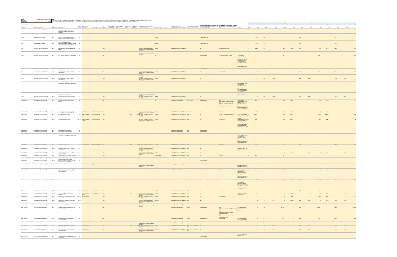| Table No.<br>Date Modified                 | uthern California Edison Co                                      |                        | All dollars shown are in nominal, thousands of dollars (000s).                                                                         |           |                                                       | .<br>Reak-Spend-Efficiency (RSE) is defined as "An estimate of the cost-effectiveness of initiative, calculated by dividing the mitigation risk reduction benefit by the mitigation cost estimate based on the full set of risk r |                                                                                                   |                                                                            |                |                                          |                                                                                                                                                                                                                               |                                                                                                                                                                                                                                |            |        |       |                         |           |       |        |                         |           |       | .<br>Actual Actual Actual Projected Projected Projected Projected Projected Projected Projected Projected Projected<br>CAPEX (5 thousands) CPEX (5 those of the miles to be treated Alternative units of the case of the case of th |
|--------------------------------------------|------------------------------------------------------------------|------------------------|----------------------------------------------------------------------------------------------------------------------------------------|-----------|-------------------------------------------------------|-----------------------------------------------------------------------------------------------------------------------------------------------------------------------------------------------------------------------------------|---------------------------------------------------------------------------------------------------|----------------------------------------------------------------------------|----------------|------------------------------------------|-------------------------------------------------------------------------------------------------------------------------------------------------------------------------------------------------------------------------------|--------------------------------------------------------------------------------------------------------------------------------------------------------------------------------------------------------------------------------|------------|--------|-------|-------------------------|-----------|-------|--------|-------------------------|-----------|-------|-------------------------------------------------------------------------------------------------------------------------------------------------------------------------------------------------------------------------------------|
| Table 12: Mitigation initiative financials |                                                                  |                        |                                                                                                                                        |           | WMP Primary driver                                    | Year Estimated RSE in Estimated RSE in Estimated RSE in Estimated RSE in If existing: most recent proceeding that                                                                                                                 |                                                                                                   |                                                                            |                |                                          | If spend not disaggregated by this activity, note Alternative units in which initiative is reported                                                                                                                           |                                                                                                                                                                                                                                |            |        |       |                         |           |       |        |                         |           |       |                                                                                                                                                                                                                                     |
| Metric type                                | WMP Table # / Category<br>Risk Assessment & Mapping              | 7.3.1.1.               | WMP Initiative # Initative activity<br>A summarized risk map that shows the overall<br>ignition probability and estimated wildfire     |           | Identifier targeted                                   | Secondary driver targeted initiated non-HFTD region HFTD Zone 1 HFTD Tier 2 HFTD Tier 3 has reviewed program                                                                                                                      | If new: memorandum account                                                                        |                                                                            |                |                                          | Current complance status $-$ in / Associated rule(s) - if multiple, activity where relevant spend is tracked in or (if not line miles); still required to report line exceeding complance with regulations separate by semi-c |                                                                                                                                                                                                                                |            |        |       |                         |           |       |        |                         |           |       |                                                                                                                                                                                                                                     |
|                                            |                                                                  |                        | consequence along the electric lines and<br>quipment                                                                                   |           |                                                       |                                                                                                                                                                                                                                   |                                                                                                   |                                                                            |                |                                          |                                                                                                                                                                                                                               |                                                                                                                                                                                                                                |            |        |       |                         |           |       |        |                         |           |       |                                                                                                                                                                                                                                     |
|                                            | Risk Assessment & Mapping                                        | 7.3.1.2.               | Climate-driven risk map and modelling based<br>on various relevant weather scenarios                                                   | NA        |                                                       |                                                                                                                                                                                                                                   |                                                                                                   |                                                                            |                | General operations                       |                                                                                                                                                                                                                               |                                                                                                                                                                                                                                |            |        |       |                         |           |       |        |                         |           |       |                                                                                                                                                                                                                                     |
|                                            | Risk Assessment & Mapping                                        | 7.3.1.3.               | lenition probability mapping showing the<br>probability of ignition along the electric lines<br>and equipment                          |           |                                                       |                                                                                                                                                                                                                                   | <b>GSRPBA</b>                                                                                     |                                                                            |                | Costs included in SA-4                   |                                                                                                                                                                                                                               |                                                                                                                                                                                                                                | $5$ 265 \$ | 175    |       |                         |           |       |        |                         |           |       |                                                                                                                                                                                                                                     |
|                                            | Risk Assessment & Mapping                                        | 7.3.1.4.               | nitiative mapping and estimation of wildfire<br>and PSPS risk-reduction impact                                                         | NA        |                                                       |                                                                                                                                                                                                                                   |                                                                                                   |                                                                            |                | General operations                       |                                                                                                                                                                                                                               |                                                                                                                                                                                                                                |            |        |       |                         |           |       |        |                         |           |       |                                                                                                                                                                                                                                     |
|                                            | Risk Assessment & Mapping                                        | 7.3.1.5.               | Match drop simulations showing the potential<br>wildfire consequence of ignitions that occur<br>along the electric lines and equipment |           |                                                       |                                                                                                                                                                                                                                   | GSRPBA                                                                                            |                                                                            |                | Costs included in SA-4                   |                                                                                                                                                                                                                               | S                                                                                                                                                                                                                              | 265 \$     | 175    |       |                         |           |       |        |                         |           |       |                                                                                                                                                                                                                                     |
|                                            | Situational Awareness & Forecasting                              | 7.3.2.1.               | Advanced weather monitoring and weather                                                                                                | $SA-1$    | 2018                                                  | This activity was not included in SCE's GSRPBA                                                                                                                                                                                    |                                                                                                   | <b>Exceeding compliance with regulations</b>                               |                | NA.                                      | # of weather station installs                                                                                                                                                                                                 | S                                                                                                                                                                                                                              | 7,603 \$   | 4,309  |       |                         | 5,273 \$  | 7,360 |        | 475\$                   | 5,273 \$  | 7,871 |                                                                                                                                                                                                                                     |
|                                            | Situational Awareness & Forecasting                              | 7.3.2.2.               | stations<br>Continuous monitoring sensors                                                                                              |           | SA-9 Equipment failure Other contact with object 2018 | 2018 GRC, but is included in its pending<br>2021 GRC.<br>2,756 This activity was not included in SCE's GSRPBA; WMPMA                                                                                                              |                                                                                                   | Exceeding compliance with regulations                                      |                |                                          | # of devices                                                                                                                                                                                                                  |                                                                                                                                                                                                                                | 260 \$     |        |       |                         | 9,554     |       |        |                         |           |       |                                                                                                                                                                                                                                     |
|                                            | Situational Awareness & Forecasting                              | 7.3.2.3.               |                                                                                                                                        |           |                                                       | 2018 GRC, but is included in its pending<br>2021 GRC.                                                                                                                                                                             |                                                                                                   |                                                                            |                | General operations                       | # of installations (395 are in HFRA)                                                                                                                                                                                          | This activity is not                                                                                                                                                                                                           |            |        |       |                         |           |       |        |                         |           |       |                                                                                                                                                                                                                                     |
|                                            |                                                                  |                        | Fault indicators for detecting faults on electric MA<br>lines and equipment                                                            |           |                                                       |                                                                                                                                                                                                                                   |                                                                                                   |                                                                            |                |                                          |                                                                                                                                                                                                                               | considered by SCE to be a<br>WMP activity and only<br>units have been provided                                                                                                                                                 |            |        |       |                         |           |       |        |                         |           |       |                                                                                                                                                                                                                                     |
|                                            |                                                                  |                        |                                                                                                                                        |           |                                                       |                                                                                                                                                                                                                                   |                                                                                                   |                                                                            |                |                                          |                                                                                                                                                                                                                               | as the dollars are not<br>disaggregated in SCE's<br>accounting system at this<br>level. Year initiated noted                                                                                                                   |            |        |       |                         |           |       |        |                         |           |       |                                                                                                                                                                                                                                     |
|                                            |                                                                  |                        |                                                                                                                                        |           |                                                       |                                                                                                                                                                                                                                   |                                                                                                   |                                                                            |                |                                          |                                                                                                                                                                                                                               | as "NA" as initiative<br>started pre-GSRP/WMP.                                                                                                                                                                                 |            |        |       |                         |           |       |        |                         |           |       |                                                                                                                                                                                                                                     |
|                                            |                                                                  |                        | Situational Awareness & Forecasting 7.3.2.4.1 Forecast of a fire risk index, fire potential 5A-2<br>index, or similar                  | $SA-5$    | 2019                                                  |                                                                                                                                                                                                                                   |                                                                                                   |                                                                            |                | Costs included with SA-3<br><b>NA</b>    |                                                                                                                                                                                                                               |                                                                                                                                                                                                                                |            | 193    |       |                         |           |       |        | 6,500                   |           |       |                                                                                                                                                                                                                                     |
|                                            | Situational Awareness & Forecasting                              | 7.3.2.4.2              | Forecast of a fire risk index, fire potential<br>index, or similar                                                                     |           |                                                       | This activity was not included in SCE's FRMMA<br>2018 GRC, but is included in its pending<br>2021 GRC.                                                                                                                            |                                                                                                   | Exceeding compliance with regulations                                      |                |                                          | # of square miles                                                                                                                                                                                                             |                                                                                                                                                                                                                                |            |        |       |                         |           |       |        |                         |           |       |                                                                                                                                                                                                                                     |
|                                            | Situational Awareness & Forecasting 7.3.2.4.3                    |                        | Forecast of a fire risk index, fire potential<br>index, or similar                                                                     | $SA-7$    | 2020                                                  | This activity was not included in SCE's WMPMA<br>2018 GRC, but is included in its pending<br>2021 GRC.                                                                                                                            |                                                                                                   | Exceeding compliance with regulations                                      |                | <b>NA</b>                                |                                                                                                                                                                                                                               |                                                                                                                                                                                                                                |            |        |       |                         |           |       | 14,000 |                         |           |       | 14,000                                                                                                                                                                                                                              |
|                                            | Situational Awareness & Forecasting                              | 7.3.2.4.4              | Forecast of a fire risk index, fire potential<br>index, or similar                                                                     | $SA-8$    | 2019                                                  | This activity was not included in SCE's WMPMA<br>2018 GRC, but is included in its pending                                                                                                                                         |                                                                                                   | Exceeding compliance with regulations                                      |                | <b>NA</b>                                |                                                                                                                                                                                                                               |                                                                                                                                                                                                                                |            | 414    |       |                         |           |       |        |                         |           |       |                                                                                                                                                                                                                                     |
|                                            | Situational Awareness & Forecasting 7.3.2.5.                     |                        | Personnel monitoring areas of electric lines<br>and equipment in elevated fire risk conditions                                         | NA        |                                                       | 2021 GRC.                                                                                                                                                                                                                         |                                                                                                   |                                                                            |                | General operation                        |                                                                                                                                                                                                                               | This activity is not<br>considered by SCE to be a<br>WMP activity and<br>dollars/units represent<br>SCE's full service area, not<br>just its HFRA.                                                                             |            | 25,218 |       |                         |           |       |        |                         |           | 24,78 |                                                                                                                                                                                                                                     |
|                                            |                                                                  |                        |                                                                                                                                        |           |                                                       |                                                                                                                                                                                                                                   |                                                                                                   |                                                                            |                |                                          |                                                                                                                                                                                                                               | Year initiated noted as<br>"NA" as initiative started<br>pre-GSRP/WMP.                                                                                                                                                         |            |        |       |                         |           |       |        |                         |           |       |                                                                                                                                                                                                                                     |
|                                            | Situational Awareness & Forecasting 7.3.2.6.1                    |                        | Weather forecasting and estimating impacts SA-3<br>on electric lines and equipment                                                     |           | 2018                                                  |                                                                                                                                                                                                                                   | This activity was not included in SCE's GSRPBA; WMPMA<br>2018 GRC, but is included in its pending | Exceeding compliance with regulations                                      |                |                                          | # of HPCCs in 2021                                                                                                                                                                                                            | Not intending to install<br>new HPCCs in 2022                                                                                                                                                                                  | 3.310 S    | 1.134  |       |                         | 6,552 \$  | 3.728 |        |                         |           |       |                                                                                                                                                                                                                                     |
|                                            | Situational Awareness & Forecasting                              | 7.3.2.6.2              | Weather forecasting and estimating impacts 5A-4<br>on electric lines and equipment                                                     |           | 2018                                                  | 2021 GRC.<br>This activity was not included in SCE's FRMMA<br>2018 GRC, but is included in its pending                                                                                                                            |                                                                                                   | Exceeding compliance with regulations                                      |                |                                          |                                                                                                                                                                                                                               |                                                                                                                                                                                                                                |            | 1.029  |       |                         |           |       |        |                         |           |       | 14.000                                                                                                                                                                                                                              |
| Grid hardenin                              | Grid Design & System Hardening                                   | 7.3.3.1.               | Capacitor maintenance and replacement<br>program                                                                                       | NA        |                                                       | 2021 GRC.                                                                                                                                                                                                                         |                                                                                                   | In compliance with regulations                                             | GO 95; GO 165  | General operations                       | 2020:<br>112 OH Caps; 10 PM Caps; 23 Removals<br>2021:<br>41 OH Caps; 10 PM Caps; 6 Removals<br>2022:<br>55 OH Caps; 14 PM Caps; 8 Removals                                                                                   | This activity is not<br>considered by SCE to be a<br>WMP activity and<br>dollars/units represent<br>SCE's full service area, not<br>just its HFRA. Year initiated                                                              | 5,275      |        |       |                         |           |       |        |                         |           |       |                                                                                                                                                                                                                                     |
|                                            |                                                                  |                        |                                                                                                                                        |           |                                                       |                                                                                                                                                                                                                                   |                                                                                                   |                                                                            |                |                                          |                                                                                                                                                                                                                               | noted as "NA" as initiative<br>started pre-GSRP/WMP.                                                                                                                                                                           |            |        |       |                         |           |       |        |                         |           |       |                                                                                                                                                                                                                                     |
| Grid hardening                             | Grid Design & System Hardening                                   | 7.3.3.2.               | Circuit breaker maintenance and installation<br>to de-energize lines upon detecting a fault                                            |           | SH-6 Equipment failure Other contact with object 2018 | 1,958<br>3,308 This activity was not included in SCE's GSRPBA<br>2018 GRC, but is included in its pending                                                                                                                         |                                                                                                   |                                                                            |                |                                          | # of relays                                                                                                                                                                                                                   |                                                                                                                                                                                                                                | 9,7865     |        |       |                         | 12,898    |       |        |                         | 8.583     |       |                                                                                                                                                                                                                                     |
| Grid hardening                             | Grid Design & System Hardening                                   | 7.3.3.3.1              | Covered conductor installation                                                                                                         |           | SH-1 Other contact with Wire-to-wire contact 2018     | 2021 GRC.<br>4,192 This activity was not included in SCE's GSRPBA<br>2018 GRC, but is included in its pending                                                                                                                     |                                                                                                   |                                                                            |                |                                          | # of miles of covered conductor installs                                                                                                                                                                                      | In 2020, there were $814 - 5$<br>WCCP circuit miles and 151                                                                                                                                                                    | 546,151    |        |       |                         |           |       |        |                         |           |       |                                                                                                                                                                                                                                     |
| Grid hardening                             | Grid Design & System Hardening                                   | 7.3.3.3.2              | Covered conductor installation                                                                                                         |           | SH-10 Other contact with Wire-to-wire contact 2018    | 2021 GRC.<br>This activity was not included in SCE's GSRPBA                                                                                                                                                                       |                                                                                                   | Exceeding compliance with regulations   GO 95, Rule 31.1                   |                |                                          | # of remediation                                                                                                                                                                                                              | non-WCCP circuit miles<br>installed.<br>405 tree attachments were \$                                                                                                                                                           | 9,654      |        |       |                         |           |       |        |                         |           |       |                                                                                                                                                                                                                                     |
|                                            |                                                                  |                        |                                                                                                                                        |           |                                                       | 2018 GRC, but is included in its pending<br>2021 GRC.                                                                                                                                                                             |                                                                                                   |                                                                            |                |                                          |                                                                                                                                                                                                                               | remediated in 2020. The<br>majority, 369, of these tree<br>attachments were scoped<br>for future years but were<br>removed as a result of<br>wildfires in the second half<br>of the year.                                      |            |        |       |                         |           |       |        |                         |           |       |                                                                                                                                                                                                                                     |
| Grid hardening<br>Grid hardening           | Grid Design & System Hardening<br>Grid Design & System Hardening | 7.3.3.4.<br>7.3.3.5.   | Covered conductor maintenance<br>Crossarm maintenance, repair, and                                                                     |           |                                                       |                                                                                                                                                                                                                                   |                                                                                                   | In compliance with regulations<br>In compliance with regulations           | GO 95<br>GO 95 | General operations<br>General operations |                                                                                                                                                                                                                               |                                                                                                                                                                                                                                |            |        |       |                         |           |       |        |                         |           |       |                                                                                                                                                                                                                                     |
| Grid hardening                             | Grid Design & System Hardening                                   | 7.3.3.6                | eplacement<br>Distribution pole replacement and<br>einforcement, including with composite poles                                        |           |                                                       |                                                                                                                                                                                                                                   |                                                                                                   | In compliance with regulations                                             | GO 95          | General operatio                         | # of pole remediation                                                                                                                                                                                                         | This activity is not<br>S<br>considered by SCE to be a                                                                                                                                                                         | 181,874    |        |       | 9,511 \$ 306,565        |           |       |        | 15,265 \$               | 219,403   |       |                                                                                                                                                                                                                                     |
|                                            |                                                                  |                        |                                                                                                                                        |           |                                                       |                                                                                                                                                                                                                                   |                                                                                                   |                                                                            |                |                                          |                                                                                                                                                                                                                               | WMP activity and<br>dollars/units represent<br>SCE's full service area, not<br>just its HFRA. Year initiated<br>noted as "NA" as initiative<br>started pre-GSRP/WMP.                                                           |            |        |       |                         |           |       |        |                         |           |       |                                                                                                                                                                                                                                     |
| Grid hardening                             | Grid Design & System Hardening                                   | 7.3.3.7.               | Expulsion fuse replacement                                                                                                             |           | SH-4 Equipment failure Other contact with object 2018 | 3,304 This activity was not included in SCE's GSRPBA<br>2018 GRC, but is included in its pending                                                                                                                                  |                                                                                                   | Exceeding compliance with regulations   GO 95                              |                | <b>NA</b>                                | Location count                                                                                                                                                                                                                |                                                                                                                                                                                                                                | 8,955 \$   | 3,262  |       | 3,025                   | S         | 1,154 |        | 421                     |           | 1,334 |                                                                                                                                                                                                                                     |
| Grid hardening                             | Grid Design & System Hardening                                   | 7.3.3.8.1              | Grid topology improvements to mitigate or<br>reduce PSPS events                                                                        | $SH-7$    |                                                       | 2021 GRC.<br>This activity was not included in SCF's<br>2018 GRC, but is included in its pending                                                                                                                                  |                                                                                                   |                                                                            |                | NA                                       |                                                                                                                                                                                                                               | SCE does not plan to incur<br>incremental costs for this                                                                                                                                                                       |            |        |       |                         |           |       |        |                         |           |       |                                                                                                                                                                                                                                     |
| Grid hardening                             | Grid Design & System Hardening                                   | 7.3.3.8.2              | Grid topology improvements to mitigate or SH-12<br>reduce PSPS events                                                                  |           |                                                       | 2021 GRC.<br>This activity was not included in SCE's MGOIF<br>2018 GRC, but is included in its pending                                                                                                                            |                                                                                                   | Exceeding compliance with regulations   GO 95                              |                |                                          |                                                                                                                                                                                                                               | initiative.                                                                                                                                                                                                                    |            |        |       | S                       | 4,000     |       | 9,715  | $-5$                    | 7,000     |       | 9,715                                                                                                                                                                                                                               |
| Grid hardening                             | Grid Design & System Hardening                                   | 7.3.3.9.               | Installation of system automation equipment SH-5                                                                                       |           | 2018                                                  | 2021 GRC.                                                                                                                                                                                                                         | GSRPBA: FHPMA                                                                                     | Exceeding compliance with regulations GO 95                                |                | <b>NA</b>                                | # of devices                                                                                                                                                                                                                  | S                                                                                                                                                                                                                              | 5,867      |        |       |                         |           |       |        |                         |           |       |                                                                                                                                                                                                                                     |
| Grid hardening                             | Grid Design & System Hardening                                   | 7.3.3.10.              | Maintenance, repair, and replacement of<br>onnectors, including hotline clamps                                                         |           |                                                       |                                                                                                                                                                                                                                   |                                                                                                   | In compliance with regulations GO 95                                       |                | General operations                       |                                                                                                                                                                                                                               |                                                                                                                                                                                                                                |            |        |       |                         |           |       |        |                         |           |       |                                                                                                                                                                                                                                     |
| Grid hardening<br>Grid hardening           | Grid Design & System Hardening<br>Grid Design & System Hardening | 7.3.3.11.<br>7.3.3.12. | Mitigation of impact on customers and other<br>ts affected during PSPS event<br>Other corrective action                                | NA        | SH-14 Wire-to-wire contact Equipment failure<br>2019  | 1,957 This activity was not included in SCE's WMPMA<br>2018 GRC, but is included in its pending                                                                                                                                   |                                                                                                   | Exceeding compliance with regulations   GO 95                              |                | General operations                       |                                                                                                                                                                                                                               | Units to be determined by<br>field assessments being                                                                                                                                                                           |            |        | 9,715 |                         | 5,943 \$  | 2,221 | 9,715  |                         | 33,590 \$ |       |                                                                                                                                                                                                                                     |
|                                            |                                                                  |                        |                                                                                                                                        |           |                                                       | 2021 GRC.                                                                                                                                                                                                                         |                                                                                                   |                                                                            |                |                                          |                                                                                                                                                                                                                               | conducted in Q1/Q2 2021                                                                                                                                                                                                        |            |        |       |                         |           |       |        |                         |           |       |                                                                                                                                                                                                                                     |
| Grid hardening                             | Grid Design & System Hardening                                   | 7.3.3.13.              | Pole loading infrastructure hardening and<br>replacement program based on pole loading<br>ssessment program                            | <b>NA</b> |                                                       |                                                                                                                                                                                                                                   |                                                                                                   | In compliance with regulations                                             | GO 95          | General operation                        | # of pole remediation                                                                                                                                                                                                         | This activity is not<br>S<br>considered by SCE to be a<br>WMP activity and<br>dollars/units represent<br>SCE's full service area, not<br>just its HFRA. Year initiated<br>noted as "NA" as initiative<br>started pre-GSRP/WMP. | 97,292     |        |       | 3,805 \$                | 209,879   |       |        | 1,072 \$                | 307,949   |       | 15,135                                                                                                                                                                                                                              |
| Grid hardening                             | Grid Design & System Hardening                                   | 7.3.3.14.              | Transformers maintenance and replacement                                                                                               |           |                                                       |                                                                                                                                                                                                                                   |                                                                                                   | In compliance with regulations                                             | GO 95          | General operations                       | Includes overhead, padmount and BURD<br>transformers, and associated inspections.                                                                                                                                             | This activity is not<br>considered by SCE to be a<br>WMP activity and<br>dollars/units represent<br>SCE's full service area, not<br>just its HFRA, Year initiated<br>noted as "NA" as initiative<br>started pre-GSRP/WMP.      | 96,400 \$  | 3,800  |       | 31,947 \$               | 96,2625   | 5,704 |        | 33,408 \$               | 98,187 \$ | 6,045 | 32,335                                                                                                                                                                                                                              |
| Grid hardening                             | Grid Design & System Hardening                                   | 7.3.3.15.              | Transmission tower maintenance and SH-13 Contamination                                                                                 |           | 2020<br><b>Equipment failure</b>                      | $\bullet$<br>82<br>347 This activity was not included in SCE's WMPMA                                                                                                                                                              | <b>WMPMA</b>                                                                                      | Exceeding compliance with regulations   GO 95                              |                | <b>NA</b><br><b>NA</b>                   | # of structures                                                                                                                                                                                                               |                                                                                                                                                                                                                                |            |        |       | $\overline{\mathsf{S}}$ | S         | 1,000 |        | $\overline{\mathsf{S}}$ |           |       |                                                                                                                                                                                                                                     |
| Grid hardening                             | Grid Design & System Hardening                                   | 7.3.3.16.              | Undergrounding of electric lines and/or                                                                                                |           | SH-2 Other contact with<br>Wire-to-wire contact 2019  | 2018 GRC, but is included in its pending<br>2021 GRC.                                                                                                                                                                             |                                                                                                   | Exceeding compliance with regulations GO 95                                |                |                                          |                                                                                                                                                                                                                               | In 2020, only design work \$<br>was completed.                                                                                                                                                                                 | 961        |        |       |                         | 26,350    |       |        |                         | 54,347    |       |                                                                                                                                                                                                                                     |
| Grid hardening                             | Grid Design & System Hardening                                   | 7.3.3.17.1             | Updates to grid topology to minimize risk of SH-15 Equipment failure<br>ignition in HFTDs                                              |           | 2019                                                  | 13 This activity was not included in SCE's WMPMA<br>2018 GRC, but is included in its pending                                                                                                                                      |                                                                                                   |                                                                            |                | <b>NA</b>                                | $\#$ of replacements                                                                                                                                                                                                          |                                                                                                                                                                                                                                |            |        |       |                         |           |       |        |                         | 1.751     |       |                                                                                                                                                                                                                                     |
| Grid hardening                             | Grid Design & System Hardening                                   | 7.3.3.17.2             | Updates to grid topology to minimize risk of SH-11<br>enition in HFTDs                                                                 |           | 2019                                                  | 2021 GRC.<br>This activity was not included in SCE's WMPMA<br>2018 GRC, but is included in its pending                                                                                                                            |                                                                                                   | Exceeding compliance with regulations GO 95                                |                | NA                                       |                                                                                                                                                                                                                               |                                                                                                                                                                                                                                | S          | 74     | 9,715 | S                       | 4,450 \$  | 820   | 9,715  | S                       | 3,953 \$  | 225   | 9,715                                                                                                                                                                                                                               |
| Grid hardening                             | Grid Design & System Hardening                                   | 7.3.3.17.3             | Updates to grid topology to minimize risk of<br>ignition in HFTDs                                                                      | $SH-8$    | 2019                                                  | 2021 GRC.<br>This activity was not included in SCE's WMPMA<br>2018 GRC, but is included in its pending                                                                                                                            |                                                                                                   |                                                                            |                | <b>NA</b>                                | Cicuit miles within HFRA                                                                                                                                                                                                      |                                                                                                                                                                                                                                |            |        |       |                         |           |       |        |                         |           |       |                                                                                                                                                                                                                                     |
| Asset inspection                           | Asset Management & Inspections                                   | 7.3.4.1.               | Detailed inspections of distribution electric<br>lines and equipment                                                                   |           |                                                       | 2021 GRC.                                                                                                                                                                                                                         |                                                                                                   | In compliance with regulations                                             | GO 165         | General operations                       | 56,895 inspections in HFRA; 205,875 inspections "NA" as initiative started<br>in non-HFRA<br>2021:<br>27,000 inspections in HFRA; 244,000<br>inspections in non-HFRA<br>2022:                                                 | Year initiated noted as<br>pre-GSRP/WMP.                                                                                                                                                                                       |            | 8,960  |       | 262,770                 |           | 4,223 |        | 271,000                 |           | 4,332 | 271,000                                                                                                                                                                                                                             |
| Asset inspection                           | Asset Management & Inspections                                   | 7.3.4.2.               | Detailed inspections of transmission electric NA<br>lines and equipment                                                                |           |                                                       |                                                                                                                                                                                                                                   |                                                                                                   | In compliance with regulations                                             | GO 165         | General operations                       | $27,\!000$ inspections in HFRA; $244,\!000$<br>inspections in non-HFRA<br># of inspections                                                                                                                                    | Year initiated noted as                                                                                                                                                                                                        |            | 3,567  |       | 1,313                   |           | 7,604 |        | 1,313                   |           | 7,802 |                                                                                                                                                                                                                                     |
| Asset inspection                           | Asset Management & Inspections                                   | 7.3.4.3.               | Improvement of inspections                                                                                                             | $IN-8$    | 2021                                                  | This activity was not included in SCE's WMPMA                                                                                                                                                                                     |                                                                                                   | <b>Exceeding compliance with regulations</b>                               |                |                                          |                                                                                                                                                                                                                               | $" \mathsf{NA}^*$ as initiative started<br>pre-GSRP/WMP.                                                                                                                                                                       | 28,719 \$  | 2.629  | 9,715 | $\overline{\mathsf{S}}$ | 17,422 \$ | 6.490 | 9,715  |                         | 6,600S    | 5,241 | 9,715                                                                                                                                                                                                                               |
| Asset inspection                           | Asset Management & Inspections                                   | 7.3.4.4.               | Infrared inspections of distribution electric                                                                                          |           | IN-3 Equipment failure<br>2017                        | 2018 GRC, but is included in its pending<br>2021 GRC.<br>1,879 This activity was not included in SCE's GSRPBA<br>156                                                                                                              |                                                                                                   | Exceeding compliance with regulations   60 95, Rule 31.2; 60 95, Rule   NA |                |                                          |                                                                                                                                                                                                                               |                                                                                                                                                                                                                                |            | 791    | 4,416 |                         |           |       | 4,425  |                         |           |       | 4.425                                                                                                                                                                                                                               |
|                                            |                                                                  |                        | nes and equipmen                                                                                                                       |           |                                                       | 2018 GRC, but is included in its pending<br>2021 GRC.                                                                                                                                                                             |                                                                                                   |                                                                            |                |                                          |                                                                                                                                                                                                                               |                                                                                                                                                                                                                                |            |        |       |                         |           |       |        |                         |           |       |                                                                                                                                                                                                                                     |
| Asset inspection                           | Asset Management & Inspections                                   | 7.3.4.5                | Infrared inspections of transmission electric<br>lines and equipment                                                                   |           | IN-4 Equipment failur<br>2019                         | 174 This activity was not included in SCE's WMPMA<br>2018 GRC, but is included in its pending<br>2021 GRC.                                                                                                                        |                                                                                                   | Exceeding compliance with regulations   GO 95, Rule 31.2; GO 95, Rule   NA | 31.1           |                                          |                                                                                                                                                                                                                               |                                                                                                                                                                                                                                | S          | 384    | 1,005 |                         |           |       | 1,000  |                         |           |       | 1,000                                                                                                                                                                                                                               |
| Asset inspection                           | Asset Management & Inspections                                   | 7.3.4.6.               | Intrusive pole inspection                                                                                                              |           |                                                       |                                                                                                                                                                                                                                   |                                                                                                   | In compliance with regulations                                             | GO 95          | General operations                       |                                                                                                                                                                                                                               | Year initiated noted as<br>"NA" as initiative started<br>pre-GSRP/WMP.                                                                                                                                                         |            |        |       |                         |           | 4,223 |        |                         |           | 4,332 | 14,000                                                                                                                                                                                                                              |
| Asset inspection                           | Asset Management & Inspections                                   | 7.3.4.7.               | LiDAR inspections of distribution electric lines NA<br>and equipment                                                                   |           |                                                       |                                                                                                                                                                                                                                   |                                                                                                   |                                                                            |                | General operations                       |                                                                                                                                                                                                                               |                                                                                                                                                                                                                                |            |        |       |                         |           |       |        |                         |           |       |                                                                                                                                                                                                                                     |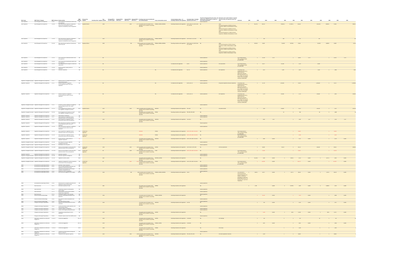| Asset inspecti                               | WMP Table # / Category<br>Asset Management & Inspections                                                                                                                                                                                                                                                                                                                    | 7.3.4.8.               | WMP Initiative # Initative activity<br>LIDAR inspections of transmission electric lines                                                                                          | Identifier targeted<br>NA | WMP Primary driver            | Year Estimated RSE in Estimated RSE in Estimated RSE in Estimated RSE in If existing: most recent proceeding that<br>Secondary driver targeted initiated non-HFTD region HFTD Zone 1 HFTD Tier 2 HFTD Tier 3 has reviewed program |       |                                                                                                                             | If new: memorandum account | exceeding compliance with regulations separate by semi-colon - ";" mark "general operations" |               | General operations                                    | If spend not disaggregated by this activity, note Alternative units in which initiative is reported<br>Current complance status - In / Associated rule(s) - if multiple, activity where relevant spend is tracked in or (if not l                                                                        |                                                                                                                                                                                                                             |                       |                |        |                |                                |         |         |                |                                            |        |          |
|----------------------------------------------|-----------------------------------------------------------------------------------------------------------------------------------------------------------------------------------------------------------------------------------------------------------------------------------------------------------------------------------------------------------------------------|------------------------|----------------------------------------------------------------------------------------------------------------------------------------------------------------------------------|---------------------------|-------------------------------|-----------------------------------------------------------------------------------------------------------------------------------------------------------------------------------------------------------------------------------|-------|-----------------------------------------------------------------------------------------------------------------------------|----------------------------|----------------------------------------------------------------------------------------------|---------------|-------------------------------------------------------|----------------------------------------------------------------------------------------------------------------------------------------------------------------------------------------------------------------------------------------------------------------------------------------------------------|-----------------------------------------------------------------------------------------------------------------------------------------------------------------------------------------------------------------------------|-----------------------|----------------|--------|----------------|--------------------------------|---------|---------|----------------|--------------------------------------------|--------|----------|
| Asset inspec                                 | Asset Management & Inspections                                                                                                                                                                                                                                                                                                                                              | 7.3.4.9.1              | and equipment<br>Other discretionary inspection of distribution 1N-1.1 Equipment failure<br>electric lines and equipment, beyond<br>nspections mandated by rules and regulations |                           |                               |                                                                                                                                                                                                                                   | 2,636 | 2,777 This activity was not included in SCE's FRMMA; GSRPBA; WMPMA<br>2018 GRC, but is included in its pending<br>2021 GRC. |                            | Exceeding compliance with regulations   60 95, Rule 31.2; GO 95, Rule   NA                   | 31.1; GO 165  |                                                       | # of Ground Inspections: 199,050: # of Aerial<br>Inspections: 168,017; # of Remediations: 26,915<br>2021:<br># of Ground Inspections: 198,000; # of Aerial<br>Inspections: 198,000; # of Remediations: 24,584                                                                                            |                                                                                                                                                                                                                             | 85,219 \$             | 105,553        |        | 393,982 \$     | 147,938 \$                     | 104,185 |         | 420,584 \$     |                                            |        |          |
|                                              |                                                                                                                                                                                                                                                                                                                                                                             | 7.3.4.9.2              |                                                                                                                                                                                  |                           |                               |                                                                                                                                                                                                                                   |       |                                                                                                                             |                            |                                                                                              |               |                                                       | # of Ground Inspections: 171,000; # of Aerial<br>Inspections: 198,468; # of Remediations: 14,354                                                                                                                                                                                                         |                                                                                                                                                                                                                             | S                     | 403            |        | 268            |                                | 315     |         |                |                                            |        |          |
|                                              | Asset Management & Inspections                                                                                                                                                                                                                                                                                                                                              |                        | Other discretionary inspection of distribution IN-5<br>electric lines and equipment, beyond<br>inspections mandated by rules and regulations                                     |                           |                               |                                                                                                                                                                                                                                   |       | This activity was not included in SCE's FRMMA; WMPMA<br>2018 GRC, but is included in its pending<br>2021 GRC.               |                            | Exceeding compliance with regulations  GD 95 Rule 31.2; GD 165   MA                          |               |                                                       |                                                                                                                                                                                                                                                                                                          |                                                                                                                                                                                                                             |                       |                |        |                |                                |         |         |                |                                            |        |          |
| isset inspecti                               | Asset Management & Inspections                                                                                                                                                                                                                                                                                                                                              | 7.3.4.10.              | Other discretionary inspection of transmission IN-1.2 Equipment failure<br>electric lines and                                                                                    |                           |                               |                                                                                                                                                                                                                                   |       | 764 This activity was not included in SCE's FRMMA; GSRPBA; WMPMA<br>2018 GRC, but is included in its pending<br>2021 GRC.   |                            | Exceeding compliance with regulations   60 95, Rule 31.2; 60 95, Rule   NA                   | 31.1; GO 165  |                                                       | # of Ground Inspections: 35,562; # of Aerial<br>Inspections: 31,381; # of Remediations: 6,486<br># of Ground Inspections: 22,800; # of Aerial<br>Inspections: 22,800; # of Remediations: 5,902<br>2022:<br># of Ground Inspections: 14,902; # of Aerial<br>Inspections: 22.834: # of Remediations: 3.605 |                                                                                                                                                                                                                             | 35,934 \$             | 51,821         |        | 73,429 \$      | 50,758 \$                      | 25,18   |         | 51,502 \$      | 18,098 \$<br>23,825                        |        |          |
| Asset inspection<br>Asset inspection         | Asset Management & Inspections<br>Asset Management & Inspections                                                                                                                                                                                                                                                                                                            | 7.3.4.11.<br>7.3.4.12. | Patrol inspections of distribution electric lines MA<br>and equipment<br>Patrol inspections of transmission electric lines NA                                                    |                           |                               |                                                                                                                                                                                                                                   |       |                                                                                                                             |                            |                                                                                              |               | General operations<br>General operations              |                                                                                                                                                                                                                                                                                                          | Year initiated noted as<br>"NA" as initiative started<br>pre-GSRP/WMP.                                                                                                                                                      |                       | $5$ 25,218     | 9,715  |                |                                | 24,099  | 9,715   |                | $5$ $24,782$                               |        | 9,715    |
| Asset inspection                             | Asset Management & Inspections                                                                                                                                                                                                                                                                                                                                              | 7.3.4.13.              | and equipment<br>Pole loading assessment program to determine MA<br>safety factor                                                                                                |                           |                               |                                                                                                                                                                                                                                   |       |                                                                                                                             |                            | In compliance with regulations                                                               | GO 95         | General operations                                    | # of assessmen                                                                                                                                                                                                                                                                                           | ${\bf Year\, initiated\, noted\,as}$ ${\bf "NA"}\, as\,initiate\, started}$<br>pre-GSRP/WMP.                                                                                                                                |                       | $5 - 14,477$   |        | 121,268        | $\sim$                         | 3.210   |         | 14,400         |                                            |        |          |
| Asset inspection                             | Asset Management & Inspections                                                                                                                                                                                                                                                                                                                                              | 7.3.4.14.              | Quality assurance / quality control of<br>spections                                                                                                                              | NA                        |                               |                                                                                                                                                                                                                                   |       |                                                                                                                             |                            |                                                                                              |               | General operations                                    |                                                                                                                                                                                                                                                                                                          |                                                                                                                                                                                                                             |                       |                |        |                |                                |         |         |                |                                            |        |          |
| Asset inspectio                              | Asset Management & Inspections                                                                                                                                                                                                                                                                                                                                              | 7.3.4.15.              | Substation inspections                                                                                                                                                           | NA                        |                               | <b>NA</b>                                                                                                                                                                                                                         |       |                                                                                                                             |                            | In compliance with regulations                                                               | GO 174        | General operations                                    | # of inspections                                                                                                                                                                                                                                                                                         | This activity is not<br>considered by SCE to be a<br>WMP activity and<br>dollars/units represent<br>SCE's full service area, not<br>just its HFRA. Year initiated<br>noted as "NA" as initiative<br>started pre-GSRP/WMP.   | S                     | 2,672          |        | 4,209          |                                | 2,855   |         | 4,426          | S<br>2,986                                 |        |          |
|                                              | Vegetation management project Vegetation Management & Inspections 7.3.5.1.<br>Vegetation Management & Inspections                                                                                                                                                                                                                                                           | 735.2                  | Additional efforts to manage community and MA<br>vironmental impacts<br>Detailed inspections of vegetation                                                                       |                           |                               |                                                                                                                                                                                                                                   |       |                                                                                                                             |                            | In compliance with regulations                                                               | GO 95; GO 174 | General operations<br>General operations              | # of ground inspection and aerial inspections                                                                                                                                                                                                                                                            | This activity is not                                                                                                                                                                                                        |                       | $5$ 25,756     |        | 1,760,000      |                                | 15,020  |         | 1,149,000      | $5 - 15,471$                               |        | 1.149.00 |
|                                              |                                                                                                                                                                                                                                                                                                                                                                             |                        | round distribution electric lines and<br>equipment                                                                                                                               |                           |                               |                                                                                                                                                                                                                                   |       |                                                                                                                             |                            |                                                                                              |               |                                                       |                                                                                                                                                                                                                                                                                                          | considered by SCE to be a<br>WMP activity and<br>dollars/units represent<br>SCE's full service area, not<br>just its HFRA. Year initiated<br>$\operatorname{\mathsf{noted}}$ as "NA" as initiative<br>started pre-GSRP/WMP. |                       |                |        |                |                                |         |         |                |                                            |        |          |
|                                              | Vegetation Management & Inspections 7.3.5.3.                                                                                                                                                                                                                                                                                                                                |                        | Detailed inspections of vegetation<br>around transmission electric lines and<br>equipment                                                                                        |                           |                               |                                                                                                                                                                                                                                   |       |                                                                                                                             |                            | In compliance with regulations                                                               | GO 95: GO 174 | General operation                                     | # of inspectio                                                                                                                                                                                                                                                                                           | This activity is not<br>considered by SCE to be a<br>WMP activity and<br>dollars/units represent<br>SCE's full service area, not<br>just its HFRA. Year initiated<br>noted as "NA" as initiative<br>started pre-GSRP/WMP.   |                       | 1,774          |        | 321,000        |                                | 2.753   |         |                |                                            |        |          |
|                                              | Vegetation management project Vegetation Management & Inspections 7.3.5.4.                                                                                                                                                                                                                                                                                                  |                        | Emergency response vegetation management<br>due to red flag warning or other urgent                                                                                              |                           |                               |                                                                                                                                                                                                                                   |       |                                                                                                                             |                            |                                                                                              |               | General operations                                    |                                                                                                                                                                                                                                                                                                          |                                                                                                                                                                                                                             |                       |                |        |                |                                |         |         |                |                                            |        |          |
|                                              | Vegetation management project Vegetation Management & Inspections 7.3.5.5.1                                                                                                                                                                                                                                                                                                 |                        | Fuel management and reduction of "slash"<br>from vegetation management activities                                                                                                |                           | VM-2 Equipment failure        |                                                                                                                                                                                                                                   | 1,426 | 1,881 This activity was not included in SCE's WMPMA<br>2018 GRC, but is included in its pending<br>2021 GRC.                |                            | Exceeding compliance with regulations PRC 4292                                               |               | <b>NA</b>                                             | # of poles brushed                                                                                                                                                                                                                                                                                       |                                                                                                                                                                                                                             | $\sim$                | 7,459          |        | 234,000        |                                | 8,272   |         | 229,190        | 6,787                                      |        |          |
|                                              | egetation management project Vegetation Management & Inspections 73.5.5.2                                                                                                                                                                                                                                                                                                   |                        | Fuel management and reduction of "slash"<br>from vegetation management activities                                                                                                | $VM-3$                    |                               |                                                                                                                                                                                                                                   |       | This activity was not included in SCE's FHPMA<br>2018 GRC, but is included in its pending<br>2021 GRC.                      |                            |                                                                                              |               | <b>NA</b>                                             |                                                                                                                                                                                                                                                                                                          |                                                                                                                                                                                                                             |                       |                |        | 61             |                                | 900     |         | 46             | 1.089                                      |        |          |
| egetation inspection<br>egetation inspection | Vegetation Management & Inspections 7.3.5.6.<br>Vegetation Management & Inspections 7.3.5.7.<br>Vegetation Management & Inspections 7.3.5.8.                                                                                                                                                                                                                                |                        | mprovement of inspections<br>LiDAR inspections of vegetation around<br>listribution electric lines and equipment<br>LIDAR inspections of vegetation around                       | $\frac{NA}{NA}$<br>NA     |                               | 2019                                                                                                                                                                                                                              |       | This activity was not included in SCE's WMPMA                                                                               |                            | Exceeding compliance with regulations FAC-003-4                                              |               | General operations<br>General operations<br><b>NA</b> |                                                                                                                                                                                                                                                                                                          |                                                                                                                                                                                                                             |                       | 4.092          | 1.227  |                | $\sim$                         | 1,485   | 1 2 2 7 |                | $\begin{array}{ccc} 5 & 1,502 \end{array}$ |        |          |
| egetation inspection                         | Vegetation Management & Inspections 7.3.5.9.                                                                                                                                                                                                                                                                                                                                |                        | nsmission electric lines and equipment<br>Other discretionary inspections of vegetation                                                                                          | NA                        |                               |                                                                                                                                                                                                                                   |       | 2018 GRC, but is included in its pending<br>2021 GRC.                                                                       |                            |                                                                                              |               | General operations                                    |                                                                                                                                                                                                                                                                                                          |                                                                                                                                                                                                                             |                       |                |        |                |                                |         |         |                |                                            |        |          |
|                                              | Vegetation Management & Inspections 7.3.5.10.                                                                                                                                                                                                                                                                                                                               |                        | around distribution electric lines and<br>quipment<br>Other discretionary inspections of vegetation                                                                              | NA                        |                               |                                                                                                                                                                                                                                   |       |                                                                                                                             |                            |                                                                                              |               | General operations                                    |                                                                                                                                                                                                                                                                                                          |                                                                                                                                                                                                                             |                       |                |        |                |                                |         |         |                |                                            |        |          |
|                                              | Vegetation Management & Inspections 7.3.5.11.                                                                                                                                                                                                                                                                                                                               |                        | around transmission electric lines and<br>equipment                                                                                                                              | NA Contact with           |                               |                                                                                                                                                                                                                                   |       | 2018 GRC                                                                                                                    | FHPMA                      | Exceeding compliance with regulations  GO 95; PRC 4293; FAC-003-4  NA                        |               |                                                       |                                                                                                                                                                                                                                                                                                          | Year initiated noted as                                                                                                                                                                                                     |                       |                |        |                | <b>S</b>                       | 10,009  |         |                | <b>S</b> C<br>10,309                       |        |          |
|                                              | Vegetation Management & Inspections 7.3.5.12.                                                                                                                                                                                                                                                                                                                               |                        | Patrol inspections of vegetation around<br>distribution electric lines and equipment<br>Patrol inspections of vegetation around                                                  |                           | vegetation<br>NA Contact with |                                                                                                                                                                                                                                   |       | 2018 GRC                                                                                                                    | FHPMA                      | Exceeding compliance with regulations  GO 95; PRC 4293; FAC-003-4  NA                        |               |                                                       |                                                                                                                                                                                                                                                                                                          | $" \textsf{NA}^*$ as initiative started<br>pre-GSRP/WMP.<br>Year initiated noted as                                                                                                                                         |                       |                |        |                |                                |         |         |                | 4.435                                      |        |          |
| Vegetation inspection                        | Vegetation Management & Inspections 7.3.5.13.                                                                                                                                                                                                                                                                                                                               |                        | transmission electric lines and equipment<br>Quality assurance / quality control of                                                                                              |                           | vegetation                    |                                                                                                                                                                                                                                   |       | This activity was not included in SCE's WMPMA                                                                               |                            | Exceeding compliance with regulations   60 95; PRC 4293; FAC-003-4   NA                      |               |                                                       |                                                                                                                                                                                                                                                                                                          | "NA" as initiative started<br>pre-GSRP/WMP.                                                                                                                                                                                 |                       | 3,966          | 14,000 |                |                                | 5,547   |         |                | S<br>6,159                                 |        |          |
|                                              | egetation management project Vegetation Management & Inspections 7.3.5.14.                                                                                                                                                                                                                                                                                                  |                        | regetation inspections<br>Recruiting and training of vegetation<br>nanagement personnel                                                                                          | NA                        |                               |                                                                                                                                                                                                                                   |       | 2018 GRC, but is included in its pending<br>2021 GRC.                                                                       |                            |                                                                                              |               | General operation                                     |                                                                                                                                                                                                                                                                                                          |                                                                                                                                                                                                                             |                       |                |        |                |                                |         |         |                |                                            |        |          |
|                                              | egetation management project Vegetation Management & Inspections 7.3.5.15.                                                                                                                                                                                                                                                                                                  |                        | Remediation of at-risk species<br>Removal and remediation of trees with strike VM-1 Contact with                                                                                 | <b>NA</b>                 |                               | 2018                                                                                                                                                                                                                              | 1,405 | 1,602 This activity was not included in SCE's GSRPBA                                                                        |                            |                                                                                              |               | General operations<br>NA                              | # of tree assessments                                                                                                                                                                                                                                                                                    |                                                                                                                                                                                                                             | $S = 1$               | 46,685         |        | 99,523         | S                              | 80,722  |         | 200,000        |                                            |        | 200,000  |
|                                              | Vegetation management project Vegetation Management & Inspections 7.3.5.16.1<br>Vegetation management project Vegetation Management & Inspections 73.5.16.2                                                                                                                                                                                                                 |                        | potential to electric lines and equipment<br>Removal and remediation of trees with strike                                                                                        | $VM-4$                    | vegetation<br>Contact with    |                                                                                                                                                                                                                                   | 2,284 | 2018 GRC, but is included in its pending<br>2021 GRC.<br>2,413 This activity was not included in SCE's CEMA                 |                            | Exceeding compliance with regulations  GO 95; PRC 4293; FAC-003-4  NA                        |               |                                                       |                                                                                                                                                                                                                                                                                                          | Year initiated noted as                                                                                                                                                                                                     |                       | 37,604         |        |                |                                | 43,445  |         |                | $S = 89,162$<br>44,748                     |        |          |
|                                              |                                                                                                                                                                                                                                                                                                                                                                             |                        | potential to electric lines and equipment<br>Substation inspection                                                                                                               |                           | vegetation                    |                                                                                                                                                                                                                                   |       | 2018 GRC, but is included in its pending<br>2021 GRC.                                                                       |                            |                                                                                              |               |                                                       |                                                                                                                                                                                                                                                                                                          | "NA" as initiative started<br>pre-GSRP/WMP.                                                                                                                                                                                 |                       |                |        |                |                                |         |         |                |                                            |        |          |
|                                              | $\label{eq:1} \begin{tabular}{l c c c} \hline \textbf{Vegitation} & \textbf{Vegitation Management &\textbf{I} inspection} & \textbf{7.3.5.17.} \\ \hline \textbf{Vegitation management project} & \textbf{Vegitation Management &\textbf{I} inspections} & \textbf{7.3.5.18.} \end{tabular}$<br>Vegetation management project Vegetation Management & Inspections 7.3.5.19. |                        | Substation vegetation management<br>Vegetation inventory system                                                                                                                  | $VM-$                     |                               |                                                                                                                                                                                                                                   |       | This activity was not included in SCE's WMPMA; GSRPBA                                                                       |                            | Exceeding compliance with regulations                                                        |               | General operations<br>General operations              |                                                                                                                                                                                                                                                                                                          |                                                                                                                                                                                                                             | $5$ $16,1285$ $1,056$ |                | 14,000 |                | 9,940 \$                       | 4,152   | 14,000  |                | 4,475 \$                                   |        |          |
|                                              |                                                                                                                                                                                                                                                                                                                                                                             |                        | Vegetation management project Vegetation Management & Inspections 7.3.5.20 Vegetation management to achieve clearances NA Contact with                                           |                           |                               |                                                                                                                                                                                                                                   |       | 2018 GRC, but is included in its pending<br>2021 GRC.<br>12 This activity was not included in SCE's FHPMA                   |                            | Exceeding compliance with regulations  GD 95; PRC 4293; FAC-003-4  NA                        |               |                                                       |                                                                                                                                                                                                                                                                                                          |                                                                                                                                                                                                                             |                       |                | 14,000 |                |                                |         | 14,000  |                |                                            |        |          |
|                                              |                                                                                                                                                                                                                                                                                                                                                                             |                        | round electric lines and equipment<br>Automatic recloser operations                                                                                                              |                           |                               |                                                                                                                                                                                                                                   |       | 2018 GRC, but is included in its pending<br>2021 GRC.                                                                       |                            |                                                                                              |               | General operations                                    |                                                                                                                                                                                                                                                                                                          | ${\bf Year\, initiated\, noted\,as} \\ {\bf "NA"}\,as\,initiative\, started}$<br>pre-GSRP/WMP.                                                                                                                              |                       |                |        |                |                                |         |         |                |                                            |        |          |
| Othe<br>Othe<br>Other                        | Grid Operations & Operating Protocols 7.3.6.1.<br>Grid Operations & Operating Protocols 7.3.6.2.<br>Grid Operations & Operating Protocols 7.3.6.3.                                                                                                                                                                                                                          |                        | Crew-accompanying ignition prevention and MA<br>uppression resources and services<br>Personnel work procedures and training in                                                   |                           |                               |                                                                                                                                                                                                                                   |       |                                                                                                                             |                            |                                                                                              |               | General operations<br>General operations              |                                                                                                                                                                                                                                                                                                          |                                                                                                                                                                                                                             |                       |                |        |                |                                |         |         |                |                                            |        |          |
| Other<br>Other                               | Grid Operations & Operating Protocols 7.3.6.4.<br><b>Srid Operations &amp; Operating Protocols</b>                                                                                                                                                                                                                                                                          | 7.3.6.5.               | onditions of elevated fire risk<br>Protocols for PSPS re-energization<br>PSPS events and mitigation of PSPS impacts PSPS-2                                                       |                           |                               | 2018                                                                                                                                                                                                                              | 108   | 188 This activity was not included in SCE's FRMMA; GSRPBA; WMPMA<br>2018 GRC, but is included in its pending<br>2021 GRC.   |                            | Exceeding compliance with regulations SB 167                                                 |               | General operations<br>NA                              |                                                                                                                                                                                                                                                                                                          | This is the RSE for \$<br><b>Community Resource</b><br>Centers/Community Crew<br>Vehicles. An RSE was<br>calculated for Critical Care<br>Backup Battery which is 12                                                         | 6,843 \$23,977        |                | 14,000 | S              | 7,247 \$48,526                 |         | 14,000  |                | $5$ $1,2505$ $48,378$                      |        | 14,000   |
| Other                                        | Grid Operations & Operating Protocols 7.3.6.6.                                                                                                                                                                                                                                                                                                                              |                        | Stationed and on-call ignition prevention and MA                                                                                                                                 |                           |                               |                                                                                                                                                                                                                                   |       |                                                                                                                             |                            |                                                                                              |               | General operations                                    |                                                                                                                                                                                                                                                                                                          | and 22 for Tier 2 and Tier 3<br>respectively                                                                                                                                                                                |                       |                |        |                |                                |         |         |                |                                            |        |          |
| Other                                        | Data Governance                                                                                                                                                                                                                                                                                                                                                             | 7.3.7.1.               | suppression resources and services<br>Centralized repository for data                                                                                                            | $DG-1$                    |                               | 2021                                                                                                                                                                                                                              |       | This activity was not included in SCE's GSRPBA<br>2018 GRC, but is included in its pending                                  |                            | Exceeding compliance with regulations                                                        |               | <b>NA</b>                                             |                                                                                                                                                                                                                                                                                                          | S                                                                                                                                                                                                                           | 1,796                 |                | 14,000 |                | $5$ $15,7095$ $1,052$ $14,000$ |         |         |                | $5$ $13,698$ $5$ $2,252$ $14,000$          |        |          |
| Other<br>Other                               | Data Governance<br>Data Governance                                                                                                                                                                                                                                                                                                                                          | 7.3.7.2.<br>7.3.7.3.   | Collaborative research on utility ignition<br>and/or wildfire                                                                                                                    | NA<br><b>NA</b>           |                               |                                                                                                                                                                                                                                   |       | 2021 GRC.                                                                                                                   |                            |                                                                                              |               | General operations<br>General operations              |                                                                                                                                                                                                                                                                                                          |                                                                                                                                                                                                                             |                       |                |        |                |                                |         |         |                |                                            |        |          |
| Othe<br>Othe                                 | Data Governance<br>Resource Allocation Methodology                                                                                                                                                                                                                                                                                                                          | 7.3.7.4.<br>7.3.8.1.   | Documentation and disclosure of wildfire-<br>related data and algorithms<br>Tracking and analysis of near miss data<br>Allocation methodology development and                    | <b>NA</b>                 |                               | 2018                                                                                                                                                                                                                              |       | This activity was not included in SCE's FRMMA; WMPMA                                                                        |                            | Exceeding compliance with regulations                                                        |               | General operations                                    |                                                                                                                                                                                                                                                                                                          |                                                                                                                                                                                                                             |                       | $5 - 45,202$   | 14,000 |                |                                | 7.610   | 14,000  |                | $S = 6,086$                                | 14,000 |          |
| Other                                        | Resource Allocation Methodology                                                                                                                                                                                                                                                                                                                                             | 7.3.8.2.               | application<br>Risk reduction scenario development and                                                                                                                           | NA                        |                               |                                                                                                                                                                                                                                   |       | 2018 GRC, but is included in its pending<br>2021 GRC.                                                                       |                            |                                                                                              |               | General operations                                    |                                                                                                                                                                                                                                                                                                          |                                                                                                                                                                                                                             |                       |                |        |                |                                |         |         |                |                                            |        |          |
| $\frac{\text{Other}}{\text{Other}}$          | Resource Allocation Methodology<br><b>Emergency Planning &amp; Preparedness</b>                                                                                                                                                                                                                                                                                             | 7.3.8.3.<br>7.3.9.1.   | analysis<br>Risk spend efficiency analysis<br>Adequate and trained workforce for service                                                                                         | DEP-2                     |                               | 2018                                                                                                                                                                                                                              |       | This activity was not included in SCE's WMPMA                                                                               |                            |                                                                                              |               | General operations<br>NA                              |                                                                                                                                                                                                                                                                                                          |                                                                                                                                                                                                                             |                       | $\sqrt{5}$ 616 | 14,000 |                | $\sim$                         | 2.545   | 14,000  |                | $S = 1.957$                                |        | 14,000   |
| Other                                        | Emergency Planning & Preparedness 7.3.9.2.                                                                                                                                                                                                                                                                                                                                  |                        | restoration<br>Community outreach, public awareness, and MA                                                                                                                      |                           |                               |                                                                                                                                                                                                                                   |       | 2018 GRC, but is included in its pending<br>2021 GRC.                                                                       |                            |                                                                                              |               | General operations                                    |                                                                                                                                                                                                                                                                                                          |                                                                                                                                                                                                                             |                       |                |        |                |                                |         |         |                |                                            |        |          |
| $\frac{OtherOther}$                          | <b>Emergency Planning &amp; Preparedness</b><br><b>Emergency Planning &amp; Preparedness</b>                                                                                                                                                                                                                                                                                | 7.3.9.3<br>7.3.9.4.    | ommunications efforts<br>Customer support in emergencies<br>Disaster and emergency preparedness plan                                                                             |                           |                               |                                                                                                                                                                                                                                   |       |                                                                                                                             |                            |                                                                                              |               | <b>General operations</b><br>General operations       |                                                                                                                                                                                                                                                                                                          |                                                                                                                                                                                                                             |                       |                |        |                |                                |         |         |                |                                            |        |          |
| Other                                        | <b>Emergency Planning &amp; Preparedness</b>                                                                                                                                                                                                                                                                                                                                | 7.3.9.5.               | Preparedness and planning for service<br>restoration                                                                                                                             | NA                        |                               | 2018                                                                                                                                                                                                                              |       | This activity was not included in SCE's GSRPBA<br>2018 GRC, but is included in its pending<br>2021 GRC.                     |                            | Exceeding compliance with regulations                                                        |               | <b>NA</b>                                             |                                                                                                                                                                                                                                                                                                          |                                                                                                                                                                                                                             |                       | $S = 5.328$    | 14,000 | $\sqrt{2}$     | 200\$ 11,568                   |         | 14,000  | S              | 600 \$ 11,971                              |        | 14,000   |
| Other<br>Other                               | Emergency Planning & Preparedness 7.3.9.6.<br>Stakeholder Cooperation & Community 7.3.10.1.1<br>Engagement                                                                                                                                                                                                                                                                  |                        | Protocols in place to learn from wildfire events NA<br>Community engagement                                                                                                      | <b>DEP-1.2</b>            |                               | 2018                                                                                                                                                                                                                              |       | This activity was not included in SCE's GSRPBA<br>2018 GRC, but is included in its pending<br>2021 GRC.                     |                            | Exceeding compliance with regulations R-1812005                                              |               | General operations<br><b>NA</b>                       | $\#$ of meetings                                                                                                                                                                                                                                                                                         |                                                                                                                                                                                                                             |                       | 142            |        |                |                                |         |         |                |                                            |        |          |
| Other                                        | Stakeholder Cooperation & Community 73.10.1.3 Community engagement<br>Engagement                                                                                                                                                                                                                                                                                            |                        |                                                                                                                                                                                  | DEP-1.3                   |                               | 2018                                                                                                                                                                                                                              |       | This activity was not included in SCE's FRMMA; GSRPBA<br>2018 GRC, but is included in its pending                           |                            | Exceeding compliance with regulations R-1812005                                              |               | <b>NA</b>                                             |                                                                                                                                                                                                                                                                                                          |                                                                                                                                                                                                                             | S                     | 1,655          | 14,000 |                |                                | 3.821   | 14,000  |                | 3.904                                      |        | 14,000   |
| Other                                        | Stakeholder Cooperation & Community 73.10.1.4 Community engagement                                                                                                                                                                                                                                                                                                          |                        |                                                                                                                                                                                  | DEP-4                     |                               | 2018                                                                                                                                                                                                                              |       | 2021 GRC.<br>This activity was not included in SCE's FRMMA                                                                  |                            | <b>Exceeding compliance with regulations</b>                                                 |               | <b>NA</b>                                             | # of surveys                                                                                                                                                                                                                                                                                             |                                                                                                                                                                                                                             |                       |                |        |                | $\sim$                         | 1,434   |         | $\overline{a}$ | $\overline{\phantom{0}}$<br>1.465          |        |          |
| Other                                        | Engagement<br>Stakeholder Cooperation & Community 7.3.10.2<br>Engagement                                                                                                                                                                                                                                                                                                    |                        | Cooperation and best practice sharing with                                                                                                                                       | NA                        |                               |                                                                                                                                                                                                                                   |       | 2018 GRC, but is included in its pending<br>2021 GRC.                                                                       |                            |                                                                                              |               | General operations                                    |                                                                                                                                                                                                                                                                                                          |                                                                                                                                                                                                                             |                       |                |        |                |                                |         |         |                |                                            |        |          |
| Other                                        | Stakeholder Cooperation & Community 7.3.10.3<br>Engagement                                                                                                                                                                                                                                                                                                                  |                        | agencies outside CA<br>Cooperation with suppression agencies                                                                                                                     | DEP-5                     |                               | 2020                                                                                                                                                                                                                              | 1,962 | 3,306 This activity was not included in SCE's WMPMA<br>2018 GRC, but is included in its pending<br>2021 GRC.                |                            | Exceeding compliance with regulations PRC 4292; PRC 4293                                     |               | <b>NA</b>                                             | # of aerial suppression resources                                                                                                                                                                                                                                                                        |                                                                                                                                                                                                                             |                       | $5$ $2,158$    |        | $\overline{1}$ | $5 \t 18,000$                  |         |         | $5 -$          | $5 \t 18,000$                              |        |          |